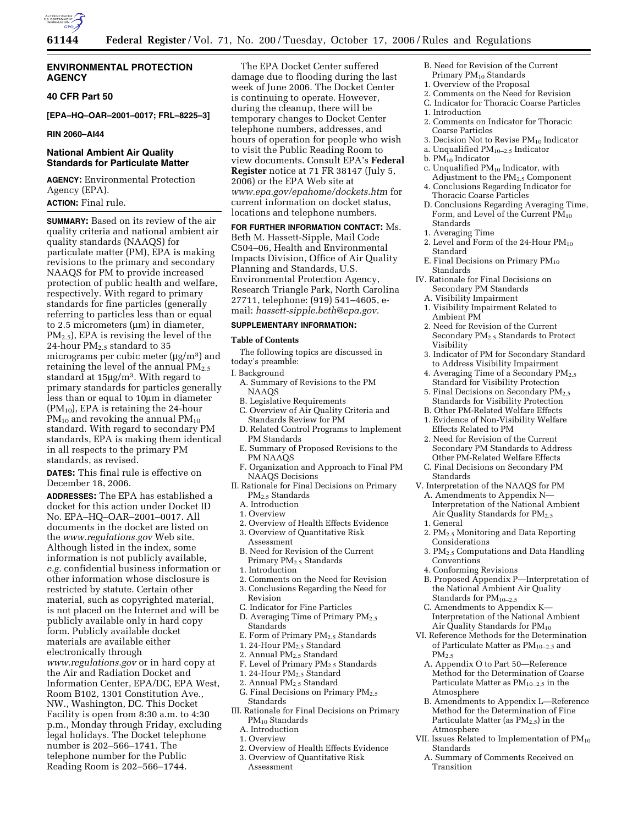

### **ENVIRONMENTAL PROTECTION AGENCY**

#### **40 CFR Part 50**

**[EPA–HQ–OAR–2001–0017; FRL–8225–3]** 

#### **RIN 2060–AI44**

## **National Ambient Air Quality Standards for Particulate Matter**

**AGENCY:** Environmental Protection Agency (EPA).

# **ACTION:** Final rule.

**SUMMARY:** Based on its review of the air quality criteria and national ambient air quality standards (NAAQS) for particulate matter (PM), EPA is making revisions to the primary and secondary NAAQS for PM to provide increased protection of public health and welfare, respectively. With regard to primary standards for fine particles (generally referring to particles less than or equal to 2.5 micrometers (µm) in diameter, PM2.5), EPA is revising the level of the 24-hour  $PM_{2.5}$  standard to 35 micrograms per cubic meter  $(\mu g/m^3)$  and retaining the level of the annual  $PM<sub>2.5</sub>$ standard at 15µg/m3. With regard to primary standards for particles generally less than or equal to 10µm in diameter  $(PM_{10})$ , EPA is retaining the 24-hour  $PM_{10}$  and revoking the annual  $PM_{10}$ standard. With regard to secondary PM standards, EPA is making them identical in all respects to the primary PM standards, as revised.

**DATES:** This final rule is effective on December 18, 2006.

**ADDRESSES:** The EPA has established a docket for this action under Docket ID No. EPA–HQ–OAR–2001–0017. All documents in the docket are listed on the *www.regulations.gov* Web site. Although listed in the index, some information is not publicly available, *e.g.* confidential business information or other information whose disclosure is restricted by statute. Certain other material, such as copyrighted material, is not placed on the Internet and will be publicly available only in hard copy form. Publicly available docket materials are available either electronically through *www.regulations.gov* or in hard copy at the Air and Radiation Docket and Information Center, EPA/DC, EPA West, Room B102, 1301 Constitution Ave., NW., Washington, DC. This Docket Facility is open from 8:30 a.m. to 4:30 p.m., Monday through Friday, excluding legal holidays. The Docket telephone number is 202–566–1741. The telephone number for the Public Reading Room is 202–566–1744.

The EPA Docket Center suffered damage due to flooding during the last week of June 2006. The Docket Center is continuing to operate. However, during the cleanup, there will be temporary changes to Docket Center telephone numbers, addresses, and hours of operation for people who wish to visit the Public Reading Room to view documents. Consult EPA's **Federal Register** notice at 71 FR 38147 (July 5, 2006) or the EPA Web site at *www.epa.gov/epahome/dockets.htm* for current information on docket status, locations and telephone numbers.

**FOR FURTHER INFORMATION CONTACT:** Ms. Beth M. Hassett-Sipple, Mail Code C504–06, Health and Environmental Impacts Division, Office of Air Quality Planning and Standards, U.S. Environmental Protection Agency, Research Triangle Park, North Carolina 27711, telephone: (919) 541–4605, email: *hassett-sipple.beth@epa.gov.* 

# **SUPPLEMENTARY INFORMATION:**

#### **Table of Contents**

The following topics are discussed in today's preamble:

# I. Background

- A. Summary of Revisions to the PM NAAQS
- B. Legislative Requirements
- C. Overview of Air Quality Criteria and Standards Review for PM
- D. Related Control Programs to Implement PM Standards
- E. Summary of Proposed Revisions to the PM NAAQS
- F. Organization and Approach to Final PM NAAQS Decisions
- II. Rationale for Final Decisions on Primary PM2.5 Standards
	- A. Introduction
	- 1. Overview
	- 2. Overview of Health Effects Evidence
	- 3. Overview of Quantitative Risk Assessment
	- B. Need for Revision of the Current Primary PM2.5 Standards
	- 1. Introduction
	- 2. Comments on the Need for Revision 3. Conclusions Regarding the Need for Revision
	- C. Indicator for Fine Particles
	- D. Averaging Time of Primary PM<sub>2.5</sub> **Standards**
	- E. Form of Primary PM<sub>2.5</sub> Standards
	- 1. 24-Hour PM<sub>2.5</sub> Standard
	- 2. Annual PM<sub>2.5</sub> Standard
	- F. Level of Primary PM<sub>2.5</sub> Standards
	- 1. 24-Hour PM2.5 Standard
	- 2. Annual PM2.5 Standard
	- G. Final Decisions on Primary PM<sub>2.5</sub> Standards
- III. Rationale for Final Decisions on Primary PM10 Standards
	- A. Introduction
	- 1. Overview
	- 2. Overview of Health Effects Evidence
	- 3. Overview of Quantitative Risk Assessment
- B. Need for Revision of the Current Primary PM10 Standards
- 1. Overview of the Proposal
- 2. Comments on the Need for Revision
- C. Indicator for Thoracic Coarse Particles
- 1. Introduction
- 2. Comments on Indicator for Thoracic Coarse Particles
- 3. Decision Not to Revise PM10 Indicator
- a. Unqualified PM10–2.5 Indicator
- b.  $PM_{10}$  Indicator
- c. Unqualified  $PM_{10}$  Indicator, with Adjustment to the PM2.5 Component
- 4. Conclusions Regarding Indicator for Thoracic Coarse Particles
- D. Conclusions Regarding Averaging Time, Form, and Level of the Current PM<sub>10</sub> Standards
- 1. Averaging Time
- 2. Level and Form of the 24-Hour PM<sub>10</sub> Standard
- E. Final Decisions on Primary PM<sub>10</sub> Standards
- IV. Rationale for Final Decisions on Secondary PM Standards
	- A. Visibility Impairment
	- 1. Visibility Impairment Related to Ambient PM
	- 2. Need for Revision of the Current Secondary PM2.5 Standards to Protect Visibility
	- 3. Indicator of PM for Secondary Standard to Address Visibility Impairment
	- 4. Averaging Time of a Secondary PM<sub>2.5</sub> Standard for Visibility Protection
	- 5. Final Decisions on Secondary PM<sub>2.5</sub> Standards for Visibility Protection
- B. Other PM-Related Welfare Effects
- 1. Evidence of Non-Visibility Welfare Effects Related to PM
- 2. Need for Revision of the Current Secondary PM Standards to Address Other PM-Related Welfare Effects
- C. Final Decisions on Secondary PM Standards
- V. Interpretation of the NAAQS for PM
	- A. Amendments to Appendix N— Interpretation of the National Ambient Air Quality Standards for  $PM_{2.5}$
- 1. General
- 2. PM2.5 Monitoring and Data Reporting Considerations
- 3. PM2.5 Computations and Data Handling **Conventions**
- 4. Conforming Revisions
- B. Proposed Appendix P—Interpretation of the National Ambient Air Quality Standards for PM10–2.5
- C. Amendments to Appendix K— Interpretation of the National Ambient Air Quality Standards for  $PM_{10}$
- VI. Reference Methods for the Determination of Particulate Matter as PM10–2.5 and PM2.5
	- A. Appendix O to Part 50—Reference Method for the Determination of Coarse Particulate Matter as  $PM_{10-2.5}$  in the Atmosphere
	- B. Amendments to Appendix L—Reference Method for the Determination of Fine Particulate Matter (as PM<sub>2.5</sub>) in the Atmosphere
- VII. Issues Related to Implementation of  $PM_{10}$ Standards
	- A. Summary of Comments Received on **Transition**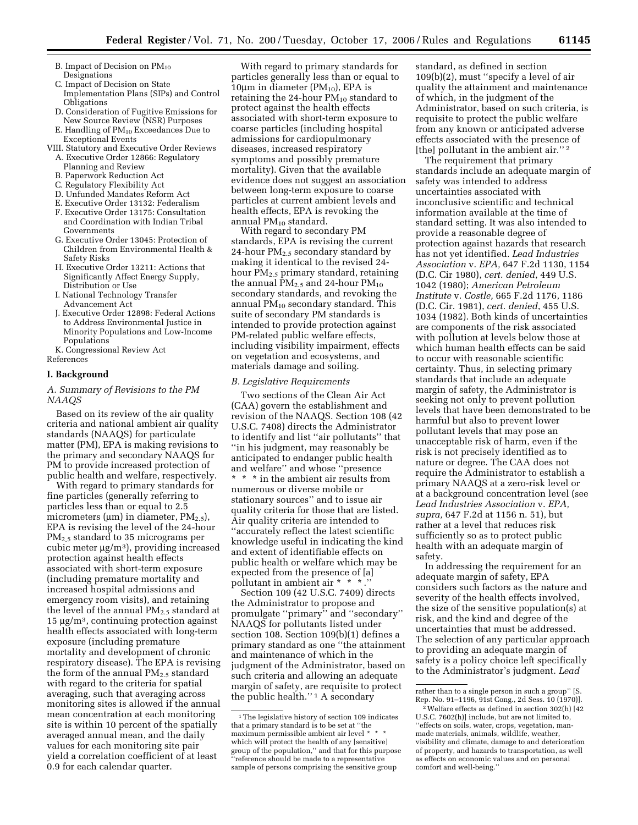- B. Impact of Decision on  $PM_{10}$ Designations
- C. Impact of Decision on State Implementation Plans (SIPs) and Control **Obligations**
- D. Consideration of Fugitive Emissions for New Source Review (NSR) Purposes
- E. Handling of PM<sub>10</sub> Exceedances Due to Exceptional Events
- VIII. Statutory and Executive Order Reviews A. Executive Order 12866: Regulatory
	- Planning and Review
	- B. Paperwork Reduction Act
	- C. Regulatory Flexibility Act
	- D. Unfunded Mandates Reform Act
	- E. Executive Order 13132: Federalism
	- F. Executive Order 13175: Consultation and Coordination with Indian Tribal Governments
	- G. Executive Order 13045: Protection of Children from Environmental Health & Safety Risks
	- H. Executive Order 13211: Actions that Significantly Affect Energy Supply, Distribution or Use
	- I. National Technology Transfer Advancement Act
	- J. Executive Order 12898: Federal Actions to Address Environmental Justice in Minority Populations and Low-Income Populations
- K. Congressional Review Act References

#### **I. Background**

#### *A. Summary of Revisions to the PM NAAQS*

Based on its review of the air quality criteria and national ambient air quality standards (NAAQS) for particulate matter (PM), EPA is making revisions to the primary and secondary NAAQS for PM to provide increased protection of public health and welfare, respectively.

With regard to primary standards for fine particles (generally referring to particles less than or equal to 2.5 micrometers ( $\mu$ m) in diameter, PM<sub>2.5</sub>), EPA is revising the level of the 24-hour PM2.5 standard to 35 micrograms per cubic meter µg/m3), providing increased protection against health effects associated with short-term exposure (including premature mortality and increased hospital admissions and emergency room visits), and retaining the level of the annual  $PM_{2,5}$  standard at  $15 \mu g/m<sup>3</sup>$ , continuing protection against health effects associated with long-term exposure (including premature mortality and development of chronic respiratory disease). The EPA is revising the form of the annual  $PM_{2,5}$  standard with regard to the criteria for spatial averaging, such that averaging across monitoring sites is allowed if the annual mean concentration at each monitoring site is within 10 percent of the spatially averaged annual mean, and the daily values for each monitoring site pair yield a correlation coefficient of at least 0.9 for each calendar quarter.

With regard to primary standards for particles generally less than or equal to 10 $\mu$ m in diameter (PM<sub>10</sub>), EPA is retaining the 24-hour  $PM_{10}$  standard to protect against the health effects associated with short-term exposure to coarse particles (including hospital admissions for cardiopulmonary diseases, increased respiratory symptoms and possibly premature mortality). Given that the available evidence does not suggest an association between long-term exposure to coarse particles at current ambient levels and health effects, EPA is revoking the annual  $PM_{10}$  standard.

With regard to secondary PM standards, EPA is revising the current 24-hour  $PM<sub>2.5</sub>$  secondary standard by making it identical to the revised 24 hour PM<sub>2.5</sub> primary standard, retaining the annual  $PM_2$ , and 24-hour  $PM_{10}$ secondary standards, and revoking the annual  $PM_{10}$  secondary standard. This suite of secondary PM standards is intended to provide protection against PM-related public welfare effects, including visibility impairment, effects on vegetation and ecosystems, and materials damage and soiling.

## *B. Legislative Requirements*

Two sections of the Clean Air Act (CAA) govern the establishment and revision of the NAAQS. Section 108 (42 U.S.C. 7408) directs the Administrator to identify and list ''air pollutants'' that ''in his judgment, may reasonably be anticipated to endanger public health and welfare'' and whose ''presence \* \* \* in the ambient air results from numerous or diverse mobile or stationary sources'' and to issue air quality criteria for those that are listed. Air quality criteria are intended to ''accurately reflect the latest scientific knowledge useful in indicating the kind and extent of identifiable effects on public health or welfare which may be expected from the presence of [a] pollutant in ambient air \* \* \* .

Section 109 (42 U.S.C. 7409) directs the Administrator to propose and promulgate ''primary'' and ''secondary'' NAAQS for pollutants listed under section 108. Section 109(b)(1) defines a primary standard as one ''the attainment and maintenance of which in the judgment of the Administrator, based on such criteria and allowing an adequate margin of safety, are requisite to protect the public health.'' 1 A secondary

standard, as defined in section 109(b)(2), must ''specify a level of air quality the attainment and maintenance of which, in the judgment of the Administrator, based on such criteria, is requisite to protect the public welfare from any known or anticipated adverse effects associated with the presence of [the] pollutant in the ambient air.'' 2

The requirement that primary standards include an adequate margin of safety was intended to address uncertainties associated with inconclusive scientific and technical information available at the time of standard setting. It was also intended to provide a reasonable degree of protection against hazards that research has not yet identified. *Lead Industries Association* v. *EPA,* 647 F.2d 1130, 1154 (D.C. Cir 1980), *cert. denied*, 449 U.S. 1042 (1980); *American Petroleum Institute* v. *Costle,* 665 F.2d 1176, 1186 (D.C. Cir. 1981), *cert. denied*, 455 U.S. 1034 (1982). Both kinds of uncertainties are components of the risk associated with pollution at levels below those at which human health effects can be said to occur with reasonable scientific certainty. Thus, in selecting primary standards that include an adequate margin of safety, the Administrator is seeking not only to prevent pollution levels that have been demonstrated to be harmful but also to prevent lower pollutant levels that may pose an unacceptable risk of harm, even if the risk is not precisely identified as to nature or degree. The CAA does not require the Administrator to establish a primary NAAQS at a zero-risk level or at a background concentration level (see *Lead Industries Association* v. *EPA, supra,* 647 F.2d at 1156 n. 51), but rather at a level that reduces risk sufficiently so as to protect public health with an adequate margin of safety.

In addressing the requirement for an adequate margin of safety, EPA considers such factors as the nature and severity of the health effects involved, the size of the sensitive population(s) at risk, and the kind and degree of the uncertainties that must be addressed. The selection of any particular approach to providing an adequate margin of safety is a policy choice left specifically to the Administrator's judgment. *Lead* 

<sup>&</sup>lt;sup>1</sup>The legislative history of section 109 indicates that a primary standard is to be set at ''the maximum permissible ambient air level \* \* \* which will protect the health of any [sensitive] group of the population,'' and that for this purpose ''reference should be made to a representative sample of persons comprising the sensitive group

rather than to a single person in such a group'' [S. Rep. No. 91–1196, 91st Cong., 2d Sess. 10 (1970)].

<sup>2</sup>Welfare effects as defined in section 302(h) [42 U.S.C. 7602(h)] include, but are not limited to, ''effects on soils, water, crops, vegetation, manmade materials, animals, wildlife, weather, visibility and climate, damage to and deterioration of property, and hazards to transportation, as well as effects on economic values and on personal comfort and well-being.''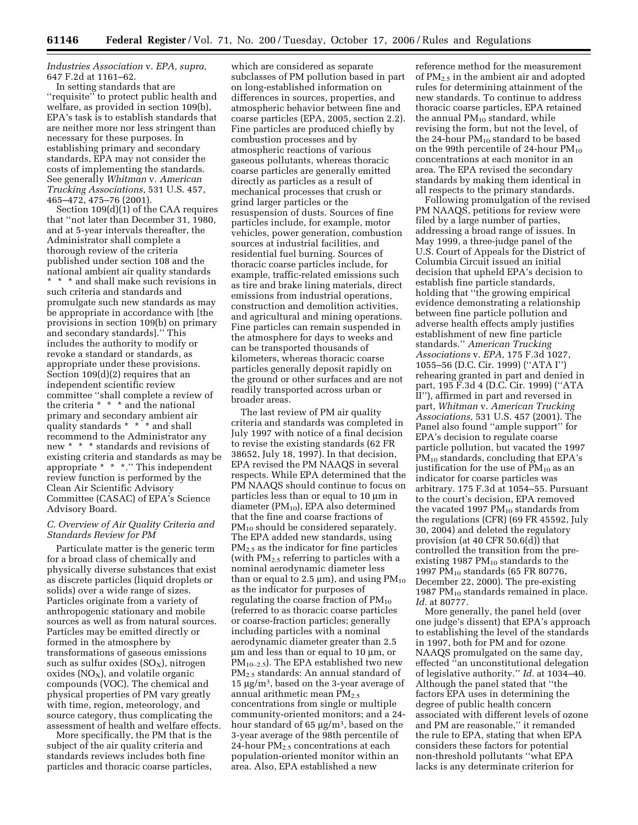*Industries Association* v. *EPA, supra,*  647 F.2d at 1161–62.

In setting standards that are "requisite" to protect public health and welfare, as provided in section 109(b), EPA's task is to establish standards that are neither more nor less stringent than necessary for these purposes. In establishing primary and secondary standards, EPA may not consider the costs of implementing the standards. See generally *Whitman* v. *American Trucking Associations,* 531 U.S. 457, 465–472, 475–76 (2001).

Section 109(d)(1) of the CAA requires that ''not later than December 31, 1980, and at 5-year intervals thereafter, the Administrator shall complete a thorough review of the criteria published under section 108 and the national ambient air quality standards \* \* \* and shall make such revisions in such criteria and standards and promulgate such new standards as may be appropriate in accordance with [the provisions in section 109(b) on primary and secondary standards].'' This includes the authority to modify or revoke a standard or standards, as appropriate under these provisions. Section 109(d)(2) requires that an independent scientific review committee ''shall complete a review of the criteria \* \* \* and the national primary and secondary ambient air quality standards \* \* \* and shall recommend to the Administrator any new \* \* \* standards and revisions of existing criteria and standards as may be appropriate \* \* \*.'' This independent review function is performed by the Clean Air Scientific Advisory Committee (CASAC) of EPA's Science Advisory Board.

## *C. Overview of Air Quality Criteria and Standards Review for PM*

Particulate matter is the generic term for a broad class of chemically and physically diverse substances that exist as discrete particles (liquid droplets or solids) over a wide range of sizes. Particles originate from a variety of anthropogenic stationary and mobile sources as well as from natural sources. Particles may be emitted directly or formed in the atmosphere by transformations of gaseous emissions such as sulfur oxides  $(SO_X)$ , nitrogen oxides  $(NO_x)$ , and volatile organic compounds (VOC). The chemical and physical properties of PM vary greatly with time, region, meteorology, and source category, thus complicating the assessment of health and welfare effects.

More specifically, the PM that is the subject of the air quality criteria and standards reviews includes both fine particles and thoracic coarse particles,

which are considered as separate subclasses of PM pollution based in part on long-established information on differences in sources, properties, and atmospheric behavior between fine and coarse particles (EPA, 2005, section 2.2). Fine particles are produced chiefly by combustion processes and by atmospheric reactions of various gaseous pollutants, whereas thoracic coarse particles are generally emitted directly as particles as a result of mechanical processes that crush or grind larger particles or the resuspension of dusts. Sources of fine particles include, for example, motor vehicles, power generation, combustion sources at industrial facilities, and residential fuel burning. Sources of thoracic coarse particles include, for example, traffic-related emissions such as tire and brake lining materials, direct emissions from industrial operations, construction and demolition activities, and agricultural and mining operations. Fine particles can remain suspended in the atmosphere for days to weeks and can be transported thousands of kilometers, whereas thoracic coarse particles generally deposit rapidly on the ground or other surfaces and are not readily transported across urban or broader areas.

The last review of PM air quality criteria and standards was completed in July 1997 with notice of a final decision to revise the existing standards (62 FR 38652, July 18, 1997). In that decision, EPA revised the PM NAAQS in several respects. While EPA determined that the PM NAAQS should continue to focus on particles less than or equal to 10 µm in diameter  $(PM_{10})$ , EPA also determined that the fine and coarse fractions of PM<sub>10</sub> should be considered separately. The EPA added new standards, using PM2.5 as the indicator for fine particles (with  $PM_{2.5}$  referring to particles with a nominal aerodynamic diameter less than or equal to 2.5  $\mu$ m), and using PM<sub>10</sub> as the indicator for purposes of regulating the coarse fraction of  $PM_{10}$ (referred to as thoracic coarse particles or coarse-fraction particles; generally including particles with a nominal aerodynamic diameter greater than 2.5 µm and less than or equal to 10 µm, or  $PM_{10-2.5}$ ). The EPA established two new PM2.5 standards: An annual standard of 15 µg/m3, based on the 3-year average of annual arithmetic mean  $PM_{2.5}$ concentrations from single or multiple community-oriented monitors; and a 24 hour standard of 65 µg/m3, based on the 3-year average of the 98th percentile of 24-hour  $PM_{2.5}$  concentrations at each population-oriented monitor within an area. Also, EPA established a new

reference method for the measurement of  $PM<sub>2.5</sub>$  in the ambient air and adopted rules for determining attainment of the new standards. To continue to address thoracic coarse particles, EPA retained the annual PM<sub>10</sub> standard, while revising the form, but not the level, of the 24-hour  $PM_{10}$  standard to be based on the 99th percentile of 24-hour  $PM_{10}$ concentrations at each monitor in an area. The EPA revised the secondary standards by making them identical in all respects to the primary standards.

Following promulgation of the revised PM NAAQS, petitions for review were filed by a large number of parties, addressing a broad range of issues. In May 1999, a three-judge panel of the U.S. Court of Appeals for the District of Columbia Circuit issued an initial decision that upheld EPA's decision to establish fine particle standards, holding that ''the growing empirical evidence demonstrating a relationship between fine particle pollution and adverse health effects amply justifies establishment of new fine particle standards.'' *American Trucking Associations* v. *EPA,* 175 F.3d 1027, 1055–56 (D.C. Cir. 1999) (''ATA I'') rehearing granted in part and denied in part, 195 F.3d 4 (D.C. Cir. 1999) (''ATA II''), affirmed in part and reversed in part, *Whitman* v. *American Trucking Associations,* 531 U.S. 457 (2001). The Panel also found ''ample support'' for EPA's decision to regulate coarse particle pollution, but vacated the 1997  $PM_{10}$  standards, concluding that EPA's justification for the use of  $PM_{10}$  as an indicator for coarse particles was arbitrary. 175 F.3d at 1054–55. Pursuant to the court's decision, EPA removed the vacated 1997  $PM_{10}$  standards from the regulations (CFR) (69 FR 45592, July 30, 2004) and deleted the regulatory provision (at 40 CFR 50.6(d)) that controlled the transition from the preexisting 1987  $PM_{10}$  standards to the 1997 PM10 standards (65 FR 80776, December 22, 2000). The pre-existing 1987 P $M_{10}$  standards remained in place. *Id.* at 80777.

More generally, the panel held (over one judge's dissent) that EPA's approach to establishing the level of the standards in 1997, both for PM and for ozone NAAQS promulgated on the same day, effected ''an unconstitutional delegation of legislative authority.'' *Id.* at 1034–40. Although the panel stated that ''the factors EPA uses in determining the degree of public health concern associated with different levels of ozone and PM are reasonable,'' it remanded the rule to EPA, stating that when EPA considers these factors for potential non-threshold pollutants ''what EPA lacks is any determinate criterion for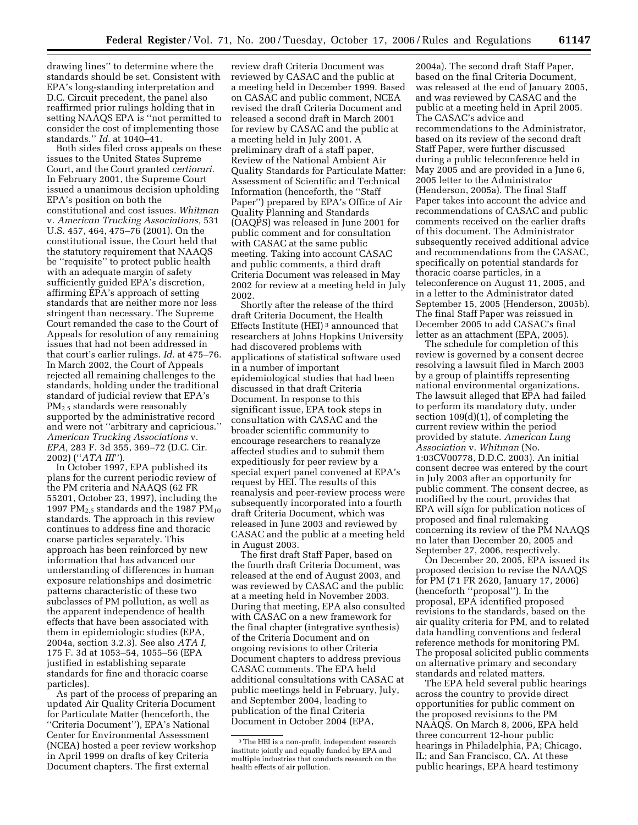drawing lines'' to determine where the standards should be set. Consistent with EPA's long-standing interpretation and D.C. Circuit precedent, the panel also reaffirmed prior rulings holding that in setting NAAQS EPA is ''not permitted to consider the cost of implementing those standards.'' *Id.* at 1040–41.

Both sides filed cross appeals on these issues to the United States Supreme Court, and the Court granted *certiorari.*  In February 2001, the Supreme Court issued a unanimous decision upholding EPA's position on both the constitutional and cost issues. *Whitman*  v. *American Trucking Associations,* 531 U.S. 457, 464, 475–76 (2001). On the constitutional issue, the Court held that the statutory requirement that NAAQS be ''requisite'' to protect public health with an adequate margin of safety sufficiently guided EPA's discretion, affirming EPA's approach of setting standards that are neither more nor less stringent than necessary. The Supreme Court remanded the case to the Court of Appeals for resolution of any remaining issues that had not been addressed in that court's earlier rulings. *Id.* at 475–76. In March 2002, the Court of Appeals rejected all remaining challenges to the standards, holding under the traditional standard of judicial review that EPA's PM<sub>2.5</sub> standards were reasonably supported by the administrative record and were not ''arbitrary and capricious.'' *American Trucking Associations* v. *EPA,* 283 F. 3d 355, 369–72 (D.C. Cir. 2002) (''*ATA III*'').

In October 1997, EPA published its plans for the current periodic review of the PM criteria and NAAQS (62 FR 55201, October 23, 1997), including the 1997 PM<sub>2.5</sub> standards and the 1987 PM<sub>10</sub> standards. The approach in this review continues to address fine and thoracic coarse particles separately. This approach has been reinforced by new information that has advanced our understanding of differences in human exposure relationships and dosimetric patterns characteristic of these two subclasses of PM pollution, as well as the apparent independence of health effects that have been associated with them in epidemiologic studies (EPA, 2004a, section 3.2.3). See also *ATA I,*  175 F. 3d at 1053–54, 1055–56 (EPA justified in establishing separate standards for fine and thoracic coarse particles).

As part of the process of preparing an updated Air Quality Criteria Document for Particulate Matter (henceforth, the ''Criteria Document''), EPA's National Center for Environmental Assessment (NCEA) hosted a peer review workshop in April 1999 on drafts of key Criteria Document chapters. The first external

review draft Criteria Document was reviewed by CASAC and the public at a meeting held in December 1999. Based on CASAC and public comment, NCEA revised the draft Criteria Document and released a second draft in March 2001 for review by CASAC and the public at a meeting held in July 2001. A preliminary draft of a staff paper, Review of the National Ambient Air Quality Standards for Particulate Matter: Assessment of Scientific and Technical Information (henceforth, the ''Staff Paper'') prepared by EPA's Office of Air Quality Planning and Standards (OAQPS) was released in June 2001 for public comment and for consultation with CASAC at the same public meeting. Taking into account CASAC and public comments, a third draft Criteria Document was released in May 2002 for review at a meeting held in July 2002.

Shortly after the release of the third draft Criteria Document, the Health Effects Institute (HEI) 3 announced that researchers at Johns Hopkins University had discovered problems with applications of statistical software used in a number of important epidemiological studies that had been discussed in that draft Criteria Document. In response to this significant issue, EPA took steps in consultation with CASAC and the broader scientific community to encourage researchers to reanalyze affected studies and to submit them expeditiously for peer review by a special expert panel convened at EPA's request by HEI. The results of this reanalysis and peer-review process were subsequently incorporated into a fourth draft Criteria Document, which was released in June 2003 and reviewed by CASAC and the public at a meeting held in August 2003.

The first draft Staff Paper, based on the fourth draft Criteria Document, was released at the end of August 2003, and was reviewed by CASAC and the public at a meeting held in November 2003. During that meeting, EPA also consulted with CASAC on a new framework for the final chapter (integrative synthesis) of the Criteria Document and on ongoing revisions to other Criteria Document chapters to address previous CASAC comments. The EPA held additional consultations with CASAC at public meetings held in February, July, and September 2004, leading to publication of the final Criteria Document in October 2004 (EPA,

2004a). The second draft Staff Paper, based on the final Criteria Document, was released at the end of January 2005, and was reviewed by CASAC and the public at a meeting held in April 2005. The CASAC's advice and recommendations to the Administrator, based on its review of the second draft Staff Paper, were further discussed during a public teleconference held in May 2005 and are provided in a June 6, 2005 letter to the Administrator (Henderson, 2005a). The final Staff Paper takes into account the advice and recommendations of CASAC and public comments received on the earlier drafts of this document. The Administrator subsequently received additional advice and recommendations from the CASAC, specifically on potential standards for thoracic coarse particles, in a teleconference on August 11, 2005, and in a letter to the Administrator dated September 15, 2005 (Henderson, 2005b). The final Staff Paper was reissued in December 2005 to add CASAC's final letter as an attachment (EPA, 2005).

The schedule for completion of this review is governed by a consent decree resolving a lawsuit filed in March 2003 by a group of plaintiffs representing national environmental organizations. The lawsuit alleged that EPA had failed to perform its mandatory duty, under section 109(d)(1), of completing the current review within the period provided by statute. *American Lung Association* v. *Whitman* (No. 1:03CV00778, D.D.C. 2003). An initial consent decree was entered by the court in July 2003 after an opportunity for public comment. The consent decree, as modified by the court, provides that EPA will sign for publication notices of proposed and final rulemaking concerning its review of the PM NAAQS no later than December 20, 2005 and September 27, 2006, respectively.

On December 20, 2005, EPA issued its proposed decision to revise the NAAQS for PM (71 FR 2620, January 17, 2006) (henceforth ''proposal''). In the proposal, EPA identified proposed revisions to the standards, based on the air quality criteria for PM, and to related data handling conventions and federal reference methods for monitoring PM. The proposal solicited public comments on alternative primary and secondary standards and related matters.

The EPA held several public hearings across the country to provide direct opportunities for public comment on the proposed revisions to the PM NAAQS. On March 8, 2006, EPA held three concurrent 12-hour public hearings in Philadelphia, PA; Chicago, IL; and San Francisco, CA. At these public hearings, EPA heard testimony

<sup>3</sup>The HEI is a non-profit, independent research institute jointly and equally funded by EPA and multiple industries that conducts research on the health effects of air pollution.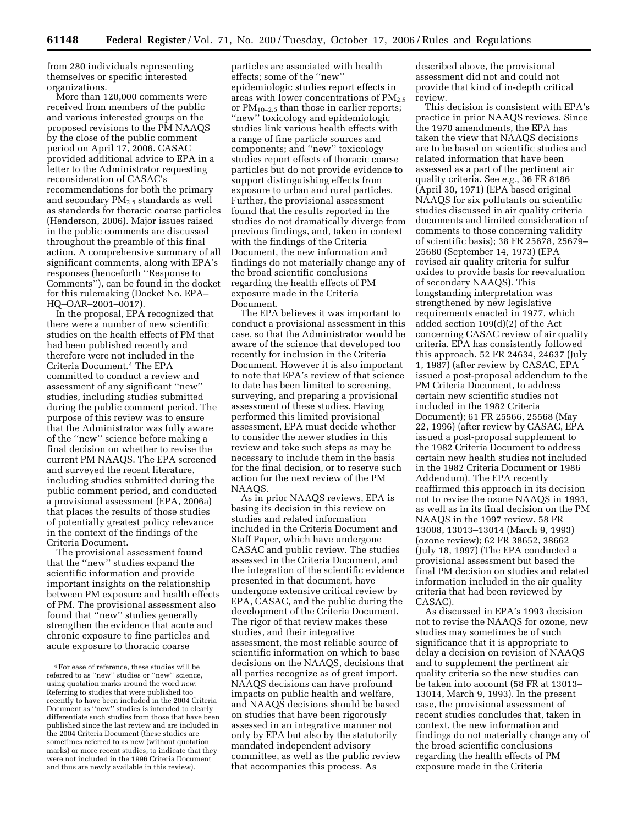from 280 individuals representing themselves or specific interested organizations.

More than 120,000 comments were received from members of the public and various interested groups on the proposed revisions to the PM NAAQS by the close of the public comment period on April 17, 2006. CASAC provided additional advice to EPA in a letter to the Administrator requesting reconsideration of CASAC's recommendations for both the primary and secondary  $PM<sub>2.5</sub>$  standards as well as standards for thoracic coarse particles (Henderson, 2006). Major issues raised in the public comments are discussed throughout the preamble of this final action. A comprehensive summary of all significant comments, along with EPA's responses (henceforth ''Response to Comments''), can be found in the docket for this rulemaking (Docket No. EPA– HQ–OAR–2001–0017).

In the proposal, EPA recognized that there were a number of new scientific studies on the health effects of PM that had been published recently and therefore were not included in the Criteria Document.4 The EPA committed to conduct a review and assessment of any significant ''new'' studies, including studies submitted during the public comment period. The purpose of this review was to ensure that the Administrator was fully aware of the ''new'' science before making a final decision on whether to revise the current PM NAAQS. The EPA screened and surveyed the recent literature, including studies submitted during the public comment period, and conducted a provisional assessment (EPA, 2006a) that places the results of those studies of potentially greatest policy relevance in the context of the findings of the Criteria Document.

The provisional assessment found that the ''new'' studies expand the scientific information and provide important insights on the relationship between PM exposure and health effects of PM. The provisional assessment also found that ''new'' studies generally strengthen the evidence that acute and chronic exposure to fine particles and acute exposure to thoracic coarse

particles are associated with health effects; some of the ''new'' epidemiologic studies report effects in areas with lower concentrations of  $PM_{2.5}$ or PM<sub>10-2.5</sub> than those in earlier reports; ''new'' toxicology and epidemiologic studies link various health effects with a range of fine particle sources and components; and ''new'' toxicology studies report effects of thoracic coarse particles but do not provide evidence to support distinguishing effects from exposure to urban and rural particles. Further, the provisional assessment found that the results reported in the studies do not dramatically diverge from previous findings, and, taken in context with the findings of the Criteria Document, the new information and findings do not materially change any of the broad scientific conclusions regarding the health effects of PM exposure made in the Criteria Document.

The EPA believes it was important to conduct a provisional assessment in this case, so that the Administrator would be aware of the science that developed too recently for inclusion in the Criteria Document. However it is also important to note that EPA's review of that science to date has been limited to screening, surveying, and preparing a provisional assessment of these studies. Having performed this limited provisional assessment, EPA must decide whether to consider the newer studies in this review and take such steps as may be necessary to include them in the basis for the final decision, or to reserve such action for the next review of the PM NAAQS.

As in prior NAAQS reviews, EPA is basing its decision in this review on studies and related information included in the Criteria Document and Staff Paper, which have undergone CASAC and public review. The studies assessed in the Criteria Document, and the integration of the scientific evidence presented in that document, have undergone extensive critical review by EPA, CASAC, and the public during the development of the Criteria Document. The rigor of that review makes these studies, and their integrative assessment, the most reliable source of scientific information on which to base decisions on the NAAQS, decisions that all parties recognize as of great import. NAAQS decisions can have profound impacts on public health and welfare, and NAAQS decisions should be based on studies that have been rigorously assessed in an integrative manner not only by EPA but also by the statutorily mandated independent advisory committee, as well as the public review that accompanies this process. As

described above, the provisional assessment did not and could not provide that kind of in-depth critical review.

This decision is consistent with EPA's practice in prior NAAQS reviews. Since the 1970 amendments, the EPA has taken the view that NAAQS decisions are to be based on scientific studies and related information that have been assessed as a part of the pertinent air quality criteria. See *e.g.*, 36 FR 8186 (April 30, 1971) (EPA based original NAAQS for six pollutants on scientific studies discussed in air quality criteria documents and limited consideration of comments to those concerning validity of scientific basis); 38 FR 25678, 25679– 25680 (September 14, 1973) (EPA revised air quality criteria for sulfur oxides to provide basis for reevaluation of secondary NAAQS). This longstanding interpretation was strengthened by new legislative requirements enacted in 1977, which added section 109(d)(2) of the Act concerning CASAC review of air quality criteria. EPA has consistently followed this approach. 52 FR 24634, 24637 (July 1, 1987) (after review by CASAC, EPA issued a post-proposal addendum to the PM Criteria Document, to address certain new scientific studies not included in the 1982 Criteria Document); 61 FR 25566, 25568 (May 22, 1996) (after review by CASAC, EPA issued a post-proposal supplement to the 1982 Criteria Document to address certain new health studies not included in the 1982 Criteria Document or 1986 Addendum). The EPA recently reaffirmed this approach in its decision not to revise the ozone NAAQS in 1993, as well as in its final decision on the PM NAAQS in the 1997 review. 58 FR 13008, 13013–13014 (March 9, 1993) (ozone review); 62 FR 38652, 38662 (July 18, 1997) (The EPA conducted a provisional assessment but based the final PM decision on studies and related information included in the air quality criteria that had been reviewed by CASAC).

As discussed in EPA's 1993 decision not to revise the NAAQS for ozone, new studies may sometimes be of such significance that it is appropriate to delay a decision on revision of NAAQS and to supplement the pertinent air quality criteria so the new studies can be taken into account (58 FR at 13013– 13014, March 9, 1993). In the present case, the provisional assessment of recent studies concludes that, taken in context, the new information and findings do not materially change any of the broad scientific conclusions regarding the health effects of PM exposure made in the Criteria

<sup>4</sup>For ease of reference, these studies will be referred to as ''new'' studies or ''new'' science, using quotation marks around the word *new.*  Referring to studies that were published too recently to have been included in the 2004 Criteria Document as ''new'' studies is intended to clearly differentiate such studies from those that have been published since the last review and are included in the 2004 Criteria Document (these studies are sometimes referred to as new (without quotation marks) or more recent studies, to indicate that they were not included in the 1996 Criteria Document and thus are newly available in this review).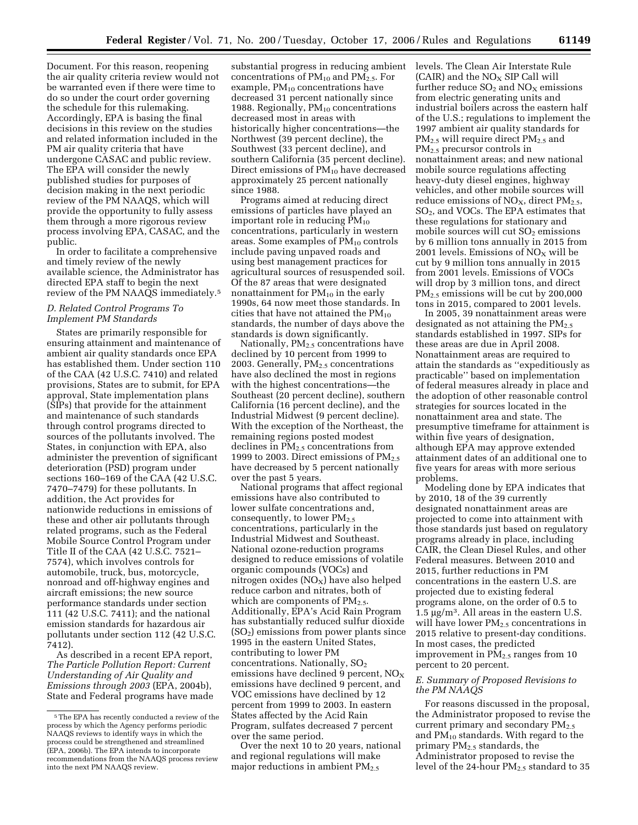Document. For this reason, reopening the air quality criteria review would not be warranted even if there were time to do so under the court order governing the schedule for this rulemaking. Accordingly, EPA is basing the final decisions in this review on the studies and related information included in the PM air quality criteria that have undergone CASAC and public review. The EPA will consider the newly published studies for purposes of decision making in the next periodic review of the PM NAAQS, which will provide the opportunity to fully assess them through a more rigorous review process involving EPA, CASAC, and the public.

In order to facilitate a comprehensive and timely review of the newly available science, the Administrator has directed EPA staff to begin the next review of the PM NAAQS immediately.5

# *D. Related Control Programs To Implement PM Standards*

States are primarily responsible for ensuring attainment and maintenance of ambient air quality standards once EPA has established them. Under section 110 of the CAA (42 U.S.C. 7410) and related provisions, States are to submit, for EPA approval, State implementation plans (SIPs) that provide for the attainment and maintenance of such standards through control programs directed to sources of the pollutants involved. The States, in conjunction with EPA, also administer the prevention of significant deterioration (PSD) program under sections 160–169 of the CAA (42 U.S.C. 7470–7479) for these pollutants. In addition, the Act provides for nationwide reductions in emissions of these and other air pollutants through related programs, such as the Federal Mobile Source Control Program under Title II of the CAA (42 U.S.C. 7521– 7574), which involves controls for automobile, truck, bus, motorcycle, nonroad and off-highway engines and aircraft emissions; the new source performance standards under section 111 (42 U.S.C. 7411); and the national emission standards for hazardous air pollutants under section 112 (42 U.S.C. 7412).

As described in a recent EPA report, *The Particle Pollution Report: Current Understanding of Air Quality and Emissions through 2003* (EPA, 2004b), State and Federal programs have made

substantial progress in reducing ambient concentrations of  $PM_{10}$  and  $PM_{2.5}$ . For example,  $PM_{10}$  concentrations have decreased 31 percent nationally since 1988. Regionally,  $PM_{10}$  concentrations decreased most in areas with historically higher concentrations—the Northwest (39 percent decline), the Southwest (33 percent decline), and southern California (35 percent decline). Direct emissions of PM10 have decreased approximately 25 percent nationally since 1988.

Programs aimed at reducing direct emissions of particles have played an important role in reducing  $PM_{10}$ concentrations, particularly in western areas. Some examples of PM10 controls include paving unpaved roads and using best management practices for agricultural sources of resuspended soil. Of the 87 areas that were designated nonattainment for  $PM_{10}$  in the early 1990s, 64 now meet those standards. In cities that have not attained the  $PM_{10}$ standards, the number of days above the standards is down significantly.

Nationally,  $PM<sub>2.5</sub>$  concentrations have declined by 10 percent from 1999 to 2003. Generally, PM<sub>2.5</sub> concentrations have also declined the most in regions with the highest concentrations—the Southeast (20 percent decline), southern California (16 percent decline), and the Industrial Midwest (9 percent decline). With the exception of the Northeast, the remaining regions posted modest declines in  $PM<sub>2.5</sub>$  concentrations from 1999 to 2003. Direct emissions of  $PM_{2.5}$ have decreased by 5 percent nationally over the past 5 years.

National programs that affect regional emissions have also contributed to lower sulfate concentrations and, consequently, to lower  $PM_{2.5}$ concentrations, particularly in the Industrial Midwest and Southeast. National ozone-reduction programs designed to reduce emissions of volatile organic compounds (VOCs) and nitrogen oxides  $(NO<sub>X</sub>)$  have also helped reduce carbon and nitrates, both of which are components of  $PM_{2.5}$ . Additionally, EPA's Acid Rain Program has substantially reduced sulfur dioxide  $(SO<sub>2</sub>)$  emissions from power plants since 1995 in the eastern United States, contributing to lower PM concentrations. Nationally,  $SO<sub>2</sub>$ emissions have declined 9 percent,  $NO<sub>x</sub>$ emissions have declined 9 percent, and VOC emissions have declined by 12 percent from 1999 to 2003. In eastern States affected by the Acid Rain Program, sulfates decreased 7 percent over the same period.

Over the next 10 to 20 years, national and regional regulations will make major reductions in ambient PM<sub>2.5</sub>

levels. The Clean Air Interstate Rule  $(CAIR)$  and the  $NO<sub>X</sub>$  SIP Call will further reduce  $SO_2$  and  $NO_X$  emissions from electric generating units and industrial boilers across the eastern half of the U.S.; regulations to implement the 1997 ambient air quality standards for PM<sub>2.5</sub> will require direct PM<sub>2.5</sub> and PM2.5 precursor controls in nonattainment areas; and new national mobile source regulations affecting heavy-duty diesel engines, highway vehicles, and other mobile sources will reduce emissions of  $NO<sub>x</sub>$ , direct  $PM<sub>2.5</sub>$ , SO2, and VOCs. The EPA estimates that these regulations for stationary and mobile sources will cut  $SO<sub>2</sub>$  emissions by 6 million tons annually in 2015 from 2001 levels. Emissions of  $NO<sub>x</sub>$  will be cut by 9 million tons annually in 2015 from 2001 levels. Emissions of VOCs will drop by 3 million tons, and direct  $PM_{2.5}$  emissions will be cut by 200,000 tons in 2015, compared to 2001 levels.

In 2005, 39 nonattainment areas were designated as not attaining the  $PM_{2.5}$ standards established in 1997. SIPs for these areas are due in April 2008. Nonattainment areas are required to attain the standards as ''expeditiously as practicable'' based on implementation of federal measures already in place and the adoption of other reasonable control strategies for sources located in the nonattainment area and state. The presumptive timeframe for attainment is within five years of designation, although EPA may approve extended attainment dates of an additional one to five years for areas with more serious problems.

Modeling done by EPA indicates that by 2010, 18 of the 39 currently designated nonattainment areas are projected to come into attainment with those standards just based on regulatory programs already in place, including CAIR, the Clean Diesel Rules, and other Federal measures. Between 2010 and 2015, further reductions in PM concentrations in the eastern U.S. are projected due to existing federal programs alone, on the order of 0.5 to 1.5 µg/m3. All areas in the eastern U.S. will have lower PM<sub>2.5</sub> concentrations in 2015 relative to present-day conditions. In most cases, the predicted improvement in  $PM<sub>2.5</sub>$  ranges from 10 percent to 20 percent.

## *E. Summary of Proposed Revisions to the PM NAAQS*

For reasons discussed in the proposal, the Administrator proposed to revise the current primary and secondary  $PM_{2.5}$ and PM10 standards. With regard to the primary  $PM<sub>2.5</sub>$  standards, the Administrator proposed to revise the level of the 24-hour PM2.5 standard to 35

<sup>5</sup>The EPA has recently conducted a review of the process by which the Agency performs periodic NAAQS reviews to identify ways in which the process could be strengthened and streamlined (EPA, 2006b). The EPA intends to incorporate recommendations from the NAAQS process review into the next PM NAAQS review.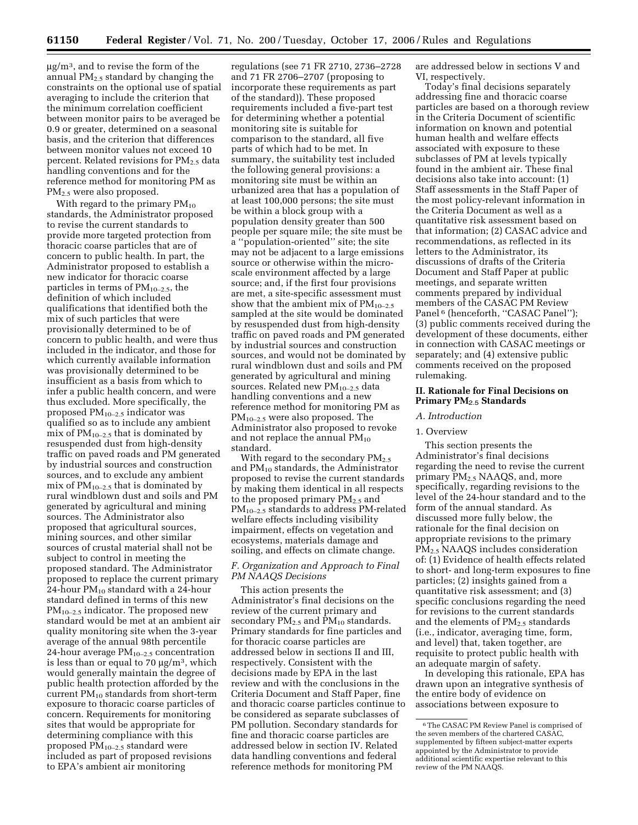$\mu$ g/m<sup>3</sup>, and to revise the form of the annual  $PM_{2.5}$  standard by changing the constraints on the optional use of spatial averaging to include the criterion that the minimum correlation coefficient between monitor pairs to be averaged be 0.9 or greater, determined on a seasonal basis, and the criterion that differences between monitor values not exceed 10 percent. Related revisions for PM2.5 data handling conventions and for the reference method for monitoring PM as PM2.5 were also proposed.

With regard to the primary  $PM_{10}$ standards, the Administrator proposed to revise the current standards to provide more targeted protection from thoracic coarse particles that are of concern to public health. In part, the Administrator proposed to establish a new indicator for thoracic coarse particles in terms of  $PM_{10-2.5}$ , the definition of which included qualifications that identified both the mix of such particles that were provisionally determined to be of concern to public health, and were thus included in the indicator, and those for which currently available information was provisionally determined to be insufficient as a basis from which to infer a public health concern, and were thus excluded. More specifically, the proposed  $PM_{10-2.5}$  indicator was qualified so as to include any ambient mix of  $PM_{10-2.5}$  that is dominated by resuspended dust from high-density traffic on paved roads and PM generated by industrial sources and construction sources, and to exclude any ambient mix of  $PM_{10-2.5}$  that is dominated by rural windblown dust and soils and PM generated by agricultural and mining sources. The Administrator also proposed that agricultural sources, mining sources, and other similar sources of crustal material shall not be subject to control in meeting the proposed standard. The Administrator proposed to replace the current primary 24-hour  $PM_{10}$  standard with a 24-hour standard defined in terms of this new  $PM_{10-2.5}$  indicator. The proposed new standard would be met at an ambient air quality monitoring site when the 3-year average of the annual 98th percentile 24-hour average  $PM_{10-2.5}$  concentration is less than or equal to 70  $\mu$ g/m<sup>3</sup>, which would generally maintain the degree of public health protection afforded by the current  $PM_{10}$  standards from short-term exposure to thoracic coarse particles of concern. Requirements for monitoring sites that would be appropriate for determining compliance with this proposed PM10–2.5 standard were included as part of proposed revisions to EPA's ambient air monitoring

regulations (see 71 FR 2710, 2736–2728 and 71 FR 2706–2707 (proposing to incorporate these requirements as part of the standard)). These proposed requirements included a five-part test for determining whether a potential monitoring site is suitable for comparison to the standard, all five parts of which had to be met. In summary, the suitability test included the following general provisions: a monitoring site must be within an urbanized area that has a population of at least 100,000 persons; the site must be within a block group with a population density greater than 500 people per square mile; the site must be a ''population-oriented'' site; the site may not be adjacent to a large emissions source or otherwise within the microscale environment affected by a large source; and, if the first four provisions are met, a site-specific assessment must show that the ambient mix of  $PM_{10-2.5}$ sampled at the site would be dominated by resuspended dust from high-density traffic on paved roads and PM generated by industrial sources and construction sources, and would not be dominated by rural windblown dust and soils and PM generated by agricultural and mining sources. Related new  $PM_{10-2.5}$  data handling conventions and a new reference method for monitoring PM as PM10–2.5 were also proposed. The Administrator also proposed to revoke and not replace the annual  $PM_{10}$ standard.

With regard to the secondary  $PM_{2.5}$ and  $PM_{10}$  standards, the Administrator proposed to revise the current standards by making them identical in all respects to the proposed primary  $PM_{2.5}$  and PM10–2.5 standards to address PM-related welfare effects including visibility impairment, effects on vegetation and ecosystems, materials damage and soiling, and effects on climate change.

# *F. Organization and Approach to Final PM NAAQS Decisions*

This action presents the Administrator's final decisions on the review of the current primary and secondary  $PM_{2.5}$  and  $PM_{10}$  standards. Primary standards for fine particles and for thoracic coarse particles are addressed below in sections II and III, respectively. Consistent with the decisions made by EPA in the last review and with the conclusions in the Criteria Document and Staff Paper, fine and thoracic coarse particles continue to be considered as separate subclasses of PM pollution. Secondary standards for fine and thoracic coarse particles are addressed below in section IV. Related data handling conventions and federal reference methods for monitoring PM

are addressed below in sections V and VI, respectively.

Today's final decisions separately addressing fine and thoracic coarse particles are based on a thorough review in the Criteria Document of scientific information on known and potential human health and welfare effects associated with exposure to these subclasses of PM at levels typically found in the ambient air. These final decisions also take into account: (1) Staff assessments in the Staff Paper of the most policy-relevant information in the Criteria Document as well as a quantitative risk assessment based on that information; (2) CASAC advice and recommendations, as reflected in its letters to the Administrator, its discussions of drafts of the Criteria Document and Staff Paper at public meetings, and separate written comments prepared by individual members of the CASAC PM Review Panel<sup>6</sup> (henceforth, "CASAC Panel"); (3) public comments received during the development of these documents, either in connection with CASAC meetings or separately; and (4) extensive public comments received on the proposed rulemaking.

## **II. Rationale for Final Decisions on Primary PM**2.5 **Standards**

# *A. Introduction*

#### 1. Overview

This section presents the Administrator's final decisions regarding the need to revise the current primary PM2.5 NAAQS, and, more specifically, regarding revisions to the level of the 24-hour standard and to the form of the annual standard. As discussed more fully below, the rationale for the final decision on appropriate revisions to the primary PM2.5 NAAQS includes consideration of: (1) Evidence of health effects related to short- and long-term exposures to fine particles; (2) insights gained from a quantitative risk assessment; and (3) specific conclusions regarding the need for revisions to the current standards and the elements of  $PM_{2.5}$  standards (i.e., indicator, averaging time, form, and level) that, taken together, are requisite to protect public health with an adequate margin of safety.

In developing this rationale, EPA has drawn upon an integrative synthesis of the entire body of evidence on associations between exposure to

<sup>6</sup>The CASAC PM Review Panel is comprised of the seven members of the chartered CASAC, supplemented by fifteen subject-matter experts appointed by the Administrator to provide additional scientific expertise relevant to this review of the PM NAAQS.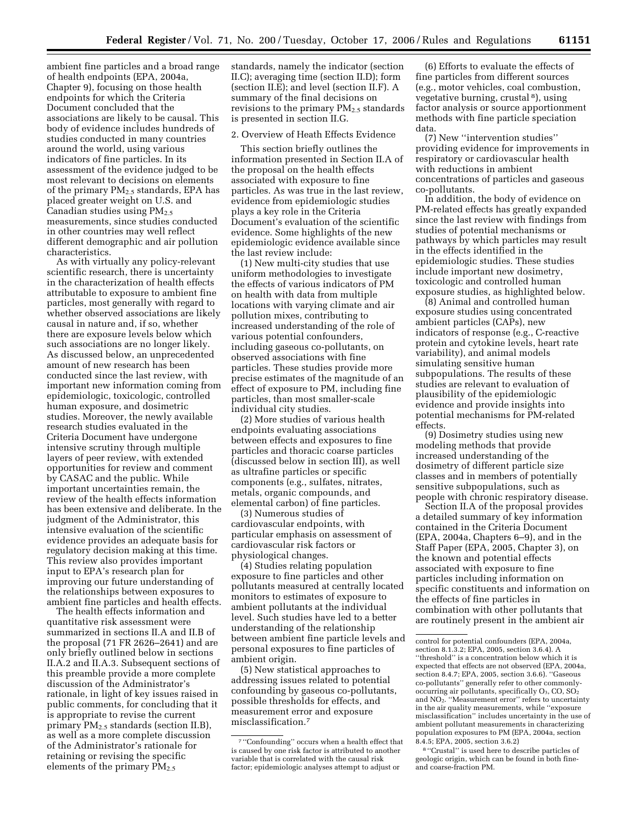ambient fine particles and a broad range of health endpoints (EPA, 2004a, Chapter 9), focusing on those health endpoints for which the Criteria Document concluded that the associations are likely to be causal. This body of evidence includes hundreds of studies conducted in many countries around the world, using various indicators of fine particles. In its assessment of the evidence judged to be most relevant to decisions on elements of the primary  $PM_{2.5}$  standards, EPA has placed greater weight on U.S. and Canadian studies using  $PM<sub>2.5</sub>$ measurements, since studies conducted in other countries may well reflect different demographic and air pollution characteristics.

As with virtually any policy-relevant scientific research, there is uncertainty in the characterization of health effects attributable to exposure to ambient fine particles, most generally with regard to whether observed associations are likely causal in nature and, if so, whether there are exposure levels below which such associations are no longer likely. As discussed below, an unprecedented amount of new research has been conducted since the last review, with important new information coming from epidemiologic, toxicologic, controlled human exposure, and dosimetric studies. Moreover, the newly available research studies evaluated in the Criteria Document have undergone intensive scrutiny through multiple layers of peer review, with extended opportunities for review and comment by CASAC and the public. While important uncertainties remain, the review of the health effects information has been extensive and deliberate. In the judgment of the Administrator, this intensive evaluation of the scientific evidence provides an adequate basis for regulatory decision making at this time. This review also provides important input to EPA's research plan for improving our future understanding of the relationships between exposures to ambient fine particles and health effects.

The health effects information and quantitative risk assessment were summarized in sections II.A and II.B of the proposal (71 FR 2626–2641) and are only briefly outlined below in sections II.A.2 and II.A.3. Subsequent sections of this preamble provide a more complete discussion of the Administrator's rationale, in light of key issues raised in public comments, for concluding that it is appropriate to revise the current primary PM2.5 standards (section II.B), as well as a more complete discussion of the Administrator's rationale for retaining or revising the specific elements of the primary PM2.5

standards, namely the indicator (section II.C); averaging time (section II.D); form (section II.E); and level (section II.F). A summary of the final decisions on revisions to the primary  $PM_{2.5}$  standards is presented in section II.G.

#### 2. Overview of Heath Effects Evidence

This section briefly outlines the information presented in Section II.A of the proposal on the health effects associated with exposure to fine particles. As was true in the last review, evidence from epidemiologic studies plays a key role in the Criteria Document's evaluation of the scientific evidence. Some highlights of the new epidemiologic evidence available since the last review include:

(1) New multi-city studies that use uniform methodologies to investigate the effects of various indicators of PM on health with data from multiple locations with varying climate and air pollution mixes, contributing to increased understanding of the role of various potential confounders, including gaseous co-pollutants, on observed associations with fine particles. These studies provide more precise estimates of the magnitude of an effect of exposure to PM, including fine particles, than most smaller-scale individual city studies.

(2) More studies of various health endpoints evaluating associations between effects and exposures to fine particles and thoracic coarse particles (discussed below in section III), as well as ultrafine particles or specific components (e.g., sulfates, nitrates, metals, organic compounds, and elemental carbon) of fine particles.

(3) Numerous studies of cardiovascular endpoints, with particular emphasis on assessment of cardiovascular risk factors or physiological changes.

(4) Studies relating population exposure to fine particles and other pollutants measured at centrally located monitors to estimates of exposure to ambient pollutants at the individual level. Such studies have led to a better understanding of the relationship between ambient fine particle levels and personal exposures to fine particles of ambient origin.

(5) New statistical approaches to addressing issues related to potential confounding by gaseous co-pollutants, possible thresholds for effects, and measurement error and exposure misclassification.7

(6) Efforts to evaluate the effects of fine particles from different sources (e.g., motor vehicles, coal combustion, vegetative burning, crustal 8), using factor analysis or source apportionment methods with fine particle speciation data.

(7) New ''intervention studies'' providing evidence for improvements in respiratory or cardiovascular health with reductions in ambient concentrations of particles and gaseous co-pollutants.

In addition, the body of evidence on PM-related effects has greatly expanded since the last review with findings from studies of potential mechanisms or pathways by which particles may result in the effects identified in the epidemiologic studies. These studies include important new dosimetry, toxicologic and controlled human exposure studies, as highlighted below.

(8) Animal and controlled human exposure studies using concentrated ambient particles (CAPs), new indicators of response (e.g., C-reactive protein and cytokine levels, heart rate variability), and animal models simulating sensitive human subpopulations. The results of these studies are relevant to evaluation of plausibility of the epidemiologic evidence and provide insights into potential mechanisms for PM-related effects.

(9) Dosimetry studies using new modeling methods that provide increased understanding of the dosimetry of different particle size classes and in members of potentially sensitive subpopulations, such as people with chronic respiratory disease.

Section II.A of the proposal provides a detailed summary of key information contained in the Criteria Document (EPA, 2004a, Chapters 6–9), and in the Staff Paper (EPA, 2005, Chapter 3), on the known and potential effects associated with exposure to fine particles including information on specific constituents and information on the effects of fine particles in combination with other pollutants that are routinely present in the ambient air

8 ''Crustal'' is used here to describe particles of geologic origin, which can be found in both fineand coarse-fraction PM.

<sup>7</sup> ''Confounding'' occurs when a health effect that is caused by one risk factor is attributed to another variable that is correlated with the causal risk factor; epidemiologic analyses attempt to adjust or

control for potential confounders (EPA, 2004a, section 8.1.3.2; EPA, 2005, section 3.6.4). A ''threshold'' is a concentration below which it is expected that effects are not observed (EPA, 2004a, section 8.4.7; EPA, 2005, section 3.6.6). ''Gaseous co-pollutants'' generally refer to other commonlyoccurring air pollutants, specifically  $O_3$ , CO,  $SO_2$ and NO2. ''Measurement error'' refers to uncertainty in the air quality measurements, while ''exposure misclassification'' includes uncertainty in the use of ambient pollutant measurements in characterizing population exposures to PM (EPA, 2004a, section 8.4.5; EPA, 2005, section 3.6.2)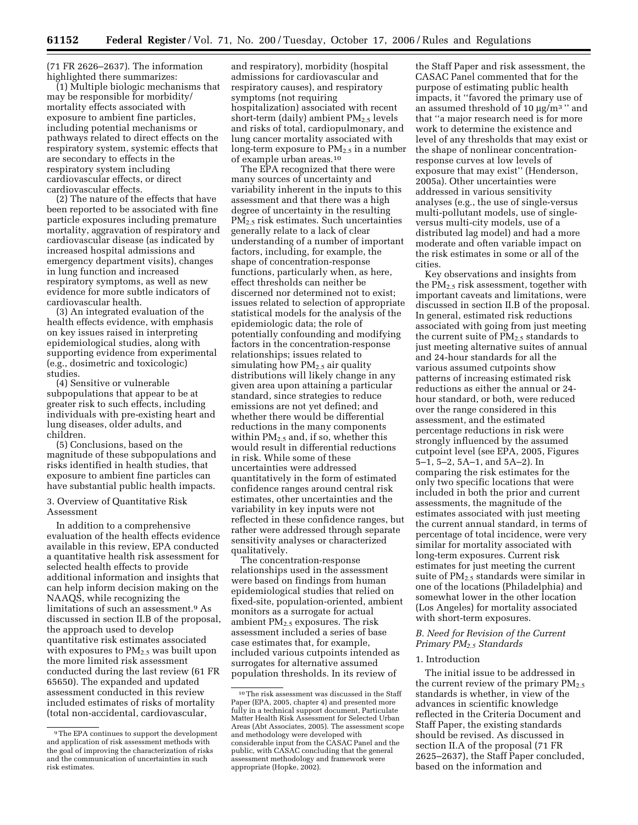(71 FR 2626–2637). The information highlighted there summarizes:

(1) Multiple biologic mechanisms that may be responsible for morbidity/ mortality effects associated with exposure to ambient fine particles, including potential mechanisms or pathways related to direct effects on the respiratory system, systemic effects that are secondary to effects in the respiratory system including cardiovascular effects, or direct cardiovascular effects.

(2) The nature of the effects that have been reported to be associated with fine particle exposures including premature mortality, aggravation of respiratory and cardiovascular disease (as indicated by increased hospital admissions and emergency department visits), changes in lung function and increased respiratory symptoms, as well as new evidence for more subtle indicators of cardiovascular health.

(3) An integrated evaluation of the health effects evidence, with emphasis on key issues raised in interpreting epidemiological studies, along with supporting evidence from experimental (e.g., dosimetric and toxicologic) studies.

(4) Sensitive or vulnerable subpopulations that appear to be at greater risk to such effects, including individuals with pre-existing heart and lung diseases, older adults, and children.

(5) Conclusions, based on the magnitude of these subpopulations and risks identified in health studies, that exposure to ambient fine particles can have substantial public health impacts.

#### 3. Overview of Quantitative Risk Assessment

In addition to a comprehensive evaluation of the health effects evidence available in this review, EPA conducted a quantitative health risk assessment for selected health effects to provide additional information and insights that can help inform decision making on the NAAQS, while recognizing the limitations of such an assessment.9 As discussed in section II.B of the proposal, the approach used to develop quantitative risk estimates associated with exposures to  $PM_{2.5}$  was built upon the more limited risk assessment conducted during the last review (61 FR 65650). The expanded and updated assessment conducted in this review included estimates of risks of mortality (total non-accidental, cardiovascular,

and respiratory), morbidity (hospital admissions for cardiovascular and respiratory causes), and respiratory symptoms (not requiring hospitalization) associated with recent short-term (daily) ambient  $PM_{2.5}$  levels and risks of total, cardiopulmonary, and lung cancer mortality associated with long-term exposure to  $PM_{2.5}$  in a number of example urban areas.10

The EPA recognized that there were many sources of uncertainty and variability inherent in the inputs to this assessment and that there was a high degree of uncertainty in the resulting PM2.5 risk estimates. Such uncertainties generally relate to a lack of clear understanding of a number of important factors, including, for example, the shape of concentration-response functions, particularly when, as here, effect thresholds can neither be discerned nor determined not to exist; issues related to selection of appropriate statistical models for the analysis of the epidemiologic data; the role of potentially confounding and modifying factors in the concentration-response relationships; issues related to simulating how  $PM<sub>2.5</sub>$  air quality distributions will likely change in any given area upon attaining a particular standard, since strategies to reduce emissions are not yet defined; and whether there would be differential reductions in the many components within  $PM<sub>2.5</sub>$  and, if so, whether this would result in differential reductions in risk. While some of these uncertainties were addressed quantitatively in the form of estimated confidence ranges around central risk estimates, other uncertainties and the variability in key inputs were not reflected in these confidence ranges, but rather were addressed through separate sensitivity analyses or characterized qualitatively.

The concentration-response relationships used in the assessment were based on findings from human epidemiological studies that relied on fixed-site, population-oriented, ambient monitors as a surrogate for actual ambient PM2.5 exposures. The risk assessment included a series of base case estimates that, for example, included various cutpoints intended as surrogates for alternative assumed population thresholds. In its review of

the Staff Paper and risk assessment, the CASAC Panel commented that for the purpose of estimating public health impacts, it ''favored the primary use of an assumed threshold of 10  $\mu$ g/m<sup>3</sup> " and that ''a major research need is for more work to determine the existence and level of any thresholds that may exist or the shape of nonlinear concentrationresponse curves at low levels of exposure that may exist'' (Henderson, 2005a). Other uncertainties were addressed in various sensitivity analyses (e.g., the use of single-versus multi-pollutant models, use of singleversus multi-city models, use of a distributed lag model) and had a more moderate and often variable impact on the risk estimates in some or all of the cities.

Key observations and insights from the PM2.5 risk assessment, together with important caveats and limitations, were discussed in section II.B of the proposal. In general, estimated risk reductions associated with going from just meeting the current suite of  $PM_{2.5}$  standards to just meeting alternative suites of annual and 24-hour standards for all the various assumed cutpoints show patterns of increasing estimated risk reductions as either the annual or 24 hour standard, or both, were reduced over the range considered in this assessment, and the estimated percentage reductions in risk were strongly influenced by the assumed cutpoint level (see EPA, 2005, Figures 5–1, 5–2, 5A–1, and 5A–2). In comparing the risk estimates for the only two specific locations that were included in both the prior and current assessments, the magnitude of the estimates associated with just meeting the current annual standard, in terms of percentage of total incidence, were very similar for mortality associated with long-term exposures. Current risk estimates for just meeting the current suite of  $PM_{2.5}$  standards were similar in one of the locations (Philadelphia) and somewhat lower in the other location (Los Angeles) for mortality associated with short-term exposures.

## *B. Need for Revision of the Current Primary PM2.5 Standards*

## 1. Introduction

The initial issue to be addressed in the current review of the primary  $PM_{2.5}$ standards is whether, in view of the advances in scientific knowledge reflected in the Criteria Document and Staff Paper, the existing standards should be revised. As discussed in section II.A of the proposal (71 FR 2625–2637), the Staff Paper concluded, based on the information and

<sup>9</sup>The EPA continues to support the development and application of risk assessment methods with the goal of improving the characterization of risks and the communication of uncertainties in such risk estimates.

 $^{\rm 10}\!$  The risk assessment was discussed in the Staff Paper (EPA, 2005, chapter 4) and presented more fully in a technical support document, Particulate Matter Health Risk Assessment for Selected Urban Areas (Abt Associates, 2005). The assessment scope and methodology were developed with considerable input from the CASAC Panel and the public, with CASAC concluding that the general assessment methodology and framework were appropriate (Hopke, 2002).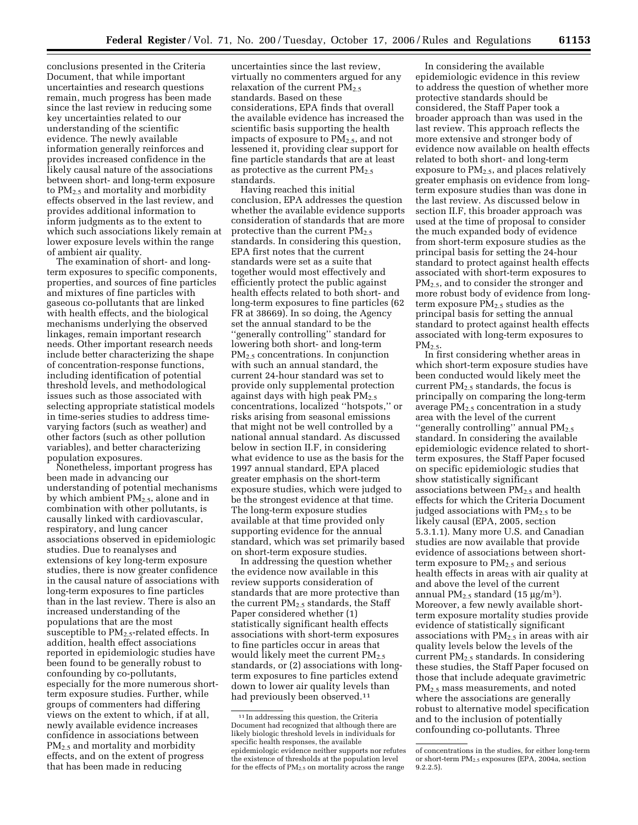conclusions presented in the Criteria Document, that while important uncertainties and research questions remain, much progress has been made since the last review in reducing some key uncertainties related to our understanding of the scientific evidence. The newly available information generally reinforces and provides increased confidence in the likely causal nature of the associations between short- and long-term exposure to  $PM<sub>2.5</sub>$  and mortality and morbidity effects observed in the last review, and provides additional information to inform judgments as to the extent to which such associations likely remain at lower exposure levels within the range of ambient air quality.

The examination of short- and longterm exposures to specific components, properties, and sources of fine particles and mixtures of fine particles with gaseous co-pollutants that are linked with health effects, and the biological mechanisms underlying the observed linkages, remain important research needs. Other important research needs include better characterizing the shape of concentration-response functions, including identification of potential threshold levels, and methodological issues such as those associated with selecting appropriate statistical models in time-series studies to address timevarying factors (such as weather) and other factors (such as other pollution variables), and better characterizing population exposures.

Nonetheless, important progress has been made in advancing our understanding of potential mechanisms by which ambient  $PM<sub>2.5</sub>$ , alone and in combination with other pollutants, is causally linked with cardiovascular, respiratory, and lung cancer associations observed in epidemiologic studies. Due to reanalyses and extensions of key long-term exposure studies, there is now greater confidence in the causal nature of associations with long-term exposures to fine particles than in the last review. There is also an increased understanding of the populations that are the most susceptible to  $PM_{2.5}$ -related effects. In addition, health effect associations reported in epidemiologic studies have been found to be generally robust to confounding by co-pollutants, especially for the more numerous shortterm exposure studies. Further, while groups of commenters had differing views on the extent to which, if at all, newly available evidence increases confidence in associations between PM<sub>2.5</sub> and mortality and morbidity effects, and on the extent of progress that has been made in reducing

uncertainties since the last review, virtually no commenters argued for any relaxation of the current  $PM_{2.5}$ standards. Based on these considerations, EPA finds that overall the available evidence has increased the scientific basis supporting the health impacts of exposure to  $PM_{2.5}$ , and not lessened it, providing clear support for fine particle standards that are at least as protective as the current  $PM_{2.5}$ standards.

Having reached this initial conclusion, EPA addresses the question whether the available evidence supports consideration of standards that are more protective than the current  $PM<sub>2.5</sub>$ standards. In considering this question, EPA first notes that the current standards were set as a suite that together would most effectively and efficiently protect the public against health effects related to both short- and long-term exposures to fine particles (62 FR at 38669). In so doing, the Agency set the annual standard to be the ''generally controlling'' standard for lowering both short- and long-term PM2.5 concentrations. In conjunction with such an annual standard, the current 24-hour standard was set to provide only supplemental protection against days with high peak  $PM_{2.5}$ concentrations, localized ''hotspots,'' or risks arising from seasonal emissions that might not be well controlled by a national annual standard. As discussed below in section II.F, in considering what evidence to use as the basis for the 1997 annual standard, EPA placed greater emphasis on the short-term exposure studies, which were judged to be the strongest evidence at that time. The long-term exposure studies available at that time provided only supporting evidence for the annual standard, which was set primarily based on short-term exposure studies.

In addressing the question whether the evidence now available in this review supports consideration of standards that are more protective than the current  $PM<sub>2.5</sub>$  standards, the Staff Paper considered whether (1) statistically significant health effects associations with short-term exposures to fine particles occur in areas that would likely meet the current  $PM_{2.5}$ standards, or (2) associations with longterm exposures to fine particles extend down to lower air quality levels than had previously been observed.<sup>11</sup>

In considering the available epidemiologic evidence in this review to address the question of whether more protective standards should be considered, the Staff Paper took a broader approach than was used in the last review. This approach reflects the more extensive and stronger body of evidence now available on health effects related to both short- and long-term exposure to PM2.5, and places relatively greater emphasis on evidence from longterm exposure studies than was done in the last review. As discussed below in section II.F, this broader approach was used at the time of proposal to consider the much expanded body of evidence from short-term exposure studies as the principal basis for setting the 24-hour standard to protect against health effects associated with short-term exposures to  $PM<sub>2.5</sub>$ , and to consider the stronger and more robust body of evidence from longterm exposure  $PM_{2.5}$  studies as the principal basis for setting the annual standard to protect against health effects associated with long-term exposures to  $PM<sub>2.5</sub>$ 

In first considering whether areas in which short-term exposure studies have been conducted would likely meet the current  $PM_{2.5}$  standards, the focus is principally on comparing the long-term average  $PM_{2.5}$  concentration in a study area with the level of the current "generally controlling" annual PM<sub>2.5</sub> standard. In considering the available epidemiologic evidence related to shortterm exposures, the Staff Paper focused on specific epidemiologic studies that show statistically significant associations between PM2.5 and health effects for which the Criteria Document judged associations with  $PM_{2.5}$  to be likely causal (EPA, 2005, section 5.3.1.1). Many more U.S. and Canadian studies are now available that provide evidence of associations between shortterm exposure to  $PM_{2.5}$  and serious health effects in areas with air quality at and above the level of the current annual PM<sub>2.5</sub> standard (15  $\mu$ g/m<sup>3</sup>). Moreover, a few newly available shortterm exposure mortality studies provide evidence of statistically significant associations with  $PM_{2.5}$  in areas with air quality levels below the levels of the current  $PM<sub>2.5</sub>$  standards. In considering these studies, the Staff Paper focused on those that include adequate gravimetric PM2.5 mass measurements, and noted where the associations are generally robust to alternative model specification and to the inclusion of potentially confounding co-pollutants. Three

<sup>11</sup> In addressing this question, the Criteria Document had recognized that although there are likely biologic threshold levels in individuals for specific health responses, the available epidemiologic evidence neither supports nor refutes the existence of thresholds at the population level for the effects of  $PM_{2.5}$  on mortality across the range

of concentrations in the studies, for either long-term or short-term PM2.5 exposures (EPA, 2004a, section 9.2.2.5).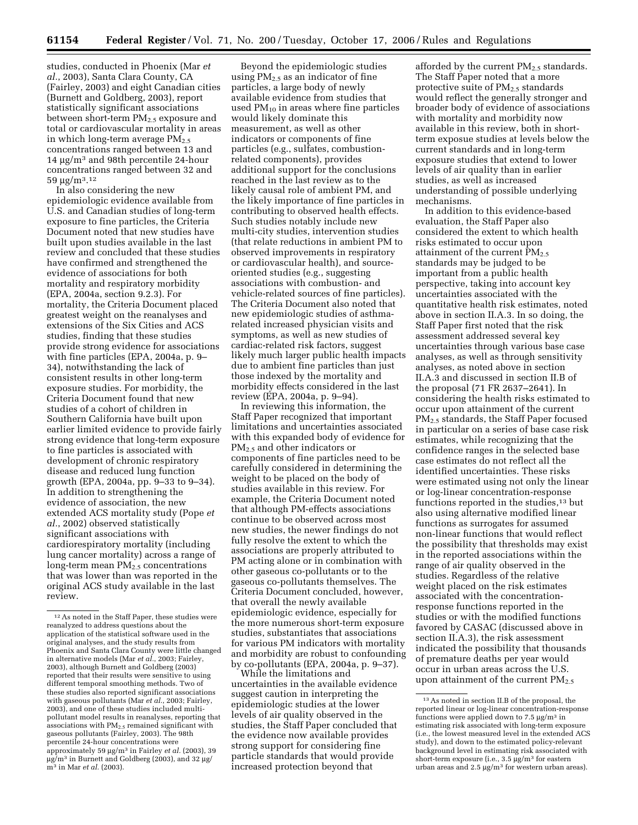studies, conducted in Phoenix (Mar *et al.*, 2003), Santa Clara County, CA (Fairley, 2003) and eight Canadian cities (Burnett and Goldberg, 2003), report statistically significant associations between short-term PM<sub>2.5</sub> exposure and total or cardiovascular mortality in areas in which long-term average  $PM_{2.5}$ concentrations ranged between 13 and 14 µg/m3 and 98th percentile 24-hour concentrations ranged between 32 and  $59 \mu g/m^3$ .<sup>12</sup>

In also considering the new epidemiologic evidence available from U.S. and Canadian studies of long-term exposure to fine particles, the Criteria Document noted that new studies have built upon studies available in the last review and concluded that these studies have confirmed and strengthened the evidence of associations for both mortality and respiratory morbidity (EPA, 2004a, section 9.2.3). For mortality, the Criteria Document placed greatest weight on the reanalyses and extensions of the Six Cities and ACS studies, finding that these studies provide strong evidence for associations with fine particles (EPA, 2004a, p. 9– 34), notwithstanding the lack of consistent results in other long-term exposure studies. For morbidity, the Criteria Document found that new studies of a cohort of children in Southern California have built upon earlier limited evidence to provide fairly strong evidence that long-term exposure to fine particles is associated with development of chronic respiratory disease and reduced lung function growth (EPA, 2004a, pp. 9–33 to 9–34). In addition to strengthening the evidence of association, the new extended ACS mortality study (Pope *et al.*, 2002) observed statistically significant associations with cardiorespiratory mortality (including lung cancer mortality) across a range of long-term mean PM<sub>2.5</sub> concentrations that was lower than was reported in the original ACS study available in the last review.

Beyond the epidemiologic studies using  $PM<sub>2.5</sub>$  as an indicator of fine particles, a large body of newly available evidence from studies that used  $PM_{10}$  in areas where fine particles would likely dominate this measurement, as well as other indicators or components of fine particles (e.g., sulfates, combustionrelated components), provides additional support for the conclusions reached in the last review as to the likely causal role of ambient PM, and the likely importance of fine particles in contributing to observed health effects. Such studies notably include new multi-city studies, intervention studies (that relate reductions in ambient PM to observed improvements in respiratory or cardiovascular health), and sourceoriented studies (e.g., suggesting associations with combustion- and vehicle-related sources of fine particles). The Criteria Document also noted that new epidemiologic studies of asthmarelated increased physician visits and symptoms, as well as new studies of cardiac-related risk factors, suggest likely much larger public health impacts due to ambient fine particles than just those indexed by the mortality and morbidity effects considered in the last review (EPA, 2004a, p. 9–94).

In reviewing this information, the Staff Paper recognized that important limitations and uncertainties associated with this expanded body of evidence for PM2.5 and other indicators or components of fine particles need to be carefully considered in determining the weight to be placed on the body of studies available in this review. For example, the Criteria Document noted that although PM-effects associations continue to be observed across most new studies, the newer findings do not fully resolve the extent to which the associations are properly attributed to PM acting alone or in combination with other gaseous co-pollutants or to the gaseous co-pollutants themselves. The Criteria Document concluded, however, that overall the newly available epidemiologic evidence, especially for the more numerous short-term exposure studies, substantiates that associations for various PM indicators with mortality and morbidity are robust to confounding by co-pollutants (EPA, 2004a, p. 9–37).

While the limitations and uncertainties in the available evidence suggest caution in interpreting the epidemiologic studies at the lower levels of air quality observed in the studies, the Staff Paper concluded that the evidence now available provides strong support for considering fine particle standards that would provide increased protection beyond that

afforded by the current PM2.5 standards. The Staff Paper noted that a more protective suite of  $PM_{2.5}$  standards would reflect the generally stronger and broader body of evidence of associations with mortality and morbidity now available in this review, both in shortterm exposue studies at levels below the current standards and in long-term exposure studies that extend to lower levels of air quality than in earlier studies, as well as increased understanding of possible underlying mechanisms.

In addition to this evidence-based evaluation, the Staff Paper also considered the extent to which health risks estimated to occur upon attainment of the current PM<sub>2.5</sub> standards may be judged to be important from a public health perspective, taking into account key uncertainties associated with the quantitative health risk estimates, noted above in section II.A.3. In so doing, the Staff Paper first noted that the risk assessment addressed several key uncertainties through various base case analyses, as well as through sensitivity analyses, as noted above in section II.A.3 and discussed in section II.B of the proposal (71 FR 2637–2641). In considering the health risks estimated to occur upon attainment of the current PM2.5 standards, the Staff Paper focused in particular on a series of base case risk estimates, while recognizing that the confidence ranges in the selected base case estimates do not reflect all the identified uncertainties. These risks were estimated using not only the linear or log-linear concentration-response functions reported in the studies, $13$  but also using alternative modified linear functions as surrogates for assumed non-linear functions that would reflect the possibility that thresholds may exist in the reported associations within the range of air quality observed in the studies. Regardless of the relative weight placed on the risk estimates associated with the concentrationresponse functions reported in the studies or with the modified functions favored by CASAC (discussed above in section II.A.3), the risk assessment indicated the possibility that thousands of premature deaths per year would occur in urban areas across the U.S. upon attainment of the current  $PM_{2.5}$ 

<sup>12</sup>As noted in the Staff Paper, these studies were reanalyzed to address questions about the application of the statistical software used in the original analyses, and the study results from Phoenix and Santa Clara County were little changed in alternative models (Mar *et al.*, 2003; Fairley, 2003), although Burnett and Goldberg (2003) reported that their results were sensitive to using different temporal smoothing methods. Two of these studies also reported significant associations with gaseous pollutants (Mar *et al.*, 2003; Fairley, 2003), and one of these studies included multipollutant model results in reanalyses, reporting that associations with  $PM_{2.5}$  remained significant with gaseous pollutants (Fairley, 2003). The 98th percentile 24-hour concentrations were approximately 59 µg/m3 in Fairley *et al.* (2003), 39  $\mu$ g/m<sup>3</sup> in Burnett and Goldberg (2003), and 32  $\mu$ g/ m3 in Mar *et al.* (2003).

<sup>13</sup>As noted in section II.B of the proposal, the reported linear or log-linear concentration-response functions were applied down to 7.5 µg/m3 in estimating risk associated with long-term exposure (i.e., the lowest measured level in the extended ACS study), and down to the estimated policy-relevant background level in estimating risk associated with short-term exposure (i.e., 3.5 µg/m<sup>3</sup> for eastern urban areas and 2.5 µg/m3 for western urban areas).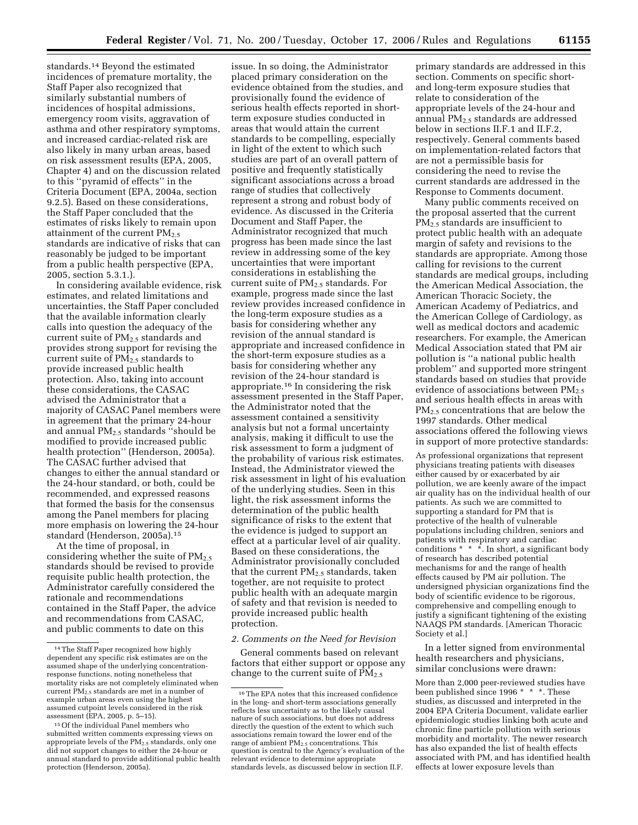standards.14 Beyond the estimated incidences of premature mortality, the Staff Paper also recognized that similarly substantial numbers of incidences of hospital admissions, emergency room visits, aggravation of asthma and other respiratory symptoms, and increased cardiac-related risk are also likely in many urban areas, based on risk assessment results (EPA, 2005, Chapter 4) and on the discussion related to this ''pyramid of effects'' in the Criteria Document (EPA, 2004a, section 9.2.5). Based on these considerations, the Staff Paper concluded that the estimates of risks likely to remain upon attainment of the current  $PM_{2.5}$ standards are indicative of risks that can reasonably be judged to be important from a public health perspective (EPA, 2005, section 5.3.1.).

In considering available evidence, risk estimates, and related limitations and uncertainties, the Staff Paper concluded that the available information clearly calls into question the adequacy of the current suite of  $PM_{2.5}$  standards and provides strong support for revising the current suite of PM<sub>2.5</sub> standards to provide increased public health protection. Also, taking into account these considerations, the CASAC advised the Administrator that a majority of CASAC Panel members were in agreement that the primary 24-hour and annual PM2.5 standards ''should be modified to provide increased public health protection'' (Henderson, 2005a). The CASAC further advised that changes to either the annual standard or the 24-hour standard, or both, could be recommended, and expressed reasons that formed the basis for the consensus among the Panel members for placing more emphasis on lowering the 24-hour standard (Henderson, 2005a).15

At the time of proposal, in considering whether the suite of  $PM_{2.5}$ standards should be revised to provide requisite public health protection, the Administrator carefully considered the rationale and recommendations contained in the Staff Paper, the advice and recommendations from CASAC, and public comments to date on this

issue. In so doing, the Administrator placed primary consideration on the evidence obtained from the studies, and provisionally found the evidence of serious health effects reported in shortterm exposure studies conducted in areas that would attain the current standards to be compelling, especially in light of the extent to which such studies are part of an overall pattern of positive and frequently statistically significant associations across a broad range of studies that collectively represent a strong and robust body of evidence. As discussed in the Criteria Document and Staff Paper, the Administrator recognized that much progress has been made since the last review in addressing some of the key uncertainties that were important considerations in establishing the current suite of  $PM_{2.5}$  standards. For example, progress made since the last review provides increased confidence in the long-term exposure studies as a basis for considering whether any revision of the annual standard is appropriate and increased confidence in the short-term exposure studies as a basis for considering whether any revision of the 24-hour standard is appropriate.16 In considering the risk assessment presented in the Staff Paper, the Administrator noted that the assessment contained a sensitivity analysis but not a formal uncertainty analysis, making it difficult to use the risk assessment to form a judgment of the probability of various risk estimates. Instead, the Administrator viewed the risk assessment in light of his evaluation of the underlying studies. Seen in this light, the risk assessment informs the determination of the public health significance of risks to the extent that the evidence is judged to support an effect at a particular level of air quality. Based on these considerations, the Administrator provisionally concluded that the current  $PM<sub>2.5</sub>$  standards, taken together, are not requisite to protect public health with an adequate margin of safety and that revision is needed to provide increased public health protection.

#### *2. Comments on the Need for Revision*

General comments based on relevant factors that either support or oppose any change to the current suite of  $PM_{2.5}$ 

primary standards are addressed in this section. Comments on specific shortand long-term exposure studies that relate to consideration of the appropriate levels of the 24-hour and annual PM2.5 standards are addressed below in sections II.F.1 and II.F.2, respectively. General comments based on implementation-related factors that are not a permissible basis for considering the need to revise the current standards are addressed in the Response to Comments document.

Many public comments received on the proposal asserted that the current PM2.5 standards are insufficient to protect public health with an adequate margin of safety and revisions to the standards are appropriate. Among those calling for revisions to the current standards are medical groups, including the American Medical Association, the American Thoracic Society, the American Academy of Pediatrics, and the American College of Cardiology, as well as medical doctors and academic researchers. For example, the American Medical Association stated that PM air pollution is ''a national public health problem'' and supported more stringent standards based on studies that provide evidence of associations between  $PM_{2.5}$ and serious health effects in areas with PM2.5 concentrations that are below the 1997 standards. Other medical associations offered the following views in support of more protective standards:

As professional organizations that represent physicians treating patients with diseases either caused by or exacerbated by air pollution, we are keenly aware of the impact air quality has on the individual health of our patients. As such we are committed to supporting a standard for PM that is protective of the health of vulnerable populations including children, seniors and patients with respiratory and cardiac conditions \* \* \*. In short, a significant body of research has described potential mechanisms for and the range of health effects caused by PM air pollution. The undersigned physician organizations find the body of scientific evidence to be rigorous, comprehensive and compelling enough to justify a significant tightening of the existing NAAQS PM standards. [American Thoracic Society et al.]

In a letter signed from environmental health researchers and physicians, similar conclusions were drawn:

More than 2,000 peer-reviewed studies have been published since 1996 \* \* \*. These studies, as discussed and interpreted in the 2004 EPA Criteria Document, validate earlier epidemiologic studies linking both acute and chronic fine particle pollution with serious morbidity and mortality. The newer research has also expanded the list of health effects associated with PM, and has identified health effects at lower exposure levels than

<sup>14</sup>The Staff Paper recognized how highly dependent any specific risk estimates are on the assumed shape of the underlying concentrationresponse functions, noting nonetheless that mortality risks are not completely eliminated when current  $PM_2$ , standards are met in a number of example urban areas even using the highest assumed cutpoint levels considered in the risk assessment (EPA, 2005, p. 5–15).

<sup>15</sup>Of the individual Panel members who submitted written comments expressing views on appropriate levels of the  $PM_{2.5}$  standards, only one did not support changes to either the 24-hour or annual standard to provide additional public health protection (Henderson, 2005a).

 $^{\rm 16}$  The EPA notes that this increased confidence in the long- and short-term associations generally reflects less uncertainty as to the likely causal nature of such associations, but does not address directly the question of the extent to which such associations remain toward the lower end of the range of ambient  $PM_{2.5}$  concentrations. This question is central to the Agency's evaluation of the relevant evidence to determine appropriate standards levels, as discussed below in section II.F.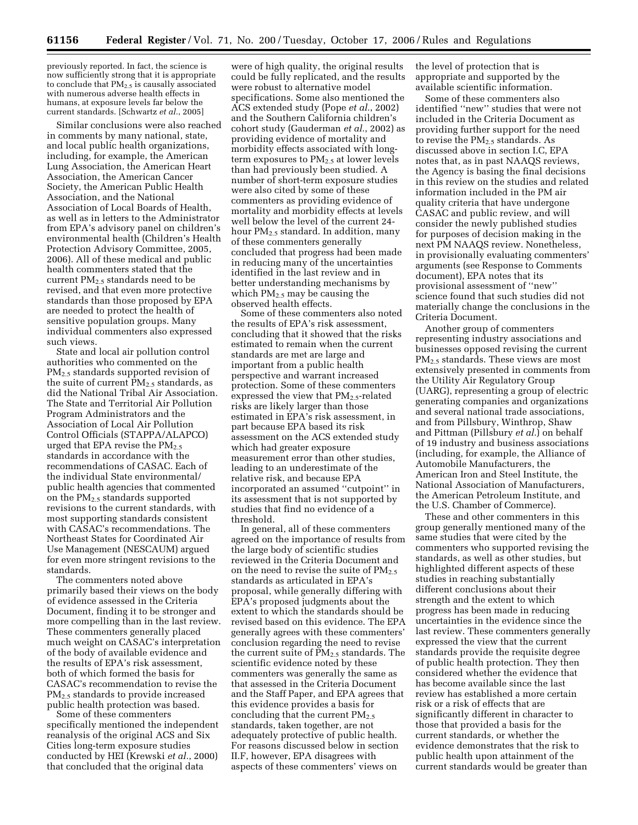previously reported. In fact, the science is now sufficiently strong that it is appropriate to conclude that PM2.5 is causally associated with numerous adverse health effects in humans, at exposure levels far below the current standards. [Schwartz *et al.*, 2005]

Similar conclusions were also reached in comments by many national, state, and local public health organizations, including, for example, the American Lung Association, the American Heart Association, the American Cancer Society, the American Public Health Association, and the National Association of Local Boards of Health, as well as in letters to the Administrator from EPA's advisory panel on children's environmental health (Children's Health Protection Advisory Committee, 2005, 2006). All of these medical and public health commenters stated that the current PM2.5 standards need to be revised, and that even more protective standards than those proposed by EPA are needed to protect the health of sensitive population groups. Many individual commenters also expressed such views.

State and local air pollution control authorities who commented on the PM2.5 standards supported revision of the suite of current  $\overline{PM}_{2.5}$  standards, as did the National Tribal Air Association. The State and Territorial Air Pollution Program Administrators and the Association of Local Air Pollution Control Officials (STAPPA/ALAPCO) urged that EPA revise the  $PM_{2.5}$ standards in accordance with the recommendations of CASAC. Each of the individual State environmental/ public health agencies that commented on the PM2.5 standards supported revisions to the current standards, with most supporting standards consistent with CASAC's recommendations. The Northeast States for Coordinated Air Use Management (NESCAUM) argued for even more stringent revisions to the standards.

The commenters noted above primarily based their views on the body of evidence assessed in the Criteria Document, finding it to be stronger and more compelling than in the last review. These commenters generally placed much weight on CASAC's interpretation of the body of available evidence and the results of EPA's risk assessment, both of which formed the basis for CASAC's recommendation to revise the PM2.5 standards to provide increased public health protection was based.

Some of these commenters specifically mentioned the independent reanalysis of the original ACS and Six Cities long-term exposure studies conducted by HEI (Krewski *et al.*, 2000) that concluded that the original data

were of high quality, the original results could be fully replicated, and the results were robust to alternative model specifications. Some also mentioned the ACS extended study (Pope *et al.*, 2002) and the Southern California children's cohort study (Gauderman *et al.*, 2002) as providing evidence of mortality and morbidity effects associated with longterm exposures to  $PM_{2.5}$  at lower levels than had previously been studied. A number of short-term exposure studies were also cited by some of these commenters as providing evidence of mortality and morbidity effects at levels well below the level of the current 24 hour  $PM<sub>2</sub>$  standard. In addition, many of these commenters generally concluded that progress had been made in reducing many of the uncertainties identified in the last review and in better understanding mechanisms by which  $PM_{2.5}$  may be causing the observed health effects.

Some of these commenters also noted the results of EPA's risk assessment, concluding that it showed that the risks estimated to remain when the current standards are met are large and important from a public health perspective and warrant increased protection. Some of these commenters expressed the view that PM<sub>2.5</sub>-related risks are likely larger than those estimated in EPA's risk assessment, in part because EPA based its risk assessment on the ACS extended study which had greater exposure measurement error than other studies, leading to an underestimate of the relative risk, and because EPA incorporated an assumed ''cutpoint'' in its assessment that is not supported by studies that find no evidence of a threshold.

In general, all of these commenters agreed on the importance of results from the large body of scientific studies reviewed in the Criteria Document and on the need to revise the suite of  $PM_2$ . standards as articulated in EPA's proposal, while generally differing with EPA's proposed judgments about the extent to which the standards should be revised based on this evidence. The EPA generally agrees with these commenters' conclusion regarding the need to revise the current suite of  $PM_{2.5}$  standards. The scientific evidence noted by these commenters was generally the same as that assessed in the Criteria Document and the Staff Paper, and EPA agrees that this evidence provides a basis for concluding that the current  $PM_{2.5}$ standards, taken together, are not adequately protective of public health. For reasons discussed below in section II.F, however, EPA disagrees with aspects of these commenters' views on

the level of protection that is appropriate and supported by the available scientific information.

Some of these commenters also identified ''new'' studies that were not included in the Criteria Document as providing further support for the need to revise the  $PM<sub>2.5</sub>$  standards. As discussed above in section I.C, EPA notes that, as in past NAAQS reviews, the Agency is basing the final decisions in this review on the studies and related information included in the PM air quality criteria that have undergone CASAC and public review, and will consider the newly published studies for purposes of decision making in the next PM NAAQS review. Nonetheless, in provisionally evaluating commenters' arguments (see Response to Comments document), EPA notes that its provisional assessment of ''new'' science found that such studies did not materially change the conclusions in the Criteria Document.

Another group of commenters representing industry associations and businesses opposed revising the current PM2.5 standards. These views are most extensively presented in comments from the Utility Air Regulatory Group (UARG), representing a group of electric generating companies and organizations and several national trade associations, and from Pillsbury, Winthrop, Shaw and Pittman (Pillsbury *et al.*) on behalf of 19 industry and business associations (including, for example, the Alliance of Automobile Manufacturers, the American Iron and Steel Institute, the National Association of Manufacturers, the American Petroleum Institute, and the U.S. Chamber of Commerce).

These and other commenters in this group generally mentioned many of the same studies that were cited by the commenters who supported revising the standards, as well as other studies, but highlighted different aspects of these studies in reaching substantially different conclusions about their strength and the extent to which progress has been made in reducing uncertainties in the evidence since the last review. These commenters generally expressed the view that the current standards provide the requisite degree of public health protection. They then considered whether the evidence that has become available since the last review has established a more certain risk or a risk of effects that are significantly different in character to those that provided a basis for the current standards, or whether the evidence demonstrates that the risk to public health upon attainment of the current standards would be greater than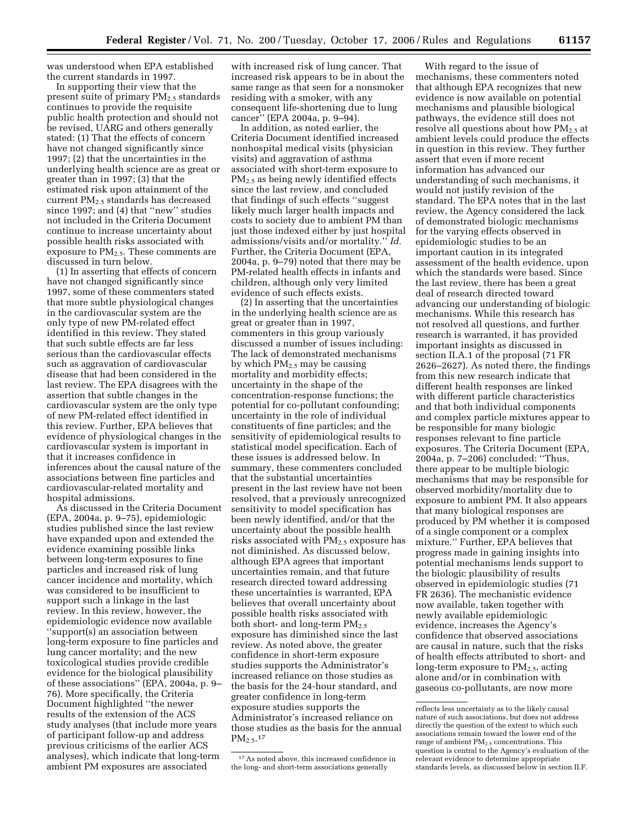was understood when EPA established the current standards in 1997.

In supporting their view that the present suite of primary PM<sub>2.5</sub> standards continues to provide the requisite public health protection and should not be revised, UARG and others generally stated: (1) That the effects of concern have not changed significantly since 1997; (2) that the uncertainties in the underlying health science are as great or greater than in 1997; (3) that the estimated risk upon attainment of the current PM2.5 standards has decreased since 1997; and (4) that ''new'' studies not included in the Criteria Document continue to increase uncertainty about possible health risks associated with exposure to  $PM<sub>2.5</sub>$ . These comments are discussed in turn below.

(1) In asserting that effects of concern have not changed significantly since 1997, some of these commenters stated that more subtle physiological changes in the cardiovascular system are the only type of new PM-related effect identified in this review. They stated that such subtle effects are far less serious than the cardiovascular effects such as aggravation of cardiovascular disease that had been considered in the last review. The EPA disagrees with the assertion that subtle changes in the cardiovascular system are the only type of new PM-related effect identified in this review. Further, EPA believes that evidence of physiological changes in the cardiovascular system is important in that it increases confidence in inferences about the causal nature of the associations between fine particles and cardiovascular-related mortality and hospital admissions.

As discussed in the Criteria Document (EPA, 2004a, p. 9–75), epidemiologic studies published since the last review have expanded upon and extended the evidence examining possible links between long-term exposures to fine particles and increased risk of lung cancer incidence and mortality, which was considered to be insufficient to support such a linkage in the last review. In this review, however, the epidemiologic evidence now available ''support(s) an association between long-term exposure to fine particles and lung cancer mortality; and the new toxicological studies provide credible evidence for the biological plausibility of these associations'' (EPA, 2004a, p. 9– 76). More specifically, the Criteria Document highlighted ''the newer results of the extension of the ACS study analyses (that include more years of participant follow-up and address previous criticisms of the earlier ACS analyses), which indicate that long-term ambient PM exposures are associated

with increased risk of lung cancer. That increased risk appears to be in about the same range as that seen for a nonsmoker residing with a smoker, with any consequent life-shortening due to lung cancer'' (EPA 2004a, p. 9–94).

In addition, as noted earlier, the Criteria Document identified increased nonhospital medical visits (physician visits) and aggravation of asthma associated with short-term exposure to PM2.5 as being newly identified effects since the last review, and concluded that findings of such effects ''suggest likely much larger health impacts and costs to society due to ambient PM than just those indexed either by just hospital admissions/visits and/or mortality.'' *Id.*  Further, the Criteria Document (EPA, 2004a, p. 9–79) noted that there may be PM-related health effects in infants and children, although only very limited evidence of such effects exists.

(2) In asserting that the uncertainties in the underlying health science are as great or greater than in 1997, commenters in this group variously discussed a number of issues including: The lack of demonstrated mechanisms by which  $PM<sub>2.5</sub>$  may be causing mortality and morbidity effects; uncertainty in the shape of the concentration-response functions; the potential for co-pollutant confounding; uncertainty in the role of individual constituents of fine particles; and the sensitivity of epidemiological results to statistical model specification. Each of these issues is addressed below. In summary, these commenters concluded that the substantial uncertainties present in the last review have not been resolved, that a previously unrecognized sensitivity to model specification has been newly identified, and/or that the uncertainty about the possible health risks associated with  $PM_{2.5}$  exposure has not diminished. As discussed below, although EPA agrees that important uncertainties remain, and that future research directed toward addressing these uncertainties is warranted, EPA believes that overall uncertainty about possible health risks associated with both short- and long-term  $PM_{2.5}$ exposure has diminished since the last review. As noted above, the greater confidence in short-term exposure studies supports the Administrator's increased reliance on those studies as the basis for the 24-hour standard, and greater confidence in long-term exposure studies supports the Administrator's increased reliance on those studies as the basis for the annual PM2.5.17

With regard to the issue of mechanisms, these commenters noted that although EPA recognizes that new evidence is now available on potential mechanisms and plausible biological pathways, the evidence still does not resolve all questions about how  $PM_{2.5}$  at ambient levels could produce the effects in question in this review. They further assert that even if more recent information has advanced our understanding of such mechanisms, it would not justify revision of the standard. The EPA notes that in the last review, the Agency considered the lack of demonstrated biologic mechanisms for the varying effects observed in epidemiologic studies to be an important caution in its integrated assessment of the health evidence, upon which the standards were based. Since the last review, there has been a great deal of research directed toward advancing our understanding of biologic mechanisms. While this research has not resolved all questions, and further research is warranted, it has provided important insights as discussed in section II.A.1 of the proposal (71 FR 2626–2627). As noted there, the findings from this new research indicate that different health responses are linked with different particle characteristics and that both individual components and complex particle mixtures appear to be responsible for many biologic responses relevant to fine particle exposures. The Criteria Document (EPA, 2004a, p. 7–206) concluded: ''Thus, there appear to be multiple biologic mechanisms that may be responsible for observed morbidity/mortality due to exposure to ambient PM. It also appears that many biological responses are produced by PM whether it is composed of a single component or a complex mixture.'' Further, EPA believes that progress made in gaining insights into potential mechanisms lends support to the biologic plausibility of results observed in epidemiologic studies (71 FR 2636). The mechanistic evidence now available, taken together with newly available epidemiologic evidence, increases the Agency's confidence that observed associations are causal in nature, such that the risks of health effects attributed to short- and long-term exposure to  $PM_{2.5}$ , acting alone and/or in combination with gaseous co-pollutants, are now more

<sup>17</sup>As noted above, this increased confidence in the long- and short-term associations generally

reflects less uncertainty as to the likely causal nature of such associations, but does not address directly the question of the extent to which such associations remain toward the lower end of the range of ambient  $PM_{2.5}$  concentrations. This question is central to the Agency's evaluation of the relevant evidence to determine appropriate standards levels, as discussed below in section II.F.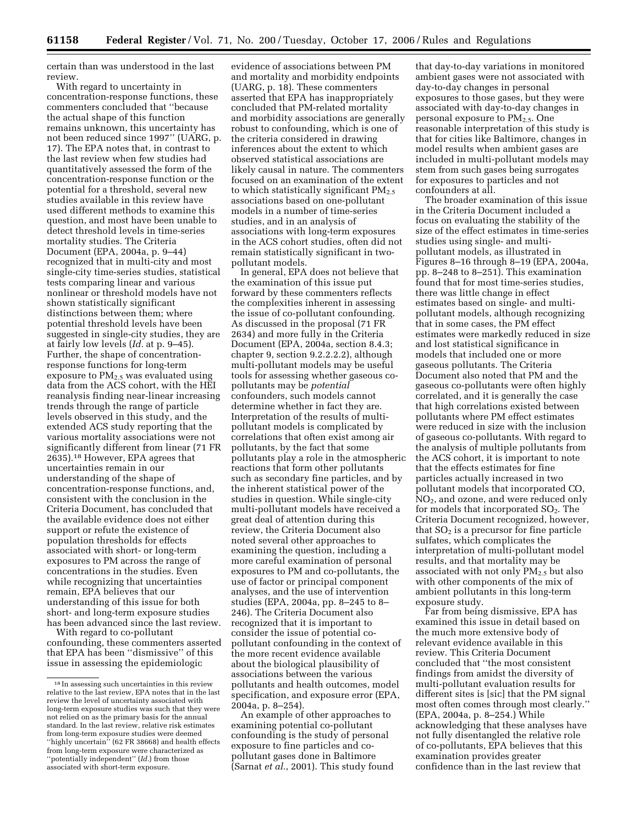certain than was understood in the last review.

With regard to uncertainty in concentration-response functions, these commenters concluded that ''because the actual shape of this function remains unknown, this uncertainty has not been reduced since 1997'' (UARG, p. 17). The EPA notes that, in contrast to the last review when few studies had quantitatively assessed the form of the concentration-response function or the potential for a threshold, several new studies available in this review have used different methods to examine this question, and most have been unable to detect threshold levels in time-series mortality studies. The Criteria Document (EPA, 2004a, p. 9–44) recognized that in multi-city and most single-city time-series studies, statistical tests comparing linear and various nonlinear or threshold models have not shown statistically significant distinctions between them; where potential threshold levels have been suggested in single-city studies, they are at fairly low levels (*Id.* at p. 9–45). Further, the shape of concentrationresponse functions for long-term exposure to  $PM<sub>2.5</sub>$  was evaluated using data from the ACS cohort, with the HEI reanalysis finding near-linear increasing trends through the range of particle levels observed in this study, and the extended ACS study reporting that the various mortality associations were not significantly different from linear (71 FR 2635).18 However, EPA agrees that uncertainties remain in our understanding of the shape of concentration-response functions, and, consistent with the conclusion in the Criteria Document, has concluded that the available evidence does not either support or refute the existence of population thresholds for effects associated with short- or long-term exposures to PM across the range of concentrations in the studies. Even while recognizing that uncertainties remain, EPA believes that our understanding of this issue for both short- and long-term exposure studies has been advanced since the last review.

With regard to co-pollutant confounding, these commenters asserted that EPA has been ''dismissive'' of this issue in assessing the epidemiologic

evidence of associations between PM and mortality and morbidity endpoints (UARG, p. 18). These commenters asserted that EPA has inappropriately concluded that PM-related mortality and morbidity associations are generally robust to confounding, which is one of the criteria considered in drawing inferences about the extent to which observed statistical associations are likely causal in nature. The commenters focused on an examination of the extent to which statistically significant  $PM_{2.5}$ associations based on one-pollutant models in a number of time-series studies, and in an analysis of associations with long-term exposures in the ACS cohort studies, often did not remain statistically significant in twopollutant models.

In general, EPA does not believe that the examination of this issue put forward by these commenters reflects the complexities inherent in assessing the issue of co-pollutant confounding. As discussed in the proposal (71 FR 2634) and more fully in the Criteria Document (EPA, 2004a, section 8.4.3; chapter 9, section 9.2.2.2.2), although multi-pollutant models may be useful tools for assessing whether gaseous copollutants may be *potential*  confounders, such models cannot determine whether in fact they are. Interpretation of the results of multipollutant models is complicated by correlations that often exist among air pollutants, by the fact that some pollutants play a role in the atmospheric reactions that form other pollutants such as secondary fine particles, and by the inherent statistical power of the studies in question. While single-city multi-pollutant models have received a great deal of attention during this review, the Criteria Document also noted several other approaches to examining the question, including a more careful examination of personal exposures to PM and co-pollutants, the use of factor or principal component analyses, and the use of intervention studies (EPA, 2004a, pp. 8–245 to 8– 246). The Criteria Document also recognized that it is important to consider the issue of potential copollutant confounding in the context of the more recent evidence available about the biological plausibility of associations between the various pollutants and health outcomes, model specification, and exposure error (EPA, 2004a, p. 8–254).

An example of other approaches to examining potential co-pollutant confounding is the study of personal exposure to fine particles and copollutant gases done in Baltimore (Sarnat *et al.*, 2001). This study found

that day-to-day variations in monitored ambient gases were not associated with day-to-day changes in personal exposures to those gases, but they were associated with day-to-day changes in personal exposure to PM2.5. One reasonable interpretation of this study is that for cities like Baltimore, changes in model results when ambient gases are included in multi-pollutant models may stem from such gases being surrogates for exposures to particles and not confounders at all.

The broader examination of this issue in the Criteria Document included a focus on evaluating the stability of the size of the effect estimates in time-series studies using single- and multipollutant models, as illustrated in Figures 8–16 through 8–19 (EPA, 2004a, pp. 8–248 to 8–251). This examination found that for most time-series studies, there was little change in effect estimates based on single- and multipollutant models, although recognizing that in some cases, the PM effect estimates were markedly reduced in size and lost statistical significance in models that included one or more gaseous pollutants. The Criteria Document also noted that PM and the gaseous co-pollutants were often highly correlated, and it is generally the case that high correlations existed between pollutants where PM effect estimates were reduced in size with the inclusion of gaseous co-pollutants. With regard to the analysis of multiple pollutants from the ACS cohort, it is important to note that the effects estimates for fine particles actually increased in two pollutant models that incorporated CO, NO2, and ozone, and were reduced only for models that incorporated  $SO<sub>2</sub>$ . The Criteria Document recognized, however, that  $SO<sub>2</sub>$  is a precursor for fine particle sulfates, which complicates the interpretation of multi-pollutant model results, and that mortality may be associated with not only  $PM<sub>2.5</sub>$  but also with other components of the mix of ambient pollutants in this long-term exposure study.

Far from being dismissive, EPA has examined this issue in detail based on the much more extensive body of relevant evidence available in this review. This Criteria Document concluded that ''the most consistent findings from amidst the diversity of multi-pollutant evaluation results for different sites is [sic] that the PM signal most often comes through most clearly.'' (EPA, 2004a, p. 8–254.) While acknowledging that these analyses have not fully disentangled the relative role of co-pollutants, EPA believes that this examination provides greater confidence than in the last review that

<sup>18</sup> In assessing such uncertainties in this review relative to the last review, EPA notes that in the last review the level of uncertainty associated with long-term exposure studies was such that they were not relied on as the primary basis for the annual standard. In the last review, relative risk estimates from long-term exposure studies were deemed ''highly uncertain'' (62 FR 38668) and health effects from long-term exposure were characterized as ''potentially independent'' (*Id.*) from those associated with short-term exposure.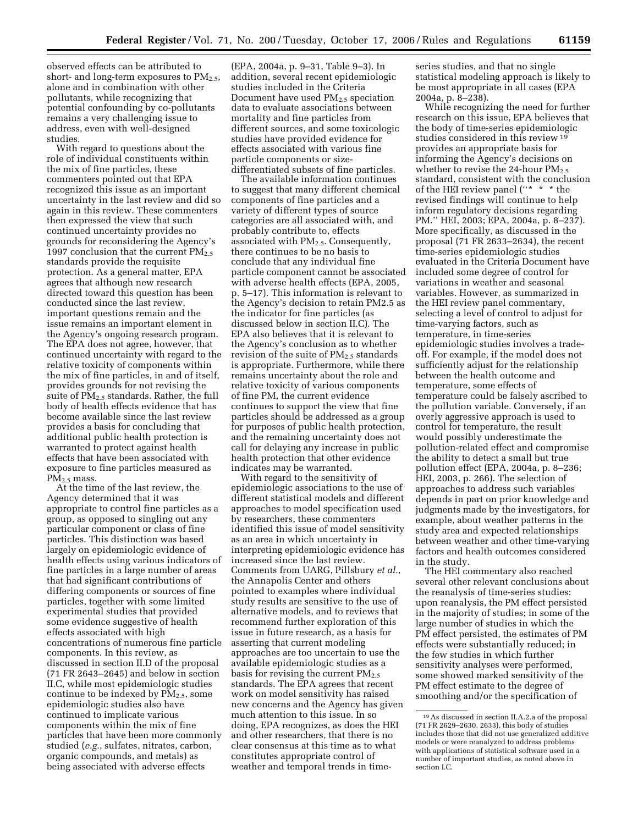observed effects can be attributed to short- and long-term exposures to  $PM_{2.5}$ , alone and in combination with other pollutants, while recognizing that potential confounding by co-pollutants remains a very challenging issue to address, even with well-designed studies.

With regard to questions about the role of individual constituents within the mix of fine particles, these commenters pointed out that EPA recognized this issue as an important uncertainty in the last review and did so again in this review. These commenters then expressed the view that such continued uncertainty provides no grounds for reconsidering the Agency's 1997 conclusion that the current  $PM_{2.5}$ standards provide the requisite protection. As a general matter, EPA agrees that although new research directed toward this question has been conducted since the last review, important questions remain and the issue remains an important element in the Agency's ongoing research program. The EPA does not agree, however, that continued uncertainty with regard to the relative toxicity of components within the mix of fine particles, in and of itself, provides grounds for not revising the suite of PM2.5 standards. Rather, the full body of health effects evidence that has become available since the last review provides a basis for concluding that additional public health protection is warranted to protect against health effects that have been associated with exposure to fine particles measured as  $PM<sub>2</sub>$  mass.

At the time of the last review, the Agency determined that it was appropriate to control fine particles as a group, as opposed to singling out any particular component or class of fine particles. This distinction was based largely on epidemiologic evidence of health effects using various indicators of fine particles in a large number of areas that had significant contributions of differing components or sources of fine particles, together with some limited experimental studies that provided some evidence suggestive of health effects associated with high concentrations of numerous fine particle components. In this review, as discussed in section II.D of the proposal (71 FR 2643–2645) and below in section II.C, while most epidemiologic studies continue to be indexed by  $PM_{2.5}$ , some epidemiologic studies also have continued to implicate various components within the mix of fine particles that have been more commonly studied (*e.g.*, sulfates, nitrates, carbon, organic compounds, and metals) as being associated with adverse effects

(EPA, 2004a, p. 9–31, Table 9–3). In addition, several recent epidemiologic studies included in the Criteria Document have used PM<sub>2.5</sub> speciation data to evaluate associations between mortality and fine particles from different sources, and some toxicologic studies have provided evidence for effects associated with various fine particle components or sizedifferentiated subsets of fine particles.

The available information continues to suggest that many different chemical components of fine particles and a variety of different types of source categories are all associated with, and probably contribute to, effects associated with PM2.5. Consequently, there continues to be no basis to conclude that any individual fine particle component cannot be associated with adverse health effects (EPA, 2005, p. 5–17). This information is relevant to the Agency's decision to retain PM2.5 as the indicator for fine particles (as discussed below in section II.C). The EPA also believes that it is relevant to the Agency's conclusion as to whether revision of the suite of  $PM_{2.5}$  standards is appropriate. Furthermore, while there remains uncertainty about the role and relative toxicity of various components of fine PM, the current evidence continues to support the view that fine particles should be addressed as a group for purposes of public health protection, and the remaining uncertainty does not call for delaying any increase in public health protection that other evidence indicates may be warranted.

With regard to the sensitivity of epidemiologic associations to the use of different statistical models and different approaches to model specification used by researchers, these commenters identified this issue of model sensitivity as an area in which uncertainty in interpreting epidemiologic evidence has increased since the last review. Comments from UARG, Pillsbury *et al.*, the Annapolis Center and others pointed to examples where individual study results are sensitive to the use of alternative models, and to reviews that recommend further exploration of this issue in future research, as a basis for asserting that current modeling approaches are too uncertain to use the available epidemiologic studies as a basis for revising the current  $PM_{2.5}$ standards. The EPA agrees that recent work on model sensitivity has raised new concerns and the Agency has given much attention to this issue. In so doing, EPA recognizes, as does the HEI and other researchers, that there is no clear consensus at this time as to what constitutes appropriate control of weather and temporal trends in timeseries studies, and that no single statistical modeling approach is likely to be most appropriate in all cases (EPA 2004a, p. 8–238).

While recognizing the need for further research on this issue, EPA believes that the body of time-series epidemiologic studies considered in this review 19 provides an appropriate basis for informing the Agency's decisions on whether to revise the 24-hour  $PM_{2.5}$ standard, consistent with the conclusion of the HEI review panel ("\* \* \* the revised findings will continue to help inform regulatory decisions regarding PM.'' HEI, 2003; EPA, 2004a, p. 8–237). More specifically, as discussed in the proposal (71 FR 2633–2634), the recent time-series epidemiologic studies evaluated in the Criteria Document have included some degree of control for variations in weather and seasonal variables. However, as summarized in the HEI review panel commentary, selecting a level of control to adjust for time-varying factors, such as temperature, in time-series epidemiologic studies involves a tradeoff. For example, if the model does not sufficiently adjust for the relationship between the health outcome and temperature, some effects of temperature could be falsely ascribed to the pollution variable. Conversely, if an overly aggressive approach is used to control for temperature, the result would possibly underestimate the pollution-related effect and compromise the ability to detect a small but true pollution effect (EPA, 2004a, p. 8–236; HEI, 2003, p. 266). The selection of approaches to address such variables depends in part on prior knowledge and judgments made by the investigators, for example, about weather patterns in the study area and expected relationships between weather and other time-varying factors and health outcomes considered in the study.

The HEI commentary also reached several other relevant conclusions about the reanalysis of time-series studies: upon reanalysis, the PM effect persisted in the majority of studies; in some of the large number of studies in which the PM effect persisted, the estimates of PM effects were substantially reduced; in the few studies in which further sensitivity analyses were performed, some showed marked sensitivity of the PM effect estimate to the degree of smoothing and/or the specification of

<sup>19</sup>As discussed in section II.A.2.a of the proposal (71 FR 2629–2630, 2633), this body of studies includes those that did not use generalized additive models or were reanalyzed to address problems with applications of statistical software used in a number of important studies, as noted above in section I.C.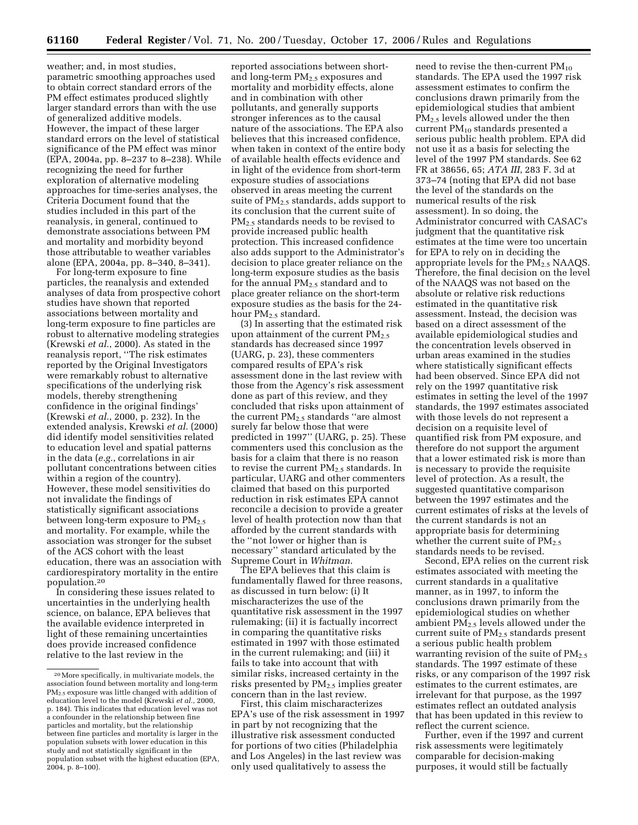weather; and, in most studies, parametric smoothing approaches used to obtain correct standard errors of the PM effect estimates produced slightly larger standard errors than with the use of generalized additive models. However, the impact of these larger standard errors on the level of statistical significance of the PM effect was minor (EPA, 2004a, pp. 8–237 to 8–238). While recognizing the need for further exploration of alternative modeling approaches for time-series analyses, the Criteria Document found that the studies included in this part of the reanalysis, in general, continued to demonstrate associations between PM and mortality and morbidity beyond those attributable to weather variables alone (EPA, 2004a, pp. 8–340, 8–341).

For long-term exposure to fine particles, the reanalysis and extended analyses of data from prospective cohort studies have shown that reported associations between mortality and long-term exposure to fine particles are robust to alternative modeling strategies (Krewski *et al.*, 2000). As stated in the reanalysis report, ''The risk estimates reported by the Original Investigators were remarkably robust to alternative specifications of the underlying risk models, thereby strengthening confidence in the original findings' (Krewski *et al.*, 2000, p. 232). In the extended analysis, Krewski *et al.* (2000) did identify model sensitivities related to education level and spatial patterns in the data (*e.g.*, correlations in air pollutant concentrations between cities within a region of the country). However, these model sensitivities do not invalidate the findings of statistically significant associations between long-term exposure to  $PM_{2.5}$ and mortality. For example, while the association was stronger for the subset of the ACS cohort with the least education, there was an association with cardiorespiratory mortality in the entire population.20

In considering these issues related to uncertainties in the underlying health science, on balance, EPA believes that the available evidence interpreted in light of these remaining uncertainties does provide increased confidence relative to the last review in the

reported associations between shortand long-term  $PM_{2.5}$  exposures and mortality and morbidity effects, alone and in combination with other pollutants, and generally supports stronger inferences as to the causal nature of the associations. The EPA also believes that this increased confidence, when taken in context of the entire body of available health effects evidence and in light of the evidence from short-term exposure studies of associations observed in areas meeting the current suite of  $PM_{2,5}$  standards, adds support to its conclusion that the current suite of PM2.5 standards needs to be revised to provide increased public health protection. This increased confidence also adds support to the Administrator's decision to place greater reliance on the long-term exposure studies as the basis for the annual  $PM_{2.5}$  standard and to place greater reliance on the short-term exposure studies as the basis for the 24 hour PM<sub>2.5</sub> standard.

(3) In asserting that the estimated risk upon attainment of the current  $PM_{2.5}$ standards has decreased since 1997 (UARG, p. 23), these commenters compared results of EPA's risk assessment done in the last review with those from the Agency's risk assessment done as part of this review, and they concluded that risks upon attainment of the current PM2.5 standards ''are almost surely far below those that were predicted in 1997'' (UARG, p. 25). These commenters used this conclusion as the basis for a claim that there is no reason to revise the current  $PM_{2.5}$  standards. In particular, UARG and other commenters claimed that based on this purported reduction in risk estimates EPA cannot reconcile a decision to provide a greater level of health protection now than that afforded by the current standards with the ''not lower or higher than is necessary'' standard articulated by the Supreme Court in *Whitman*.

The EPA believes that this claim is fundamentally flawed for three reasons, as discussed in turn below: (i) It mischaracterizes the use of the quantitative risk assessment in the 1997 rulemaking; (ii) it is factually incorrect in comparing the quantitative risks estimated in 1997 with those estimated in the current rulemaking; and (iii) it fails to take into account that with similar risks, increased certainty in the risks presented by PM2.5 implies greater concern than in the last review.

First, this claim mischaracterizes EPA's use of the risk assessment in 1997 in part by not recognizing that the illustrative risk assessment conducted for portions of two cities (Philadelphia and Los Angeles) in the last review was only used qualitatively to assess the

need to revise the then-current  $PM_{10}$ standards. The EPA used the 1997 risk assessment estimates to confirm the conclusions drawn primarily from the epidemiological studies that ambient PM2.5 levels allowed under the then current PM10 standards presented a serious public health problem. EPA did not use it as a basis for selecting the level of the 1997 PM standards. See 62 FR at 38656, 65; *ATA III*, 283 F. 3d at 373–74 (noting that EPA did not base the level of the standards on the numerical results of the risk assessment). In so doing, the Administrator concurred with CASAC's judgment that the quantitative risk estimates at the time were too uncertain for EPA to rely on in deciding the appropriate levels for the  $PM<sub>2.5</sub> NAAQS$ . Therefore, the final decision on the level of the NAAQS was not based on the absolute or relative risk reductions estimated in the quantitative risk assessment. Instead, the decision was based on a direct assessment of the available epidemiological studies and the concentration levels observed in urban areas examined in the studies where statistically significant effects had been observed. Since EPA did not rely on the 1997 quantitative risk estimates in setting the level of the 1997 standards, the 1997 estimates associated with those levels do not represent a decision on a requisite level of quantified risk from PM exposure, and therefore do not support the argument that a lower estimated risk is more than is necessary to provide the requisite level of protection. As a result, the suggested quantitative comparison between the 1997 estimates and the current estimates of risks at the levels of the current standards is not an appropriate basis for determining whether the current suite of  $PM_{2.5}$ standards needs to be revised.

Second, EPA relies on the current risk estimates associated with meeting the current standards in a qualitative manner, as in 1997, to inform the conclusions drawn primarily from the epidemiological studies on whether ambient PM2.5 levels allowed under the current suite of PM2.5 standards present a serious public health problem warranting revision of the suite of  $PM_{2.5}$ standards. The 1997 estimate of these risks, or any comparison of the 1997 risk estimates to the current estimates, are irrelevant for that purpose, as the 1997 estimates reflect an outdated analysis that has been updated in this review to reflect the current science.

Further, even if the 1997 and current risk assessments were legitimately comparable for decision-making purposes, it would still be factually

<sup>20</sup>More specifically, in multivariate models, the association found between mortality and long-term PM<sub>2.5</sub> exposure was little changed with addition of education level to the model (Krewski *et al.*, 2000, p. 184). This indicates that education level was not a confounder in the relationship between fine particles and mortality, but the relationship between fine particles and mortality is larger in the population subsets with lower education in this study and not statistically significant in the population subset with the highest education (EPA, 2004, p. 8–100).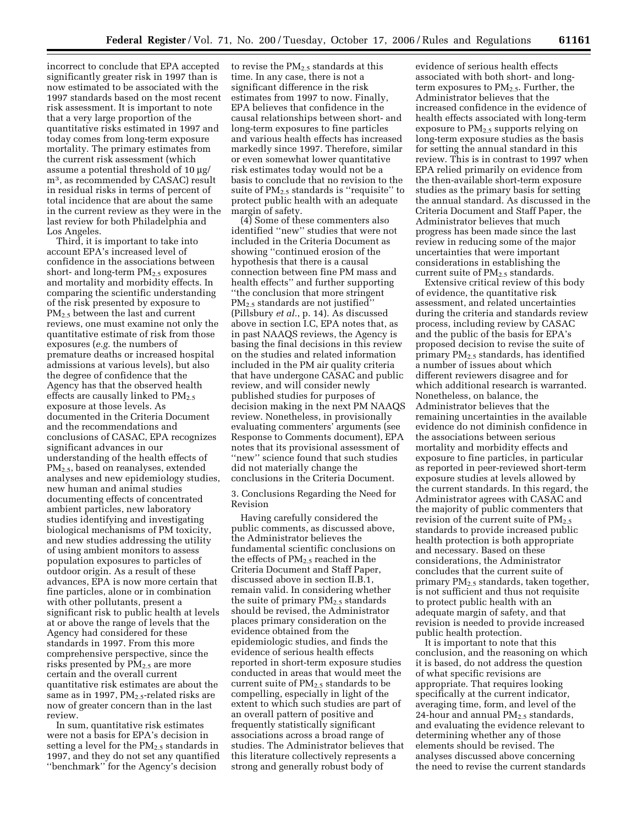incorrect to conclude that EPA accepted significantly greater risk in 1997 than is now estimated to be associated with the 1997 standards based on the most recent risk assessment. It is important to note that a very large proportion of the quantitative risks estimated in 1997 and today comes from long-term exposure mortality. The primary estimates from the current risk assessment (which assume a potential threshold of 10 µg/ m3, as recommended by CASAC) result in residual risks in terms of percent of total incidence that are about the same in the current review as they were in the last review for both Philadelphia and Los Angeles.

Third, it is important to take into account EPA's increased level of confidence in the associations between short- and long-term  $PM<sub>2.5</sub>$  exposures and mortality and morbidity effects. In comparing the scientific understanding of the risk presented by exposure to PM<sub>2.5</sub> between the last and current reviews, one must examine not only the quantitative estimate of risk from those exposures (*e.g.* the numbers of premature deaths or increased hospital admissions at various levels), but also the degree of confidence that the Agency has that the observed health effects are causally linked to  $PM_{2.5}$ exposure at those levels. As documented in the Criteria Document and the recommendations and conclusions of CASAC, EPA recognizes significant advances in our understanding of the health effects of PM<sub>2.5</sub>, based on reanalyses, extended analyses and new epidemiology studies, new human and animal studies documenting effects of concentrated ambient particles, new laboratory studies identifying and investigating biological mechanisms of PM toxicity, and new studies addressing the utility of using ambient monitors to assess population exposures to particles of outdoor origin. As a result of these advances, EPA is now more certain that fine particles, alone or in combination with other pollutants, present a significant risk to public health at levels at or above the range of levels that the Agency had considered for these standards in 1997. From this more comprehensive perspective, since the risks presented by PM<sub>2.5</sub> are more certain and the overall current quantitative risk estimates are about the same as in 1997,  $PM_{2.5}$ -related risks are now of greater concern than in the last review.

In sum, quantitative risk estimates were not a basis for EPA's decision in setting a level for the  $PM_{2.5}$  standards in 1997, and they do not set any quantified ''benchmark'' for the Agency's decision

to revise the  $\text{PM}_{2.5}$  standards at this time. In any case, there is not a significant difference in the risk estimates from 1997 to now. Finally, EPA believes that confidence in the causal relationships between short- and long-term exposures to fine particles and various health effects has increased markedly since 1997. Therefore, similar or even somewhat lower quantitative risk estimates today would not be a basis to conclude that no revision to the suite of  $\mathrm{PM}_{2.5}$  standards is ''requisite'' to protect public health with an adequate margin of safety.

(4) Some of these commenters also identified ''new'' studies that were not included in the Criteria Document as showing ''continued erosion of the hypothesis that there is a causal connection between fine PM mass and health effects'' and further supporting ''the conclusion that more stringent PM2.5 standards are not justified'' (Pillsbury *et al.*, p. 14). As discussed above in section I.C, EPA notes that, as in past NAAQS reviews, the Agency is basing the final decisions in this review on the studies and related information included in the PM air quality criteria that have undergone CASAC and public review, and will consider newly published studies for purposes of decision making in the next PM NAAQS review. Nonetheless, in provisionally evaluating commenters' arguments (see Response to Comments document), EPA notes that its provisional assessment of ''new'' science found that such studies did not materially change the conclusions in the Criteria Document.

3. Conclusions Regarding the Need for Revision

Having carefully considered the public comments, as discussed above, the Administrator believes the fundamental scientific conclusions on the effects of  $PM_{2.5}$  reached in the Criteria Document and Staff Paper, discussed above in section II.B.1, remain valid. In considering whether the suite of primary PM<sub>2.5</sub> standards should be revised, the Administrator places primary consideration on the evidence obtained from the epidemiologic studies, and finds the evidence of serious health effects reported in short-term exposure studies conducted in areas that would meet the current suite of  $PM_{2.5}$  standards to be compelling, especially in light of the extent to which such studies are part of an overall pattern of positive and frequently statistically significant associations across a broad range of studies. The Administrator believes that this literature collectively represents a strong and generally robust body of

evidence of serious health effects associated with both short- and longterm exposures to  $PM_{2.5}$ . Further, the Administrator believes that the increased confidence in the evidence of health effects associated with long-term exposure to  $PM<sub>2.5</sub>$  supports relying on long-term exposure studies as the basis for setting the annual standard in this review. This is in contrast to 1997 when EPA relied primarily on evidence from the then-available short-term exposure studies as the primary basis for setting the annual standard. As discussed in the Criteria Document and Staff Paper, the Administrator believes that much progress has been made since the last review in reducing some of the major uncertainties that were important considerations in establishing the current suite of PM<sub>2.5</sub> standards.

Extensive critical review of this body of evidence, the quantitative risk assessment, and related uncertainties during the criteria and standards review process, including review by CASAC and the public of the basis for EPA's proposed decision to revise the suite of primary PM2.5 standards, has identified a number of issues about which different reviewers disagree and for which additional research is warranted. Nonetheless, on balance, the Administrator believes that the remaining uncertainties in the available evidence do not diminish confidence in the associations between serious mortality and morbidity effects and exposure to fine particles, in particular as reported in peer-reviewed short-term exposure studies at levels allowed by the current standards. In this regard, the Administrator agrees with CASAC and the majority of public commenters that revision of the current suite of  $PM_{2.5}$ standards to provide increased public health protection is both appropriate and necessary. Based on these considerations, the Administrator concludes that the current suite of primary  $PM_{2.5}$  standards, taken together, is not sufficient and thus not requisite to protect public health with an adequate margin of safety, and that revision is needed to provide increased public health protection.

It is important to note that this conclusion, and the reasoning on which it is based, do not address the question of what specific revisions are appropriate. That requires looking specifically at the current indicator, averaging time, form, and level of the 24-hour and annual  $PM_{2.5}$  standards, and evaluating the evidence relevant to determining whether any of those elements should be revised. The analyses discussed above concerning the need to revise the current standards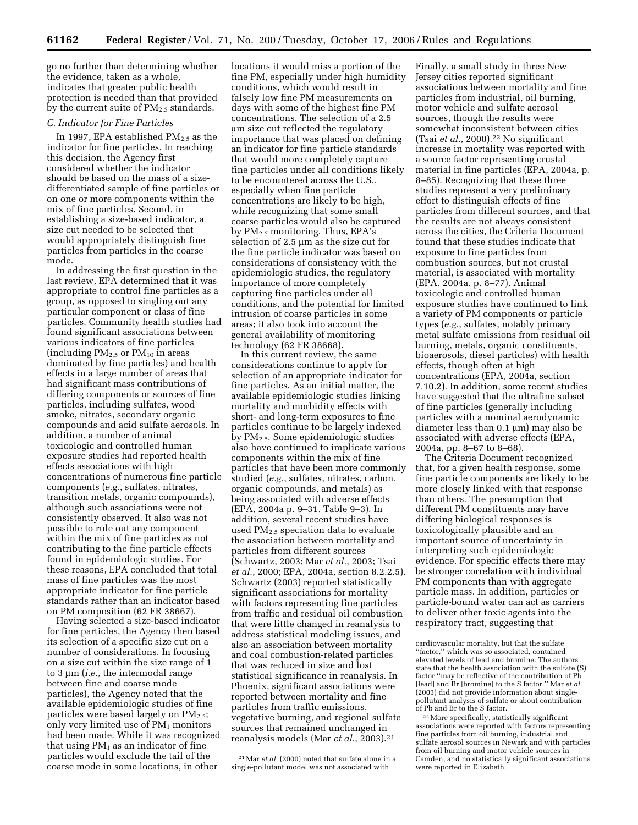go no further than determining whether the evidence, taken as a whole, indicates that greater public health protection is needed than that provided by the current suite of  $PM<sub>2.5</sub>$  standards.

# *C. Indicator for Fine Particles*

In 1997, EPA established  $PM_{2.5}$  as the indicator for fine particles. In reaching this decision, the Agency first considered whether the indicator should be based on the mass of a sizedifferentiated sample of fine particles or on one or more components within the mix of fine particles. Second, in establishing a size-based indicator, a size cut needed to be selected that would appropriately distinguish fine particles from particles in the coarse mode.

In addressing the first question in the last review, EPA determined that it was appropriate to control fine particles as a group, as opposed to singling out any particular component or class of fine particles. Community health studies had found significant associations between various indicators of fine particles (including  $PM_{2.5}$  or  $PM_{10}$  in areas dominated by fine particles) and health effects in a large number of areas that had significant mass contributions of differing components or sources of fine particles, including sulfates, wood smoke, nitrates, secondary organic compounds and acid sulfate aerosols. In addition, a number of animal toxicologic and controlled human exposure studies had reported health effects associations with high concentrations of numerous fine particle components (*e.g.*, sulfates, nitrates, transition metals, organic compounds), although such associations were not consistently observed. It also was not possible to rule out any component within the mix of fine particles as not contributing to the fine particle effects found in epidemiologic studies. For these reasons, EPA concluded that total mass of fine particles was the most appropriate indicator for fine particle standards rather than an indicator based on PM composition (62 FR 38667).

Having selected a size-based indicator for fine particles, the Agency then based its selection of a specific size cut on a number of considerations. In focusing on a size cut within the size range of 1 to 3 µm (*i.e.*, the intermodal range between fine and coarse mode particles), the Agency noted that the available epidemiologic studies of fine particles were based largely on  $PM_{2.5}$ ; only very limited use of  $PM<sub>1</sub>$  monitors had been made. While it was recognized that using  $PM_1$  as an indicator of fine particles would exclude the tail of the coarse mode in some locations, in other

locations it would miss a portion of the fine PM, especially under high humidity conditions, which would result in falsely low fine PM measurements on days with some of the highest fine PM concentrations. The selection of a 2.5 µm size cut reflected the regulatory importance that was placed on defining an indicator for fine particle standards that would more completely capture fine particles under all conditions likely to be encountered across the U.S., especially when fine particle concentrations are likely to be high, while recognizing that some small coarse particles would also be captured by PM2.5 monitoring. Thus, EPA's selection of 2.5 µm as the size cut for the fine particle indicator was based on considerations of consistency with the epidemiologic studies, the regulatory importance of more completely capturing fine particles under all conditions, and the potential for limited intrusion of coarse particles in some areas; it also took into account the general availability of monitoring technology (62 FR 38668).

In this current review, the same considerations continue to apply for selection of an appropriate indicator for fine particles. As an initial matter, the available epidemiologic studies linking mortality and morbidity effects with short- and long-term exposures to fine particles continue to be largely indexed by PM2.5. Some epidemiologic studies also have continued to implicate various components within the mix of fine particles that have been more commonly studied (*e.g.*, sulfates, nitrates, carbon, organic compounds, and metals) as being associated with adverse effects (EPA, 2004a p. 9–31, Table 9–3). In addition, several recent studies have used  $PM_{2.5}$  speciation data to evaluate the association between mortality and particles from different sources (Schwartz, 2003; Mar *et al.*, 2003; Tsai *et al.*, 2000; EPA, 2004a, section 8.2.2.5). Schwartz (2003) reported statistically significant associations for mortality with factors representing fine particles from traffic and residual oil combustion that were little changed in reanalysis to address statistical modeling issues, and also an association between mortality and coal combustion-related particles that was reduced in size and lost statistical significance in reanalysis. In Phoenix, significant associations were reported between mortality and fine particles from traffic emissions, vegetative burning, and regional sulfate sources that remained unchanged in reanalysis models (Mar *et al.*, 2003).21

<sup>21</sup> Mar *et al.* (2000) noted that sulfate alone in a single-pollutant model was not associated with

Finally, a small study in three New Jersey cities reported significant associations between mortality and fine particles from industrial, oil burning, motor vehicle and sulfate aerosol sources, though the results were somewhat inconsistent between cities (Tsai *et al.*, 2000).22 No significant increase in mortality was reported with a source factor representing crustal material in fine particles (EPA, 2004a, p. 8–85). Recognizing that these three studies represent a very preliminary effort to distinguish effects of fine particles from different sources, and that the results are not always consistent across the cities, the Criteria Document found that these studies indicate that exposure to fine particles from combustion sources, but not crustal material, is associated with mortality (EPA, 2004a, p. 8–77). Animal toxicologic and controlled human exposure studies have continued to link a variety of PM components or particle types (*e.g.*, sulfates, notably primary metal sulfate emissions from residual oil burning, metals, organic constituents, bioaerosols, diesel particles) with health effects, though often at high concentrations (EPA, 2004a, section 7.10.2). In addition, some recent studies have suggested that the ultrafine subset of fine particles (generally including particles with a nominal aerodynamic diameter less than 0.1 µm) may also be associated with adverse effects (EPA, 2004a, pp. 8–67 to 8–68).

The Criteria Document recognized that, for a given health response, some fine particle components are likely to be more closely linked with that response than others. The presumption that different PM constituents may have differing biological responses is toxicologically plausible and an important source of uncertainty in interpreting such epidemiologic evidence. For specific effects there may be stronger correlation with individual PM components than with aggregate particle mass. In addition, particles or particle-bound water can act as carriers to deliver other toxic agents into the respiratory tract, suggesting that

cardiovascular mortality, but that the sulfate ''factor,'' which was so associated, contained elevated levels of lead and bromine. The authors state that the health association with the sulfate (S) factor ''may be reflective of the contribution of Pb [lead] and Br [bromine] to the S factor.'' Mar *et al.*  (2003) did not provide information about singlepollutant analysis of sulfate or about contribution

<sup>&</sup>lt;sup>22</sup> More specifically, statistically significant associations were reported with factors representing fine particles from oil burning, industrial and sulfate aerosol sources in Newark and with particles from oil burning and motor vehicle sources in Camden, and no statistically significant associations were reported in Elizabeth.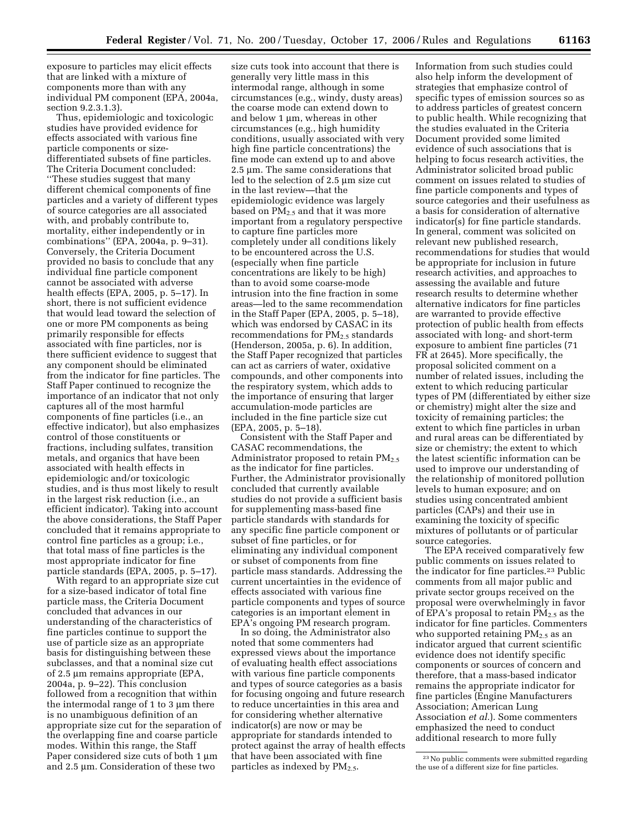exposure to particles may elicit effects that are linked with a mixture of components more than with any individual PM component (EPA, 2004a, section 9.2.3.1.3).

Thus, epidemiologic and toxicologic studies have provided evidence for effects associated with various fine particle components or sizedifferentiated subsets of fine particles. The Criteria Document concluded: ''These studies suggest that many different chemical components of fine particles and a variety of different types of source categories are all associated with, and probably contribute to, mortality, either independently or in combinations'' (EPA, 2004a, p. 9–31). Conversely, the Criteria Document provided no basis to conclude that any individual fine particle component cannot be associated with adverse health effects (EPA, 2005, p. 5–17). In short, there is not sufficient evidence that would lead toward the selection of one or more PM components as being primarily responsible for effects associated with fine particles, nor is there sufficient evidence to suggest that any component should be eliminated from the indicator for fine particles. The Staff Paper continued to recognize the importance of an indicator that not only captures all of the most harmful components of fine particles (i.e., an effective indicator), but also emphasizes control of those constituents or fractions, including sulfates, transition metals, and organics that have been associated with health effects in epidemiologic and/or toxicologic studies, and is thus most likely to result in the largest risk reduction (i.e., an efficient indicator). Taking into account the above considerations, the Staff Paper concluded that it remains appropriate to control fine particles as a group; i.e., that total mass of fine particles is the most appropriate indicator for fine particle standards (EPA, 2005, p. 5–17).

With regard to an appropriate size cut for a size-based indicator of total fine particle mass, the Criteria Document concluded that advances in our understanding of the characteristics of fine particles continue to support the use of particle size as an appropriate basis for distinguishing between these subclasses, and that a nominal size cut of 2.5 µm remains appropriate (EPA, 2004a, p. 9–22). This conclusion followed from a recognition that within the intermodal range of 1 to 3  $\mu$ m there is no unambiguous definition of an appropriate size cut for the separation of the overlapping fine and coarse particle modes. Within this range, the Staff Paper considered size cuts of both 1  $\mu$ m and 2.5 µm. Consideration of these two

size cuts took into account that there is generally very little mass in this intermodal range, although in some circumstances (e.g., windy, dusty areas) the coarse mode can extend down to and below 1 µm, whereas in other circumstances (e.g., high humidity conditions, usually associated with very high fine particle concentrations) the fine mode can extend up to and above 2.5 µm. The same considerations that led to the selection of 2.5 µm size cut in the last review—that the epidemiologic evidence was largely based on  $PM<sub>2.5</sub>$  and that it was more important from a regulatory perspective to capture fine particles more completely under all conditions likely to be encountered across the U.S. (especially when fine particle concentrations are likely to be high) than to avoid some coarse-mode intrusion into the fine fraction in some areas—led to the same recommendation in the Staff Paper (EPA, 2005, p. 5–18), which was endorsed by CASAC in its recommendations for  $PM<sub>2.5</sub>$  standards (Henderson, 2005a, p. 6). In addition, the Staff Paper recognized that particles can act as carriers of water, oxidative compounds, and other components into the respiratory system, which adds to the importance of ensuring that larger accumulation-mode particles are included in the fine particle size cut (EPA, 2005, p. 5–18).

Consistent with the Staff Paper and CASAC recommendations, the Administrator proposed to retain  $PM_{2.5}$ as the indicator for fine particles. Further, the Administrator provisionally concluded that currently available studies do not provide a sufficient basis for supplementing mass-based fine particle standards with standards for any specific fine particle component or subset of fine particles, or for eliminating any individual component or subset of components from fine particle mass standards. Addressing the current uncertainties in the evidence of effects associated with various fine particle components and types of source categories is an important element in EPA's ongoing PM research program.

In so doing, the Administrator also noted that some commenters had expressed views about the importance of evaluating health effect associations with various fine particle components and types of source categories as a basis for focusing ongoing and future research to reduce uncertainties in this area and for considering whether alternative indicator(s) are now or may be appropriate for standards intended to protect against the array of health effects that have been associated with fine particles as indexed by PM<sub>2.5</sub>.

Information from such studies could also help inform the development of strategies that emphasize control of specific types of emission sources so as to address particles of greatest concern to public health. While recognizing that the studies evaluated in the Criteria Document provided some limited evidence of such associations that is helping to focus research activities, the Administrator solicited broad public comment on issues related to studies of fine particle components and types of source categories and their usefulness as a basis for consideration of alternative indicator(s) for fine particle standards. In general, comment was solicited on relevant new published research, recommendations for studies that would be appropriate for inclusion in future research activities, and approaches to assessing the available and future research results to determine whether alternative indicators for fine particles are warranted to provide effective protection of public health from effects associated with long- and short-term exposure to ambient fine particles (71 FR at 2645). More specifically, the proposal solicited comment on a number of related issues, including the extent to which reducing particular types of PM (differentiated by either size or chemistry) might alter the size and toxicity of remaining particles; the extent to which fine particles in urban and rural areas can be differentiated by size or chemistry; the extent to which the latest scientific information can be used to improve our understanding of the relationship of monitored pollution levels to human exposure; and on studies using concentrated ambient particles (CAPs) and their use in examining the toxicity of specific mixtures of pollutants or of particular source categories.

The EPA received comparatively few public comments on issues related to the indicator for fine particles.23 Public comments from all major public and private sector groups received on the proposal were overwhelmingly in favor of EPA's proposal to retain  $PM_{2,5}$  as the indicator for fine particles. Commenters who supported retaining  $PM_{2.5}$  as an indicator argued that current scientific evidence does not identify specific components or sources of concern and therefore, that a mass-based indicator remains the appropriate indicator for fine particles (Engine Manufacturers Association; American Lung Association *et al.*). Some commenters emphasized the need to conduct additional research to more fully

23No public comments were submitted regarding the use of a different size for fine particles.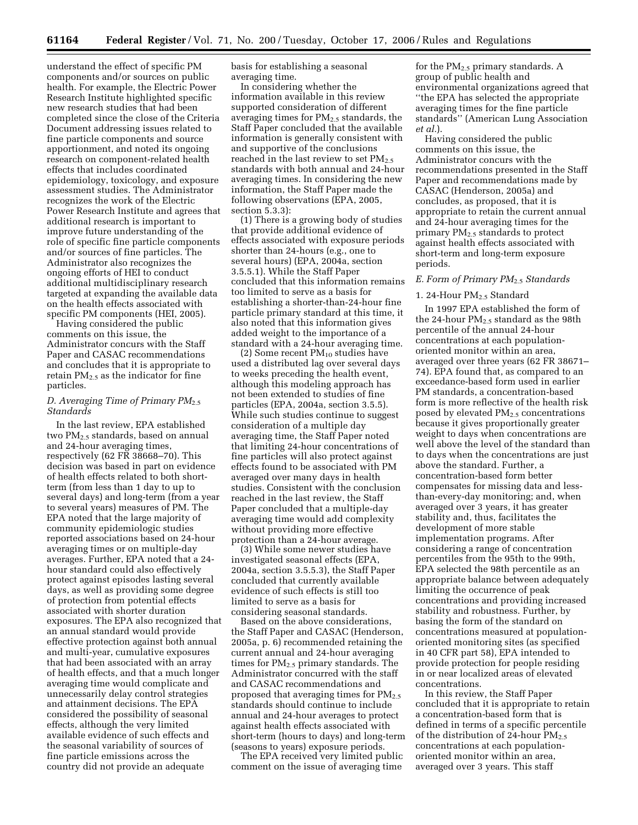understand the effect of specific PM components and/or sources on public health. For example, the Electric Power Research Institute highlighted specific new research studies that had been completed since the close of the Criteria Document addressing issues related to fine particle components and source apportionment, and noted its ongoing research on component-related health effects that includes coordinated epidemiology, toxicology, and exposure assessment studies. The Administrator recognizes the work of the Electric Power Research Institute and agrees that additional research is important to improve future understanding of the role of specific fine particle components and/or sources of fine particles. The Administrator also recognizes the ongoing efforts of HEI to conduct additional multidisciplinary research targeted at expanding the available data on the health effects associated with specific PM components (HEI, 2005).

Having considered the public comments on this issue, the Administrator concurs with the Staff Paper and CASAC recommendations and concludes that it is appropriate to retain  $PM_{2,5}$  as the indicator for fine particles.

## *D. Averaging Time of Primary PM*2.5 *Standards*

In the last review, EPA established two PM2.5 standards, based on annual and 24-hour averaging times, respectively (62 FR 38668–70). This decision was based in part on evidence of health effects related to both shortterm (from less than 1 day to up to several days) and long-term (from a year to several years) measures of PM. The EPA noted that the large majority of community epidemiologic studies reported associations based on 24-hour averaging times or on multiple-day averages. Further, EPA noted that a 24 hour standard could also effectively protect against episodes lasting several days, as well as providing some degree of protection from potential effects associated with shorter duration exposures. The EPA also recognized that an annual standard would provide effective protection against both annual and multi-year, cumulative exposures that had been associated with an array of health effects, and that a much longer averaging time would complicate and unnecessarily delay control strategies and attainment decisions. The EPA considered the possibility of seasonal effects, although the very limited available evidence of such effects and the seasonal variability of sources of fine particle emissions across the country did not provide an adequate

basis for establishing a seasonal averaging time.

In considering whether the information available in this review supported consideration of different averaging times for  $PM_{2.5}$  standards, the Staff Paper concluded that the available information is generally consistent with and supportive of the conclusions reached in the last review to set  $PM_{2.5}$ standards with both annual and 24-hour averaging times. In considering the new information, the Staff Paper made the following observations (EPA, 2005, section 5.3.3):

(1) There is a growing body of studies that provide additional evidence of effects associated with exposure periods shorter than 24-hours (e.g., one to several hours) (EPA, 2004a, section 3.5.5.1). While the Staff Paper concluded that this information remains too limited to serve as a basis for establishing a shorter-than-24-hour fine particle primary standard at this time, it also noted that this information gives added weight to the importance of a standard with a 24-hour averaging time.

 $(2)$  Some recent  $PM_{10}$  studies have used a distributed lag over several days to weeks preceding the health event, although this modeling approach has not been extended to studies of fine particles (EPA, 2004a, section 3.5.5). While such studies continue to suggest consideration of a multiple day averaging time, the Staff Paper noted that limiting 24-hour concentrations of fine particles will also protect against effects found to be associated with PM averaged over many days in health studies. Consistent with the conclusion reached in the last review, the Staff Paper concluded that a multiple-day averaging time would add complexity without providing more effective protection than a 24-hour average.

(3) While some newer studies have investigated seasonal effects (EPA, 2004a, section 3.5.5.3), the Staff Paper concluded that currently available evidence of such effects is still too limited to serve as a basis for considering seasonal standards.

Based on the above considerations, the Staff Paper and CASAC (Henderson, 2005a, p. 6) recommended retaining the current annual and 24-hour averaging times for  $PM<sub>2.5</sub>$  primary standards. The Administrator concurred with the staff and CASAC recommendations and proposed that averaging times for  $PM_{2.5}$ standards should continue to include annual and 24-hour averages to protect against health effects associated with short-term (hours to days) and long-term (seasons to years) exposure periods.

The EPA received very limited public comment on the issue of averaging time

for the PM2.5 primary standards. A group of public health and environmental organizations agreed that ''the EPA has selected the appropriate averaging times for the fine particle standards'' (American Lung Association *et al.*).

Having considered the public comments on this issue, the Administrator concurs with the recommendations presented in the Staff Paper and recommendations made by CASAC (Henderson, 2005a) and concludes, as proposed, that it is appropriate to retain the current annual and 24-hour averaging times for the primary PM2.5 standards to protect against health effects associated with short-term and long-term exposure periods.

#### *E. Form of Primary PM*2.5 *Standards*

#### 1. 24-Hour  $PM<sub>2.5</sub>$  Standard

In 1997 EPA established the form of the 24-hour  $PM<sub>2.5</sub>$  standard as the 98th percentile of the annual 24-hour concentrations at each populationoriented monitor within an area, averaged over three years (62 FR 38671– 74). EPA found that, as compared to an exceedance-based form used in earlier PM standards, a concentration-based form is more reflective of the health risk posed by elevated PM2.5 concentrations because it gives proportionally greater weight to days when concentrations are well above the level of the standard than to days when the concentrations are just above the standard. Further, a concentration-based form better compensates for missing data and lessthan-every-day monitoring; and, when averaged over 3 years, it has greater stability and, thus, facilitates the development of more stable implementation programs. After considering a range of concentration percentiles from the 95th to the 99th, EPA selected the 98th percentile as an appropriate balance between adequately limiting the occurrence of peak concentrations and providing increased stability and robustness. Further, by basing the form of the standard on concentrations measured at populationoriented monitoring sites (as specified in 40 CFR part 58), EPA intended to provide protection for people residing in or near localized areas of elevated concentrations.

In this review, the Staff Paper concluded that it is appropriate to retain a concentration-based form that is defined in terms of a specific percentile of the distribution of 24-hour PM<sub>2.5</sub> concentrations at each populationoriented monitor within an area, averaged over 3 years. This staff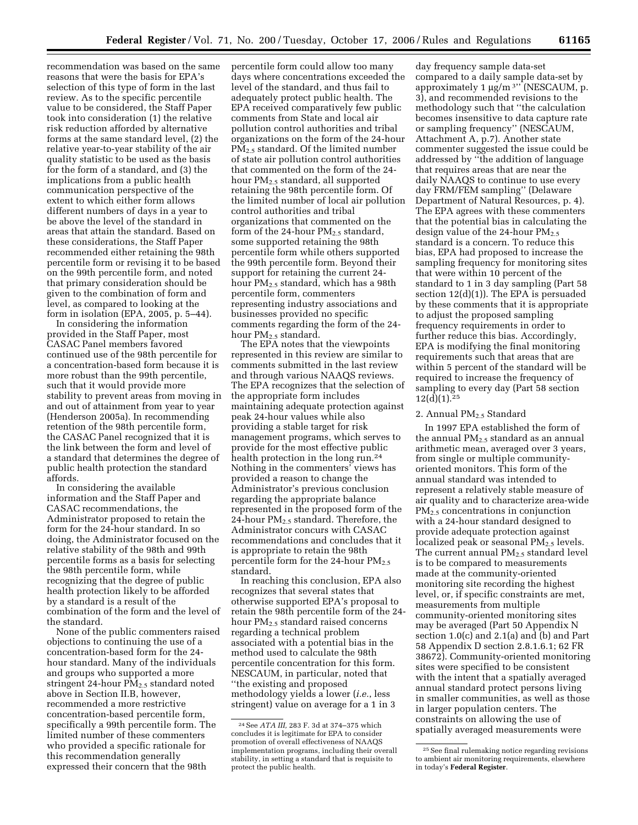recommendation was based on the same reasons that were the basis for EPA's selection of this type of form in the last review. As to the specific percentile value to be considered, the Staff Paper took into consideration (1) the relative risk reduction afforded by alternative forms at the same standard level, (2) the relative year-to-year stability of the air quality statistic to be used as the basis for the form of a standard, and (3) the implications from a public health communication perspective of the extent to which either form allows different numbers of days in a year to be above the level of the standard in areas that attain the standard. Based on these considerations, the Staff Paper recommended either retaining the 98th percentile form or revising it to be based on the 99th percentile form, and noted that primary consideration should be given to the combination of form and level, as compared to looking at the form in isolation (EPA, 2005, p. 5–44).

In considering the information provided in the Staff Paper, most CASAC Panel members favored continued use of the 98th percentile for a concentration-based form because it is more robust than the 99th percentile, such that it would provide more stability to prevent areas from moving in and out of attainment from year to year (Henderson 2005a). In recommending retention of the 98th percentile form, the CASAC Panel recognized that it is the link between the form and level of a standard that determines the degree of public health protection the standard affords.

In considering the available information and the Staff Paper and CASAC recommendations, the Administrator proposed to retain the form for the 24-hour standard. In so doing, the Administrator focused on the relative stability of the 98th and 99th percentile forms as a basis for selecting the 98th percentile form, while recognizing that the degree of public health protection likely to be afforded by a standard is a result of the combination of the form and the level of the standard.

None of the public commenters raised objections to continuing the use of a concentration-based form for the 24 hour standard. Many of the individuals and groups who supported a more stringent 24-hour  $PM_{2.5}$  standard noted above in Section II.B, however, recommended a more restrictive concentration-based percentile form, specifically a 99th percentile form. The limited number of these commenters who provided a specific rationale for this recommendation generally expressed their concern that the 98th

percentile form could allow too many days where concentrations exceeded the level of the standard, and thus fail to adequately protect public health. The EPA received comparatively few public comments from State and local air pollution control authorities and tribal organizations on the form of the 24-hour PM2.5 standard. Of the limited number of state air pollution control authorities that commented on the form of the 24 hour PM2.5 standard, all supported retaining the 98th percentile form. Of the limited number of local air pollution control authorities and tribal organizations that commented on the form of the 24-hour  $PM_{2.5}$  standard, some supported retaining the 98th percentile form while others supported the 99th percentile form. Beyond their support for retaining the current 24 hour  $PM<sub>2.5</sub>$  standard, which has a 98th percentile form, commenters representing industry associations and businesses provided no specific comments regarding the form of the 24 hour  $PM_{2.5}$  standard.

The EPA notes that the viewpoints represented in this review are similar to comments submitted in the last review and through various NAAQS reviews. The EPA recognizes that the selection of the appropriate form includes maintaining adequate protection against peak 24-hour values while also providing a stable target for risk management programs, which serves to provide for the most effective public health protection in the long run.<sup>24</sup> Nothing in the commenters' views has provided a reason to change the Administrator's previous conclusion regarding the appropriate balance represented in the proposed form of the 24-hour  $PM_{2.5}$  standard. Therefore, the Administrator concurs with CASAC recommendations and concludes that it is appropriate to retain the 98th percentile form for the 24-hour  $PM_{2.5}$ standard.

In reaching this conclusion, EPA also recognizes that several states that otherwise supported EPA's proposal to retain the 98th percentile form of the 24 hour PM2.5 standard raised concerns regarding a technical problem associated with a potential bias in the method used to calculate the 98th percentile concentration for this form. NESCAUM, in particular, noted that ''the existing and proposed methodology yields a lower (*i.e.*, less stringent) value on average for a 1 in 3

day frequency sample data-set compared to a daily sample data-set by approximately  $1 \mu g/m$ <sup>3</sup>" (NESCAUM, p. 3), and recommended revisions to the methodology such that ''the calculation becomes insensitive to data capture rate or sampling frequency'' (NESCAUM, Attachment A, p.7). Another state commenter suggested the issue could be addressed by ''the addition of language that requires areas that are near the daily NAAQS to continue to use every day FRM/FEM sampling'' (Delaware Department of Natural Resources, p. 4). The EPA agrees with these commenters that the potential bias in calculating the design value of the 24-hour  $PM_{2.5}$ standard is a concern. To reduce this bias, EPA had proposed to increase the sampling frequency for monitoring sites that were within 10 percent of the standard to 1 in 3 day sampling (Part 58 section 12(d)(1)). The EPA is persuaded by these comments that it is appropriate to adjust the proposed sampling frequency requirements in order to further reduce this bias. Accordingly, EPA is modifying the final monitoring requirements such that areas that are within 5 percent of the standard will be required to increase the frequency of sampling to every day (Part 58 section  $12(d)(1).^{25}$ 

#### 2. Annual PM<sub>2.5</sub> Standard

In 1997 EPA established the form of the annual  $PM<sub>2.5</sub>$  standard as an annual arithmetic mean, averaged over 3 years, from single or multiple communityoriented monitors. This form of the annual standard was intended to represent a relatively stable measure of air quality and to characterize area-wide PM2.5 concentrations in conjunction with a 24-hour standard designed to provide adequate protection against localized peak or seasonal  $PM_{2.5}$  levels. The current annual PM<sub>2.5</sub> standard level is to be compared to measurements made at the community-oriented monitoring site recording the highest level, or, if specific constraints are met, measurements from multiple community-oriented monitoring sites may be averaged (Part 50 Appendix N section 1.0(c) and 2.1(a) and (b) and Part 58 Appendix D section 2.8.1.6.1; 62 FR 38672). Community-oriented monitoring sites were specified to be consistent with the intent that a spatially averaged annual standard protect persons living in smaller communities, as well as those in larger population centers. The constraints on allowing the use of spatially averaged measurements were

<sup>24</sup>See *ATA III,* 283 F. 3d at 374–375 which concludes it is legitimate for EPA to consider promotion of overall effectiveness of NAAQS implementation programs, including their overall stability, in setting a standard that is requisite to protect the public health.

<sup>25</sup>See final rulemaking notice regarding revisions to ambient air monitoring requirements, elsewhere in today's **Federal Register**.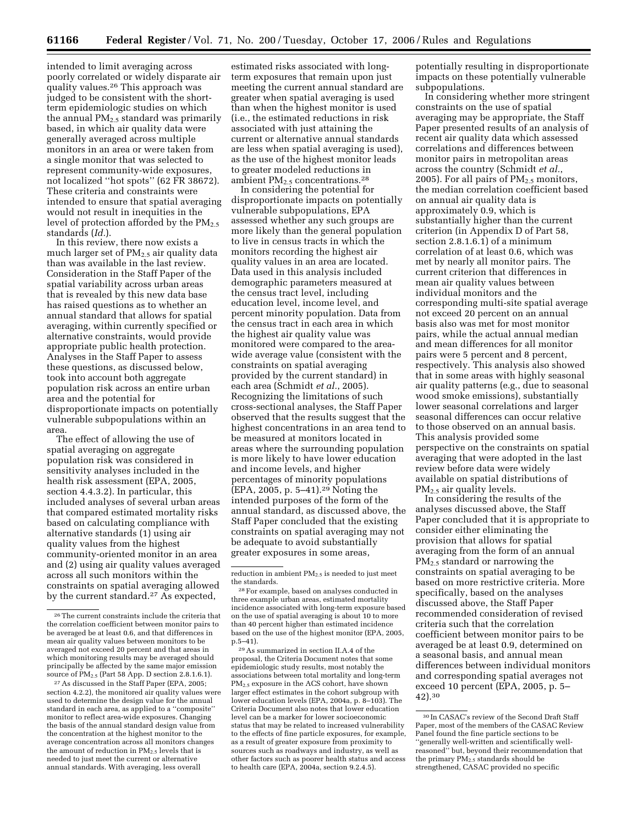intended to limit averaging across poorly correlated or widely disparate air quality values.26 This approach was judged to be consistent with the shortterm epidemiologic studies on which the annual  $PM<sub>2.5</sub>$  standard was primarily based, in which air quality data were generally averaged across multiple monitors in an area or were taken from a single monitor that was selected to represent community-wide exposures, not localized ''hot spots'' (62 FR 38672). These criteria and constraints were intended to ensure that spatial averaging would not result in inequities in the level of protection afforded by the  $PM_{2.5}$ standards (*Id.*).

In this review, there now exists a much larger set of  $PM_{2.5}$  air quality data than was available in the last review. Consideration in the Staff Paper of the spatial variability across urban areas that is revealed by this new data base has raised questions as to whether an annual standard that allows for spatial averaging, within currently specified or alternative constraints, would provide appropriate public health protection. Analyses in the Staff Paper to assess these questions, as discussed below, took into account both aggregate population risk across an entire urban area and the potential for disproportionate impacts on potentially vulnerable subpopulations within an area.

The effect of allowing the use of spatial averaging on aggregate population risk was considered in sensitivity analyses included in the health risk assessment (EPA, 2005, section 4.4.3.2). In particular, this included analyses of several urban areas that compared estimated mortality risks based on calculating compliance with alternative standards (1) using air quality values from the highest community-oriented monitor in an area and (2) using air quality values averaged across all such monitors within the constraints on spatial averaging allowed by the current standard.<sup>27</sup> As expected,

27As discussed in the Staff Paper (EPA, 2005; section 4.2.2), the monitored air quality values were used to determine the design value for the annual standard in each area, as applied to a ''composite'' monitor to reflect area-wide exposures. Changing the basis of the annual standard design value from the concentration at the highest monitor to the average concentration across all monitors changes the amount of reduction in PM<sub>2.5</sub> levels that is needed to just meet the current or alternative annual standards. With averaging, less overall

estimated risks associated with longterm exposures that remain upon just meeting the current annual standard are greater when spatial averaging is used than when the highest monitor is used (i.e., the estimated reductions in risk associated with just attaining the current or alternative annual standards are less when spatial averaging is used), as the use of the highest monitor leads to greater modeled reductions in ambient  $PM_{2.5}$  concentrations.<sup>28</sup>

In considering the potential for disproportionate impacts on potentially vulnerable subpopulations, EPA assessed whether any such groups are more likely than the general population to live in census tracts in which the monitors recording the highest air quality values in an area are located. Data used in this analysis included demographic parameters measured at the census tract level, including education level, income level, and percent minority population. Data from the census tract in each area in which the highest air quality value was monitored were compared to the areawide average value (consistent with the constraints on spatial averaging provided by the current standard) in each area (Schmidt *et al.*, 2005). Recognizing the limitations of such cross-sectional analyses, the Staff Paper observed that the results suggest that the highest concentrations in an area tend to be measured at monitors located in areas where the surrounding population is more likely to have lower education and income levels, and higher percentages of minority populations (EPA, 2005, p. 5–41).29 Noting the intended purposes of the form of the annual standard, as discussed above, the Staff Paper concluded that the existing constraints on spatial averaging may not be adequate to avoid substantially greater exposures in some areas,

29As summarized in section II.A.4 of the proposal, the Criteria Document notes that some epidemiologic study results, most notably the associations between total mortality and long-term PM2.5 exposure in the ACS cohort, have shown larger effect estimates in the cohort subgroup with lower education levels (EPA, 2004a, p. 8–103). The Criteria Document also notes that lower education level can be a marker for lower socioeconomic status that may be related to increased vulnerability to the effects of fine particle exposures, for example, as a result of greater exposure from proximity to sources such as roadways and industry, as well as other factors such as poorer health status and access to health care (EPA,  $2004a$ , section 9.2.4.5).

potentially resulting in disproportionate impacts on these potentially vulnerable subpopulations.

In considering whether more stringent constraints on the use of spatial averaging may be appropriate, the Staff Paper presented results of an analysis of recent air quality data which assessed correlations and differences between monitor pairs in metropolitan areas across the country (Schmidt *et al.*, 2005). For all pairs of  $PM_{2.5}$  monitors, the median correlation coefficient based on annual air quality data is approximately 0.9, which is substantially higher than the current criterion (in Appendix D of Part 58, section 2.8.1.6.1) of a minimum correlation of at least 0.6, which was met by nearly all monitor pairs. The current criterion that differences in mean air quality values between individual monitors and the corresponding multi-site spatial average not exceed 20 percent on an annual basis also was met for most monitor pairs, while the actual annual median and mean differences for all monitor pairs were 5 percent and 8 percent, respectively. This analysis also showed that in some areas with highly seasonal air quality patterns (e.g., due to seasonal wood smoke emissions), substantially lower seasonal correlations and larger seasonal differences can occur relative to those observed on an annual basis. This analysis provided some perspective on the constraints on spatial averaging that were adopted in the last review before data were widely available on spatial distributions of  $PM<sub>2.5</sub>$  air quality levels.

In considering the results of the analyses discussed above, the Staff Paper concluded that it is appropriate to consider either eliminating the provision that allows for spatial averaging from the form of an annual PM2.5 standard or narrowing the constraints on spatial averaging to be based on more restrictive criteria. More specifically, based on the analyses discussed above, the Staff Paper recommended consideration of revised criteria such that the correlation coefficient between monitor pairs to be averaged be at least 0.9, determined on a seasonal basis, and annual mean differences between individual monitors and corresponding spatial averages not exceed 10 percent (EPA, 2005, p. 5– 42).30

<sup>26</sup>The current constraints include the criteria that the correlation coefficient between monitor pairs to be averaged be at least 0.6, and that differences in mean air quality values between monitors to be averaged not exceed 20 percent and that areas in which monitoring results may be averaged should principally be affected by the same major emission source of PM2.5 (Part 58 App. D section 2.8.1.6.1).

reduction in ambient  $PM_{2.5}$  is needed to just meet the standards.

<sup>28</sup>For example, based on analyses conducted in three example urban areas, estimated mortality incidence associated with long-term exposure based on the use of spatial averaging is about 10 to more than 40 percent higher than estimated incidence based on the use of the highest monitor (EPA, 2005, p.5–41).

<sup>30</sup> In CASAC's review of the Second Draft Staff Paper, most of the members of the CASAC Review Panel found the fine particle sections to be ''generally well-written and scientifically wellreasoned'' but, beyond their recommendation that the primary PM2.5 standards should be strengthened, CASAC provided no specific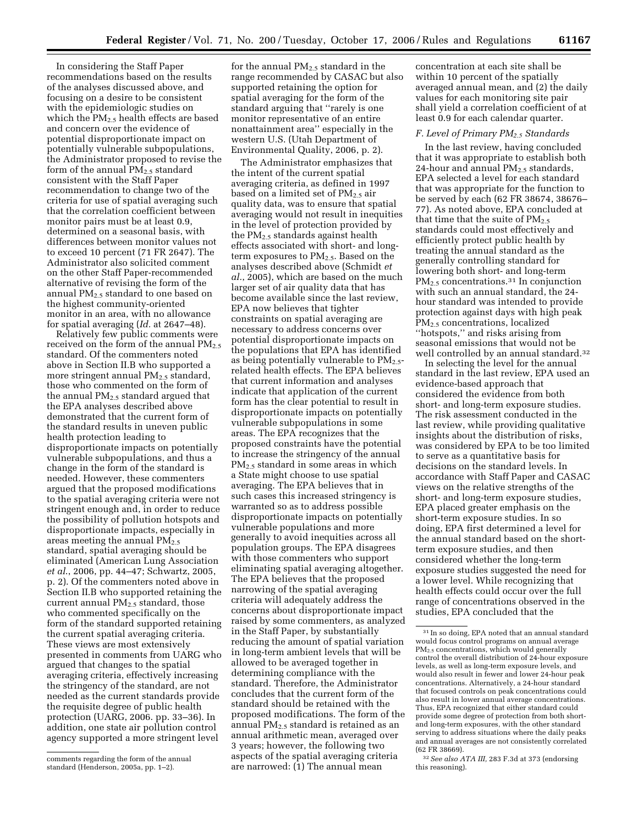In considering the Staff Paper recommendations based on the results of the analyses discussed above, and focusing on a desire to be consistent with the epidemiologic studies on which the PM2.5 health effects are based and concern over the evidence of potential disproportionate impact on potentially vulnerable subpopulations, the Administrator proposed to revise the form of the annual PM<sub>2.5</sub> standard consistent with the Staff Paper recommendation to change two of the criteria for use of spatial averaging such that the correlation coefficient between monitor pairs must be at least 0.9, determined on a seasonal basis, with differences between monitor values not to exceed 10 percent (71 FR 2647). The Administrator also solicited comment on the other Staff Paper-recommended alternative of revising the form of the annual  $PM_{2.5}$  standard to one based on the highest community-oriented monitor in an area, with no allowance for spatial averaging (*Id.* at 2647–48).

Relatively few public comments were received on the form of the annual PM<sub>2.5</sub> standard. Of the commenters noted above in Section II.B who supported a more stringent annual  $PM_{2.5}$  standard, those who commented on the form of the annual  $PM<sub>2.5</sub>$  standard argued that the EPA analyses described above demonstrated that the current form of the standard results in uneven public health protection leading to disproportionate impacts on potentially vulnerable subpopulations, and thus a change in the form of the standard is needed. However, these commenters argued that the proposed modifications to the spatial averaging criteria were not stringent enough and, in order to reduce the possibility of pollution hotspots and disproportionate impacts, especially in areas meeting the annual  $PM_{2,5}$ standard, spatial averaging should be eliminated (American Lung Association *et al*., 2006, pp. 44–47; Schwartz, 2005, p. 2). Of the commenters noted above in Section II.B who supported retaining the current annual PM2.5 standard, those who commented specifically on the form of the standard supported retaining the current spatial averaging criteria. These views are most extensively presented in comments from UARG who argued that changes to the spatial averaging criteria, effectively increasing the stringency of the standard, are not needed as the current standards provide the requisite degree of public health protection (UARG, 2006. pp. 33–36). In addition, one state air pollution control agency supported a more stringent level

for the annual  $\mathrm{PM}_{2.5}$  standard in the range recommended by CASAC but also supported retaining the option for spatial averaging for the form of the standard arguing that ''rarely is one monitor representative of an entire nonattainment area'' especially in the western U.S. (Utah Department of Environmental Quality, 2006, p. 2).

The Administrator emphasizes that the intent of the current spatial averaging criteria, as defined in 1997 based on a limited set of  $PM_{2.5}$  air quality data, was to ensure that spatial averaging would not result in inequities in the level of protection provided by the PM2.5 standards against health effects associated with short- and longterm exposures to  $PM_{2.5}$ . Based on the analyses described above (Schmidt *et al.*, 2005), which are based on the much larger set of air quality data that has become available since the last review, EPA now believes that tighter constraints on spatial averaging are necessary to address concerns over potential disproportionate impacts on the populations that EPA has identified as being potentially vulnerable to PM<sub>2.5</sub>related health effects. The EPA believes that current information and analyses indicate that application of the current form has the clear potential to result in disproportionate impacts on potentially vulnerable subpopulations in some areas. The EPA recognizes that the proposed constraints have the potential to increase the stringency of the annual PM<sub>2.5</sub> standard in some areas in which a State might choose to use spatial averaging. The EPA believes that in such cases this increased stringency is warranted so as to address possible disproportionate impacts on potentially vulnerable populations and more generally to avoid inequities across all population groups. The EPA disagrees with those commenters who support eliminating spatial averaging altogether. The EPA believes that the proposed narrowing of the spatial averaging criteria will adequately address the concerns about disproportionate impact raised by some commenters, as analyzed in the Staff Paper, by substantially reducing the amount of spatial variation in long-term ambient levels that will be allowed to be averaged together in determining compliance with the standard. Therefore, the Administrator concludes that the current form of the standard should be retained with the proposed modifications. The form of the annual PM2.5 standard is retained as an annual arithmetic mean, averaged over 3 years; however, the following two aspects of the spatial averaging criteria are narrowed: (1) The annual mean

concentration at each site shall be within 10 percent of the spatially averaged annual mean, and (2) the daily values for each monitoring site pair shall yield a correlation coefficient of at least 0.9 for each calendar quarter.

#### *F. Level of Primary PM2.5 Standards*

In the last review, having concluded that it was appropriate to establish both 24-hour and annual  $PM<sub>2.5</sub>$  standards, EPA selected a level for each standard that was appropriate for the function to be served by each (62 FR 38674, 38676– 77). As noted above, EPA concluded at that time that the suite of  $PM_{2.5}$ standards could most effectively and efficiently protect public health by treating the annual standard as the generally controlling standard for lowering both short- and long-term PM<sub>2.5</sub> concentrations.<sup>31</sup> In conjunction with such an annual standard, the 24 hour standard was intended to provide protection against days with high peak PM2.5 concentrations, localized ''hotspots,'' and risks arising from seasonal emissions that would not be well controlled by an annual standard.32

In selecting the level for the annual standard in the last review, EPA used an evidence-based approach that considered the evidence from both short- and long-term exposure studies. The risk assessment conducted in the last review, while providing qualitative insights about the distribution of risks, was considered by EPA to be too limited to serve as a quantitative basis for decisions on the standard levels. In accordance with Staff Paper and CASAC views on the relative strengths of the short- and long-term exposure studies, EPA placed greater emphasis on the short-term exposure studies. In so doing, EPA first determined a level for the annual standard based on the shortterm exposure studies, and then considered whether the long-term exposure studies suggested the need for a lower level. While recognizing that health effects could occur over the full range of concentrations observed in the studies, EPA concluded that the

comments regarding the form of the annual standard (Henderson, 2005a, pp. 1–2).

<sup>31</sup> In so doing, EPA noted that an annual standard would focus control programs on annual average PM2.5 concentrations, which would generally control the overall distribution of 24-hour exposure levels, as well as long-term exposure levels, and would also result in fewer and lower 24-hour peak concentrations. Alternatively, a 24-hour standard that focused controls on peak concentrations could also result in lower annual average concentrations. Thus, EPA recognized that either standard could provide some degree of protection from both shortand long-term exposures, with the other standard serving to address situations where the daily peaks and annual averages are not consistently correlated (62 FR 38669).

<sup>32</sup>*See also ATA III,* 283 F.3d at 373 (endorsing this reasoning).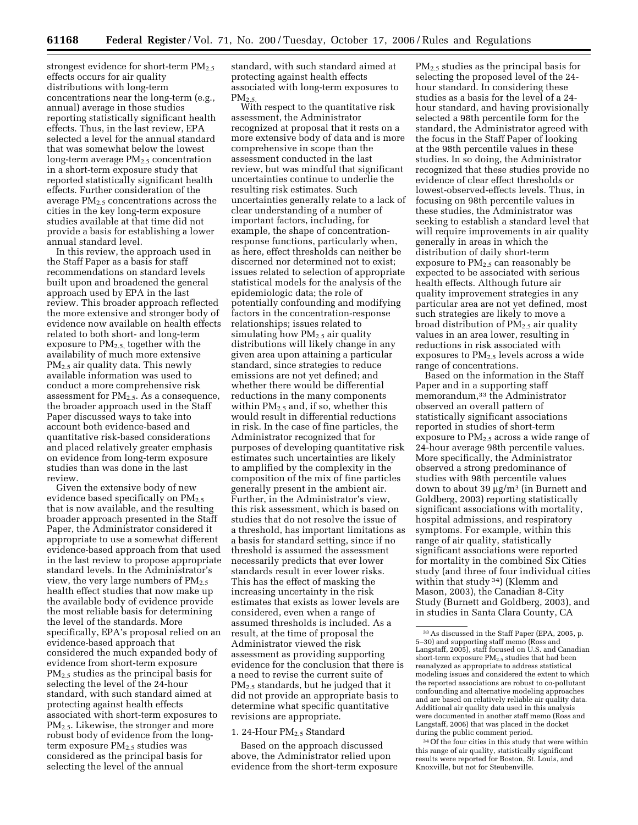strongest evidence for short-term PM<sub>2.5</sub> effects occurs for air quality distributions with long-term concentrations near the long-term (e.g., annual) average in those studies reporting statistically significant health effects. Thus, in the last review, EPA selected a level for the annual standard that was somewhat below the lowest long-term average PM<sub>2.5</sub> concentration in a short-term exposure study that reported statistically significant health effects. Further consideration of the average  $PM_{2.5}$  concentrations across the cities in the key long-term exposure studies available at that time did not provide a basis for establishing a lower annual standard level.

In this review, the approach used in the Staff Paper as a basis for staff recommendations on standard levels built upon and broadened the general approach used by EPA in the last review. This broader approach reflected the more extensive and stronger body of evidence now available on health effects related to both short- and long-term exposure to PM2.5, together with the availability of much more extensive PM2.5 air quality data. This newly available information was used to conduct a more comprehensive risk assessment for PM2.5. As a consequence, the broader approach used in the Staff Paper discussed ways to take into account both evidence-based and quantitative risk-based considerations and placed relatively greater emphasis on evidence from long-term exposure studies than was done in the last review.

Given the extensive body of new evidence based specifically on  $PM_{2.5}$ that is now available, and the resulting broader approach presented in the Staff Paper, the Administrator considered it appropriate to use a somewhat different evidence-based approach from that used in the last review to propose appropriate standard levels. In the Administrator's view, the very large numbers of  $PM_{2.5}$ health effect studies that now make up the available body of evidence provide the most reliable basis for determining the level of the standards. More specifically, EPA's proposal relied on an evidence-based approach that considered the much expanded body of evidence from short-term exposure PM2.5 studies as the principal basis for selecting the level of the 24-hour standard, with such standard aimed at protecting against health effects associated with short-term exposures to PM2.5. Likewise, the stronger and more robust body of evidence from the longterm exposure  $PM_{2.5}$  studies was considered as the principal basis for selecting the level of the annual

standard, with such standard aimed at protecting against health effects associated with long-term exposures to  $PM<sub>2.5</sub>$ 

With respect to the quantitative risk assessment, the Administrator recognized at proposal that it rests on a more extensive body of data and is more comprehensive in scope than the assessment conducted in the last review, but was mindful that significant uncertainties continue to underlie the resulting risk estimates. Such uncertainties generally relate to a lack of clear understanding of a number of important factors, including, for example, the shape of concentrationresponse functions, particularly when, as here, effect thresholds can neither be discerned nor determined not to exist; issues related to selection of appropriate statistical models for the analysis of the epidemiologic data; the role of potentially confounding and modifying factors in the concentration-response relationships; issues related to simulating how  $PM_{2.5}$  air quality distributions will likely change in any given area upon attaining a particular standard, since strategies to reduce emissions are not yet defined; and whether there would be differential reductions in the many components within  $PM_{2.5}$  and, if so, whether this would result in differential reductions in risk. In the case of fine particles, the Administrator recognized that for purposes of developing quantitative risk estimates such uncertainties are likely to amplified by the complexity in the composition of the mix of fine particles generally present in the ambient air. Further, in the Administrator's view, this risk assessment, which is based on studies that do not resolve the issue of a threshold, has important limitations as a basis for standard setting, since if no threshold is assumed the assessment necessarily predicts that ever lower standards result in ever lower risks. This has the effect of masking the increasing uncertainty in the risk estimates that exists as lower levels are considered, even when a range of assumed thresholds is included. As a result, at the time of proposal the Administrator viewed the risk assessment as providing supporting evidence for the conclusion that there is a need to revise the current suite of PM2.5 standards, but he judged that it did not provide an appropriate basis to determine what specific quantitative revisions are appropriate.

#### 1. 24-Hour PM<sub>2.5</sub> Standard

Based on the approach discussed above, the Administrator relied upon evidence from the short-term exposure

PM2.5 studies as the principal basis for selecting the proposed level of the 24 hour standard. In considering these studies as a basis for the level of a 24 hour standard, and having provisionally selected a 98th percentile form for the standard, the Administrator agreed with the focus in the Staff Paper of looking at the 98th percentile values in these studies. In so doing, the Administrator recognized that these studies provide no evidence of clear effect thresholds or lowest-observed-effects levels. Thus, in focusing on 98th percentile values in these studies, the Administrator was seeking to establish a standard level that will require improvements in air quality generally in areas in which the distribution of daily short-term exposure to PM<sub>2.5</sub> can reasonably be expected to be associated with serious health effects. Although future air quality improvement strategies in any particular area are not yet defined, most such strategies are likely to move a broad distribution of PM2.5 air quality values in an area lower, resulting in reductions in risk associated with exposures to PM2.5 levels across a wide range of concentrations.

Based on the information in the Staff Paper and in a supporting staff memorandum,33 the Administrator observed an overall pattern of statistically significant associations reported in studies of short-term exposure to  $PM_{2.5}$  across a wide range of 24-hour average 98th percentile values. More specifically, the Administrator observed a strong predominance of studies with 98th percentile values down to about 39 µg/m3 (in Burnett and Goldberg, 2003) reporting statistically significant associations with mortality, hospital admissions, and respiratory symptoms. For example, within this range of air quality, statistically significant associations were reported for mortality in the combined Six Cities study (and three of four individual cities within that study 34) (Klemm and Mason, 2003), the Canadian 8-City Study (Burnett and Goldberg, 2003), and in studies in Santa Clara County, CA

34Of the four cities in this study that were within this range of air quality, statistically significant results were reported for Boston, St. Louis, and Knoxville, but not for Steubenville.

<sup>33</sup>As discussed in the Staff Paper (EPA, 2005, p. 5–30) and supporting staff memo (Ross and Langstaff, 2005), staff focused on U.S. and Canadian short-term exposure  $PM_{2.5}$  studies that had been reanalyzed as appropriate to address statistical modeling issues and considered the extent to which the reported associations are robust to co-pollutant confounding and alternative modeling approaches and are based on relatively reliable air quality data. Additional air quality data used in this analysis were documented in another staff memo (Ross and Langstaff, 2006) that was placed in the docket during the public comment period.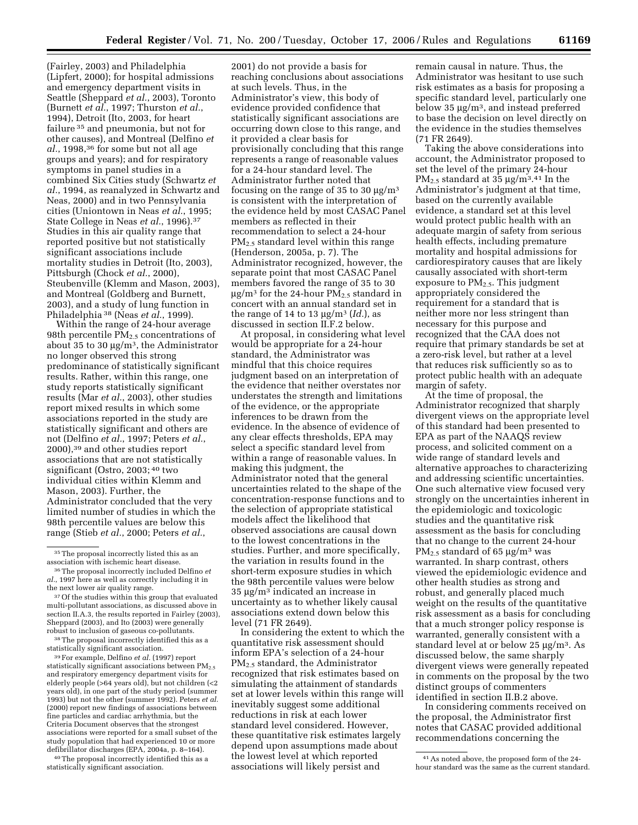(Fairley, 2003) and Philadelphia (Lipfert, 2000); for hospital admissions and emergency department visits in Seattle (Sheppard *et al.*, 2003), Toronto (Burnett *et al.*, 1997; Thurston *et al.*, 1994), Detroit (Ito, 2003, for heart failure 35 and pneumonia, but not for other causes), and Montreal (Delfino *et al.*, 1998,36 for some but not all age groups and years); and for respiratory symptoms in panel studies in a combined Six Cities study (Schwartz *et al.*, 1994, as reanalyzed in Schwartz and Neas, 2000) and in two Pennsylvania cities (Uniontown in Neas *et al.*, 1995; State College in Neas *et al.*, 1996).37 Studies in this air quality range that reported positive but not statistically significant associations include mortality studies in Detroit (Ito, 2003), Pittsburgh (Chock *et al.*, 2000), Steubenville (Klemm and Mason, 2003), and Montreal (Goldberg and Burnett, 2003), and a study of lung function in Philadelphia 38 (Neas *et al.*, 1999).

Within the range of 24-hour average 98th percentile  $PM<sub>2.5</sub>$  concentrations of about 35 to 30  $\mu$ g/m<sup>3</sup>, the Administrator no longer observed this strong predominance of statistically significant results. Rather, within this range, one study reports statistically significant results (Mar *et al.*, 2003), other studies report mixed results in which some associations reported in the study are statistically significant and others are not (Delfino *et al.*, 1997; Peters *et al.*, 2000),39 and other studies report associations that are not statistically significant (Ostro, 2003; 40 two individual cities within Klemm and Mason, 2003). Further, the Administrator concluded that the very limited number of studies in which the 98th percentile values are below this range (Stieb *et al.*, 2000; Peters *et al.*,

38The proposal incorrectly identified this as a statistically significant association.

39For example, Delfino *et al.* (1997) report statistically significant associations between  $PM_{2.5}$ and respiratory emergency department visits for elderly people (>64 years old), but not children (<2 years old), in one part of the study period (summer 1993) but not the other (summer 1992). Peters *et al.*  (2000) report new findings of associations between fine particles and cardiac arrhythmia, but the Criteria Document observes that the strongest associations were reported for a small subset of the study population that had experienced 10 or more defibrillator discharges (EPA, 2004a, p. 8–164).

40The proposal incorrectly identified this as a statistically significant association.

2001) do not provide a basis for reaching conclusions about associations at such levels. Thus, in the Administrator's view, this body of evidence provided confidence that statistically significant associations are occurring down close to this range, and it provided a clear basis for provisionally concluding that this range represents a range of reasonable values for a 24-hour standard level. The Administrator further noted that focusing on the range of 35 to 30  $\mu$ g/m<sup>3</sup> is consistent with the interpretation of the evidence held by most CASAC Panel members as reflected in their recommendation to select a 24-hour PM<sub>2.5</sub> standard level within this range (Henderson, 2005a, p. 7). The Administrator recognized, however, the separate point that most CASAC Panel members favored the range of 35 to 30  $\mu$ g/m<sup>3</sup> for the 24-hour PM<sub>2.5</sub> standard in concert with an annual standard set in the range of 14 to 13  $\mu$ g/m<sup>3</sup> (*Id.*), as discussed in section II.F.2 below.

At proposal, in considering what level would be appropriate for a 24-hour standard, the Administrator was mindful that this choice requires judgment based on an interpretation of the evidence that neither overstates nor understates the strength and limitations of the evidence, or the appropriate inferences to be drawn from the evidence. In the absence of evidence of any clear effects thresholds, EPA may select a specific standard level from within a range of reasonable values. In making this judgment, the Administrator noted that the general uncertainties related to the shape of the concentration-response functions and to the selection of appropriate statistical models affect the likelihood that observed associations are causal down to the lowest concentrations in the studies. Further, and more specifically, the variation in results found in the short-term exposure studies in which the 98th percentile values were below 35 µg/m3 indicated an increase in uncertainty as to whether likely causal associations extend down below this level (71 FR 2649).

In considering the extent to which the quantitative risk assessment should inform EPA's selection of a 24-hour PM2.5 standard, the Administrator recognized that risk estimates based on simulating the attainment of standards set at lower levels within this range will inevitably suggest some additional reductions in risk at each lower standard level considered. However, these quantitative risk estimates largely depend upon assumptions made about the lowest level at which reported associations will likely persist and

remain causal in nature. Thus, the Administrator was hesitant to use such risk estimates as a basis for proposing a specific standard level, particularly one below 35 µg/m3, and instead preferred to base the decision on level directly on the evidence in the studies themselves (71 FR 2649).

Taking the above considerations into account, the Administrator proposed to set the level of the primary 24-hour PM<sub>2.5</sub> standard at  $35 \mu g/m^3$ .<sup>41</sup> In the Administrator's judgment at that time, based on the currently available evidence, a standard set at this level would protect public health with an adequate margin of safety from serious health effects, including premature mortality and hospital admissions for cardiorespiratory causes that are likely causally associated with short-term exposure to  $PM_{2.5}$ . This judgment appropriately considered the requirement for a standard that is neither more nor less stringent than necessary for this purpose and recognized that the CAA does not require that primary standards be set at a zero-risk level, but rather at a level that reduces risk sufficiently so as to protect public health with an adequate margin of safety.

At the time of proposal, the Administrator recognized that sharply divergent views on the appropriate level of this standard had been presented to EPA as part of the NAAQS review process, and solicited comment on a wide range of standard levels and alternative approaches to characterizing and addressing scientific uncertainties. One such alternative view focused very strongly on the uncertainties inherent in the epidemiologic and toxicologic studies and the quantitative risk assessment as the basis for concluding that no change to the current 24-hour  $PM_{2.5}$  standard of 65  $\mu$ g/m<sup>3</sup> was warranted. In sharp contrast, others viewed the epidemiologic evidence and other health studies as strong and robust, and generally placed much weight on the results of the quantitative risk assessment as a basis for concluding that a much stronger policy response is warranted, generally consistent with a standard level at or below 25 µg/m3. As discussed below, the same sharply divergent views were generally repeated in comments on the proposal by the two distinct groups of commenters identified in section II.B.2 above.

In considering comments received on the proposal, the Administrator first notes that CASAC provided additional recommendations concerning the

<sup>&</sup>lt;sup>35</sup>The proposal incorrectly listed this as an association with ischemic heart disease.

<sup>36</sup>The proposal incorrectly included Delfino *et al.*, 1997 here as well as correctly including it in the next lower air quality range.

<sup>&</sup>lt;sup>37</sup> Of the studies within this group that evaluated multi-pollutant associations, as discussed above in section II.A.3, the results reported in Fairley (2003). Sheppard (2003), and Ito (2003) were generally robust to inclusion of gaseous co-pollutants.

<sup>41</sup>As noted above, the proposed form of the 24 hour standard was the same as the current standard.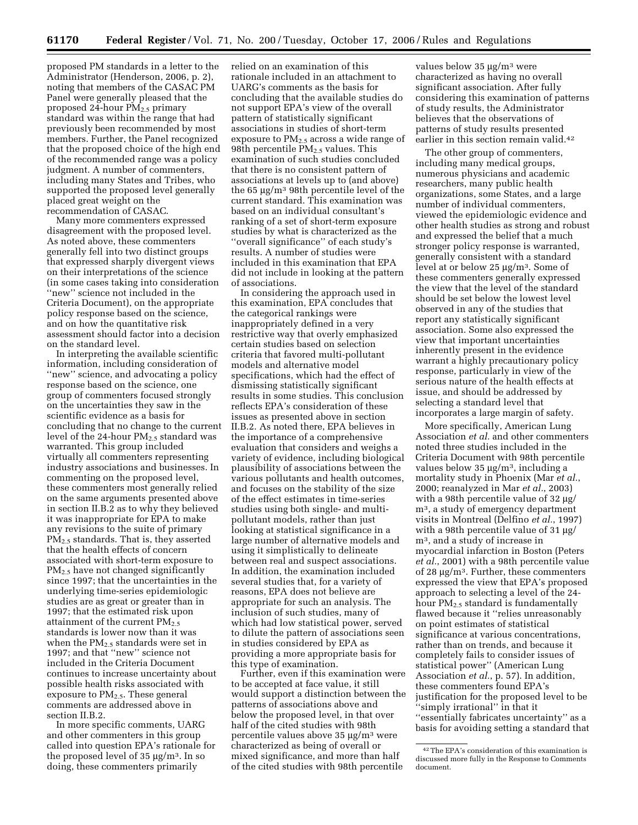proposed PM standards in a letter to the Administrator (Henderson, 2006, p. 2), noting that members of the CASAC PM Panel were generally pleased that the proposed 24-hour  $PM_{2.5}$  primary standard was within the range that had previously been recommended by most members. Further, the Panel recognized that the proposed choice of the high end of the recommended range was a policy judgment. A number of commenters, including many States and Tribes, who supported the proposed level generally placed great weight on the recommendation of CASAC.

Many more commenters expressed disagreement with the proposed level. As noted above, these commenters generally fell into two distinct groups that expressed sharply divergent views on their interpretations of the science (in some cases taking into consideration ''new'' science not included in the Criteria Document), on the appropriate policy response based on the science, and on how the quantitative risk assessment should factor into a decision on the standard level.

In interpreting the available scientific information, including consideration of ''new'' science, and advocating a policy response based on the science, one group of commenters focused strongly on the uncertainties they saw in the scientific evidence as a basis for concluding that no change to the current level of the 24-hour  $PM_{2.5}$  standard was warranted. This group included virtually all commenters representing industry associations and businesses. In commenting on the proposed level, these commenters most generally relied on the same arguments presented above in section II.B.2 as to why they believed it was inappropriate for EPA to make any revisions to the suite of primary PM<sub>2.5</sub> standards. That is, they asserted that the health effects of concern associated with short-term exposure to PM2.5 have not changed significantly since 1997; that the uncertainties in the underlying time-series epidemiologic studies are as great or greater than in 1997; that the estimated risk upon attainment of the current PM<sub>2.5</sub> standards is lower now than it was when the  $PM_{2.5}$  standards were set in 1997; and that ''new'' science not included in the Criteria Document continues to increase uncertainty about possible health risks associated with exposure to  $PM_{2.5}$ . These general comments are addressed above in section II.B.2.

In more specific comments, UARG and other commenters in this group called into question EPA's rationale for the proposed level of  $35 \mu g/m^3$ . In so doing, these commenters primarily

relied on an examination of this rationale included in an attachment to UARG's comments as the basis for concluding that the available studies do not support EPA's view of the overall pattern of statistically significant associations in studies of short-term exposure to  $PM_{2,5}$  across a wide range of 98th percentile  $PM_{2.5}$  values. This examination of such studies concluded that there is no consistent pattern of associations at levels up to (and above) the 65 µg/m3 98th percentile level of the current standard. This examination was based on an individual consultant's ranking of a set of short-term exposure studies by what is characterized as the ''overall significance'' of each study's results. A number of studies were included in this examination that EPA did not include in looking at the pattern of associations.

In considering the approach used in this examination, EPA concludes that the categorical rankings were inappropriately defined in a very restrictive way that overly emphasized certain studies based on selection criteria that favored multi-pollutant models and alternative model specifications, which had the effect of dismissing statistically significant results in some studies. This conclusion reflects EPA's consideration of these issues as presented above in section II.B.2. As noted there, EPA believes in the importance of a comprehensive evaluation that considers and weighs a variety of evidence, including biological plausibility of associations between the various pollutants and health outcomes, and focuses on the stability of the size of the effect estimates in time-series studies using both single- and multipollutant models, rather than just looking at statistical significance in a large number of alternative models and using it simplistically to delineate between real and suspect associations. In addition, the examination included several studies that, for a variety of reasons, EPA does not believe are appropriate for such an analysis. The inclusion of such studies, many of which had low statistical power, served to dilute the pattern of associations seen in studies considered by EPA as providing a more appropriate basis for this type of examination.

Further, even if this examination were to be accepted at face value, it still would support a distinction between the patterns of associations above and below the proposed level, in that over half of the cited studies with 98th percentile values above 35 µg/m3 were characterized as being of overall or mixed significance, and more than half of the cited studies with 98th percentile

values below 35 µg/m<sup>3</sup> were characterized as having no overall significant association. After fully considering this examination of patterns of study results, the Administrator believes that the observations of patterns of study results presented earlier in this section remain valid.42

The other group of commenters, including many medical groups, numerous physicians and academic researchers, many public health organizations, some States, and a large number of individual commenters, viewed the epidemiologic evidence and other health studies as strong and robust and expressed the belief that a much stronger policy response is warranted, generally consistent with a standard level at or below 25 µg/m3. Some of these commenters generally expressed the view that the level of the standard should be set below the lowest level observed in any of the studies that report any statistically significant association. Some also expressed the view that important uncertainties inherently present in the evidence warrant a highly precautionary policy response, particularly in view of the serious nature of the health effects at issue, and should be addressed by selecting a standard level that incorporates a large margin of safety.

More specifically, American Lung Association *et al.* and other commenters noted three studies included in the Criteria Document with 98th percentile values below  $35 \mu g/m^3$ , including a mortality study in Phoenix (Mar *et al.*, 2000; reanalyzed in Mar *et al.*, 2003) with a 98th percentile value of 32 µg/ m3, a study of emergency department visits in Montreal (Delfino *et al.*, 1997) with a 98th percentile value of 31  $\mu$ g/ m3, and a study of increase in myocardial infarction in Boston (Peters *et al.*, 2001) with a 98th percentile value of 28 µg/m3. Further, these commenters expressed the view that EPA's proposed approach to selecting a level of the 24 hour  $PM_{2.5}$  standard is fundamentally flawed because it ''relies unreasonably on point estimates of statistical significance at various concentrations, rather than on trends, and because it completely fails to consider issues of statistical power'' (American Lung Association *et al.*, p. 57). In addition, these commenters found EPA's justification for the proposed level to be ''simply irrational'' in that it ''essentially fabricates uncertainty'' as a basis for avoiding setting a standard that

<sup>42</sup>The EPA's consideration of this examination is discussed more fully in the Response to Comments document.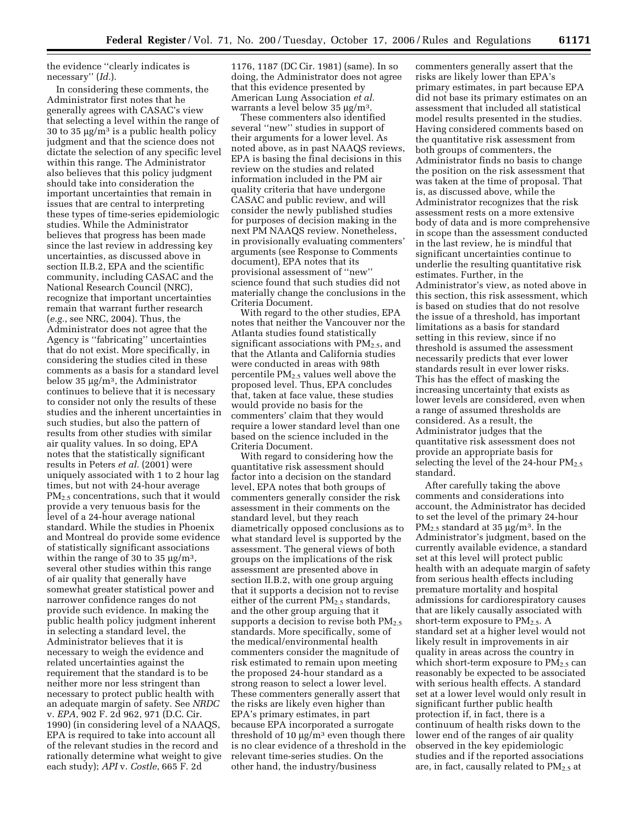the evidence ''clearly indicates is necessary'' (*Id.*).

In considering these comments, the Administrator first notes that he generally agrees with CASAC's view that selecting a level within the range of 30 to 35  $\mu$ g/m<sup>3</sup> is a public health policy judgment and that the science does not dictate the selection of any specific level within this range. The Administrator also believes that this policy judgment should take into consideration the important uncertainties that remain in issues that are central to interpreting these types of time-series epidemiologic studies. While the Administrator believes that progress has been made since the last review in addressing key uncertainties, as discussed above in section II.B.2, EPA and the scientific community, including CASAC and the National Research Council (NRC), recognize that important uncertainties remain that warrant further research (*e.g.*, see NRC, 2004). Thus, the Administrator does not agree that the Agency is ''fabricating'' uncertainties that do not exist. More specifically, in considering the studies cited in these comments as a basis for a standard level below 35 µg/m3, the Administrator continues to believe that it is necessary to consider not only the results of these studies and the inherent uncertainties in such studies, but also the pattern of results from other studies with similar air quality values. In so doing, EPA notes that the statistically significant results in Peters *et al.* (2001) were uniquely associated with 1 to 2 hour lag times, but not with 24-hour average PM<sub>2.5</sub> concentrations, such that it would provide a very tenuous basis for the level of a 24-hour average national standard. While the studies in Phoenix and Montreal do provide some evidence of statistically significant associations within the range of 30 to 35  $\mu$ g/m<sup>3</sup>, several other studies within this range of air quality that generally have somewhat greater statistical power and narrower confidence ranges do not provide such evidence. In making the public health policy judgment inherent in selecting a standard level, the Administrator believes that it is necessary to weigh the evidence and related uncertainties against the requirement that the standard is to be neither more nor less stringent than necessary to protect public health with an adequate margin of safety. See *NRDC*  v. *EPA*, 902 F. 2d 962, 971 (D.C. Cir. 1990) (in considering level of a NAAQS, EPA is required to take into account all of the relevant studies in the record and rationally determine what weight to give each study); *API* v. *Costle*, 665 F. 2d

1176, 1187 (DC Cir. 1981) (same). In so doing, the Administrator does not agree that this evidence presented by American Lung Association *et al.*  warrants a level below 35 µg/m<sup>3</sup>.

These commenters also identified several ''new'' studies in support of their arguments for a lower level. As noted above, as in past NAAQS reviews, EPA is basing the final decisions in this review on the studies and related information included in the PM air quality criteria that have undergone CASAC and public review, and will consider the newly published studies for purposes of decision making in the next PM NAAQS review. Nonetheless, in provisionally evaluating commenters' arguments (see Response to Comments document), EPA notes that its provisional assessment of ''new'' science found that such studies did not materially change the conclusions in the Criteria Document.

With regard to the other studies, EPA notes that neither the Vancouver nor the Atlanta studies found statistically significant associations with  $PM<sub>2.5</sub>$ , and that the Atlanta and California studies were conducted in areas with 98th percentile PM2.5 values well above the proposed level. Thus, EPA concludes that, taken at face value, these studies would provide no basis for the commenters' claim that they would require a lower standard level than one based on the science included in the Criteria Document.

With regard to considering how the quantitative risk assessment should factor into a decision on the standard level, EPA notes that both groups of commenters generally consider the risk assessment in their comments on the standard level, but they reach diametrically opposed conclusions as to what standard level is supported by the assessment. The general views of both groups on the implications of the risk assessment are presented above in section II.B.2, with one group arguing that it supports a decision not to revise either of the current  $PM_{2.5}$  standards, and the other group arguing that it supports a decision to revise both  $PM_{2.5}$ standards. More specifically, some of the medical/environmental health commenters consider the magnitude of risk estimated to remain upon meeting the proposed 24-hour standard as a strong reason to select a lower level. These commenters generally assert that the risks are likely even higher than EPA's primary estimates, in part because EPA incorporated a surrogate threshold of 10  $\mu$ g/m<sup>3</sup> even though there is no clear evidence of a threshold in the relevant time-series studies. On the other hand, the industry/business

commenters generally assert that the risks are likely lower than EPA's primary estimates, in part because EPA did not base its primary estimates on an assessment that included all statistical model results presented in the studies. Having considered comments based on the quantitative risk assessment from both groups of commenters, the Administrator finds no basis to change the position on the risk assessment that was taken at the time of proposal. That is, as discussed above, while the Administrator recognizes that the risk assessment rests on a more extensive body of data and is more comprehensive in scope than the assessment conducted in the last review, he is mindful that significant uncertainties continue to underlie the resulting quantitative risk estimates. Further, in the Administrator's view, as noted above in this section, this risk assessment, which is based on studies that do not resolve the issue of a threshold, has important limitations as a basis for standard setting in this review, since if no threshold is assumed the assessment necessarily predicts that ever lower standards result in ever lower risks. This has the effect of masking the increasing uncertainty that exists as lower levels are considered, even when a range of assumed thresholds are considered. As a result, the Administrator judges that the quantitative risk assessment does not provide an appropriate basis for selecting the level of the 24-hour  $PM_{2.5}$ standard.

After carefully taking the above comments and considerations into account, the Administrator has decided to set the level of the primary 24-hour  $PM_{2.5}$  standard at 35  $\mu$ g/m<sup>3</sup>. In the Administrator's judgment, based on the currently available evidence, a standard set at this level will protect public health with an adequate margin of safety from serious health effects including premature mortality and hospital admissions for cardiorespiratory causes that are likely causally associated with short-term exposure to  $PM_{2.5}$ . A standard set at a higher level would not likely result in improvements in air quality in areas across the country in which short-term exposure to  $PM_{2.5}$  can reasonably be expected to be associated with serious health effects. A standard set at a lower level would only result in significant further public health protection if, in fact, there is a continuum of health risks down to the lower end of the ranges of air quality observed in the key epidemiologic studies and if the reported associations are, in fact, causally related to  $PM<sub>2.5</sub>$  at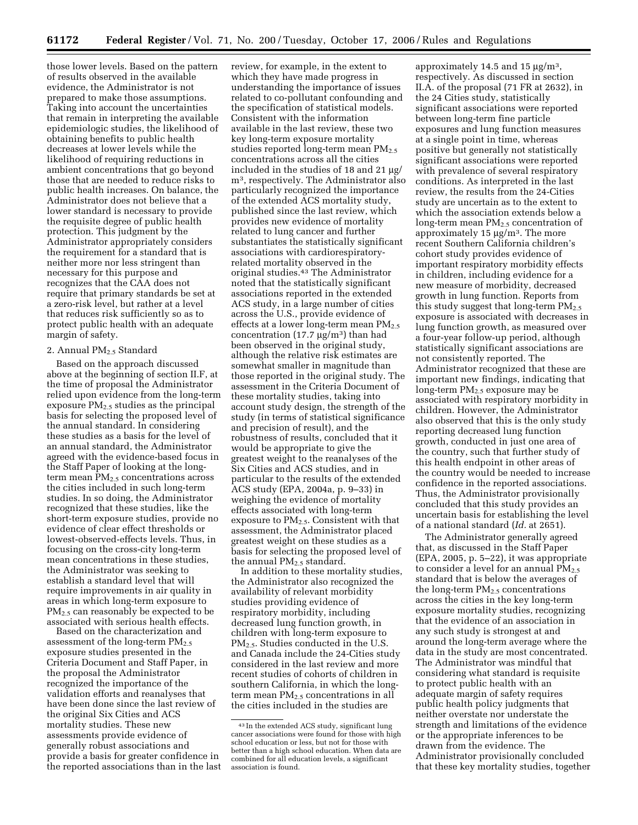those lower levels. Based on the pattern of results observed in the available evidence, the Administrator is not prepared to make those assumptions. Taking into account the uncertainties that remain in interpreting the available epidemiologic studies, the likelihood of obtaining benefits to public health decreases at lower levels while the likelihood of requiring reductions in ambient concentrations that go beyond those that are needed to reduce risks to public health increases. On balance, the Administrator does not believe that a lower standard is necessary to provide the requisite degree of public health protection. This judgment by the Administrator appropriately considers the requirement for a standard that is neither more nor less stringent than necessary for this purpose and recognizes that the CAA does not require that primary standards be set at a zero-risk level, but rather at a level that reduces risk sufficiently so as to protect public health with an adequate margin of safety.

# 2. Annual PM2.5 Standard

Based on the approach discussed above at the beginning of section II.F, at the time of proposal the Administrator relied upon evidence from the long-term exposure PM2.5 studies as the principal basis for selecting the proposed level of the annual standard. In considering these studies as a basis for the level of an annual standard, the Administrator agreed with the evidence-based focus in the Staff Paper of looking at the longterm mean  $PM<sub>2.5</sub>$  concentrations across the cities included in such long-term studies. In so doing, the Administrator recognized that these studies, like the short-term exposure studies, provide no evidence of clear effect thresholds or lowest-observed-effects levels. Thus, in focusing on the cross-city long-term mean concentrations in these studies, the Administrator was seeking to establish a standard level that will require improvements in air quality in areas in which long-term exposure to PM<sub>2.5</sub> can reasonably be expected to be associated with serious health effects.

Based on the characterization and assessment of the long-term PM2.5 exposure studies presented in the Criteria Document and Staff Paper, in the proposal the Administrator recognized the importance of the validation efforts and reanalyses that have been done since the last review of the original Six Cities and ACS mortality studies. These new assessments provide evidence of generally robust associations and provide a basis for greater confidence in the reported associations than in the last

review, for example, in the extent to which they have made progress in understanding the importance of issues related to co-pollutant confounding and the specification of statistical models. Consistent with the information available in the last review, these two key long-term exposure mortality studies reported long-term mean  $PM_{2.5}$ concentrations across all the cities included in the studies of 18 and 21 µg/ m3, respectively. The Administrator also particularly recognized the importance of the extended ACS mortality study, published since the last review, which provides new evidence of mortality related to lung cancer and further substantiates the statistically significant associations with cardiorespiratoryrelated mortality observed in the original studies.43 The Administrator noted that the statistically significant associations reported in the extended ACS study, in a large number of cities across the U.S., provide evidence of effects at a lower long-term mean PM<sub>2.5</sub> concentration (17.7  $\mu$ g/m<sup>3</sup>) than had been observed in the original study, although the relative risk estimates are somewhat smaller in magnitude than those reported in the original study. The assessment in the Criteria Document of these mortality studies, taking into account study design, the strength of the study (in terms of statistical significance and precision of result), and the robustness of results, concluded that it would be appropriate to give the greatest weight to the reanalyses of the Six Cities and ACS studies, and in particular to the results of the extended ACS study (EPA, 2004a, p. 9–33) in weighing the evidence of mortality effects associated with long-term exposure to PM2.5. Consistent with that assessment, the Administrator placed greatest weight on these studies as a basis for selecting the proposed level of the annual  $PM<sub>2.5</sub>$  standard.

In addition to these mortality studies, the Administrator also recognized the availability of relevant morbidity studies providing evidence of respiratory morbidity, including decreased lung function growth, in children with long-term exposure to  $PM<sub>2</sub>$ , Studies conducted in the U.S. and Canada include the 24-Cities study considered in the last review and more recent studies of cohorts of children in southern California, in which the longterm mean  $PM_{2.5}$  concentrations in all the cities included in the studies are

approximately 14.5 and 15  $\mu$ g/m<sup>3</sup>, respectively. As discussed in section II.A. of the proposal (71 FR at 2632), in the 24 Cities study, statistically significant associations were reported between long-term fine particle exposures and lung function measures at a single point in time, whereas positive but generally not statistically significant associations were reported with prevalence of several respiratory conditions. As interpreted in the last review, the results from the 24-Cities study are uncertain as to the extent to which the association extends below a long-term mean PM<sub>2.5</sub> concentration of approximately  $15 \mu g/m^3$ . The more recent Southern California children's cohort study provides evidence of important respiratory morbidity effects in children, including evidence for a new measure of morbidity, decreased growth in lung function. Reports from this study suggest that long-term  $PM_{2.5}$ exposure is associated with decreases in lung function growth, as measured over a four-year follow-up period, although statistically significant associations are not consistently reported. The Administrator recognized that these are important new findings, indicating that long-term  $PM_{2.5}$  exposure may be associated with respiratory morbidity in children. However, the Administrator also observed that this is the only study reporting decreased lung function growth, conducted in just one area of the country, such that further study of this health endpoint in other areas of the country would be needed to increase confidence in the reported associations. Thus, the Administrator provisionally concluded that this study provides an uncertain basis for establishing the level of a national standard (*Id.* at 2651).

The Administrator generally agreed that, as discussed in the Staff Paper (EPA, 2005, p. 5–22), it was appropriate to consider a level for an annual  $PM_{2.5}$ standard that is below the averages of the long-term  $PM<sub>2.5</sub>$  concentrations across the cities in the key long-term exposure mortality studies, recognizing that the evidence of an association in any such study is strongest at and around the long-term average where the data in the study are most concentrated. The Administrator was mindful that considering what standard is requisite to protect public health with an adequate margin of safety requires public health policy judgments that neither overstate nor understate the strength and limitations of the evidence or the appropriate inferences to be drawn from the evidence. The Administrator provisionally concluded that these key mortality studies, together

<sup>43</sup> In the extended ACS study, significant lung cancer associations were found for those with high school education or less, but not for those with better than a high school education. When data are combined for all education levels, a significant association is found.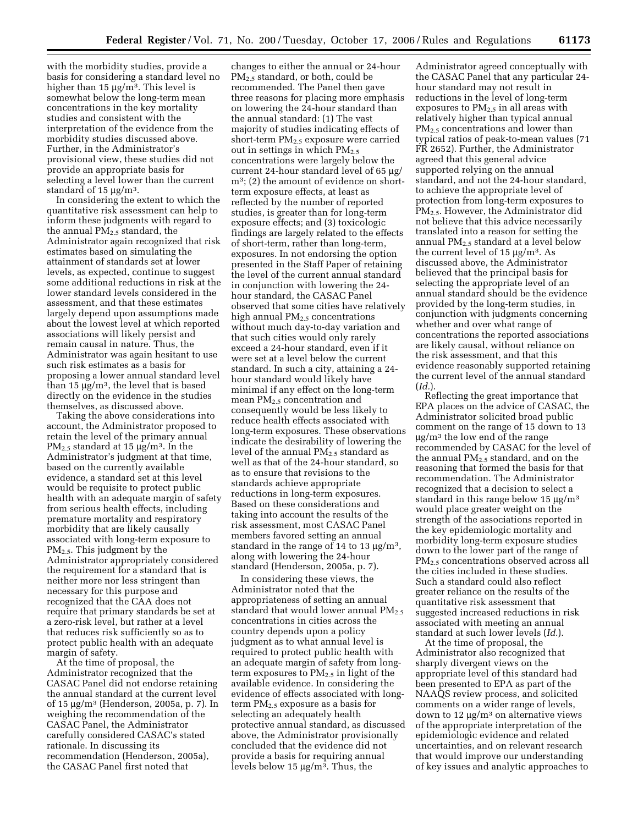with the morbidity studies, provide a basis for considering a standard level no higher than 15  $\mu$ g/m<sup>3</sup>. This level is somewhat below the long-term mean concentrations in the key mortality studies and consistent with the interpretation of the evidence from the morbidity studies discussed above. Further, in the Administrator's provisional view, these studies did not provide an appropriate basis for selecting a level lower than the current standard of 15 µg/m<sup>3</sup>.

In considering the extent to which the quantitative risk assessment can help to inform these judgments with regard to the annual  $PM_{2.5}$  standard, the Administrator again recognized that risk estimates based on simulating the attainment of standards set at lower levels, as expected, continue to suggest some additional reductions in risk at the lower standard levels considered in the assessment, and that these estimates largely depend upon assumptions made about the lowest level at which reported associations will likely persist and remain causal in nature. Thus, the Administrator was again hesitant to use such risk estimates as a basis for proposing a lower annual standard level than 15  $\mu$ g/m<sup>3</sup>, the level that is based directly on the evidence in the studies themselves, as discussed above.

Taking the above considerations into account, the Administrator proposed to retain the level of the primary annual  $PM_{2.5}$  standard at 15  $\mu$ g/m<sup>3</sup>. In the Administrator's judgment at that time, based on the currently available evidence, a standard set at this level would be requisite to protect public health with an adequate margin of safety from serious health effects, including premature mortality and respiratory morbidity that are likely causally associated with long-term exposure to PM2.5. This judgment by the Administrator appropriately considered the requirement for a standard that is neither more nor less stringent than necessary for this purpose and recognized that the CAA does not require that primary standards be set at a zero-risk level, but rather at a level that reduces risk sufficiently so as to protect public health with an adequate margin of safety.

At the time of proposal, the Administrator recognized that the CASAC Panel did not endorse retaining the annual standard at the current level of 15 µg/m3 (Henderson, 2005a, p. 7). In weighing the recommendation of the CASAC Panel, the Administrator carefully considered CASAC's stated rationale. In discussing its recommendation (Henderson, 2005a), the CASAC Panel first noted that

changes to either the annual or 24-hour PM<sub>2.5</sub> standard, or both, could be recommended. The Panel then gave three reasons for placing more emphasis on lowering the 24-hour standard than the annual standard: (1) The vast majority of studies indicating effects of short-term  $PM_{2,5}$  exposure were carried out in settings in which  $PM_{2.5}$ concentrations were largely below the current 24-hour standard level of 65 µg/ m3; (2) the amount of evidence on shortterm exposure effects, at least as reflected by the number of reported studies, is greater than for long-term exposure effects; and (3) toxicologic findings are largely related to the effects of short-term, rather than long-term, exposures. In not endorsing the option presented in the Staff Paper of retaining the level of the current annual standard in conjunction with lowering the 24 hour standard, the CASAC Panel observed that some cities have relatively high annual PM<sub>2.5</sub> concentrations without much day-to-day variation and that such cities would only rarely exceed a 24-hour standard, even if it were set at a level below the current standard. In such a city, attaining a 24 hour standard would likely have minimal if any effect on the long-term mean PM2.5 concentration and consequently would be less likely to reduce health effects associated with long-term exposures. These observations indicate the desirability of lowering the level of the annual  $PM_{2.5}$  standard as well as that of the 24-hour standard, so as to ensure that revisions to the standards achieve appropriate reductions in long-term exposures. Based on these considerations and taking into account the results of the risk assessment, most CASAC Panel members favored setting an annual standard in the range of 14 to 13  $\mu$ g/m<sup>3</sup>, along with lowering the 24-hour standard (Henderson, 2005a, p. 7).

In considering these views, the Administrator noted that the appropriateness of setting an annual standard that would lower annual  $PM_{2.5}$ concentrations in cities across the country depends upon a policy judgment as to what annual level is required to protect public health with an adequate margin of safety from longterm exposures to  $PM_{2.5}$  in light of the available evidence. In considering the evidence of effects associated with longterm PM2.5 exposure as a basis for selecting an adequately health protective annual standard, as discussed above, the Administrator provisionally concluded that the evidence did not provide a basis for requiring annual levels below 15  $\mu$ g/m<sup>3</sup>. Thus, the

Administrator agreed conceptually with the CASAC Panel that any particular 24 hour standard may not result in reductions in the level of long-term exposures to PM2.5 in all areas with relatively higher than typical annual PM<sub>2.5</sub> concentrations and lower than typical ratios of peak-to-mean values (71 FR 2652). Further, the Administrator agreed that this general advice supported relying on the annual standard, and not the 24-hour standard, to achieve the appropriate level of protection from long-term exposures to PM2.5. However, the Administrator did not believe that this advice necessarily translated into a reason for setting the annual  $PM_{2.5}$  standard at a level below the current level of  $15 \mu g/m^3$ . As discussed above, the Administrator believed that the principal basis for selecting the appropriate level of an annual standard should be the evidence provided by the long-term studies, in conjunction with judgments concerning whether and over what range of concentrations the reported associations are likely causal, without reliance on the risk assessment, and that this evidence reasonably supported retaining the current level of the annual standard (*Id.*).

Reflecting the great importance that EPA places on the advice of CASAC, the Administrator solicited broad public comment on the range of 15 down to 13  $\mu$ g/m<sup>3</sup> the low end of the range recommended by CASAC for the level of the annual  $PM_{2.5}$  standard, and on the reasoning that formed the basis for that recommendation. The Administrator recognized that a decision to select a standard in this range below 15  $\mu$ g/m<sup>3</sup> would place greater weight on the strength of the associations reported in the key epidemiologic mortality and morbidity long-term exposure studies down to the lower part of the range of PM2.5 concentrations observed across all the cities included in these studies. Such a standard could also reflect greater reliance on the results of the quantitative risk assessment that suggested increased reductions in risk associated with meeting an annual standard at such lower levels (*Id.*).

At the time of proposal, the Administrator also recognized that sharply divergent views on the appropriate level of this standard had been presented to EPA as part of the NAAQS review process, and solicited comments on a wider range of levels, down to  $12 \mu g/m^3$  on alternative views of the appropriate interpretation of the epidemiologic evidence and related uncertainties, and on relevant research that would improve our understanding of key issues and analytic approaches to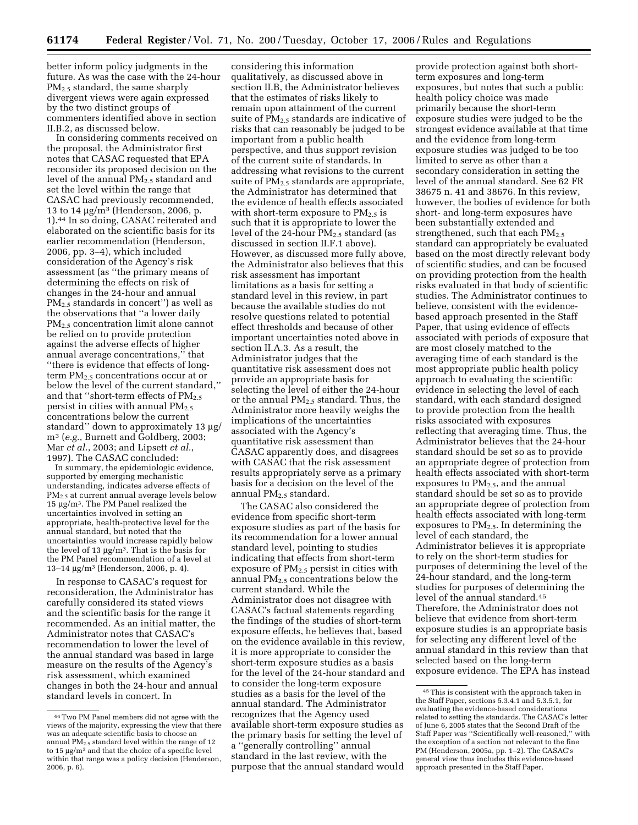better inform policy judgments in the future. As was the case with the 24-hour PM<sub>2.5</sub> standard, the same sharply divergent views were again expressed by the two distinct groups of commenters identified above in section II.B.2, as discussed below.

In considering comments received on the proposal, the Administrator first notes that CASAC requested that EPA reconsider its proposed decision on the level of the annual  $PM_{2.5}$  standard and set the level within the range that CASAC had previously recommended, 13 to 14  $\mu$ g/m<sup>3</sup> (Henderson, 2006, p. 1).44 In so doing, CASAC reiterated and elaborated on the scientific basis for its earlier recommendation (Henderson, 2006, pp. 3–4), which included consideration of the Agency's risk assessment (as ''the primary means of determining the effects on risk of changes in the 24-hour and annual PM2.5 standards in concert'') as well as the observations that ''a lower daily PM<sub>2.5</sub> concentration limit alone cannot be relied on to provide protection against the adverse effects of higher annual average concentrations,'' that ''there is evidence that effects of longterm PM<sub>2.5</sub> concentrations occur at or below the level of the current standard,'' and that "short-term effects of  $PM_{2.5}$ persist in cities with annual  $PM_{2.5}$ concentrations below the current standard'' down to approximately 13 µg/ m3 (*e.g.*, Burnett and Goldberg, 2003; Mar *et al.*, 2003; and Lipsett *et al.*, 1997). The CASAC concluded:

In summary, the epidemiologic evidence, supported by emerging mechanistic understanding, indicates adverse effects of PM<sub>2.5</sub> at current annual average levels below 15 µg/m3. The PM Panel realized the uncertainties involved in setting an appropriate, health-protective level for the annual standard, but noted that the uncertainties would increase rapidly below the level of 13 µg/m3. That is the basis for the PM Panel recommendation of a level at 13–14 µg/m3 (Henderson, 2006, p. 4).

In response to CASAC's request for reconsideration, the Administrator has carefully considered its stated views and the scientific basis for the range it recommended. As an initial matter, the Administrator notes that CASAC's recommendation to lower the level of the annual standard was based in large measure on the results of the Agency's risk assessment, which examined changes in both the 24-hour and annual standard levels in concert. In

considering this information qualitatively, as discussed above in section II.B, the Administrator believes that the estimates of risks likely to remain upon attainment of the current suite of  $PM_{2.5}$  standards are indicative of risks that can reasonably be judged to be important from a public health perspective, and thus support revision of the current suite of standards. In addressing what revisions to the current suite of  $PM_{2.5}$  standards are appropriate, the Administrator has determined that the evidence of health effects associated with short-term exposure to  $PM_{2.5}$  is such that it is appropriate to lower the level of the 24-hour  $PM_{2,5}$  standard (as discussed in section II.F.1 above). However, as discussed more fully above, the Administrator also believes that this risk assessment has important limitations as a basis for setting a standard level in this review, in part because the available studies do not resolve questions related to potential effect thresholds and because of other important uncertainties noted above in section II.A.3. As a result, the Administrator judges that the quantitative risk assessment does not provide an appropriate basis for selecting the level of either the 24-hour or the annual  $PM_{2.5}$  standard. Thus, the Administrator more heavily weighs the implications of the uncertainties associated with the Agency's quantitative risk assessment than CASAC apparently does, and disagrees with CASAC that the risk assessment results appropriately serve as a primary basis for a decision on the level of the annual PM<sub>2.5</sub> standard.

The CASAC also considered the evidence from specific short-term exposure studies as part of the basis for its recommendation for a lower annual standard level, pointing to studies indicating that effects from short-term exposure of  $PM_{2,5}$  persist in cities with annual PM2.5 concentrations below the current standard. While the Administrator does not disagree with CASAC's factual statements regarding the findings of the studies of short-term exposure effects, he believes that, based on the evidence available in this review, it is more appropriate to consider the short-term exposure studies as a basis for the level of the 24-hour standard and to consider the long-term exposure studies as a basis for the level of the annual standard. The Administrator recognizes that the Agency used available short-term exposure studies as the primary basis for setting the level of a ''generally controlling'' annual standard in the last review, with the purpose that the annual standard would

provide protection against both shortterm exposures and long-term exposures, but notes that such a public health policy choice was made primarily because the short-term exposure studies were judged to be the strongest evidence available at that time and the evidence from long-term exposure studies was judged to be too limited to serve as other than a secondary consideration in setting the level of the annual standard. See 62 FR 38675 n. 41 and 38676. In this review, however, the bodies of evidence for both short- and long-term exposures have been substantially extended and strengthened, such that each  $PM_{2.5}$ standard can appropriately be evaluated based on the most directly relevant body of scientific studies, and can be focused on providing protection from the health risks evaluated in that body of scientific studies. The Administrator continues to believe, consistent with the evidencebased approach presented in the Staff Paper, that using evidence of effects associated with periods of exposure that are most closely matched to the averaging time of each standard is the most appropriate public health policy approach to evaluating the scientific evidence in selecting the level of each standard, with each standard designed to provide protection from the health risks associated with exposures reflecting that averaging time. Thus, the Administrator believes that the 24-hour standard should be set so as to provide an appropriate degree of protection from health effects associated with short-term exposures to  $PM_{2.5}$ , and the annual standard should be set so as to provide an appropriate degree of protection from health effects associated with long-term exposures to  $PM_{2.5}$ . In determining the level of each standard, the Administrator believes it is appropriate to rely on the short-term studies for purposes of determining the level of the 24-hour standard, and the long-term studies for purposes of determining the level of the annual standard.45 Therefore, the Administrator does not believe that evidence from short-term exposure studies is an appropriate basis for selecting any different level of the annual standard in this review than that selected based on the long-term exposure evidence. The EPA has instead

<sup>44</sup>Two PM Panel members did not agree with the views of the majority, expressing the view that there was an adequate scientific basis to choose an annual  $PM_{2.5}$  standard level within the range of 12 to 15 µg/m3 and that the choice of a specific level within that range was a policy decision (Henderson, 2006, p. 6).

<sup>45</sup>This is consistent with the approach taken in the Staff Paper, sections 5.3.4.1 and 5.3.5.1, for evaluating the evidence-based considerations related to setting the standards. The CASAC's letter of June 6, 2005 states that the Second Draft of the Staff Paper was ''Scientifically well-reasoned,'' with the exception of a section not relevant to the fine PM (Henderson, 2005a, pp. 1–2). The CASAC's general view thus includes this evidence-based approach presented in the Staff Paper.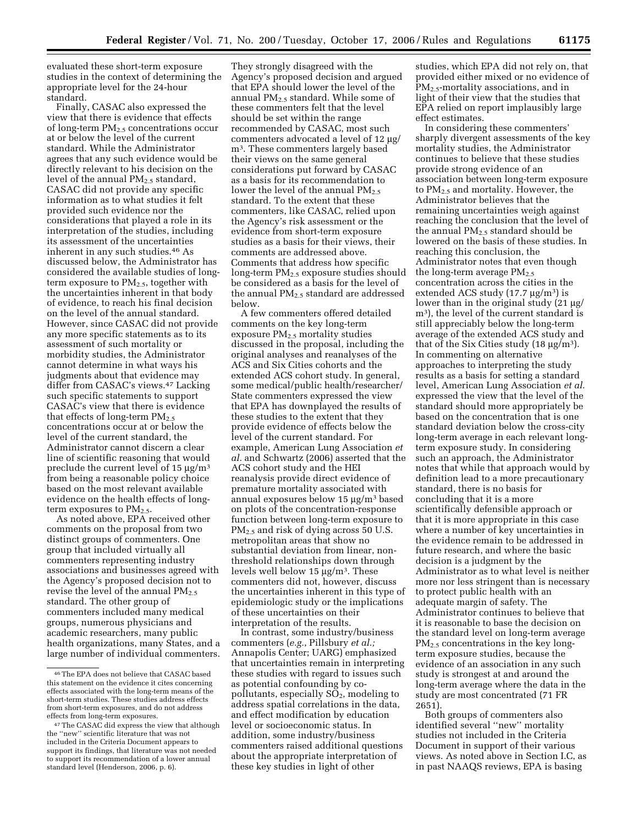evaluated these short-term exposure studies in the context of determining the appropriate level for the 24-hour standard.

Finally, CASAC also expressed the view that there is evidence that effects of long-term  $PM_{2.5}$  concentrations occur at or below the level of the current standard. While the Administrator agrees that any such evidence would be directly relevant to his decision on the level of the annual  $PM_{2.5}$  standard, CASAC did not provide any specific information as to what studies it felt provided such evidence nor the considerations that played a role in its interpretation of the studies, including its assessment of the uncertainties inherent in any such studies.46 As discussed below, the Administrator has considered the available studies of longterm exposure to  $PM_{2.5}$ , together with the uncertainties inherent in that body of evidence, to reach his final decision on the level of the annual standard. However, since CASAC did not provide any more specific statements as to its assessment of such mortality or morbidity studies, the Administrator cannot determine in what ways his judgments about that evidence may differ from CASAC's views.47 Lacking such specific statements to support CASAC's view that there is evidence that effects of long-term  $PM_{2.5}$ concentrations occur at or below the level of the current standard, the Administrator cannot discern a clear line of scientific reasoning that would preclude the current level of 15  $\mu$ g/m<sup>3</sup> from being a reasonable policy choice based on the most relevant available evidence on the health effects of longterm exposures to  $PM_{2.5}$ .

As noted above, EPA received other comments on the proposal from two distinct groups of commenters. One group that included virtually all commenters representing industry associations and businesses agreed with the Agency's proposed decision not to revise the level of the annual  $PM_{2.5}$ standard. The other group of commenters included many medical groups, numerous physicians and academic researchers, many public health organizations, many States, and a large number of individual commenters.

They strongly disagreed with the Agency's proposed decision and argued that EPA should lower the level of the annual  $PM_{2.5}$  standard. While some of these commenters felt that the level should be set within the range recommended by CASAC, most such commenters advocated a level of 12 µg/ m3. These commenters largely based their views on the same general considerations put forward by CASAC as a basis for its recommendation to lower the level of the annual  $PM_{2.5}$ standard. To the extent that these commenters, like CASAC, relied upon the Agency's risk assessment or the evidence from short-term exposure studies as a basis for their views, their comments are addressed above. Comments that address how specific long-term PM2.5 exposure studies should be considered as a basis for the level of the annual PM2.5 standard are addressed below.

A few commenters offered detailed comments on the key long-term exposure  $PM_{2.5}$  mortality studies discussed in the proposal, including the original analyses and reanalyses of the ACS and Six Cities cohorts and the extended ACS cohort study. In general, some medical/public health/researcher/ State commenters expressed the view that EPA has downplayed the results of these studies to the extent that they provide evidence of effects below the level of the current standard. For example, American Lung Association *et al.* and Schwartz (2006) asserted that the ACS cohort study and the HEI reanalysis provide direct evidence of premature mortality associated with annual exposures below 15 µg/m3 based on plots of the concentration-response function between long-term exposure to PM<sub>2.5</sub> and risk of dying across 50 U.S. metropolitan areas that show no substantial deviation from linear, nonthreshold relationships down through levels well below 15 µg/m3. These commenters did not, however, discuss the uncertainties inherent in this type of epidemiologic study or the implications of these uncertainties on their interpretation of the results.

In contrast, some industry/business commenters (*e.g.*, Pillsbury *et al.;*  Annapolis Center; UARG) emphasized that uncertainties remain in interpreting these studies with regard to issues such as potential confounding by copollutants, especially  $SO<sub>2</sub>$ , modeling to address spatial correlations in the data, and effect modification by education level or socioeconomic status. In addition, some industry/business commenters raised additional questions about the appropriate interpretation of these key studies in light of other

studies, which EPA did not rely on, that provided either mixed or no evidence of  $PM_{2.5}$ -mortality associations, and in light of their view that the studies that EPA relied on report implausibly large effect estimates.

In considering these commenters' sharply divergent assessments of the key mortality studies, the Administrator continues to believe that these studies provide strong evidence of an association between long-term exposure to PM2.5 and mortality. However, the Administrator believes that the remaining uncertainties weigh against reaching the conclusion that the level of the annual  $PM<sub>2</sub>$  standard should be lowered on the basis of these studies. In reaching this conclusion, the Administrator notes that even though the long-term average  $PM<sub>2.5</sub>$ concentration across the cities in the extended ACS study  $(17.7 \,\mathrm{\upmu g/m^3})$  is lower than in the original study (21 µg/ m3), the level of the current standard is still appreciably below the long-term average of the extended ACS study and that of the Six Cities study (18  $\mu$ g/m<sup>3</sup>). In commenting on alternative approaches to interpreting the study results as a basis for setting a standard level, American Lung Association *et al.*  expressed the view that the level of the standard should more appropriately be based on the concentration that is one standard deviation below the cross-city long-term average in each relevant longterm exposure study. In considering such an approach, the Administrator notes that while that approach would by definition lead to a more precautionary standard, there is no basis for concluding that it is a more scientifically defensible approach or that it is more appropriate in this case where a number of key uncertainties in the evidence remain to be addressed in future research, and where the basic decision is a judgment by the Administrator as to what level is neither more nor less stringent than is necessary to protect public health with an adequate margin of safety. The Administrator continues to believe that it is reasonable to base the decision on the standard level on long-term average  $PM<sub>2.5</sub> concentrations in the kev long$ term exposure studies, because the evidence of an association in any such study is strongest at and around the long-term average where the data in the study are most concentrated (71 FR 2651).

Both groups of commenters also identified several ''new'' mortality studies not included in the Criteria Document in support of their various views. As noted above in Section I.C, as in past NAAQS reviews, EPA is basing

<sup>46</sup>The EPA does not believe that CASAC based this statement on the evidence it cites concerning effects associated with the long-term means of the short-term studies. These studies address effects from short-term exposures, and do not address effects from long-term exposures.

<sup>47</sup>The CASAC did express the view that although the ''new'' scientific literature that was not included in the Criteria Document appears to support its findings, that literature was not needed to support its recommendation of a lower annual standard level (Henderson, 2006, p. 6).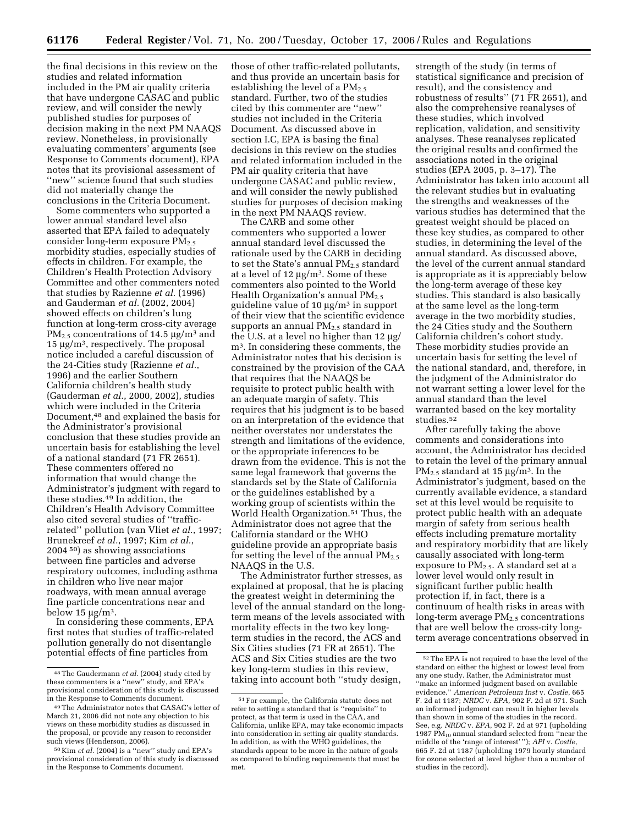the final decisions in this review on the studies and related information included in the PM air quality criteria that have undergone CASAC and public review, and will consider the newly published studies for purposes of decision making in the next PM NAAQS review. Nonetheless, in provisionally evaluating commenters' arguments (see Response to Comments document), EPA notes that its provisional assessment of "new" science found that such studies did not materially change the conclusions in the Criteria Document.

Some commenters who supported a lower annual standard level also asserted that EPA failed to adequately consider long-term exposure PM2.5 morbidity studies, especially studies of effects in children. For example, the Children's Health Protection Advisory Committee and other commenters noted that studies by Razienne *et al.* (1996) and Gauderman *et al.* (2002, 2004) showed effects on children's lung function at long-term cross-city average  $PM_{2.5}$  concentrations of 14.5  $\mu$ g/m<sup>3</sup> and  $15 \mu g/m^3$ , respectively. The proposal notice included a careful discussion of the 24-Cities study (Razienne *et al.*, 1996) and the earlier Southern California children's health study (Gauderman *et al.*, 2000, 2002), studies which were included in the Criteria Document,48 and explained the basis for the Administrator's provisional conclusion that these studies provide an uncertain basis for establishing the level of a national standard (71 FR 2651). These commenters offered no information that would change the Administrator's judgment with regard to these studies.49 In addition, the Children's Health Advisory Committee also cited several studies of ''trafficrelated'' pollution (van Vliet *et al.*, 1997; Brunekreef *et al.*, 1997; Kim *et al.*, 2004 50) as showing associations between fine particles and adverse respiratory outcomes, including asthma in children who live near major roadways, with mean annual average fine particle concentrations near and below 15  $\mu$ g/m<sup>3</sup>.

In considering these comments, EPA first notes that studies of traffic-related pollution generally do not disentangle potential effects of fine particles from

those of other traffic-related pollutants, and thus provide an uncertain basis for establishing the level of a  $PM_{2.5}$ standard. Further, two of the studies cited by this commenter are ''new'' studies not included in the Criteria Document. As discussed above in section I.C, EPA is basing the final decisions in this review on the studies and related information included in the PM air quality criteria that have undergone CASAC and public review, and will consider the newly published studies for purposes of decision making in the next PM NAAQS review.

The CARB and some other commenters who supported a lower annual standard level discussed the rationale used by the CARB in deciding to set the State's annual  $PM_{2.5}$  standard at a level of 12  $\mu$ g/m<sup>3</sup>. Some of these commenters also pointed to the World Health Organization's annual  $PM_{2.5}$ guideline value of 10  $\mu$ g/m<sup>3</sup> in support of their view that the scientific evidence supports an annual  $PM_{2.5}$  standard in the U.S. at a level no higher than 12 µg/ m3. In considering these comments, the Administrator notes that his decision is constrained by the provision of the CAA that requires that the NAAQS be requisite to protect public health with an adequate margin of safety. This requires that his judgment is to be based on an interpretation of the evidence that neither overstates nor understates the strength and limitations of the evidence, or the appropriate inferences to be drawn from the evidence. This is not the same legal framework that governs the standards set by the State of California or the guidelines established by a working group of scientists within the World Health Organization.51 Thus, the Administrator does not agree that the California standard or the WHO guideline provide an appropriate basis for setting the level of the annual  $PM_{2.5}$ NAAQS in the U.S.

The Administrator further stresses, as explained at proposal, that he is placing the greatest weight in determining the level of the annual standard on the longterm means of the levels associated with mortality effects in the two key longterm studies in the record, the ACS and Six Cities studies (71 FR at 2651). The ACS and Six Cities studies are the two key long-term studies in this review, taking into account both ''study design,

strength of the study (in terms of statistical significance and precision of result), and the consistency and robustness of results'' (71 FR 2651), and also the comprehensive reanalyses of these studies, which involved replication, validation, and sensitivity analyses. These reanalyses replicated the original results and confirmed the associations noted in the original studies (EPA 2005, p. 3–17). The Administrator has taken into account all the relevant studies but in evaluating the strengths and weaknesses of the various studies has determined that the greatest weight should be placed on these key studies, as compared to other studies, in determining the level of the annual standard. As discussed above, the level of the current annual standard is appropriate as it is appreciably below the long-term average of these key studies. This standard is also basically at the same level as the long-term average in the two morbidity studies, the 24 Cities study and the Southern California children's cohort study. These morbidity studies provide an uncertain basis for setting the level of the national standard, and, therefore, in the judgment of the Administrator do not warrant setting a lower level for the annual standard than the level warranted based on the key mortality studies.52

After carefully taking the above comments and considerations into account, the Administrator has decided to retain the level of the primary annual  $PM_{2.5}$  standard at 15  $\mu$ g/m<sup>3</sup>. In the Administrator's judgment, based on the currently available evidence, a standard set at this level would be requisite to protect public health with an adequate margin of safety from serious health effects including premature mortality and respiratory morbidity that are likely causally associated with long-term exposure to PM2.5. A standard set at a lower level would only result in significant further public health protection if, in fact, there is a continuum of health risks in areas with long-term average  $PM<sub>2.5</sub>$  concentrations that are well below the cross-city longterm average concentrations observed in

<sup>48</sup>The Gaudermann *et al.* (2004) study cited by these commenters is a ''new'' study, and EPA's provisional consideration of this study is discussed in the Response to Comments document.

<sup>49</sup>The Administrator notes that CASAC's letter of March 21, 2006 did not note any objection to his views on these morbidity studies as discussed in the proposal, or provide any reason to reconsider such views (Henderson, 2006).

<sup>50</sup> Kim *et al.* (2004) is a ''new'' study and EPA's provisional consideration of this study is discussed in the Response to Comments document.

<sup>51</sup>For example, the California statute does not refer to setting a standard that is ''requisite'' to protect, as that term is used in the CAA, and California, unlike EPA, may take economic impacts into consideration in setting air quality standards. In addition, as with the WHO guidelines, the standards appear to be more in the nature of goals as compared to binding requirements that must be met.

<sup>52</sup>The EPA is not required to base the level of the standard on either the highest or lowest level from any one study. Rather, the Administrator must ''make an informed judgment based on available evidence.'' *American Petroleum Inst* v. *Costle*, 665 F. 2d at 1187; *NRDC* v. *EPA,* 902 F. 2d at 971. Such an informed judgment can result in higher levels than shown in some of the studies in the record. See, e.g. *NRDC* v. *EPA*, 902 F. 2d at 971 (upholding 1987 PM<sub>10</sub> annual standard selected from "near the middle of the 'range of interest' ''); *API* v. *Costle*, 665 F. 2d at 1187 (upholding 1979 hourly standard for ozone selected at level higher than a number of studies in the record).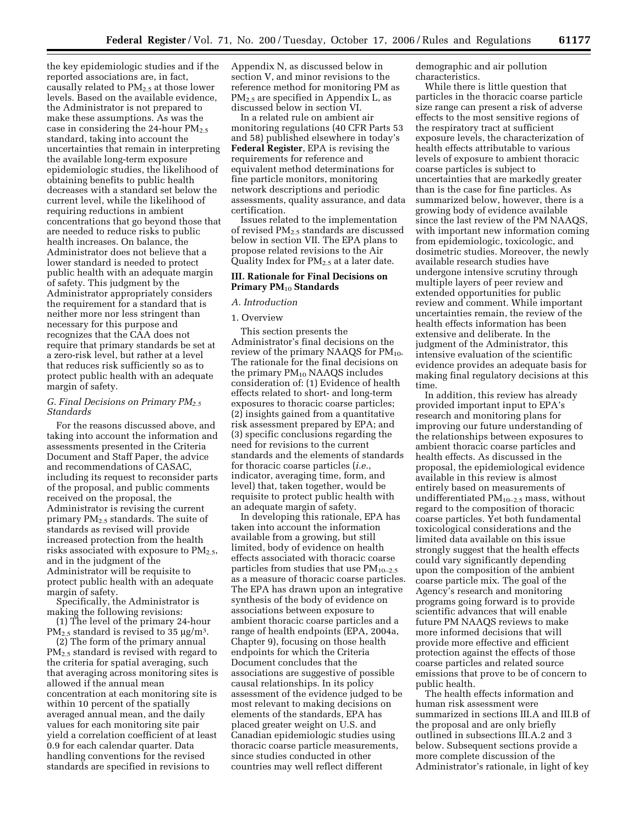the key epidemiologic studies and if the reported associations are, in fact, causally related to  $PM_{2.5}$  at those lower levels. Based on the available evidence, the Administrator is not prepared to make these assumptions. As was the case in considering the 24-hour  $PM_{2.5}$ standard, taking into account the uncertainties that remain in interpreting the available long-term exposure epidemiologic studies, the likelihood of obtaining benefits to public health decreases with a standard set below the current level, while the likelihood of requiring reductions in ambient concentrations that go beyond those that are needed to reduce risks to public health increases. On balance, the Administrator does not believe that a lower standard is needed to protect public health with an adequate margin of safety. This judgment by the Administrator appropriately considers the requirement for a standard that is neither more nor less stringent than necessary for this purpose and recognizes that the CAA does not require that primary standards be set at a zero-risk level, but rather at a level that reduces risk sufficiently so as to protect public health with an adequate margin of safety.

## *G. Final Decisions on Primary PM2.5 Standards*

For the reasons discussed above, and taking into account the information and assessments presented in the Criteria Document and Staff Paper, the advice and recommendations of CASAC, including its request to reconsider parts of the proposal, and public comments received on the proposal, the Administrator is revising the current primary PM<sub>2.5</sub> standards. The suite of standards as revised will provide increased protection from the health risks associated with exposure to  $PM_{2.5}$ , and in the judgment of the Administrator will be requisite to protect public health with an adequate margin of safety.

Specifically, the Administrator is making the following revisions:

(1) The level of the primary 24-hour  $PM_{2.5}$  standard is revised to 35  $\mu$ g/m<sup>3</sup>.

(2) The form of the primary annual PM<sub>2.5</sub> standard is revised with regard to the criteria for spatial averaging, such that averaging across monitoring sites is allowed if the annual mean concentration at each monitoring site is within 10 percent of the spatially averaged annual mean, and the daily values for each monitoring site pair yield a correlation coefficient of at least 0.9 for each calendar quarter. Data handling conventions for the revised standards are specified in revisions to

Appendix N, as discussed below in section V, and minor revisions to the reference method for monitoring PM as PM2.5 are specified in Appendix L, as discussed below in section VI.

In a related rule on ambient air monitoring regulations (40 CFR Parts 53 and 58) published elsewhere in today's **Federal Register**, EPA is revising the requirements for reference and equivalent method determinations for fine particle monitors, monitoring network descriptions and periodic assessments, quality assurance, and data certification.

Issues related to the implementation of revised PM2.5 standards are discussed below in section VII. The EPA plans to propose related revisions to the Air Quality Index for  $PM<sub>2.5</sub>$  at a later date.

## **III. Rationale for Final Decisions on Primary PM**10 **Standards**

## *A. Introduction*

#### 1. Overview

This section presents the Administrator's final decisions on the review of the primary NAAQS for  $PM_{10}$ . The rationale for the final decisions on the primary  $PM_{10}$  NAAQS includes consideration of: (1) Evidence of health effects related to short- and long-term exposures to thoracic coarse particles; (2) insights gained from a quantitative risk assessment prepared by EPA; and (3) specific conclusions regarding the need for revisions to the current standards and the elements of standards for thoracic coarse particles (*i.e.*, indicator, averaging time, form, and level) that, taken together, would be requisite to protect public health with an adequate margin of safety.

In developing this rationale, EPA has taken into account the information available from a growing, but still limited, body of evidence on health effects associated with thoracic coarse particles from studies that use  $PM_{10-2.5}$ as a measure of thoracic coarse particles. The EPA has drawn upon an integrative synthesis of the body of evidence on associations between exposure to ambient thoracic coarse particles and a range of health endpoints (EPA, 2004a, Chapter 9), focusing on those health endpoints for which the Criteria Document concludes that the associations are suggestive of possible causal relationships. In its policy assessment of the evidence judged to be most relevant to making decisions on elements of the standards, EPA has placed greater weight on U.S. and Canadian epidemiologic studies using thoracic coarse particle measurements, since studies conducted in other countries may well reflect different

demographic and air pollution characteristics.

While there is little question that particles in the thoracic coarse particle size range can present a risk of adverse effects to the most sensitive regions of the respiratory tract at sufficient exposure levels, the characterization of health effects attributable to various levels of exposure to ambient thoracic coarse particles is subject to uncertainties that are markedly greater than is the case for fine particles. As summarized below, however, there is a growing body of evidence available since the last review of the PM NAAQS, with important new information coming from epidemiologic, toxicologic, and dosimetric studies. Moreover, the newly available research studies have undergone intensive scrutiny through multiple layers of peer review and extended opportunities for public review and comment. While important uncertainties remain, the review of the health effects information has been extensive and deliberate. In the judgment of the Administrator, this intensive evaluation of the scientific evidence provides an adequate basis for making final regulatory decisions at this time.

In addition, this review has already provided important input to EPA's research and monitoring plans for improving our future understanding of the relationships between exposures to ambient thoracic coarse particles and health effects. As discussed in the proposal, the epidemiological evidence available in this review is almost entirely based on measurements of undifferentiated  $PM_{10-2.5}$  mass, without regard to the composition of thoracic coarse particles. Yet both fundamental toxicological considerations and the limited data available on this issue strongly suggest that the health effects could vary significantly depending upon the composition of the ambient coarse particle mix. The goal of the Agency's research and monitoring programs going forward is to provide scientific advances that will enable future PM NAAQS reviews to make more informed decisions that will provide more effective and efficient protection against the effects of those coarse particles and related source emissions that prove to be of concern to public health.

The health effects information and human risk assessment were summarized in sections III.A and III.B of the proposal and are only briefly outlined in subsections III.A.2 and 3 below. Subsequent sections provide a more complete discussion of the Administrator's rationale, in light of key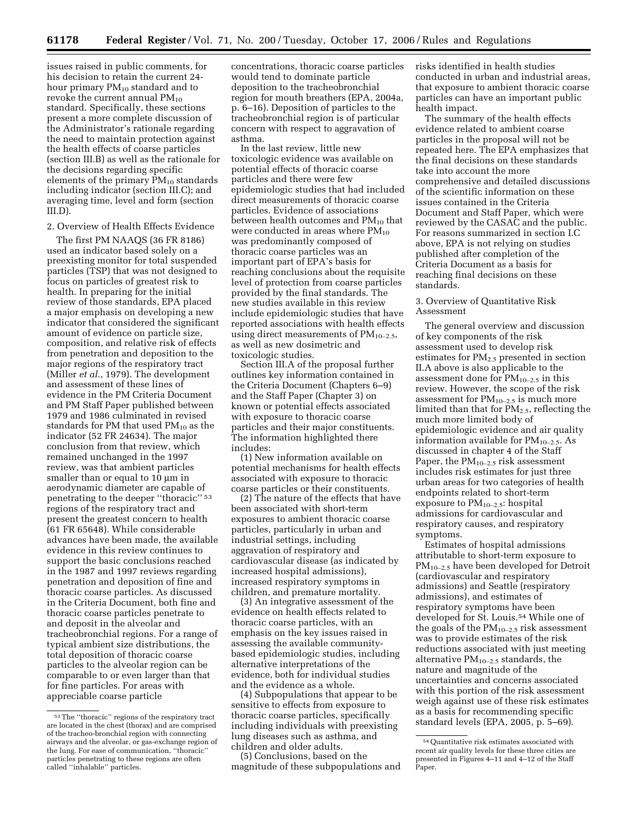issues raised in public comments, for his decision to retain the current 24 hour primary  $PM_{10}$  standard and to revoke the current annual  $PM_{10}$ standard. Specifically, these sections present a more complete discussion of the Administrator's rationale regarding the need to maintain protection against the health effects of coarse particles (section III.B) as well as the rationale for the decisions regarding specific elements of the primary  $PM_{10}$  standards including indicator (section III.C); and averaging time, level and form (section III.D).

## 2. Overview of Health Effects Evidence

The first PM NAAQS (36 FR 8186) used an indicator based solely on a preexisting monitor for total suspended particles (TSP) that was not designed to focus on particles of greatest risk to health. In preparing for the initial review of those standards, EPA placed a major emphasis on developing a new indicator that considered the significant amount of evidence on particle size, composition, and relative risk of effects from penetration and deposition to the major regions of the respiratory tract (Miller *et al.*, 1979). The development and assessment of these lines of evidence in the PM Criteria Document and PM Staff Paper published between 1979 and 1986 culminated in revised standards for PM that used  $PM_{10}$  as the indicator (52 FR 24634). The major conclusion from that review, which remained unchanged in the 1997 review, was that ambient particles smaller than or equal to 10  $\mu$ m in aerodynamic diameter are capable of penetrating to the deeper ''thoracic'' 53 regions of the respiratory tract and present the greatest concern to health (61 FR 65648). While considerable advances have been made, the available evidence in this review continues to support the basic conclusions reached in the 1987 and 1997 reviews regarding penetration and deposition of fine and thoracic coarse particles. As discussed in the Criteria Document, both fine and thoracic coarse particles penetrate to and deposit in the alveolar and tracheobronchial regions. For a range of typical ambient size distributions, the total deposition of thoracic coarse particles to the alveolar region can be comparable to or even larger than that for fine particles. For areas with appreciable coarse particle

concentrations, thoracic coarse particles would tend to dominate particle deposition to the tracheobronchial region for mouth breathers (EPA, 2004a, p. 6–16). Deposition of particles to the tracheobronchial region is of particular concern with respect to aggravation of asthma.

In the last review, little new toxicologic evidence was available on potential effects of thoracic coarse particles and there were few epidemiologic studies that had included direct measurements of thoracic coarse particles. Evidence of associations between health outcomes and  $PM_{10}$  that were conducted in areas where  $PM_{10}$ was predominantly composed of thoracic coarse particles was an important part of EPA's basis for reaching conclusions about the requisite level of protection from coarse particles provided by the final standards. The new studies available in this review include epidemiologic studies that have reported associations with health effects using direct measurements of  $PM_{10-2.5}$ , as well as new dosimetric and toxicologic studies.

Section III.A of the proposal further outlines key information contained in the Criteria Document (Chapters 6–9) and the Staff Paper (Chapter 3) on known or potential effects associated with exposure to thoracic coarse particles and their major constituents. The information highlighted there includes:

(1) New information available on potential mechanisms for health effects associated with exposure to thoracic coarse particles or their constituents.

(2) The nature of the effects that have been associated with short-term exposures to ambient thoracic coarse particles, particularly in urban and industrial settings, including aggravation of respiratory and cardiovascular disease (as indicated by increased hospital admissions), increased respiratory symptoms in children, and premature mortality.

(3) An integrative assessment of the evidence on health effects related to thoracic coarse particles, with an emphasis on the key issues raised in assessing the available communitybased epidemiologic studies, including alternative interpretations of the evidence, both for individual studies and the evidence as a whole.

(4) Subpopulations that appear to be sensitive to effects from exposure to thoracic coarse particles, specifically including individuals with preexisting lung diseases such as asthma, and children and older adults.

(5) Conclusions, based on the magnitude of these subpopulations and risks identified in health studies conducted in urban and industrial areas, that exposure to ambient thoracic coarse particles can have an important public health impact.

The summary of the health effects evidence related to ambient coarse particles in the proposal will not be repeated here. The EPA emphasizes that the final decisions on these standards take into account the more comprehensive and detailed discussions of the scientific information on these issues contained in the Criteria Document and Staff Paper, which were reviewed by the CASAC and the public. For reasons summarized in section I.C above, EPA is not relying on studies published after completion of the Criteria Document as a basis for reaching final decisions on these standards.

## 3. Overview of Quantitative Risk Assessment

The general overview and discussion of key components of the risk assessment used to develop risk estimates for PM2.5 presented in section II.A above is also applicable to the assessment done for  $PM_{10-2.5}$  in this review. However, the scope of the risk assessment for  $PM_{10-2.5}$  is much more limited than that for  $PM_{2.5}$ , reflecting the much more limited body of epidemiologic evidence and air quality information available for  $PM_{10-2.5}$ . As discussed in chapter 4 of the Staff Paper, the  $PM_{10-2.5}$  risk assessment includes risk estimates for just three urban areas for two categories of health endpoints related to short-term exposure to  $PM_{10-2.5}$ : hospital admissions for cardiovascular and respiratory causes, and respiratory symptoms.

Estimates of hospital admissions attributable to short-term exposure to PM10–2.5 have been developed for Detroit (cardiovascular and respiratory admissions) and Seattle (respiratory admissions), and estimates of respiratory symptoms have been developed for St. Louis.54 While one of the goals of the  $PM_{10-2.5}$  risk assessment was to provide estimates of the risk reductions associated with just meeting alternative  $PM_{10-2.5}$  standards, the nature and magnitude of the uncertainties and concerns associated with this portion of the risk assessment weigh against use of these risk estimates as a basis for recommending specific standard levels (EPA, 2005, p. 5–69).

<sup>53</sup>The ''thoracic'' regions of the respiratory tract are located in the chest (thorax) and are comprised of the tracheo-bronchial region with connecting airways and the alveolar, or gas-exchange region of the lung. For ease of communication, ''thoracic'' particles penetrating to these regions are often called ''inhalable'' particles.

<sup>54</sup>Quantitative risk estimates associated with recent air quality levels for these three cities are presented in Figures 4–11 and 4–12 of the Staff Paper.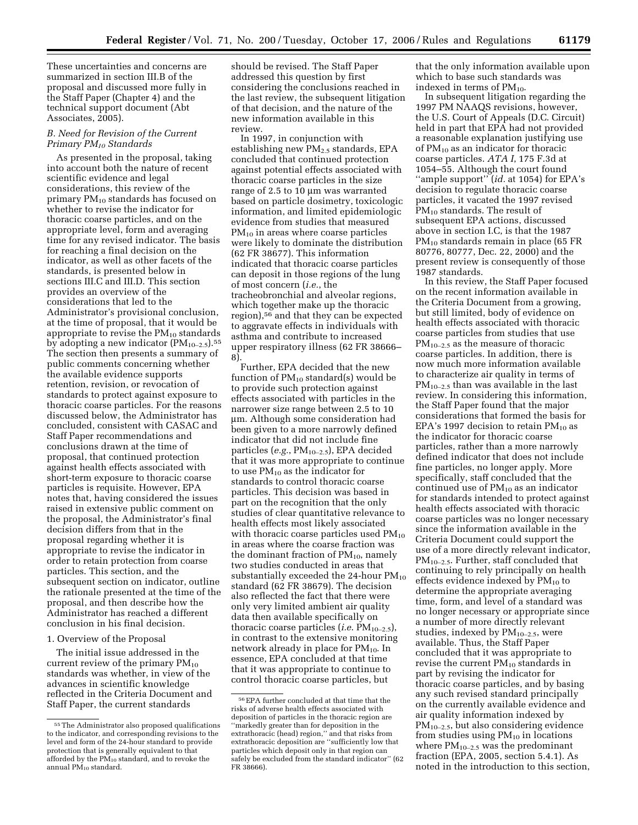These uncertainties and concerns are summarized in section III.B of the proposal and discussed more fully in the Staff Paper (Chapter 4) and the technical support document (Abt Associates, 2005).

## *B. Need for Revision of the Current Primary PM10 Standards*

As presented in the proposal, taking into account both the nature of recent scientific evidence and legal considerations, this review of the primary PM10 standards has focused on whether to revise the indicator for thoracic coarse particles, and on the appropriate level, form and averaging time for any revised indicator. The basis for reaching a final decision on the indicator, as well as other facets of the standards, is presented below in sections III.C and III.D. This section provides an overview of the considerations that led to the Administrator's provisional conclusion, at the time of proposal, that it would be appropriate to revise the  $PM_{10}$  standards by adopting a new indicator  $(PM_{10-2.5})$ .<sup>55</sup> The section then presents a summary of public comments concerning whether the available evidence supports retention, revision, or revocation of standards to protect against exposure to thoracic coarse particles. For the reasons discussed below, the Administrator has concluded, consistent with CASAC and Staff Paper recommendations and conclusions drawn at the time of proposal, that continued protection against health effects associated with short-term exposure to thoracic coarse particles is requisite. However, EPA notes that, having considered the issues raised in extensive public comment on the proposal, the Administrator's final decision differs from that in the proposal regarding whether it is appropriate to revise the indicator in order to retain protection from coarse particles. This section, and the subsequent section on indicator, outline the rationale presented at the time of the proposal, and then describe how the Administrator has reached a different conclusion in his final decision.

#### 1. Overview of the Proposal

The initial issue addressed in the current review of the primary  $PM_{10}$ standards was whether, in view of the advances in scientific knowledge reflected in the Criteria Document and Staff Paper, the current standards

should be revised. The Staff Paper addressed this question by first considering the conclusions reached in the last review, the subsequent litigation of that decision, and the nature of the new information available in this review.

In 1997, in conjunction with establishing new  $PM_{2.5}$  standards, EPA concluded that continued protection against potential effects associated with thoracic coarse particles in the size range of 2.5 to 10 µm was warranted based on particle dosimetry, toxicologic information, and limited epidemiologic evidence from studies that measured  $PM_{10}$  in areas where coarse particles were likely to dominate the distribution (62 FR 38677). This information indicated that thoracic coarse particles can deposit in those regions of the lung of most concern (*i.e.*, the tracheobronchial and alveolar regions, which together make up the thoracic region),56 and that they can be expected to aggravate effects in individuals with asthma and contribute to increased upper respiratory illness (62 FR 38666– 8).

Further, EPA decided that the new function of  $PM_{10}$  standard(s) would be to provide such protection against effects associated with particles in the narrower size range between 2.5 to 10 µm. Although some consideration had been given to a more narrowly defined indicator that did not include fine particles (*e.g.*, PM10–2.5), EPA decided that it was more appropriate to continue to use PM10 as the indicator for standards to control thoracic coarse particles. This decision was based in part on the recognition that the only studies of clear quantitative relevance to health effects most likely associated with thoracic coarse particles used  $PM_{10}$ in areas where the coarse fraction was the dominant fraction of  $PM_{10}$ , namely two studies conducted in areas that substantially exceeded the 24-hour  $PM_{10}$ standard (62 FR 38679). The decision also reflected the fact that there were only very limited ambient air quality data then available specifically on thoracic coarse particles (*i.e.* PM<sub>10–2.5</sub>), in contrast to the extensive monitoring network already in place for  $PM_{10}$ . In essence, EPA concluded at that time that it was appropriate to continue to control thoracic coarse particles, but

that the only information available upon which to base such standards was indexed in terms of  $PM_{10}$ .

In subsequent litigation regarding the 1997 PM NAAQS revisions, however, the U.S. Court of Appeals (D.C. Circuit) held in part that EPA had not provided a reasonable explanation justifying use of  $PM_{10}$  as an indicator for thoracic coarse particles. *ATA I*, 175 F.3d at 1054–55. Although the court found ''ample support'' (*id.* at 1054) for EPA's decision to regulate thoracic coarse particles, it vacated the 1997 revised PM<sub>10</sub> standards. The result of subsequent EPA actions, discussed above in section I.C, is that the 1987 PM10 standards remain in place (65 FR 80776, 80777, Dec. 22, 2000) and the present review is consequently of those 1987 standards.

In this review, the Staff Paper focused on the recent information available in the Criteria Document from a growing, but still limited, body of evidence on health effects associated with thoracic coarse particles from studies that use  $PM_{10-2.5}$  as the measure of thoracic coarse particles. In addition, there is now much more information available to characterize air quality in terms of  $PM_{10-2.5}$  than was available in the last review. In considering this information, the Staff Paper found that the major considerations that formed the basis for EPA's 1997 decision to retain  $PM_{10}$  as the indicator for thoracic coarse particles, rather than a more narrowly defined indicator that does not include fine particles, no longer apply. More specifically, staff concluded that the continued use of  $PM_{10}$  as an indicator for standards intended to protect against health effects associated with thoracic coarse particles was no longer necessary since the information available in the Criteria Document could support the use of a more directly relevant indicator, PM10–2.5. Further, staff concluded that continuing to rely principally on health effects evidence indexed by  $PM_{10}$  to determine the appropriate averaging time, form, and level of a standard was no longer necessary or appropriate since a number of more directly relevant studies, indexed by  $PM_{10-2.5}$ , were available. Thus, the Staff Paper concluded that it was appropriate to revise the current  $PM_{10}$  standards in part by revising the indicator for thoracic coarse particles, and by basing any such revised standard principally on the currently available evidence and air quality information indexed by PM10–2.5, but also considering evidence from studies using  $PM_{10}$  in locations where  $PM_{10-2.5}$  was the predominant fraction (EPA, 2005, section 5.4.1). As noted in the introduction to this section,

<sup>55</sup>The Administrator also proposed qualifications to the indicator, and corresponding revisions to the level and form of the 24-hour standard to provide protection that is generally equivalent to that afforded by the  $PM_{10}$  standard, and to revoke the annual  $PM_{10}$  standard.

<sup>56</sup>EPA further concluded at that time that the risks of adverse health effects associated with deposition of particles in the thoracic region are ''markedly greater than for deposition in the extrathoracic (head) region,'' and that risks from extrathoracic deposition are ''sufficiently low that particles which deposit only in that region can safely be excluded from the standard indicator'' (62 FR 38666).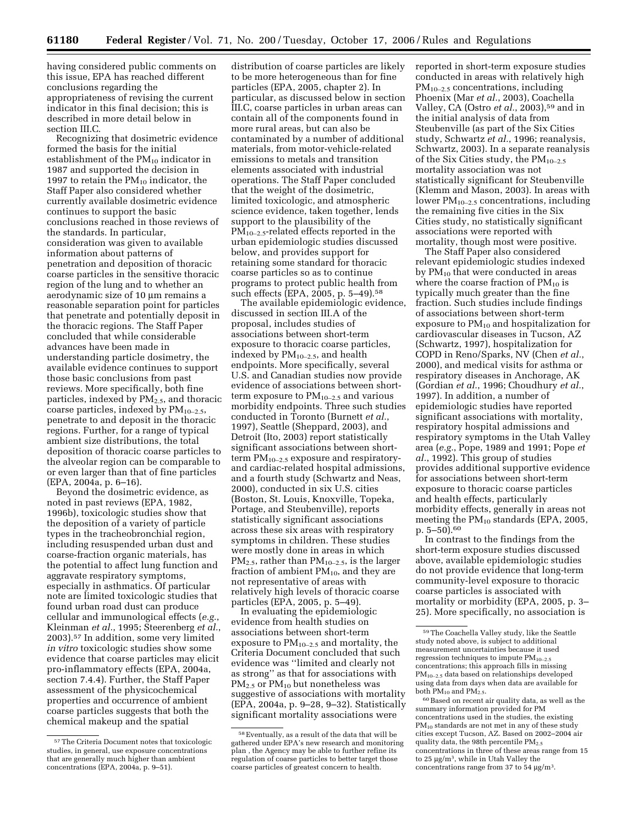having considered public comments on this issue, EPA has reached different conclusions regarding the appropriateness of revising the current indicator in this final decision; this is described in more detail below in section III.C.

Recognizing that dosimetric evidence formed the basis for the initial establishment of the PM<sub>10</sub> indicator in 1987 and supported the decision in 1997 to retain the  $PM_{10}$  indicator, the Staff Paper also considered whether currently available dosimetric evidence continues to support the basic conclusions reached in those reviews of the standards. In particular, consideration was given to available information about patterns of penetration and deposition of thoracic coarse particles in the sensitive thoracic region of the lung and to whether an aerodynamic size of 10 µm remains a reasonable separation point for particles that penetrate and potentially deposit in the thoracic regions. The Staff Paper concluded that while considerable advances have been made in understanding particle dosimetry, the available evidence continues to support those basic conclusions from past reviews. More specifically, both fine particles, indexed by  $PM_{2.5}$ , and thoracic coarse particles, indexed by  $PM_{10-2.5}$ , penetrate to and deposit in the thoracic regions. Further, for a range of typical ambient size distributions, the total deposition of thoracic coarse particles to the alveolar region can be comparable to or even larger than that of fine particles (EPA, 2004a, p. 6–16).

Beyond the dosimetric evidence, as noted in past reviews (EPA, 1982, 1996b), toxicologic studies show that the deposition of a variety of particle types in the tracheobronchial region, including resuspended urban dust and coarse-fraction organic materials, has the potential to affect lung function and aggravate respiratory symptoms, especially in asthmatics. Of particular note are limited toxicologic studies that found urban road dust can produce cellular and immunological effects (*e.g.*, Kleinman *et al.*, 1995; Steerenberg *et al.*, 2003).57 In addition, some very limited *in vitro* toxicologic studies show some evidence that coarse particles may elicit pro-inflammatory effects (EPA, 2004a, section 7.4.4). Further, the Staff Paper assessment of the physicochemical properties and occurrence of ambient coarse particles suggests that both the chemical makeup and the spatial

distribution of coarse particles are likely to be more heterogeneous than for fine particles (EPA, 2005, chapter 2). In particular, as discussed below in section III.C, coarse particles in urban areas can contain all of the components found in more rural areas, but can also be contaminated by a number of additional materials, from motor-vehicle-related emissions to metals and transition elements associated with industrial operations. The Staff Paper concluded that the weight of the dosimetric, limited toxicologic, and atmospheric science evidence, taken together, lends support to the plausibility of the  $PM_{10-2.5}$ -related effects reported in the urban epidemiologic studies discussed below, and provides support for retaining some standard for thoracic coarse particles so as to continue programs to protect public health from such effects (EPA, 2005, p. 5–49).58

The available epidemiologic evidence, discussed in section III.A of the proposal, includes studies of associations between short-term exposure to thoracic coarse particles, indexed by  $PM_{10-2.5}$ , and health endpoints. More specifically, several U.S. and Canadian studies now provide evidence of associations between shortterm exposure to  $PM_{10-2.5}$  and various morbidity endpoints. Three such studies conducted in Toronto (Burnett *et al.*, 1997), Seattle (Sheppard, 2003), and Detroit (Ito, 2003) report statistically significant associations between shortterm  $PM_{10-2.5}$  exposure and respiratoryand cardiac-related hospital admissions, and a fourth study (Schwartz and Neas, 2000), conducted in six U.S. cities (Boston, St. Louis, Knoxville, Topeka, Portage, and Steubenville), reports statistically significant associations across these six areas with respiratory symptoms in children. These studies were mostly done in areas in which  $PM_{2.5}$ , rather than  $PM_{10-2.5}$ , is the larger fraction of ambient  $PM_{10}$ , and they are not representative of areas with relatively high levels of thoracic coarse particles (EPA, 2005, p. 5–49).

In evaluating the epidemiologic evidence from health studies on associations between short-term exposure to  $PM_{10-2.5}$  and mortality, the Criteria Document concluded that such evidence was ''limited and clearly not as strong'' as that for associations with  $PM_{2.5}$  or  $PM_{10}$  but nonetheless was suggestive of associations with mortality (EPA, 2004a, p. 9–28, 9–32). Statistically significant mortality associations were

reported in short-term exposure studies conducted in areas with relatively high  $PM_{10-2.5}$  concentrations, including Phoenix (Mar *et al.*, 2003), Coachella Valley, CA (Ostro *et al.*, 2003),<sup>59</sup> and in the initial analysis of data from Steubenville (as part of the Six Cities study, Schwartz *et al.*, 1996; reanalysis, Schwartz, 2003). In a separate reanalysis of the Six Cities study, the  $PM_{10-2.5}$ mortality association was not statistically significant for Steubenville (Klemm and Mason, 2003). In areas with lower  $PM_{10-2.5}$  concentrations, including the remaining five cities in the Six Cities study, no statistically significant associations were reported with mortality, though most were positive.

The Staff Paper also considered relevant epidemiologic studies indexed by  $PM_{10}$  that were conducted in areas where the coarse fraction of  $PM_{10}$  is typically much greater than the fine fraction. Such studies include findings of associations between short-term exposure to  $PM_{10}$  and hospitalization for cardiovascular diseases in Tucson, AZ (Schwartz, 1997), hospitalization for COPD in Reno/Sparks, NV (Chen *et al.*, 2000), and medical visits for asthma or respiratory diseases in Anchorage, AK (Gordian *et al.*, 1996; Choudhury *et al.*, 1997). In addition, a number of epidemiologic studies have reported significant associations with mortality, respiratory hospital admissions and respiratory symptoms in the Utah Valley area (*e.g.*, Pope, 1989 and 1991; Pope *et al.*, 1992). This group of studies provides additional supportive evidence for associations between short-term exposure to thoracic coarse particles and health effects, particularly morbidity effects, generally in areas not meeting the  $PM_{10}$  standards (EPA, 2005, p. 5–50).60

In contrast to the findings from the short-term exposure studies discussed above, available epidemiologic studies do not provide evidence that long-term community-level exposure to thoracic coarse particles is associated with mortality or morbidity (EPA, 2005, p. 3– 25). More specifically, no association is

<sup>57</sup>The Criteria Document notes that toxicologic studies, in general, use exposure concentrations that are generally much higher than ambient concentrations (EPA, 2004a, p. 9–51).

<sup>58</sup>Eventually, as a result of the data that will be gathered under EPA's new research and monitoring plan , the Agency may be able to further refine its regulation of coarse particles to better target those coarse particles of greatest concern to health.

<sup>59</sup>The Coachella Valley study, like the Seattle study noted above, is subject to additional measurement uncertainties because it used regression techniques to impute  $PM_{10-2.5}$ concentrations; this approach fills in missing PM10–2.5 data based on relationships developed using data from days when data are available for both  $PM_{10}$  and  $PM_{2.5}$ .

<sup>60</sup>Based on recent air quality data, as well as the summary information provided for PM concentrations used in the studies, the existing PM<sub>10</sub> standards are not met in any of these study cities except Tucson, AZ. Based on 2002–2004 air quality data, the 98th percentile  $PM_{2.5}$ concentrations in three of these areas range from 15 to 25 µg/m3, while in Utah Valley the concentrations range from 37 to 54 µg/m3.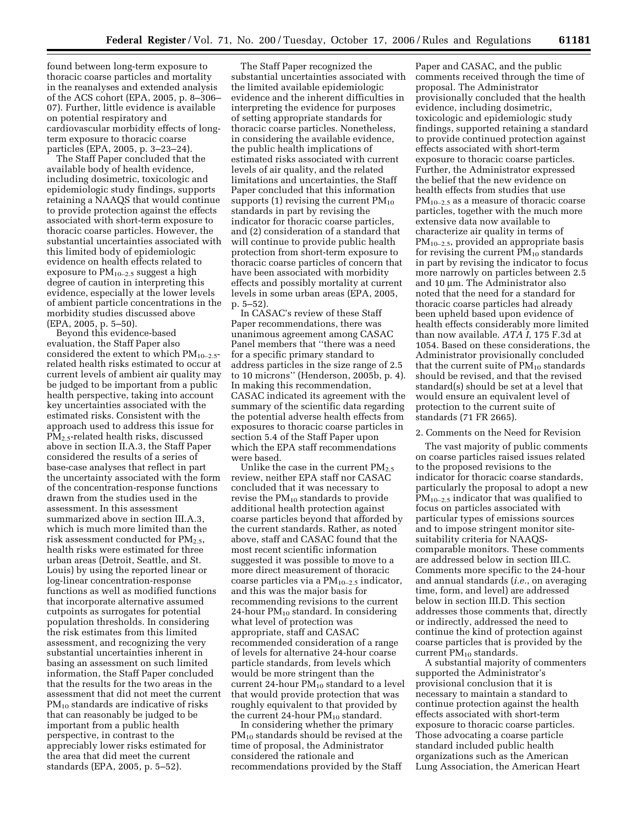found between long-term exposure to thoracic coarse particles and mortality in the reanalyses and extended analysis of the ACS cohort (EPA, 2005, p. 8–306– 07). Further, little evidence is available on potential respiratory and cardiovascular morbidity effects of longterm exposure to thoracic coarse particles (EPA, 2005, p. 3–23–24).

The Staff Paper concluded that the available body of health evidence, including dosimetric, toxicologic and epidemiologic study findings, supports retaining a NAAQS that would continue to provide protection against the effects associated with short-term exposure to thoracic coarse particles. However, the substantial uncertainties associated with this limited body of epidemiologic evidence on health effects related to exposure to  $PM_{10-2.5}$  suggest a high degree of caution in interpreting this evidence, especially at the lower levels of ambient particle concentrations in the morbidity studies discussed above (EPA, 2005, p. 5–50).

Beyond this evidence-based evaluation, the Staff Paper also considered the extent to which  $PM_{10-2.5}$ related health risks estimated to occur at current levels of ambient air quality may be judged to be important from a public health perspective, taking into account key uncertainties associated with the estimated risks. Consistent with the approach used to address this issue for PM2.5-related health risks, discussed above in section II.A.3, the Staff Paper considered the results of a series of base-case analyses that reflect in part the uncertainty associated with the form of the concentration-response functions drawn from the studies used in the assessment. In this assessment summarized above in section III.A.3, which is much more limited than the risk assessment conducted for  $PM<sub>2.5</sub>$ , health risks were estimated for three urban areas (Detroit, Seattle, and St. Louis) by using the reported linear or log-linear concentration-response functions as well as modified functions that incorporate alternative assumed cutpoints as surrogates for potential population thresholds. In considering the risk estimates from this limited assessment, and recognizing the very substantial uncertainties inherent in basing an assessment on such limited information, the Staff Paper concluded that the results for the two areas in the assessment that did not meet the current PM<sub>10</sub> standards are indicative of risks that can reasonably be judged to be important from a public health perspective, in contrast to the appreciably lower risks estimated for the area that did meet the current standards (EPA, 2005, p. 5–52).

The Staff Paper recognized the substantial uncertainties associated with the limited available epidemiologic evidence and the inherent difficulties in interpreting the evidence for purposes of setting appropriate standards for thoracic coarse particles. Nonetheless, in considering the available evidence, the public health implications of estimated risks associated with current levels of air quality, and the related limitations and uncertainties, the Staff Paper concluded that this information supports (1) revising the current  $PM_{10}$ standards in part by revising the indicator for thoracic coarse particles, and (2) consideration of a standard that will continue to provide public health protection from short-term exposure to thoracic coarse particles of concern that have been associated with morbidity effects and possibly mortality at current levels in some urban areas (EPA, 2005, p. 5–52).

In CASAC's review of these Staff Paper recommendations, there was unanimous agreement among CASAC Panel members that ''there was a need for a specific primary standard to address particles in the size range of 2.5 to 10 microns'' (Henderson, 2005b, p. 4). In making this recommendation, CASAC indicated its agreement with the summary of the scientific data regarding the potential adverse health effects from exposures to thoracic coarse particles in section 5.4 of the Staff Paper upon which the EPA staff recommendations were based.

Unlike the case in the current PM<sub>2.5</sub> review, neither EPA staff nor CASAC concluded that it was necessary to revise the  $PM_{10}$  standards to provide additional health protection against coarse particles beyond that afforded by the current standards. Rather, as noted above, staff and CASAC found that the most recent scientific information suggested it was possible to move to a more direct measurement of thoracic coarse particles via a  $PM_{10-2.5}$  indicator, and this was the major basis for recommending revisions to the current 24-hour  $PM_{10}$  standard. In considering what level of protection was appropriate, staff and CASAC recommended consideration of a range of levels for alternative 24-hour coarse particle standards, from levels which would be more stringent than the current 24-hour  $PM_{10}$  standard to a level that would provide protection that was roughly equivalent to that provided by the current 24-hour  $PM_{10}$  standard.

In considering whether the primary PM10 standards should be revised at the time of proposal, the Administrator considered the rationale and recommendations provided by the Staff

Paper and CASAC, and the public comments received through the time of proposal. The Administrator provisionally concluded that the health evidence, including dosimetric, toxicologic and epidemiologic study findings, supported retaining a standard to provide continued protection against effects associated with short-term exposure to thoracic coarse particles. Further, the Administrator expressed the belief that the new evidence on health effects from studies that use  $PM_{10-2.5}$  as a measure of thoracic coarse particles, together with the much more extensive data now available to characterize air quality in terms of PM10–2.5, provided an appropriate basis for revising the current  $PM_{10}$  standards in part by revising the indicator to focus more narrowly on particles between 2.5 and 10 µm. The Administrator also noted that the need for a standard for thoracic coarse particles had already been upheld based upon evidence of health effects considerably more limited than now available. *ATA I*, 175 F.3d at 1054. Based on these considerations, the Administrator provisionally concluded that the current suite of  $PM_{10}$  standards should be revised, and that the revised standard(s) should be set at a level that would ensure an equivalent level of protection to the current suite of standards (71 FR 2665).

#### 2. Comments on the Need for Revision

The vast majority of public comments on coarse particles raised issues related to the proposed revisions to the indicator for thoracic coarse standards, particularly the proposal to adopt a new  $PM_{10-2.5}$  indicator that was qualified to focus on particles associated with particular types of emissions sources and to impose stringent monitor sitesuitability criteria for NAAQScomparable monitors. These comments are addressed below in section III.C. Comments more specific to the 24-hour and annual standards (*i.e.*, on averaging time, form, and level) are addressed below in section III.D. This section addresses those comments that, directly or indirectly, addressed the need to continue the kind of protection against coarse particles that is provided by the current  $PM_{10}$  standards.

A substantial majority of commenters supported the Administrator's provisional conclusion that it is necessary to maintain a standard to continue protection against the health effects associated with short-term exposure to thoracic coarse particles. Those advocating a coarse particle standard included public health organizations such as the American Lung Association, the American Heart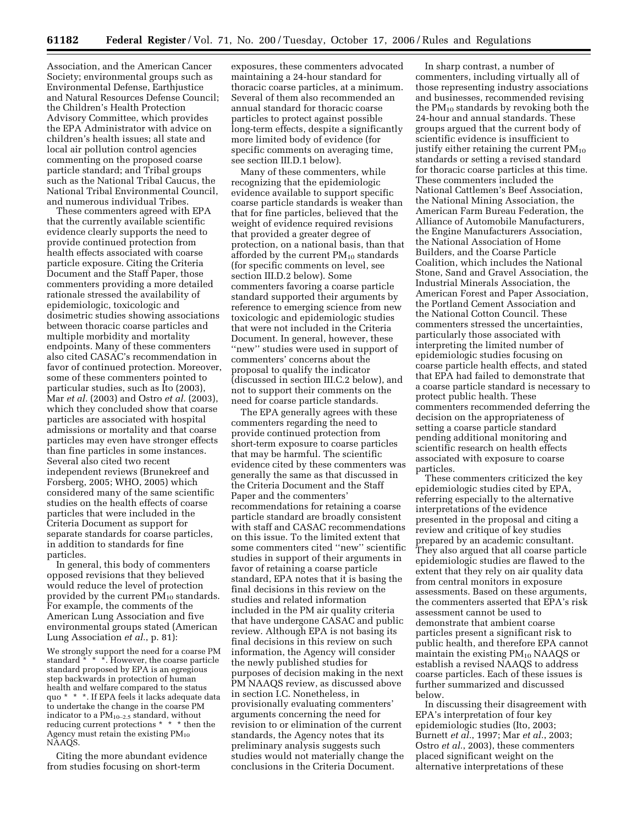Association, and the American Cancer Society; environmental groups such as Environmental Defense, Earthjustice and Natural Resources Defense Council; the Children's Health Protection Advisory Committee, which provides the EPA Administrator with advice on children's health issues; all state and local air pollution control agencies commenting on the proposed coarse particle standard; and Tribal groups such as the National Tribal Caucus, the National Tribal Environmental Council, and numerous individual Tribes.

These commenters agreed with EPA that the currently available scientific evidence clearly supports the need to provide continued protection from health effects associated with coarse particle exposure. Citing the Criteria Document and the Staff Paper, those commenters providing a more detailed rationale stressed the availability of epidemiologic, toxicologic and dosimetric studies showing associations between thoracic coarse particles and multiple morbidity and mortality endpoints. Many of these commenters also cited CASAC's recommendation in favor of continued protection. Moreover, some of these commenters pointed to particular studies, such as Ito (2003), Mar *et al.* (2003) and Ostro *et al.* (2003), which they concluded show that coarse particles are associated with hospital admissions or mortality and that coarse particles may even have stronger effects than fine particles in some instances. Several also cited two recent independent reviews (Brunekreef and Forsberg, 2005; WHO, 2005) which considered many of the same scientific studies on the health effects of coarse particles that were included in the Criteria Document as support for separate standards for coarse particles, in addition to standards for fine particles.

In general, this body of commenters opposed revisions that they believed would reduce the level of protection provided by the current  $PM_{10}$  standards. For example, the comments of the American Lung Association and five environmental groups stated (American Lung Association *et al.*, p. 81):

We strongly support the need for a coarse PM standard \* \* \*. However, the coarse particle standard proposed by EPA is an egregious step backwards in protection of human health and welfare compared to the status quo \* \* \*. If EPA feels it lacks adequate data to undertake the change in the coarse PM indicator to a  $PM_{10-2.5}$  standard, without reducing current protections \* \* \* then the Agency must retain the existing  $PM_{10}$ NAAQS.

Citing the more abundant evidence from studies focusing on short-term

exposures, these commenters advocated maintaining a 24-hour standard for thoracic coarse particles, at a minimum. Several of them also recommended an annual standard for thoracic coarse particles to protect against possible long-term effects, despite a significantly more limited body of evidence (for specific comments on averaging time, see section III.D.1 below).

Many of these commenters, while recognizing that the epidemiologic evidence available to support specific coarse particle standards is weaker than that for fine particles, believed that the weight of evidence required revisions that provided a greater degree of protection, on a national basis, than that afforded by the current  $PM_{10}$  standards (for specific comments on level, see section III.D.2 below). Some commenters favoring a coarse particle standard supported their arguments by reference to emerging science from new toxicologic and epidemiologic studies that were not included in the Criteria Document. In general, however, these ''new'' studies were used in support of commenters' concerns about the proposal to qualify the indicator (discussed in section III.C.2 below), and not to support their comments on the need for coarse particle standards.

The EPA generally agrees with these commenters regarding the need to provide continued protection from short-term exposure to coarse particles that may be harmful. The scientific evidence cited by these commenters was generally the same as that discussed in the Criteria Document and the Staff Paper and the commenters' recommendations for retaining a coarse particle standard are broadly consistent with staff and CASAC recommendations on this issue. To the limited extent that some commenters cited ''new'' scientific studies in support of their arguments in favor of retaining a coarse particle standard, EPA notes that it is basing the final decisions in this review on the studies and related information included in the PM air quality criteria that have undergone CASAC and public review. Although EPA is not basing its final decisions in this review on such information, the Agency will consider the newly published studies for purposes of decision making in the next PM NAAQS review, as discussed above in section I.C. Nonetheless, in provisionally evaluating commenters' arguments concerning the need for revision to or elimination of the current standards, the Agency notes that its preliminary analysis suggests such studies would not materially change the conclusions in the Criteria Document.

In sharp contrast, a number of commenters, including virtually all of those representing industry associations and businesses, recommended revising the  $PM_{10}$  standards by revoking both the 24-hour and annual standards. These groups argued that the current body of scientific evidence is insufficient to justify either retaining the current  $PM_{10}$ standards or setting a revised standard for thoracic coarse particles at this time. These commenters included the National Cattlemen's Beef Association, the National Mining Association, the American Farm Bureau Federation, the Alliance of Automobile Manufacturers, the Engine Manufacturers Association, the National Association of Home Builders, and the Coarse Particle Coalition, which includes the National Stone, Sand and Gravel Association, the Industrial Minerals Association, the American Forest and Paper Association, the Portland Cement Association and the National Cotton Council. These commenters stressed the uncertainties, particularly those associated with interpreting the limited number of epidemiologic studies focusing on coarse particle health effects, and stated that EPA had failed to demonstrate that a coarse particle standard is necessary to protect public health. These commenters recommended deferring the decision on the appropriateness of setting a coarse particle standard pending additional monitoring and scientific research on health effects associated with exposure to coarse particles.

These commenters criticized the key epidemiologic studies cited by EPA, referring especially to the alternative interpretations of the evidence presented in the proposal and citing a review and critique of key studies prepared by an academic consultant. They also argued that all coarse particle epidemiologic studies are flawed to the extent that they rely on air quality data from central monitors in exposure assessments. Based on these arguments, the commenters asserted that EPA's risk assessment cannot be used to demonstrate that ambient coarse particles present a significant risk to public health, and therefore EPA cannot maintain the existing PM10 NAAQS or establish a revised NAAQS to address coarse particles. Each of these issues is further summarized and discussed below.

In discussing their disagreement with EPA's interpretation of four key epidemiologic studies (Ito, 2003; Burnett *et al.*, 1997; Mar *et al.*, 2003; Ostro *et al.*, 2003), these commenters placed significant weight on the alternative interpretations of these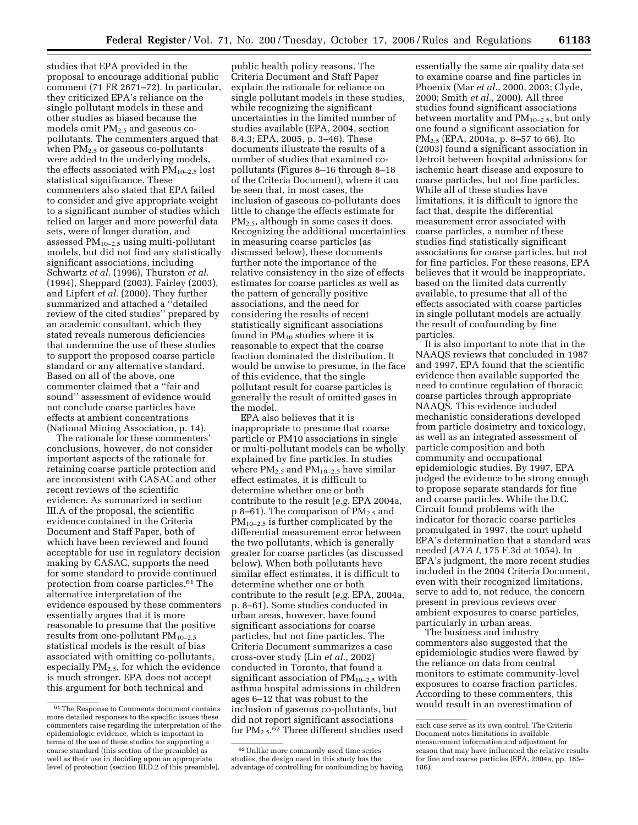studies that EPA provided in the proposal to encourage additional public comment (71 FR 2671–72). In particular, they criticized EPA's reliance on the single pollutant models in these and other studies as biased because the models omit  $PM_{2.5}$  and gaseous copollutants. The commenters argued that when PM<sub>2.5</sub> or gaseous co-pollutants were added to the underlying models, the effects associated with  $PM_{10-2.5}$  lost statistical significance. These commenters also stated that EPA failed to consider and give appropriate weight to a significant number of studies which relied on larger and more powerful data sets, were of longer duration, and assessed  $PM_{10-2.5}$  using multi-pollutant models, but did not find any statistically significant associations, including Schwartz *et al.* (1996), Thurston *et al.*  (1994), Sheppard (2003), Fairley (2003), and Lipfert *et al.* (2000). They further summarized and attached a ''detailed review of the cited studies'' prepared by an academic consultant, which they stated reveals numerous deficiencies that undermine the use of these studies to support the proposed coarse particle standard or any alternative standard. Based on all of the above, one commenter claimed that a ''fair and sound'' assessment of evidence would not conclude coarse particles have effects at ambient concentrations (National Mining Association, p. 14).

The rationale for these commenters' conclusions, however, do not consider important aspects of the rationale for retaining coarse particle protection and are inconsistent with CASAC and other recent reviews of the scientific evidence. As summarized in section III.A of the proposal, the scientific evidence contained in the Criteria Document and Staff Paper, both of which have been reviewed and found acceptable for use in regulatory decision making by CASAC, supports the need for some standard to provide continued protection from coarse particles.61 The alternative interpretation of the evidence espoused by these commenters essentially argues that it is more reasonable to presume that the positive results from one-pollutant  $PM_{10-2.5}$ statistical models is the result of bias associated with omitting co-pollutants, especially  $PM_{2.5}$ , for which the evidence is much stronger. EPA does not accept this argument for both technical and

public health policy reasons. The Criteria Document and Staff Paper explain the rationale for reliance on single pollutant models in these studies, while recognizing the significant uncertainties in the limited number of studies available (EPA, 2004, section 8.4.3; EPA, 2005, p. 3–46). These documents illustrate the results of a number of studies that examined copollutants (Figures 8–16 through 8–18 of the Criteria Document), where it can be seen that, in most cases, the inclusion of gaseous co-pollutants does little to change the effects estimate for PM2.5, although in some cases it does. Recognizing the additional uncertainties in measuring coarse particles (as discussed below), these documents further note the importance of the relative consistency in the size of effects estimates for coarse particles as well as the pattern of generally positive associations, and the need for considering the results of recent statistically significant associations found in  $PM_{10}$  studies where it is reasonable to expect that the coarse fraction dominated the distribution. It would be unwise to presume, in the face of this evidence, that the single pollutant result for coarse particles is generally the result of omitted gases in the model.

EPA also believes that it is inappropriate to presume that coarse particle or PM10 associations in single or multi-pollutant models can be wholly explained by fine particles. In studies where  $PM_{2.5}$  and  $PM_{10-2.5}$  have similar effect estimates, it is difficult to determine whether one or both contribute to the result (*e.g.* EPA 2004a,  $p_8$ –61). The comparison of PM<sub>2.5</sub> and  $PM_{10-2.5}$  is further complicated by the differential measurement error between the two pollutants, which is generally greater for coarse particles (as discussed below). When both pollutants have similar effect estimates, it is difficult to determine whether one or both contribute to the result (*e.g.* EPA, 2004a, p. 8–61). Some studies conducted in urban areas, however, have found significant associations for coarse particles, but not fine particles. The Criteria Document summarizes a case cross-over study (Lin *et al.*, 2002) conducted in Toronto, that found a significant association of  $PM_{10-2.5}$  with asthma hospital admissions in children ages 6–12 that was robust to the inclusion of gaseous co-pollutants, but did not report significant associations for  $PM_{2.5}$ .<sup>62</sup> Three different studies used

essentially the same air quality data set to examine coarse and fine particles in Phoenix (Mar *et al.*, 2000, 2003; Clyde, 2000; Smith *et al.*, 2000). All three studies found significant associations between mortality and PM10–2.5, but only one found a significant association for PM2.5 (EPA, 2004a, p. 8–57 to 66). Ito (2003) found a significant association in Detroit between hospital admissions for ischemic heart disease and exposure to coarse particles, but not fine particles. While all of these studies have limitations, it is difficult to ignore the fact that, despite the differential measurement error associated with coarse particles, a number of these studies find statistically significant associations for coarse particles, but not for fine particles. For these reasons, EPA believes that it would be inappropriate, based on the limited data currently available, to presume that all of the effects associated with coarse particles in single pollutant models are actually the result of confounding by fine particles.

It is also important to note that in the NAAQS reviews that concluded in 1987 and 1997, EPA found that the scientific evidence then available supported the need to continue regulation of thoracic coarse particles through appropriate NAAQS. This evidence included mechanistic considerations developed from particle dosimetry and toxicology, as well as an integrated assessment of particle composition and both community and occupational epidemiologic studies. By 1997, EPA judged the evidence to be strong enough to propose separate standards for fine and coarse particles. While the D.C. Circuit found problems with the indicator for thoracic coarse particles promulgated in 1997, the court upheld EPA's determination that a standard was needed (*ATA I*, 175 F.3d at 1054). In EPA's judgment, the more recent studies included in the 2004 Criteria Document, even with their recognized limitations, serve to add to, not reduce, the concern present in previous reviews over ambient exposures to coarse particles, particularly in urban areas.

The business and industry commenters also suggested that the epidemiologic studies were flawed by the reliance on data from central monitors to estimate community-level exposures to coarse fraction particles. According to these commenters, this would result in an overestimation of

<sup>61</sup>The Response to Comments document contains more detailed responses to the specific issues these commenters raise regarding the interpretation of the epidemiologic evidence, which is important in terms of the use of these studies for supporting a coarse standard (this section of the preamble) as well as their use in deciding upon an appropriate level of protection (section III.D.2 of this preamble).

<sup>62</sup>Unlike more commonly used time series studies, the design used in this study has the advantage of controlling for confounding by having

each case serve as its own control. The Criteria Document notes limitations in available measurement information and adjustment for season that may have influenced the relative results for fine and coarse particles (EPA, 2004a, pp. 185– 186).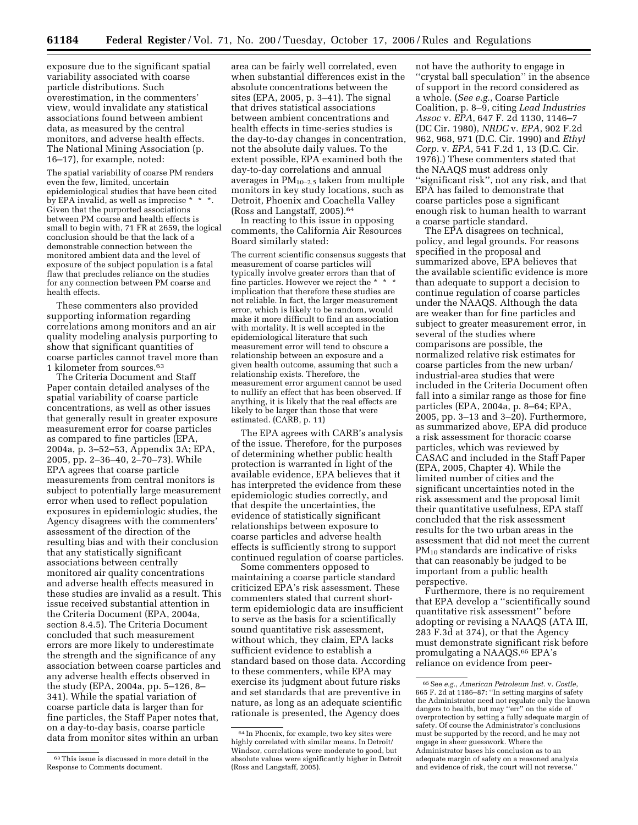exposure due to the significant spatial variability associated with coarse particle distributions. Such overestimation, in the commenters' view, would invalidate any statistical associations found between ambient data, as measured by the central monitors, and adverse health effects. The National Mining Association (p. 16–17), for example, noted:

The spatial variability of coarse PM renders even the few, limited, uncertain epidemiological studies that have been cited  $\overline{b}$ y EPA invalid, as well as imprecise  $*$ Given that the purported associations between PM coarse and health effects is small to begin with, 71 FR at 2659, the logical conclusion should be that the lack of a demonstrable connection between the monitored ambient data and the level of exposure of the subject population is a fatal flaw that precludes reliance on the studies for any connection between PM coarse and health effects.

These commenters also provided supporting information regarding correlations among monitors and an air quality modeling analysis purporting to show that significant quantities of coarse particles cannot travel more than 1 kilometer from sources.63

The Criteria Document and Staff Paper contain detailed analyses of the spatial variability of coarse particle concentrations, as well as other issues that generally result in greater exposure measurement error for coarse particles as compared to fine particles (EPA, 2004a, p. 3–52–53, Appendix 3A; EPA, 2005, pp. 2–36–40, 2–70–73). While EPA agrees that coarse particle measurements from central monitors is subject to potentially large measurement error when used to reflect population exposures in epidemiologic studies, the Agency disagrees with the commenters' assessment of the direction of the resulting bias and with their conclusion that any statistically significant associations between centrally monitored air quality concentrations and adverse health effects measured in these studies are invalid as a result. This issue received substantial attention in the Criteria Document (EPA, 2004a, section 8.4.5). The Criteria Document concluded that such measurement errors are more likely to underestimate the strength and the significance of any association between coarse particles and any adverse health effects observed in the study (EPA, 2004a, pp. 5–126, 8– 341). While the spatial variation of coarse particle data is larger than for fine particles, the Staff Paper notes that, on a day-to-day basis, coarse particle data from monitor sites within an urban

area can be fairly well correlated, even when substantial differences exist in the absolute concentrations between the sites (EPA, 2005, p. 3–41). The signal that drives statistical associations between ambient concentrations and health effects in time-series studies is the day-to-day changes in concentration, not the absolute daily values. To the extent possible, EPA examined both the day-to-day correlations and annual averages in  $PM_{10-2.5}$  taken from multiple monitors in key study locations, such as Detroit, Phoenix and Coachella Valley (Ross and Langstaff, 2005).64

In reacting to this issue in opposing comments, the California Air Resources Board similarly stated:

The current scientific consensus suggests that measurement of coarse particles will typically involve greater errors than that of fine particles. However we reject the \* \* \* implication that therefore these studies are not reliable. In fact, the larger measurement error, which is likely to be random, would make it more difficult to find an association with mortality. It is well accepted in the epidemiological literature that such measurement error will tend to obscure a relationship between an exposure and a given health outcome, assuming that such a relationship exists. Therefore, the measurement error argument cannot be used to nullify an effect that has been observed. If anything, it is likely that the real effects are likely to be larger than those that were estimated. (CARB, p. 11)

The EPA agrees with CARB's analysis of the issue. Therefore, for the purposes of determining whether public health protection is warranted in light of the available evidence, EPA believes that it has interpreted the evidence from these epidemiologic studies correctly, and that despite the uncertainties, the evidence of statistically significant relationships between exposure to coarse particles and adverse health effects is sufficiently strong to support continued regulation of coarse particles.

Some commenters opposed to maintaining a coarse particle standard criticized EPA's risk assessment. These commenters stated that current shortterm epidemiologic data are insufficient to serve as the basis for a scientifically sound quantitative risk assessment, without which, they claim, EPA lacks sufficient evidence to establish a standard based on those data. According to these commenters, while EPA may exercise its judgment about future risks and set standards that are preventive in nature, as long as an adequate scientific rationale is presented, the Agency does

not have the authority to engage in ''crystal ball speculation'' in the absence of support in the record considered as a whole. (*See e.g.*, Coarse Particle Coalition, p. 8–9, citing *Lead Industries Assoc* v. *EPA*, 647 F. 2d 1130, 1146–7 (DC Cir. 1980), *NRDC* v. *EPA*, 902 F.2d 962, 968, 971 (D.C. Cir. 1990) and *Ethyl Corp.* v. *EPA*, 541 F.2d 1, 13 (D.C. Cir. 1976).) These commenters stated that the NAAQS must address only ''significant risk'', not any risk, and that EPA has failed to demonstrate that coarse particles pose a significant enough risk to human health to warrant a coarse particle standard.

The EPA disagrees on technical, policy, and legal grounds. For reasons specified in the proposal and summarized above, EPA believes that the available scientific evidence is more than adequate to support a decision to continue regulation of coarse particles under the NAAQS. Although the data are weaker than for fine particles and subject to greater measurement error, in several of the studies where comparisons are possible, the normalized relative risk estimates for coarse particles from the new urban/ industrial-area studies that were included in the Criteria Document often fall into a similar range as those for fine particles (EPA, 2004a, p. 8–64; EPA, 2005, pp. 3–13 and 3–20). Furthermore, as summarized above, EPA did produce a risk assessment for thoracic coarse particles, which was reviewed by CASAC and included in the Staff Paper (EPA, 2005, Chapter 4). While the limited number of cities and the significant uncertainties noted in the risk assessment and the proposal limit their quantitative usefulness, EPA staff concluded that the risk assessment results for the two urban areas in the assessment that did not meet the current PM10 standards are indicative of risks that can reasonably be judged to be important from a public health perspective.

Furthermore, there is no requirement that EPA develop a ''scientifically sound quantitative risk assessment'' before adopting or revising a NAAQS (ATA III, 283 F.3d at 374), or that the Agency must demonstrate significant risk before promulgating a NAAQS.65 EPA's reliance on evidence from peer-

<sup>63</sup>This issue is discussed in more detail in the Response to Comments document.

<sup>64</sup> In Phoenix, for example, two key sites were highly correlated with similar means. In Detroit/ Windsor, correlations were moderate to good, but absolute values were significantly higher in Detroit (Ross and Langstaff, 2005).

<sup>65</sup>See *e.g.*, *American Petroleum Inst.* v. *Costle*, 665 F. 2d at 1186–87: ''In setting margins of safety the Administrator need not regulate only the known dangers to health, but may ''err'' on the side of overprotection by setting a fully adequate margin of safety. Of course the Administrator's conclusions must be supported by the record, and he may not engage in sheer guesswork. Where the Administrator bases his conclusion as to an adequate margin of safety on a reasoned analysis and evidence of risk, the court will not reverse.''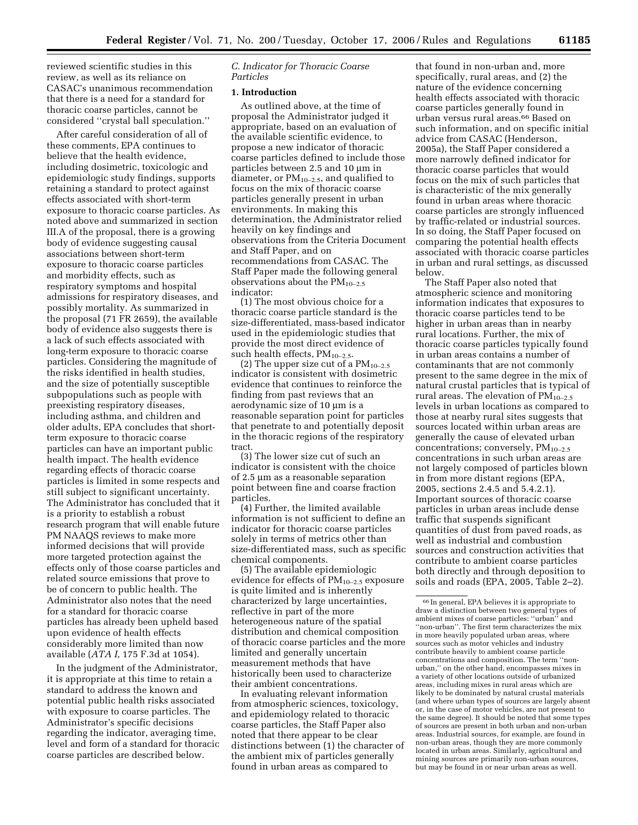reviewed scientific studies in this review, as well as its reliance on CASAC's unanimous recommendation that there is a need for a standard for thoracic coarse particles, cannot be considered ''crystal ball speculation.''

After careful consideration of all of these comments, EPA continues to believe that the health evidence, including dosimetric, toxicologic and epidemiologic study findings, supports retaining a standard to protect against effects associated with short-term exposure to thoracic coarse particles. As noted above and summarized in section III.A of the proposal, there is a growing body of evidence suggesting causal associations between short-term exposure to thoracic coarse particles and morbidity effects, such as respiratory symptoms and hospital admissions for respiratory diseases, and possibly mortality. As summarized in the proposal (71 FR 2659), the available body of evidence also suggests there is a lack of such effects associated with long-term exposure to thoracic coarse particles. Considering the magnitude of the risks identified in health studies, and the size of potentially susceptible subpopulations such as people with preexisting respiratory diseases, including asthma, and children and older adults, EPA concludes that shortterm exposure to thoracic coarse particles can have an important public health impact. The health evidence regarding effects of thoracic coarse particles is limited in some respects and still subject to significant uncertainty. The Administrator has concluded that it is a priority to establish a robust research program that will enable future PM NAAQS reviews to make more informed decisions that will provide more targeted protection against the effects only of those coarse particles and related source emissions that prove to be of concern to public health. The Administrator also notes that the need for a standard for thoracic coarse particles has already been upheld based upon evidence of health effects considerably more limited than now available (*ATA I*, 175 F.3d at 1054).

In the judgment of the Administrator, it is appropriate at this time to retain a standard to address the known and potential public health risks associated with exposure to coarse particles. The Administrator's specific decisions regarding the indicator, averaging time, level and form of a standard for thoracic coarse particles are described below.

*C. Indicator for Thoracic Coarse Particles* 

#### **1. Introduction**

As outlined above, at the time of proposal the Administrator judged it appropriate, based on an evaluation of the available scientific evidence, to propose a new indicator of thoracic coarse particles defined to include those particles between 2.5 and 10 µm in diameter, or  $PM_{10-2.5}$ , and qualified to focus on the mix of thoracic coarse particles generally present in urban environments. In making this determination, the Administrator relied heavily on key findings and observations from the Criteria Document and Staff Paper, and on recommendations from CASAC. The Staff Paper made the following general observations about the  $PM_{10-2.5}$ indicator:

(1) The most obvious choice for a thoracic coarse particle standard is the size-differentiated, mass-based indicator used in the epidemiologic studies that provide the most direct evidence of such health effects,  $PM_{10-2.5}$ .

(2) The upper size cut of a  $PM_{10-2.5}$ indicator is consistent with dosimetric evidence that continues to reinforce the finding from past reviews that an aerodynamic size of 10 µm is a reasonable separation point for particles that penetrate to and potentially deposit in the thoracic regions of the respiratory tract.

(3) The lower size cut of such an indicator is consistent with the choice of 2.5 µm as a reasonable separation point between fine and coarse fraction particles.

(4) Further, the limited available information is not sufficient to define an indicator for thoracic coarse particles solely in terms of metrics other than size-differentiated mass, such as specific chemical components.

(5) The available epidemiologic evidence for effects of  $PM_{10-2.5}$  exposure is quite limited and is inherently characterized by large uncertainties, reflective in part of the more heterogeneous nature of the spatial distribution and chemical composition of thoracic coarse particles and the more limited and generally uncertain measurement methods that have historically been used to characterize their ambient concentrations.

In evaluating relevant information from atmospheric sciences, toxicology, and epidemiology related to thoracic coarse particles, the Staff Paper also noted that there appear to be clear distinctions between (1) the character of the ambient mix of particles generally found in urban areas as compared to

that found in non-urban and, more specifically, rural areas, and (2) the nature of the evidence concerning health effects associated with thoracic coarse particles generally found in urban versus rural areas.66 Based on such information, and on specific initial advice from CASAC (Henderson, 2005a), the Staff Paper considered a more narrowly defined indicator for thoracic coarse particles that would focus on the mix of such particles that is characteristic of the mix generally found in urban areas where thoracic coarse particles are strongly influenced by traffic-related or industrial sources. In so doing, the Staff Paper focused on comparing the potential health effects associated with thoracic coarse particles in urban and rural settings, as discussed below.

The Staff Paper also noted that atmospheric science and monitoring information indicates that exposures to thoracic coarse particles tend to be higher in urban areas than in nearby rural locations. Further, the mix of thoracic coarse particles typically found in urban areas contains a number of contaminants that are not commonly present to the same degree in the mix of natural crustal particles that is typical of rural areas. The elevation of  $PM_{10-2.5}$ levels in urban locations as compared to those at nearby rural sites suggests that sources located within urban areas are generally the cause of elevated urban concentrations; conversely, PM<sub>10-2.5</sub> concentrations in such urban areas are not largely composed of particles blown in from more distant regions (EPA, 2005, sections 2.4.5 and 5.4.2.1). Important sources of thoracic coarse particles in urban areas include dense traffic that suspends significant quantities of dust from paved roads, as well as industrial and combustion sources and construction activities that contribute to ambient coarse particles both directly and through deposition to soils and roads (EPA, 2005, Table 2–2).

<sup>66</sup> In general, EPA believes it is appropriate to draw a distinction between two general types of ambient mixes of coarse particles: ''urban'' and ''non-urban''. The first term characterizes the mix in more heavily populated urban areas, where sources such as motor vehicles and industry contribute heavily to ambient coarse particle concentrations and composition. The term ''nonurban,'' on the other hand, encompasses mixes in a variety of other locations outside of urbanized areas, including mixes in rural areas which are likely to be dominated by natural crustal materials (and where urban types of sources are largely absent or, in the case of motor vehicles, are not present to the same degree). It should be noted that some types of sources are present in both urban and non-urban areas. Industrial sources, for example, are found in non-urban areas, though they are more commonly located in urban areas. Similarly, agricultural and mining sources are primarily non-urban sources, but may be found in or near urban areas as well.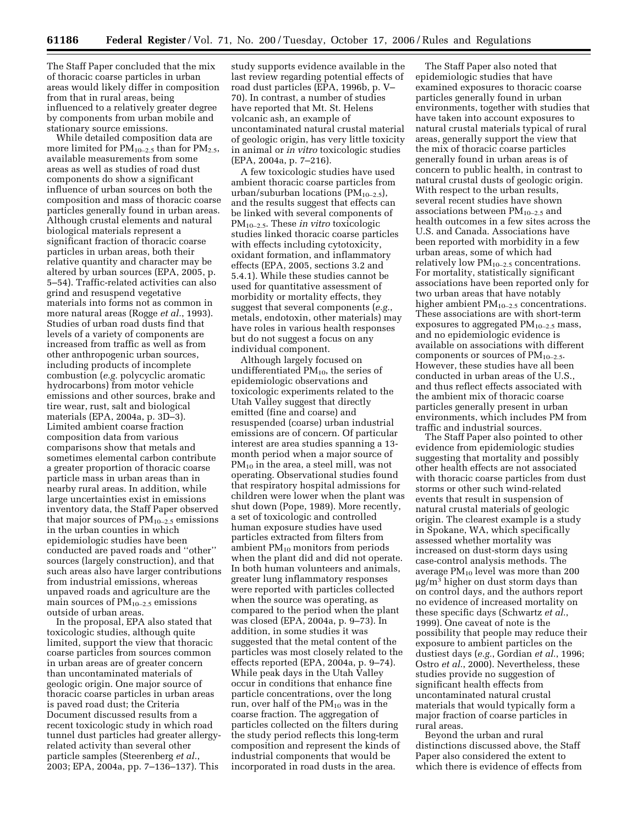The Staff Paper concluded that the mix of thoracic coarse particles in urban areas would likely differ in composition from that in rural areas, being influenced to a relatively greater degree by components from urban mobile and stationary source emissions.

While detailed composition data are more limited for  $PM_{10-2.5}$  than for  $PM_{2.5}$ , available measurements from some areas as well as studies of road dust components do show a significant influence of urban sources on both the composition and mass of thoracic coarse particles generally found in urban areas. Although crustal elements and natural biological materials represent a significant fraction of thoracic coarse particles in urban areas, both their relative quantity and character may be altered by urban sources (EPA, 2005, p. 5–54). Traffic-related activities can also grind and resuspend vegetative materials into forms not as common in more natural areas (Rogge *et al.*, 1993). Studies of urban road dusts find that levels of a variety of components are increased from traffic as well as from other anthropogenic urban sources, including products of incomplete combustion (*e.g.* polycyclic aromatic hydrocarbons) from motor vehicle emissions and other sources, brake and tire wear, rust, salt and biological materials (EPA, 2004a, p. 3D–3). Limited ambient coarse fraction composition data from various comparisons show that metals and sometimes elemental carbon contribute a greater proportion of thoracic coarse particle mass in urban areas than in nearby rural areas. In addition, while large uncertainties exist in emissions inventory data, the Staff Paper observed that major sources of  $PM_{10-2.5}$  emissions in the urban counties in which epidemiologic studies have been conducted are paved roads and ''other'' sources (largely construction), and that such areas also have larger contributions from industrial emissions, whereas unpaved roads and agriculture are the main sources of  $PM_{10-2.5}$  emissions outside of urban areas.

In the proposal, EPA also stated that toxicologic studies, although quite limited, support the view that thoracic coarse particles from sources common in urban areas are of greater concern than uncontaminated materials of geologic origin. One major source of thoracic coarse particles in urban areas is paved road dust; the Criteria Document discussed results from a recent toxicologic study in which road tunnel dust particles had greater allergyrelated activity than several other particle samples (Steerenberg *et al.*, 2003; EPA, 2004a, pp. 7–136–137). This

study supports evidence available in the last review regarding potential effects of road dust particles (EPA, 1996b, p. V– 70). In contrast, a number of studies have reported that Mt. St. Helens volcanic ash, an example of uncontaminated natural crustal material of geologic origin, has very little toxicity in animal or *in vitro* toxicologic studies (EPA, 2004a, p. 7–216).

A few toxicologic studies have used ambient thoracic coarse particles from urban/suburban locations ( $PM_{10-2.5}$ ), and the results suggest that effects can be linked with several components of PM10–2.5. These *in vitro* toxicologic studies linked thoracic coarse particles with effects including cytotoxicity, oxidant formation, and inflammatory effects (EPA, 2005, sections 3.2 and 5.4.1). While these studies cannot be used for quantitative assessment of morbidity or mortality effects, they suggest that several components (*e.g.*, metals, endotoxin, other materials) may have roles in various health responses but do not suggest a focus on any individual component.

Although largely focused on undifferentiated  $PM_{10}$ , the series of epidemiologic observations and toxicologic experiments related to the Utah Valley suggest that directly emitted (fine and coarse) and resuspended (coarse) urban industrial emissions are of concern. Of particular interest are area studies spanning a 13 month period when a major source of  $PM_{10}$  in the area, a steel mill, was not operating. Observational studies found that respiratory hospital admissions for children were lower when the plant was shut down (Pope, 1989). More recently, a set of toxicologic and controlled human exposure studies have used particles extracted from filters from ambient PM10 monitors from periods when the plant did and did not operate. In both human volunteers and animals, greater lung inflammatory responses were reported with particles collected when the source was operating, as compared to the period when the plant was closed (EPA, 2004a, p. 9–73). In addition, in some studies it was suggested that the metal content of the particles was most closely related to the effects reported (EPA, 2004a, p. 9–74). While peak days in the Utah Valley occur in conditions that enhance fine particle concentrations, over the long run, over half of the PM<sub>10</sub> was in the coarse fraction. The aggregation of particles collected on the filters during the study period reflects this long-term composition and represent the kinds of industrial components that would be incorporated in road dusts in the area.

The Staff Paper also noted that epidemiologic studies that have examined exposures to thoracic coarse particles generally found in urban environments, together with studies that have taken into account exposures to natural crustal materials typical of rural areas, generally support the view that the mix of thoracic coarse particles generally found in urban areas is of concern to public health, in contrast to natural crustal dusts of geologic origin. With respect to the urban results, several recent studies have shown associations between  $PM_{10-2.5}$  and health outcomes in a few sites across the U.S. and Canada. Associations have been reported with morbidity in a few urban areas, some of which had relatively low  $PM_{10-2.5}$  concentrations. For mortality, statistically significant associations have been reported only for two urban areas that have notably higher ambient  $PM_{10-2.5}$  concentrations. These associations are with short-term exposures to aggregated  $PM_{10-2.5}$  mass, and no epidemiologic evidence is available on associations with different components or sources of  $PM_{10-2.5}$ . However, these studies have all been conducted in urban areas of the U.S., and thus reflect effects associated with the ambient mix of thoracic coarse particles generally present in urban environments, which includes PM from traffic and industrial sources.

The Staff Paper also pointed to other evidence from epidemiologic studies suggesting that mortality and possibly other health effects are not associated with thoracic coarse particles from dust storms or other such wind-related events that result in suspension of natural crustal materials of geologic origin. The clearest example is a study in Spokane, WA, which specifically assessed whether mortality was increased on dust-storm days using case-control analysis methods. The average  $PM_{10}$  level was more than 200 µg/m3 higher on dust storm days than on control days, and the authors report no evidence of increased mortality on these specific days (Schwartz *et al.*, 1999). One caveat of note is the possibility that people may reduce their exposure to ambient particles on the dustiest days (*e.g.*, Gordian *et al.*, 1996; Ostro *et al.*, 2000). Nevertheless, these studies provide no suggestion of significant health effects from uncontaminated natural crustal materials that would typically form a major fraction of coarse particles in rural areas.

Beyond the urban and rural distinctions discussed above, the Staff Paper also considered the extent to which there is evidence of effects from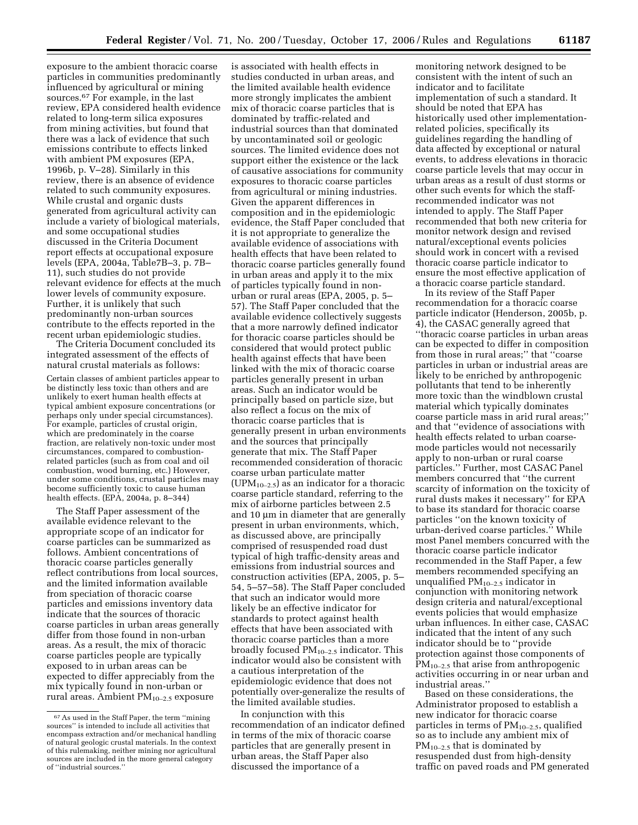exposure to the ambient thoracic coarse particles in communities predominantly influenced by agricultural or mining sources.67 For example, in the last review, EPA considered health evidence related to long-term silica exposures from mining activities, but found that there was a lack of evidence that such emissions contribute to effects linked with ambient PM exposures (EPA, 1996b, p. V–28). Similarly in this review, there is an absence of evidence related to such community exposures. While crustal and organic dusts generated from agricultural activity can include a variety of biological materials, and some occupational studies discussed in the Criteria Document report effects at occupational exposure levels (EPA, 2004a, Table7B–3, p. 7B– 11), such studies do not provide relevant evidence for effects at the much lower levels of community exposure. Further, it is unlikely that such predominantly non-urban sources contribute to the effects reported in the recent urban epidemiologic studies.

The Criteria Document concluded its integrated assessment of the effects of natural crustal materials as follows:

Certain classes of ambient particles appear to be distinctly less toxic than others and are unlikely to exert human health effects at typical ambient exposure concentrations (or perhaps only under special circumstances). For example, particles of crustal origin, which are predominately in the coarse fraction, are relatively non-toxic under most circumstances, compared to combustionrelated particles (such as from coal and oil combustion, wood burning, etc.) However, under some conditions, crustal particles may become sufficiently toxic to cause human health effects. (EPA, 2004a, p. 8–344)

The Staff Paper assessment of the available evidence relevant to the appropriate scope of an indicator for coarse particles can be summarized as follows. Ambient concentrations of thoracic coarse particles generally reflect contributions from local sources, and the limited information available from speciation of thoracic coarse particles and emissions inventory data indicate that the sources of thoracic coarse particles in urban areas generally differ from those found in non-urban areas. As a result, the mix of thoracic coarse particles people are typically exposed to in urban areas can be expected to differ appreciably from the mix typically found in non-urban or rural areas. Ambient  $PM_{10-2.5}$  exposure

is associated with health effects in studies conducted in urban areas, and the limited available health evidence more strongly implicates the ambient mix of thoracic coarse particles that is dominated by traffic-related and industrial sources than that dominated by uncontaminated soil or geologic sources. The limited evidence does not support either the existence or the lack of causative associations for community exposures to thoracic coarse particles from agricultural or mining industries. Given the apparent differences in composition and in the epidemiologic evidence, the Staff Paper concluded that it is not appropriate to generalize the available evidence of associations with health effects that have been related to thoracic coarse particles generally found in urban areas and apply it to the mix of particles typically found in nonurban or rural areas (EPA, 2005, p. 5– 57). The Staff Paper concluded that the available evidence collectively suggests that a more narrowly defined indicator for thoracic coarse particles should be considered that would protect public health against effects that have been linked with the mix of thoracic coarse particles generally present in urban areas. Such an indicator would be principally based on particle size, but also reflect a focus on the mix of thoracic coarse particles that is generally present in urban environments and the sources that principally generate that mix. The Staff Paper recommended consideration of thoracic coarse urban particulate matter (UPM<sub>10–2.5</sub>) as an indicator for a thoracic coarse particle standard, referring to the mix of airborne particles between 2.5 and 10 µm in diameter that are generally present in urban environments, which, as discussed above, are principally comprised of resuspended road dust typical of high traffic-density areas and emissions from industrial sources and construction activities (EPA, 2005, p. 5– 54, 5–57–58). The Staff Paper concluded that such an indicator would more likely be an effective indicator for standards to protect against health effects that have been associated with thoracic coarse particles than a more broadly focused  $PM_{10-2.5}$  indicator. This indicator would also be consistent with a cautious interpretation of the epidemiologic evidence that does not potentially over-generalize the results of the limited available studies.

In conjunction with this recommendation of an indicator defined in terms of the mix of thoracic coarse particles that are generally present in urban areas, the Staff Paper also discussed the importance of a

monitoring network designed to be consistent with the intent of such an indicator and to facilitate implementation of such a standard. It should be noted that EPA has historically used other implementationrelated policies, specifically its guidelines regarding the handling of data affected by exceptional or natural events, to address elevations in thoracic coarse particle levels that may occur in urban areas as a result of dust storms or other such events for which the staffrecommended indicator was not intended to apply. The Staff Paper recommended that both new criteria for monitor network design and revised natural/exceptional events policies should work in concert with a revised thoracic coarse particle indicator to ensure the most effective application of a thoracic coarse particle standard.

In its review of the Staff Paper recommendation for a thoracic coarse particle indicator (Henderson, 2005b, p. 4), the CASAC generally agreed that ''thoracic coarse particles in urban areas can be expected to differ in composition from those in rural areas;'' that ''coarse particles in urban or industrial areas are likely to be enriched by anthropogenic pollutants that tend to be inherently more toxic than the windblown crustal material which typically dominates coarse particle mass in arid rural areas;'' and that ''evidence of associations with health effects related to urban coarsemode particles would not necessarily apply to non-urban or rural coarse particles.'' Further, most CASAC Panel members concurred that ''the current scarcity of information on the toxicity of rural dusts makes it necessary'' for EPA to base its standard for thoracic coarse particles ''on the known toxicity of urban-derived coarse particles.'' While most Panel members concurred with the thoracic coarse particle indicator recommended in the Staff Paper, a few members recommended specifying an unqualified  $PM_{10-2.5}$  indicator in conjunction with monitoring network design criteria and natural/exceptional events policies that would emphasize urban influences. In either case, CASAC indicated that the intent of any such indicator should be to ''provide protection against those components of PM<sub>10–2.5</sub> that arise from anthropogenic activities occurring in or near urban and industrial areas.''

Based on these considerations, the Administrator proposed to establish a new indicator for thoracic coarse particles in terms of  $PM_{10-2.5}$ , qualified so as to include any ambient mix of  $PM_{10-2.5}$  that is dominated by resuspended dust from high-density traffic on paved roads and PM generated

<sup>67</sup>As used in the Staff Paper, the term ''mining sources'' is intended to include all activities that encompass extraction and/or mechanical handling of natural geologic crustal materials. In the context of this rulemaking, neither mining nor agricultural sources are included in the more general category of ''industrial sources.''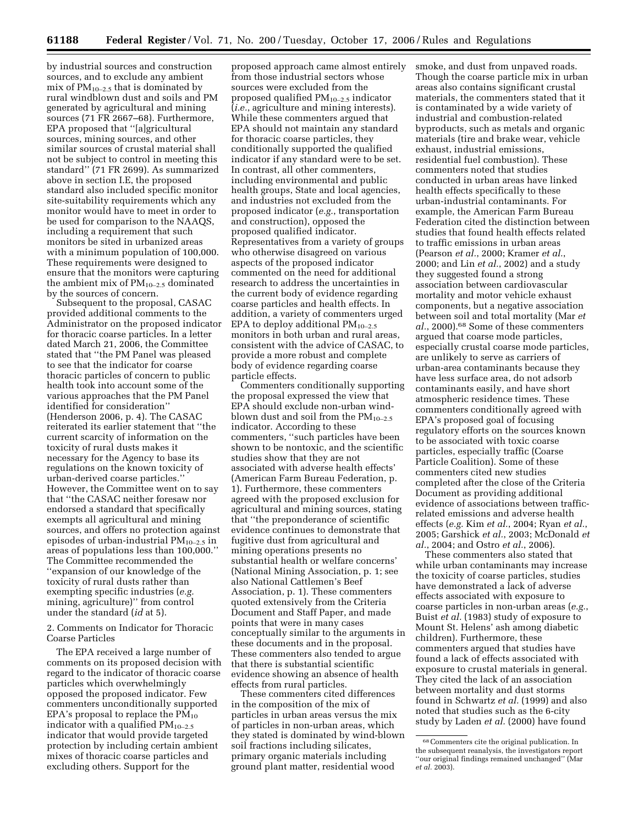by industrial sources and construction sources, and to exclude any ambient mix of  $PM_{10-2.5}$  that is dominated by rural windblown dust and soils and PM generated by agricultural and mining sources (71 FR 2667–68). Furthermore, EPA proposed that ''[a]gricultural sources, mining sources, and other similar sources of crustal material shall not be subject to control in meeting this standard'' (71 FR 2699). As summarized above in section I.E, the proposed standard also included specific monitor site-suitability requirements which any monitor would have to meet in order to be used for comparison to the NAAQS, including a requirement that such monitors be sited in urbanized areas with a minimum population of 100,000. These requirements were designed to ensure that the monitors were capturing the ambient mix of  $PM_{10-2.5}$  dominated by the sources of concern.

Subsequent to the proposal, CASAC provided additional comments to the Administrator on the proposed indicator for thoracic coarse particles. In a letter dated March 21, 2006, the Committee stated that ''the PM Panel was pleased to see that the indicator for coarse thoracic particles of concern to public health took into account some of the various approaches that the PM Panel identified for consideration'' (Henderson 2006, p. 4). The CASAC reiterated its earlier statement that ''the current scarcity of information on the toxicity of rural dusts makes it necessary for the Agency to base its regulations on the known toxicity of urban-derived coarse particles.'' However, the Committee went on to say that ''the CASAC neither foresaw nor endorsed a standard that specifically exempts all agricultural and mining sources, and offers no protection against episodes of urban-industrial  $PM_{10-2.5}$  in areas of populations less than 100,000.'' The Committee recommended the ''expansion of our knowledge of the toxicity of rural dusts rather than exempting specific industries (*e.g.*  mining, agriculture)'' from control under the standard (*id* at 5).

2. Comments on Indicator for Thoracic Coarse Particles

The EPA received a large number of comments on its proposed decision with regard to the indicator of thoracic coarse particles which overwhelmingly opposed the proposed indicator. Few commenters unconditionally supported EPA's proposal to replace the  $\overline{PM}_{10}$ indicator with a qualified  $PM_{10-2.5}$ indicator that would provide targeted protection by including certain ambient mixes of thoracic coarse particles and excluding others. Support for the

proposed approach came almost entirely from those industrial sectors whose sources were excluded from the proposed qualified  $PM_{10-2.5}$  indicator (*i.e.*, agriculture and mining interests). While these commenters argued that EPA should not maintain any standard for thoracic coarse particles, they conditionally supported the qualified indicator if any standard were to be set. In contrast, all other commenters, including environmental and public health groups, State and local agencies, and industries not excluded from the proposed indicator (*e.g.*, transportation and construction), opposed the proposed qualified indicator. Representatives from a variety of groups who otherwise disagreed on various aspects of the proposed indicator commented on the need for additional research to address the uncertainties in the current body of evidence regarding coarse particles and health effects. In addition, a variety of commenters urged EPA to deploy additional  $PM_{10-2.5}$ monitors in both urban and rural areas, consistent with the advice of CASAC, to provide a more robust and complete body of evidence regarding coarse particle effects.

Commenters conditionally supporting the proposal expressed the view that EPA should exclude non-urban windblown dust and soil from the  $PM_{10-2.5}$ indicator. According to these commenters, ''such particles have been shown to be nontoxic, and the scientific studies show that they are not associated with adverse health effects' (American Farm Bureau Federation, p. 1). Furthermore, these commenters agreed with the proposed exclusion for agricultural and mining sources, stating that ''the preponderance of scientific evidence continues to demonstrate that fugitive dust from agricultural and mining operations presents no substantial health or welfare concerns' (National Mining Association, p. 1; see also National Cattlemen's Beef Association, p. 1). These commenters quoted extensively from the Criteria Document and Staff Paper, and made points that were in many cases conceptually similar to the arguments in these documents and in the proposal. These commenters also tended to argue that there is substantial scientific evidence showing an absence of health effects from rural particles.

These commenters cited differences in the composition of the mix of particles in urban areas versus the mix of particles in non-urban areas, which they stated is dominated by wind-blown soil fractions including silicates, primary organic materials including ground plant matter, residential wood

smoke, and dust from unpaved roads. Though the coarse particle mix in urban areas also contains significant crustal materials, the commenters stated that it is contaminated by a wide variety of industrial and combustion-related byproducts, such as metals and organic materials (tire and brake wear, vehicle exhaust, industrial emissions, residential fuel combustion). These commenters noted that studies conducted in urban areas have linked health effects specifically to these urban-industrial contaminants. For example, the American Farm Bureau Federation cited the distinction between studies that found health effects related to traffic emissions in urban areas (Pearson *et al.*, 2000; Kramer *et al.*, 2000; and Lin *et al.*, 2002) and a study they suggested found a strong association between cardiovascular mortality and motor vehicle exhaust components, but a negative association between soil and total mortality (Mar *et al.*, 2000).68 Some of these commenters argued that coarse mode particles, especially crustal coarse mode particles, are unlikely to serve as carriers of urban-area contaminants because they have less surface area, do not adsorb contaminants easily, and have short atmospheric residence times. These commenters conditionally agreed with EPA's proposed goal of focusing regulatory efforts on the sources known to be associated with toxic coarse particles, especially traffic (Coarse Particle Coalition). Some of these commenters cited new studies completed after the close of the Criteria Document as providing additional evidence of associations between trafficrelated emissions and adverse health effects (*e.g.* Kim *et al.*, 2004; Ryan *et al.*, 2005; Garshick *et al.*, 2003; McDonald *et al.*, 2004; and Ostro *et al.*, 2006).

These commenters also stated that while urban contaminants may increase the toxicity of coarse particles, studies have demonstrated a lack of adverse effects associated with exposure to coarse particles in non-urban areas (*e.g.*, Buist *et al.* (1983) study of exposure to Mount St. Helens' ash among diabetic children). Furthermore, these commenters argued that studies have found a lack of effects associated with exposure to crustal materials in general. They cited the lack of an association between mortality and dust storms found in Schwartz *et al.* (1999) and also noted that studies such as the 6-city study by Laden *et al.* (2000) have found

<sup>68</sup>Commenters cite the original publication. In the subsequent reanalysis, the investigators report ''our original findings remained unchanged'' (Mar *et al.* 2003).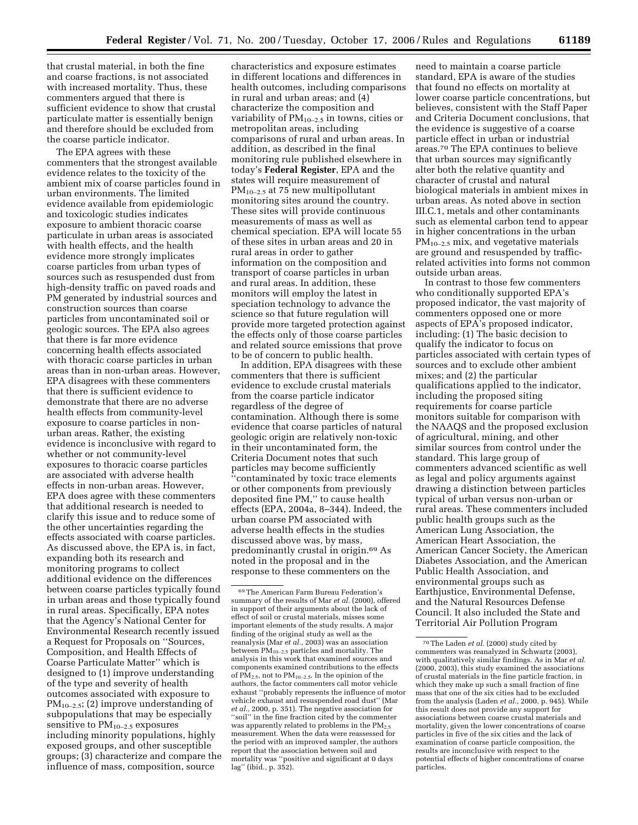that crustal material, in both the fine and coarse fractions, is not associated with increased mortality. Thus, these commenters argued that there is sufficient evidence to show that crustal particulate matter is essentially benign and therefore should be excluded from the coarse particle indicator.

The EPA agrees with these commenters that the strongest available evidence relates to the toxicity of the ambient mix of coarse particles found in urban environments. The limited evidence available from epidemiologic and toxicologic studies indicates exposure to ambient thoracic coarse particulate in urban areas is associated with health effects, and the health evidence more strongly implicates coarse particles from urban types of sources such as resuspended dust from high-density traffic on paved roads and PM generated by industrial sources and construction sources than coarse particles from uncontaminated soil or geologic sources. The EPA also agrees that there is far more evidence concerning health effects associated with thoracic coarse particles in urban areas than in non-urban areas. However, EPA disagrees with these commenters that there is sufficient evidence to demonstrate that there are no adverse health effects from community-level exposure to coarse particles in nonurban areas. Rather, the existing evidence is inconclusive with regard to whether or not community-level exposures to thoracic coarse particles are associated with adverse health effects in non-urban areas. However, EPA does agree with these commenters that additional research is needed to clarify this issue and to reduce some of the other uncertainties regarding the effects associated with coarse particles. As discussed above, the EPA is, in fact, expanding both its research and monitoring programs to collect additional evidence on the differences between coarse particles typically found in urban areas and those typically found in rural areas. Specifically, EPA notes that the Agency's National Center for Environmental Research recently issued a Request for Proposals on ''Sources, Composition, and Health Effects of Coarse Particulate Matter'' which is designed to (1) improve understanding of the type and severity of health outcomes associated with exposure to PM10–2.5; (2) improve understanding of subpopulations that may be especially sensitive to  $PM_{10-2.5}$  exposures including minority populations, highly exposed groups, and other susceptible groups; (3) characterize and compare the influence of mass, composition, source

characteristics and exposure estimates in different locations and differences in health outcomes, including comparisons in rural and urban areas; and (4) characterize the composition and variability of  $PM_{10-2.5}$  in towns, cities or metropolitan areas, including comparisons of rural and urban areas. In addition, as described in the final monitoring rule published elsewhere in today's **Federal Register**, EPA and the states will require measurement of PM10–2.5 at 75 new multipollutant monitoring sites around the country. These sites will provide continuous measurements of mass as well as chemical speciation. EPA will locate 55 of these sites in urban areas and 20 in rural areas in order to gather information on the composition and transport of coarse particles in urban and rural areas. In addition, these monitors will employ the latest in speciation technology to advance the science so that future regulation will provide more targeted protection against the effects only of those coarse particles and related source emissions that prove to be of concern to public health.

In addition, EPA disagrees with these commenters that there is sufficient evidence to exclude crustal materials from the coarse particle indicator regardless of the degree of contamination. Although there is some evidence that coarse particles of natural geologic origin are relatively non-toxic in their uncontaminated form, the Criteria Document notes that such particles may become sufficiently ''contaminated by toxic trace elements or other components from previously deposited fine PM,'' to cause health effects (EPA, 2004a, 8–344). Indeed, the urban coarse PM associated with adverse health effects in the studies discussed above was, by mass, predominantly crustal in origin.69 As noted in the proposal and in the response to these commenters on the

need to maintain a coarse particle standard, EPA is aware of the studies that found no effects on mortality at lower coarse particle concentrations, but believes, consistent with the Staff Paper and Criteria Document conclusions, that the evidence is suggestive of a coarse particle effect in urban or industrial areas.70 The EPA continues to believe that urban sources may significantly alter both the relative quantity and character of crustal and natural biological materials in ambient mixes in urban areas. As noted above in section III.C.1, metals and other contaminants such as elemental carbon tend to appear in higher concentrations in the urban  $PM_{10-2.5}$  mix, and vegetative materials are ground and resuspended by trafficrelated activities into forms not common outside urban areas.

In contrast to those few commenters who conditionally supported EPA's proposed indicator, the vast majority of commenters opposed one or more aspects of EPA's proposed indicator, including: (1) The basic decision to qualify the indicator to focus on particles associated with certain types of sources and to exclude other ambient mixes; and (2) the particular qualifications applied to the indicator, including the proposed siting requirements for coarse particle monitors suitable for comparison with the NAAQS and the proposed exclusion of agricultural, mining, and other similar sources from control under the standard. This large group of commenters advanced scientific as well as legal and policy arguments against drawing a distinction between particles typical of urban versus non-urban or rural areas. These commenters included public health groups such as the American Lung Association, the American Heart Association, the American Cancer Society, the American Diabetes Association, and the American Public Health Association, and environmental groups such as Earthjustice, Environmental Defense, and the Natural Resources Defense Council. It also included the State and Territorial Air Pollution Program

<sup>69</sup>The American Farm Bureau Federation's summary of the results of Mar *et al.* (2000), offered in support of their arguments about the lack of effect of soil or crustal materials, misses some important elements of the study results. A major finding of the original study as well as the reanalysis (Mar *et al.*, 2003) was an association between PM10–2.5 particles and mortality. The analysis in this work that examined sources and components examined contributions to the effects of  $PM_{2.5}$ , not to  $PM_{10-2.5}$ . In the opinion of the authors, the factor commenters call motor vehicle exhaust ''probably represents the influence of motor vehicle exhaust and resuspended road dust'' (Mar *et al.*, 2000, p. 351). The negative association for "soil" in the fine fraction cited by the commenter was apparently related to problems in the PM<sub>2.5</sub> measurement. When the data were reassessed for the period with an improved sampler, the authors report that the association between soil and mortality was ''positive and significant at 0 days lag'' (ibid., p. 352).

<sup>70</sup>The Laden *et al.* (2000) study cited by commenters was reanalyzed in Schwartz (2003), with qualitatively similar findings. As in Mar *et al.*  (2000, 2003), this study examined the associations of crustal materials in the fine particle fraction, in which they make up such a small fraction of fine mass that one of the six cities had to be excluded from the analysis (Laden *et al.*, 2000, p. 945). While this result does not provide any support for associations between coarse crustal materials and mortality, given the lower concentrations of coarse particles in five of the six cities and the lack of examination of coarse particle composition, the results are inconclusive with respect to the potential effects of higher concentrations of coarse particles.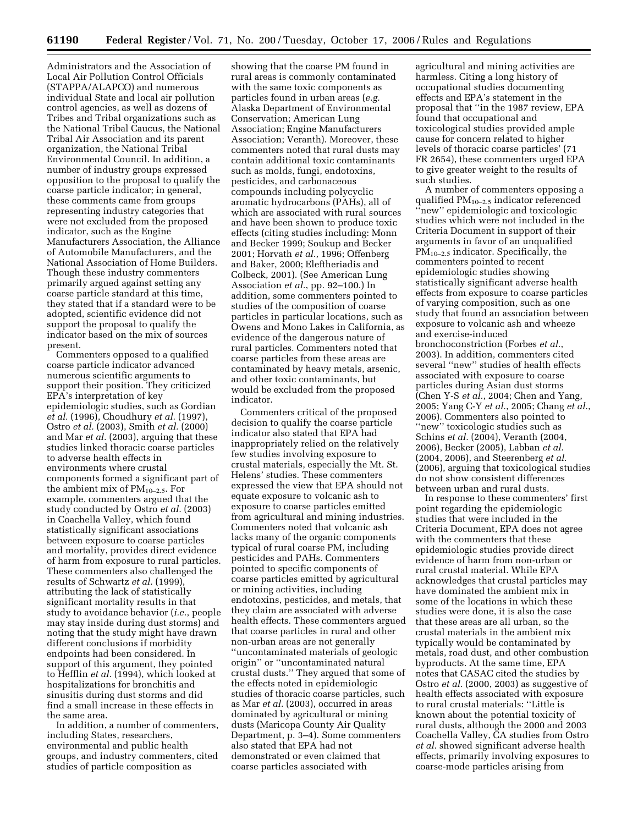Administrators and the Association of Local Air Pollution Control Officials (STAPPA/ALAPCO) and numerous individual State and local air pollution control agencies, as well as dozens of Tribes and Tribal organizations such as the National Tribal Caucus, the National Tribal Air Association and its parent organization, the National Tribal Environmental Council. In addition, a number of industry groups expressed opposition to the proposal to qualify the coarse particle indicator; in general, these comments came from groups representing industry categories that were not excluded from the proposed indicator, such as the Engine Manufacturers Association, the Alliance of Automobile Manufacturers, and the National Association of Home Builders. Though these industry commenters primarily argued against setting any coarse particle standard at this time, they stated that if a standard were to be adopted, scientific evidence did not support the proposal to qualify the indicator based on the mix of sources present.

Commenters opposed to a qualified coarse particle indicator advanced numerous scientific arguments to support their position. They criticized EPA's interpretation of key epidemiologic studies, such as Gordian *et al.* (1996), Choudhury *et al.* (1997), Ostro *et al.* (2003), Smith *et al.* (2000) and Mar *et al.* (2003), arguing that these studies linked thoracic coarse particles to adverse health effects in environments where crustal components formed a significant part of the ambient mix of  $PM_{10-2.5}$ . For example, commenters argued that the study conducted by Ostro *et al.* (2003) in Coachella Valley, which found statistically significant associations between exposure to coarse particles and mortality, provides direct evidence of harm from exposure to rural particles. These commenters also challenged the results of Schwartz *et al.* (1999), attributing the lack of statistically significant mortality results in that study to avoidance behavior (*i.e.*, people may stay inside during dust storms) and noting that the study might have drawn different conclusions if morbidity endpoints had been considered. In support of this argument, they pointed to Hefflin *et al.* (1994), which looked at hospitalizations for bronchitis and sinusitis during dust storms and did find a small increase in these effects in the same area.

In addition, a number of commenters, including States, researchers, environmental and public health groups, and industry commenters, cited studies of particle composition as

showing that the coarse PM found in rural areas is commonly contaminated with the same toxic components as particles found in urban areas (*e.g.*  Alaska Department of Environmental Conservation; American Lung Association; Engine Manufacturers Association; Veranth). Moreover, these commenters noted that rural dusts may contain additional toxic contaminants such as molds, fungi, endotoxins, pesticides, and carbonaceous compounds including polycyclic aromatic hydrocarbons (PAHs), all of which are associated with rural sources and have been shown to produce toxic effects (citing studies including: Monn and Becker 1999; Soukup and Becker 2001; Horvath *et al.*, 1996; Offenberg and Baker, 2000; Eleftheriadis and Colbeck, 2001). (See American Lung Association *et al.*, pp. 92–100.) In addition, some commenters pointed to studies of the composition of coarse particles in particular locations, such as Owens and Mono Lakes in California, as evidence of the dangerous nature of rural particles. Commenters noted that coarse particles from these areas are contaminated by heavy metals, arsenic, and other toxic contaminants, but would be excluded from the proposed indicator.

Commenters critical of the proposed decision to qualify the coarse particle indicator also stated that EPA had inappropriately relied on the relatively few studies involving exposure to crustal materials, especially the Mt. St. Helens' studies. These commenters expressed the view that EPA should not equate exposure to volcanic ash to exposure to coarse particles emitted from agricultural and mining industries. Commenters noted that volcanic ash lacks many of the organic components typical of rural coarse PM, including pesticides and PAHs. Commenters pointed to specific components of coarse particles emitted by agricultural or mining activities, including endotoxins, pesticides, and metals, that they claim are associated with adverse health effects. These commenters argued that coarse particles in rural and other non-urban areas are not generally ''uncontaminated materials of geologic origin'' or ''uncontaminated natural crustal dusts.'' They argued that some of the effects noted in epidemiologic studies of thoracic coarse particles, such as Mar *et al.* (2003), occurred in areas dominated by agricultural or mining dusts (Maricopa County Air Quality Department, p. 3–4). Some commenters also stated that EPA had not demonstrated or even claimed that coarse particles associated with

agricultural and mining activities are harmless. Citing a long history of occupational studies documenting effects and EPA's statement in the proposal that ''in the 1987 review, EPA found that occupational and toxicological studies provided ample cause for concern related to higher levels of thoracic coarse particles' (71 FR 2654), these commenters urged EPA to give greater weight to the results of such studies.

A number of commenters opposing a qualified  $PM_{10-2.5}$  indicator referenced ''new'' epidemiologic and toxicologic studies which were not included in the Criteria Document in support of their arguments in favor of an unqualified  $PM_{10-2.5}$  indicator. Specifically, the commenters pointed to recent epidemiologic studies showing statistically significant adverse health effects from exposure to coarse particles of varying composition, such as one study that found an association between exposure to volcanic ash and wheeze and exercise-induced bronchoconstriction (Forbes *et al.*, 2003). In addition, commenters cited several ''new'' studies of health effects associated with exposure to coarse particles during Asian dust storms (Chen Y-S *et al.*, 2004; Chen and Yang, 2005; Yang C-Y *et al.*, 2005; Chang *et al.*, 2006). Commenters also pointed to ''new'' toxicologic studies such as Schins *et al.* (2004), Veranth (2004, 2006), Becker (2005), Labban *et al.*  (2004, 2006), and Steerenberg *et al.*  (2006), arguing that toxicological studies do not show consistent differences between urban and rural dusts.

In response to these commenters' first point regarding the epidemiologic studies that were included in the Criteria Document, EPA does not agree with the commenters that these epidemiologic studies provide direct evidence of harm from non-urban or rural crustal material. While EPA acknowledges that crustal particles may have dominated the ambient mix in some of the locations in which these studies were done, it is also the case that these areas are all urban, so the crustal materials in the ambient mix typically would be contaminated by metals, road dust, and other combustion byproducts. At the same time, EPA notes that CASAC cited the studies by Ostro *et al.* (2000, 2003) as suggestive of health effects associated with exposure to rural crustal materials: ''Little is known about the potential toxicity of rural dusts, although the 2000 and 2003 Coachella Valley, CA studies from Ostro *et al.* showed significant adverse health effects, primarily involving exposures to coarse-mode particles arising from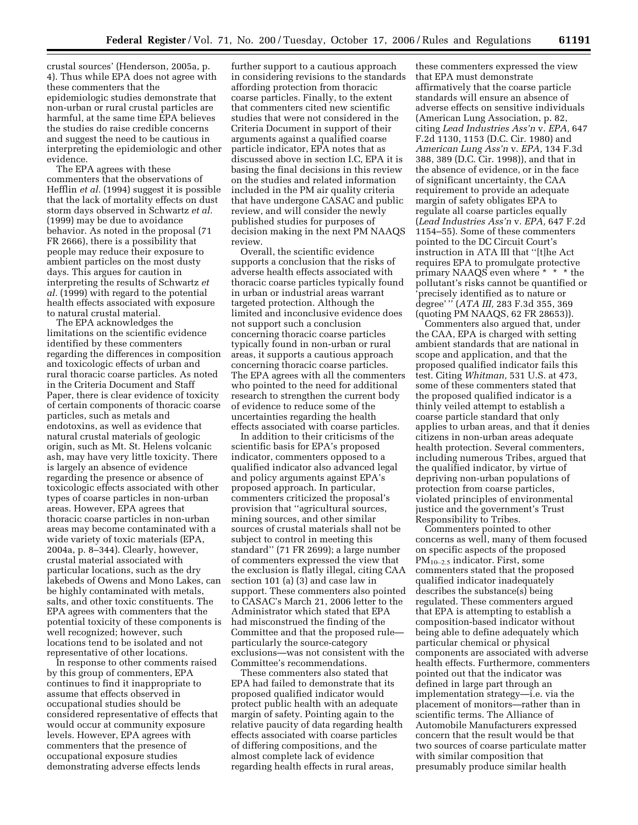crustal sources' (Henderson, 2005a, p. 4). Thus while EPA does not agree with these commenters that the epidemiologic studies demonstrate that non-urban or rural crustal particles are harmful, at the same time EPA believes the studies do raise credible concerns and suggest the need to be cautious in interpreting the epidemiologic and other evidence.

The EPA agrees with these commenters that the observations of Hefflin *et al.* (1994) suggest it is possible that the lack of mortality effects on dust storm days observed in Schwartz *et al.*  (1999) may be due to avoidance behavior. As noted in the proposal (71 FR 2666), there is a possibility that people may reduce their exposure to ambient particles on the most dusty days. This argues for caution in interpreting the results of Schwartz *et al.* (1999) with regard to the potential health effects associated with exposure to natural crustal material.

The EPA acknowledges the limitations on the scientific evidence identified by these commenters regarding the differences in composition and toxicologic effects of urban and rural thoracic coarse particles. As noted in the Criteria Document and Staff Paper, there is clear evidence of toxicity of certain components of thoracic coarse particles, such as metals and endotoxins, as well as evidence that natural crustal materials of geologic origin, such as Mt. St. Helens volcanic ash, may have very little toxicity. There is largely an absence of evidence regarding the presence or absence of toxicologic effects associated with other types of coarse particles in non-urban areas. However, EPA agrees that thoracic coarse particles in non-urban areas may become contaminated with a wide variety of toxic materials (EPA, 2004a, p. 8–344). Clearly, however, crustal material associated with particular locations, such as the dry lakebeds of Owens and Mono Lakes, can be highly contaminated with metals, salts, and other toxic constituents. The EPA agrees with commenters that the potential toxicity of these components is well recognized; however, such locations tend to be isolated and not representative of other locations.

In response to other comments raised by this group of commenters, EPA continues to find it inappropriate to assume that effects observed in occupational studies should be considered representative of effects that would occur at community exposure levels. However, EPA agrees with commenters that the presence of occupational exposure studies demonstrating adverse effects lends

further support to a cautious approach in considering revisions to the standards affording protection from thoracic coarse particles. Finally, to the extent that commenters cited new scientific studies that were not considered in the Criteria Document in support of their arguments against a qualified coarse particle indicator, EPA notes that as discussed above in section I.C, EPA it is basing the final decisions in this review on the studies and related information included in the PM air quality criteria that have undergone CASAC and public review, and will consider the newly published studies for purposes of decision making in the next PM NAAQS review.

Overall, the scientific evidence supports a conclusion that the risks of adverse health effects associated with thoracic coarse particles typically found in urban or industrial areas warrant targeted protection. Although the limited and inconclusive evidence does not support such a conclusion concerning thoracic coarse particles typically found in non-urban or rural areas, it supports a cautious approach concerning thoracic coarse particles. The EPA agrees with all the commenters who pointed to the need for additional research to strengthen the current body of evidence to reduce some of the uncertainties regarding the health effects associated with coarse particles.

In addition to their criticisms of the scientific basis for EPA's proposed indicator, commenters opposed to a qualified indicator also advanced legal and policy arguments against EPA's proposed approach. In particular, commenters criticized the proposal's provision that ''agricultural sources, mining sources, and other similar sources of crustal materials shall not be subject to control in meeting this standard'' (71 FR 2699); a large number of commenters expressed the view that the exclusion is flatly illegal, citing CAA section 101 (a) (3) and case law in support. These commenters also pointed to CASAC's March 21, 2006 letter to the Administrator which stated that EPA had misconstrued the finding of the Committee and that the proposed rule particularly the source-category exclusions—was not consistent with the Committee's recommendations.

These commenters also stated that EPA had failed to demonstrate that its proposed qualified indicator would protect public health with an adequate margin of safety. Pointing again to the relative paucity of data regarding health effects associated with coarse particles of differing compositions, and the almost complete lack of evidence regarding health effects in rural areas,

these commenters expressed the view that EPA must demonstrate affirmatively that the coarse particle standards will ensure an absence of adverse effects on sensitive individuals (American Lung Association, p. 82, citing *Lead Industries Ass'n* v. *EPA,* 647 F.2d 1130, 1153 (D.C. Cir. 1980) and *American Lung Ass'n* v. *EPA,* 134 F.3d 388, 389 (D.C. Cir. 1998)), and that in the absence of evidence, or in the face of significant uncertainty, the CAA requirement to provide an adequate margin of safety obligates EPA to regulate all coarse particles equally (*Lead Industries Ass'n* v. *EPA,* 647 F.2d 1154–55). Some of these commenters pointed to the DC Circuit Court's instruction in ATA III that ''[t]he Act requires EPA to promulgate protective primary NAAQS even where \* \* \* the pollutant's risks cannot be quantified or 'precisely identified as to nature or degree' '' (*ATA III,* 283 F.3d 355, 369 (quoting PM NAAQS, 62 FR 28653)).

Commenters also argued that, under the CAA, EPA is charged with setting ambient standards that are national in scope and application, and that the proposed qualified indicator fails this test. Citing *Whitman,* 531 U.S. at 473, some of these commenters stated that the proposed qualified indicator is a thinly veiled attempt to establish a coarse particle standard that only applies to urban areas, and that it denies citizens in non-urban areas adequate health protection. Several commenters, including numerous Tribes, argued that the qualified indicator, by virtue of depriving non-urban populations of protection from coarse particles, violated principles of environmental justice and the government's Trust Responsibility to Tribes.

Commenters pointed to other concerns as well, many of them focused on specific aspects of the proposed  $PM_{10-2.5}$  indicator. First, some commenters stated that the proposed qualified indicator inadequately describes the substance(s) being regulated. These commenters argued that EPA is attempting to establish a composition-based indicator without being able to define adequately which particular chemical or physical components are associated with adverse health effects. Furthermore, commenters pointed out that the indicator was defined in large part through an implementation strategy—i.e. via the placement of monitors—rather than in scientific terms. The Alliance of Automobile Manufacturers expressed concern that the result would be that two sources of coarse particulate matter with similar composition that presumably produce similar health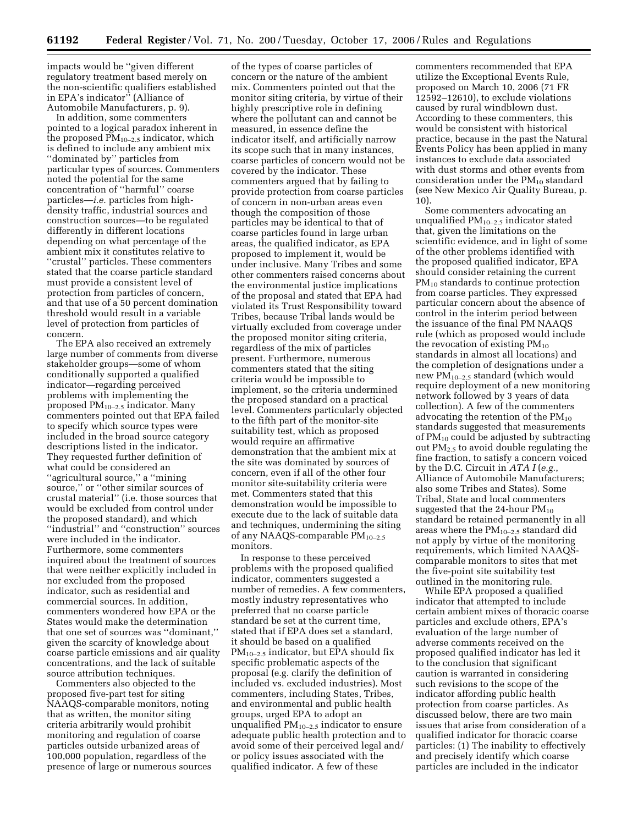impacts would be ''given different regulatory treatment based merely on the non-scientific qualifiers established in EPA's indicator'' (Alliance of Automobile Manufacturers, p. 9).

In addition, some commenters pointed to a logical paradox inherent in the proposed  $PM_{10-2.5}$  indicator, which is defined to include any ambient mix ''dominated by'' particles from particular types of sources. Commenters noted the potential for the same concentration of ''harmful'' coarse particles—*i.e.* particles from highdensity traffic, industrial sources and construction sources—to be regulated differently in different locations depending on what percentage of the ambient mix it constitutes relative to ''crustal'' particles. These commenters stated that the coarse particle standard must provide a consistent level of protection from particles of concern, and that use of a 50 percent domination threshold would result in a variable level of protection from particles of concern.

The EPA also received an extremely large number of comments from diverse stakeholder groups—some of whom conditionally supported a qualified indicator—regarding perceived problems with implementing the proposed  $PM_{10-2.5}$  indicator. Many commenters pointed out that EPA failed to specify which source types were included in the broad source category descriptions listed in the indicator. They requested further definition of what could be considered an ''agricultural source,'' a ''mining source,'' or ''other similar sources of crustal material'' (i.e. those sources that would be excluded from control under the proposed standard), and which ''industrial'' and ''construction'' sources were included in the indicator. Furthermore, some commenters inquired about the treatment of sources that were neither explicitly included in nor excluded from the proposed indicator, such as residential and commercial sources. In addition, commenters wondered how EPA or the States would make the determination that one set of sources was "dominant," given the scarcity of knowledge about coarse particle emissions and air quality concentrations, and the lack of suitable source attribution techniques.

Commenters also objected to the proposed five-part test for siting NAAQS-comparable monitors, noting that as written, the monitor siting criteria arbitrarily would prohibit monitoring and regulation of coarse particles outside urbanized areas of 100,000 population, regardless of the presence of large or numerous sources

of the types of coarse particles of concern or the nature of the ambient mix. Commenters pointed out that the monitor siting criteria, by virtue of their highly prescriptive role in defining where the pollutant can and cannot be measured, in essence define the indicator itself, and artificially narrow its scope such that in many instances, coarse particles of concern would not be covered by the indicator. These commenters argued that by failing to provide protection from coarse particles of concern in non-urban areas even though the composition of those particles may be identical to that of coarse particles found in large urban areas, the qualified indicator, as EPA proposed to implement it, would be under inclusive. Many Tribes and some other commenters raised concerns about the environmental justice implications of the proposal and stated that EPA had violated its Trust Responsibility toward Tribes, because Tribal lands would be virtually excluded from coverage under the proposed monitor siting criteria, regardless of the mix of particles present. Furthermore, numerous commenters stated that the siting criteria would be impossible to implement, so the criteria undermined the proposed standard on a practical level. Commenters particularly objected to the fifth part of the monitor-site suitability test, which as proposed would require an affirmative demonstration that the ambient mix at the site was dominated by sources of concern, even if all of the other four monitor site-suitability criteria were met. Commenters stated that this demonstration would be impossible to execute due to the lack of suitable data and techniques, undermining the siting of any NAAQS-comparable PM10–2.5 monitors.

In response to these perceived problems with the proposed qualified indicator, commenters suggested a number of remedies. A few commenters, mostly industry representatives who preferred that no coarse particle standard be set at the current time, stated that if EPA does set a standard, it should be based on a qualified  $PM_{10-2.5}$  indicator, but EPA should fix specific problematic aspects of the proposal (e.g. clarify the definition of included vs. excluded industries). Most commenters, including States, Tribes, and environmental and public health groups, urged EPA to adopt an unqualified  $PM_{10-2.5}$  indicator to ensure adequate public health protection and to avoid some of their perceived legal and/ or policy issues associated with the qualified indicator. A few of these

commenters recommended that EPA utilize the Exceptional Events Rule, proposed on March 10, 2006 (71 FR 12592–12610), to exclude violations caused by rural windblown dust. According to these commenters, this would be consistent with historical practice, because in the past the Natural Events Policy has been applied in many instances to exclude data associated with dust storms and other events from consideration under the  $PM_{10}$  standard (see New Mexico Air Quality Bureau, p. 10).

Some commenters advocating an unqualified  $PM_{10-2.5}$  indicator stated that, given the limitations on the scientific evidence, and in light of some of the other problems identified with the proposed qualified indicator, EPA should consider retaining the current  $PM_{10}$  standards to continue protection from coarse particles. They expressed particular concern about the absence of control in the interim period between the issuance of the final PM NAAQS rule (which as proposed would include the revocation of existing  $PM_{10}$ standards in almost all locations) and the completion of designations under a new PM10–2.5 standard (which would require deployment of a new monitoring network followed by 3 years of data collection). A few of the commenters advocating the retention of the  $PM_{10}$ standards suggested that measurements of  $PM_{10}$  could be adjusted by subtracting out PM2.5 to avoid double regulating the fine fraction, to satisfy a concern voiced by the D.C. Circuit in *ATA I* (*e.g.*, Alliance of Automobile Manufacturers; also some Tribes and States). Some Tribal, State and local commenters suggested that the 24-hour  $PM_{10}$ standard be retained permanently in all areas where the  $PM_{10-2.5}$  standard did not apply by virtue of the monitoring requirements, which limited NAAQScomparable monitors to sites that met the five-point site suitability test outlined in the monitoring rule.

While EPA proposed a qualified indicator that attempted to include certain ambient mixes of thoracic coarse particles and exclude others, EPA's evaluation of the large number of adverse comments received on the proposed qualified indicator has led it to the conclusion that significant caution is warranted in considering such revisions to the scope of the indicator affording public health protection from coarse particles. As discussed below, there are two main issues that arise from consideration of a qualified indicator for thoracic coarse particles: (1) The inability to effectively and precisely identify which coarse particles are included in the indicator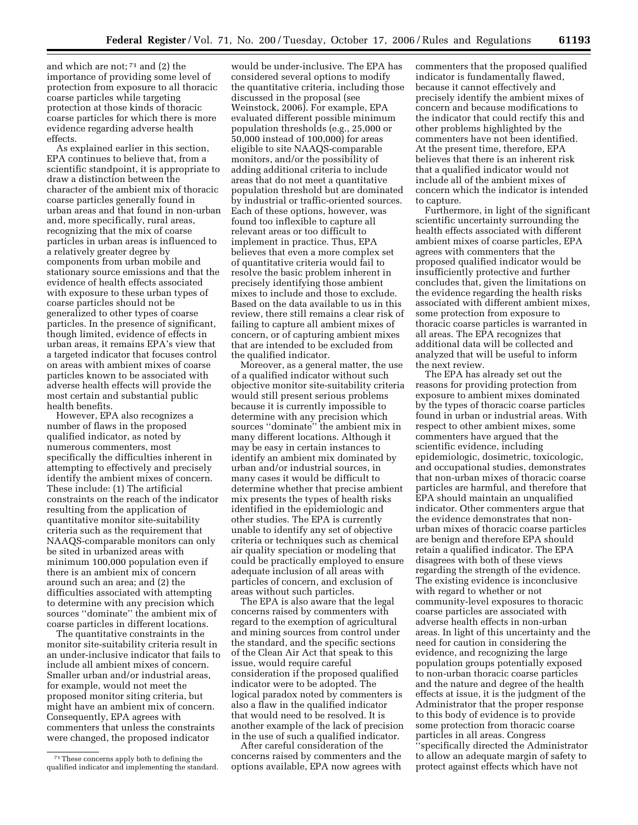and which are not; 71 and (2) the importance of providing some level of protection from exposure to all thoracic coarse particles while targeting protection at those kinds of thoracic coarse particles for which there is more evidence regarding adverse health effects.

As explained earlier in this section, EPA continues to believe that, from a scientific standpoint, it is appropriate to draw a distinction between the character of the ambient mix of thoracic coarse particles generally found in urban areas and that found in non-urban and, more specifically, rural areas, recognizing that the mix of coarse particles in urban areas is influenced to a relatively greater degree by components from urban mobile and stationary source emissions and that the evidence of health effects associated with exposure to these urban types of coarse particles should not be generalized to other types of coarse particles. In the presence of significant, though limited, evidence of effects in urban areas, it remains EPA's view that a targeted indicator that focuses control on areas with ambient mixes of coarse particles known to be associated with adverse health effects will provide the most certain and substantial public health benefits.

However, EPA also recognizes a number of flaws in the proposed qualified indicator, as noted by numerous commenters, most specifically the difficulties inherent in attempting to effectively and precisely identify the ambient mixes of concern. These include: (1) The artificial constraints on the reach of the indicator resulting from the application of quantitative monitor site-suitability criteria such as the requirement that NAAQS-comparable monitors can only be sited in urbanized areas with minimum 100,000 population even if there is an ambient mix of concern around such an area; and (2) the difficulties associated with attempting to determine with any precision which sources ''dominate'' the ambient mix of coarse particles in different locations.

The quantitative constraints in the monitor site-suitability criteria result in an under-inclusive indicator that fails to include all ambient mixes of concern. Smaller urban and/or industrial areas, for example, would not meet the proposed monitor siting criteria, but might have an ambient mix of concern. Consequently, EPA agrees with commenters that unless the constraints were changed, the proposed indicator

would be under-inclusive. The EPA has considered several options to modify the quantitative criteria, including those discussed in the proposal (see Weinstock, 2006). For example, EPA evaluated different possible minimum population thresholds (e.g., 25,000 or 50,000 instead of 100,000) for areas eligible to site NAAQS-comparable monitors, and/or the possibility of adding additional criteria to include areas that do not meet a quantitative population threshold but are dominated by industrial or traffic-oriented sources. Each of these options, however, was found too inflexible to capture all relevant areas or too difficult to implement in practice. Thus, EPA believes that even a more complex set of quantitative criteria would fail to resolve the basic problem inherent in precisely identifying those ambient mixes to include and those to exclude. Based on the data available to us in this review, there still remains a clear risk of failing to capture all ambient mixes of concern, or of capturing ambient mixes that are intended to be excluded from the qualified indicator.

Moreover, as a general matter, the use of a qualified indicator without such objective monitor site-suitability criteria would still present serious problems because it is currently impossible to determine with any precision which sources ''dominate'' the ambient mix in many different locations. Although it may be easy in certain instances to identify an ambient mix dominated by urban and/or industrial sources, in many cases it would be difficult to determine whether that precise ambient mix presents the types of health risks identified in the epidemiologic and other studies. The EPA is currently unable to identify any set of objective criteria or techniques such as chemical air quality speciation or modeling that could be practically employed to ensure adequate inclusion of all areas with particles of concern, and exclusion of areas without such particles.

The EPA is also aware that the legal concerns raised by commenters with regard to the exemption of agricultural and mining sources from control under the standard, and the specific sections of the Clean Air Act that speak to this issue, would require careful consideration if the proposed qualified indicator were to be adopted. The logical paradox noted by commenters is also a flaw in the qualified indicator that would need to be resolved. It is another example of the lack of precision in the use of such a qualified indicator.

After careful consideration of the concerns raised by commenters and the options available, EPA now agrees with commenters that the proposed qualified indicator is fundamentally flawed, because it cannot effectively and precisely identify the ambient mixes of concern and because modifications to the indicator that could rectify this and other problems highlighted by the commenters have not been identified. At the present time, therefore, EPA believes that there is an inherent risk that a qualified indicator would not include all of the ambient mixes of concern which the indicator is intended to capture.

Furthermore, in light of the significant scientific uncertainty surrounding the health effects associated with different ambient mixes of coarse particles, EPA agrees with commenters that the proposed qualified indicator would be insufficiently protective and further concludes that, given the limitations on the evidence regarding the health risks associated with different ambient mixes, some protection from exposure to thoracic coarse particles is warranted in all areas. The EPA recognizes that additional data will be collected and analyzed that will be useful to inform the next review.

The EPA has already set out the reasons for providing protection from exposure to ambient mixes dominated by the types of thoracic coarse particles found in urban or industrial areas. With respect to other ambient mixes, some commenters have argued that the scientific evidence, including epidemiologic, dosimetric, toxicologic, and occupational studies, demonstrates that non-urban mixes of thoracic coarse particles are harmful, and therefore that EPA should maintain an unqualified indicator. Other commenters argue that the evidence demonstrates that nonurban mixes of thoracic coarse particles are benign and therefore EPA should retain a qualified indicator. The EPA disagrees with both of these views regarding the strength of the evidence. The existing evidence is inconclusive with regard to whether or not community-level exposures to thoracic coarse particles are associated with adverse health effects in non-urban areas. In light of this uncertainty and the need for caution in considering the evidence, and recognizing the large population groups potentially exposed to non-urban thoracic coarse particles and the nature and degree of the health effects at issue, it is the judgment of the Administrator that the proper response to this body of evidence is to provide some protection from thoracic coarse particles in all areas. Congress ''specifically directed the Administrator to allow an adequate margin of safety to protect against effects which have not

<sup>71</sup>These concerns apply both to defining the qualified indicator and implementing the standard.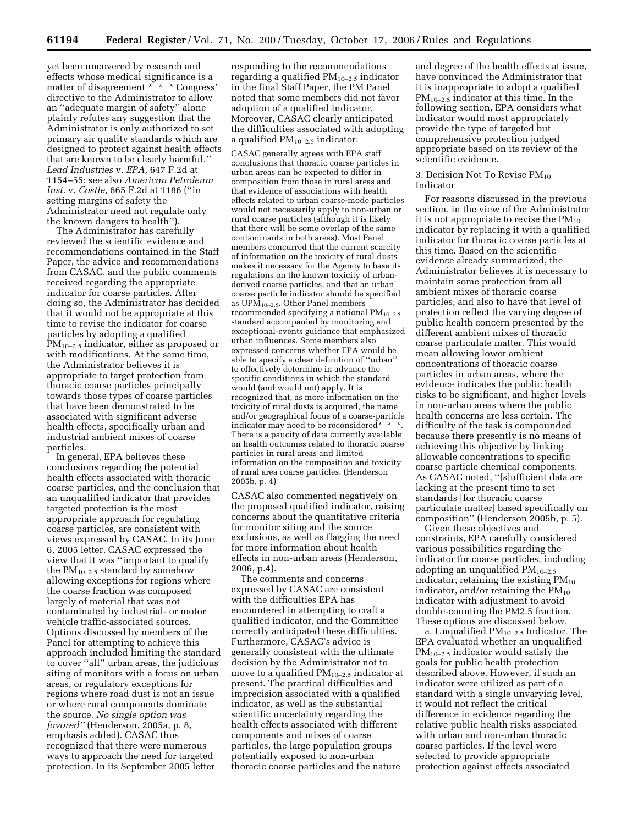yet been uncovered by research and effects whose medical significance is a matter of disagreement \* \* \* Congress' directive to the Administrator to allow an ''adequate margin of safety'' alone plainly refutes any suggestion that the Administrator is only authorized to set primary air quality standards which are designed to protect against health effects that are known to be clearly harmful.'' *Lead Industries* v. *EPA,* 647 F.2d at 1154–55; see also *American Petroleum Inst.* v. *Costle,* 665 F.2d at 1186 (''in setting margins of safety the Administrator need not regulate only the known dangers to health'').

The Administrator has carefully reviewed the scientific evidence and recommendations contained in the Staff Paper, the advice and recommendations from CASAC, and the public comments received regarding the appropriate indicator for coarse particles. After doing so, the Administrator has decided that it would not be appropriate at this time to revise the indicator for coarse particles by adopting a qualified PM<sub>10–2.5</sub> indicator, either as proposed or with modifications. At the same time, the Administrator believes it is appropriate to target protection from thoracic coarse particles principally towards those types of coarse particles that have been demonstrated to be associated with significant adverse health effects, specifically urban and industrial ambient mixes of coarse particles.

In general, EPA believes these conclusions regarding the potential health effects associated with thoracic coarse particles, and the conclusion that an unqualified indicator that provides targeted protection is the most appropriate approach for regulating coarse particles, are consistent with views expressed by CASAC. In its June 6, 2005 letter, CASAC expressed the view that it was ''important to qualify the  $PM_{10-2.5}$  standard by somehow allowing exceptions for regions where the coarse fraction was composed largely of material that was not contaminated by industrial- or motor vehicle traffic-associated sources. Options discussed by members of the Panel for attempting to achieve this approach included limiting the standard to cover ''all'' urban areas, the judicious siting of monitors with a focus on urban areas, or regulatory exceptions for regions where road dust is not an issue or where rural components dominate the source. *No single option was favored''* (Henderson, 2005a, p. 8, emphasis added). CASAC thus recognized that there were numerous ways to approach the need for targeted protection. In its September 2005 letter

responding to the recommendations regarding a qualified  $PM_{10-2}$ , indicator in the final Staff Paper, the PM Panel noted that some members did not favor adoption of a qualified indicator. Moreover, CASAC clearly anticipated the difficulties associated with adopting a qualified  $PM_{10-2.5}$  indicator:

CASAC generally agrees with EPA staff conclusions that thoracic coarse particles in urban areas can be expected to differ in composition from those in rural areas and that evidence of associations with health effects related to urban coarse-mode particles would not necessarily apply to non-urban or rural coarse particles (although it is likely that there will be some overlap of the same contaminants in both areas). Most Panel members concurred that the current scarcity of information on the toxicity of rural dusts makes it necessary for the Agency to base its regulations on the known toxicity of urbanderived coarse particles, and that an urban coarse particle indicator should be specified as UP $\tilde{M}_{10-2.5}$ . Other Panel members recommended specifying a national  $PM_{10-2.5}$ standard accompanied by monitoring and exceptional-events guidance that emphasized urban influences. Some members also expressed concerns whether EPA would be able to specify a clear definition of ''urban'' to effectively determine in advance the specific conditions in which the standard would (and would not) apply. It is recognized that, as more information on the toxicity of rural dusts is acquired, the name and/or geographical focus of a coarse-particle indicator may need to be reconsidered\* \* \*. There is a paucity of data currently available on health outcomes related to thoracic coarse particles in rural areas and limited information on the composition and toxicity of rural area coarse particles. (Henderson 2005b, p. 4)

CASAC also commented negatively on the proposed qualified indicator, raising concerns about the quantitative criteria for monitor siting and the source exclusions, as well as flagging the need for more information about health effects in non-urban areas (Henderson, 2006, p.4).

The comments and concerns expressed by CASAC are consistent with the difficulties EPA has encountered in attempting to craft a qualified indicator, and the Committee correctly anticipated these difficulties. Furthermore, CASAC's advice is generally consistent with the ultimate decision by the Administrator not to move to a qualified  $PM_{10-2.5}$  indicator at present. The practical difficulties and imprecision associated with a qualified indicator, as well as the substantial scientific uncertainty regarding the health effects associated with different components and mixes of coarse particles, the large population groups potentially exposed to non-urban thoracic coarse particles and the nature

and degree of the health effects at issue, have convinced the Administrator that it is inappropriate to adopt a qualified  $PM_{10-2.5}$  indicator at this time. In the following section, EPA considers what indicator would most appropriately provide the type of targeted but comprehensive protection judged appropriate based on its review of the scientific evidence.

#### 3. Decision Not To Revise  $PM_{10}$ Indicator

For reasons discussed in the previous section, in the view of the Administrator it is not appropriate to revise the  $PM_{10}$ indicator by replacing it with a qualified indicator for thoracic coarse particles at this time. Based on the scientific evidence already summarized, the Administrator believes it is necessary to maintain some protection from all ambient mixes of thoracic coarse particles, and also to have that level of protection reflect the varying degree of public health concern presented by the different ambient mixes of thoracic coarse particulate matter. This would mean allowing lower ambient concentrations of thoracic coarse particles in urban areas, where the evidence indicates the public health risks to be significant, and higher levels in non-urban areas where the public health concerns are less certain. The difficulty of the task is compounded because there presently is no means of achieving this objective by linking allowable concentrations to specific coarse particle chemical components. As CASAC noted, ''[s]ufficient data are lacking at the present time to set standards [for thoracic coarse particulate matter] based specifically on composition'' (Henderson 2005b, p. 5).

Given these objectives and constraints, EPA carefully considered various possibilities regarding the indicator for coarse particles, including adopting an unqualified  $PM_{10-2.5}$ indicator, retaining the existing  $PM_{10}$ indicator, and/or retaining the  $PM_{10}$ indicator with adjustment to avoid double-counting the PM2.5 fraction. These options are discussed below.

a. Unqualified PM10–2.5 Indicator. The EPA evaluated whether an unqualified  $PM_{10-2.5}$  indicator would satisfy the goals for public health protection described above. However, if such an indicator were utilized as part of a standard with a single unvarying level, it would not reflect the critical difference in evidence regarding the relative public health risks associated with urban and non-urban thoracic coarse particles. If the level were selected to provide appropriate protection against effects associated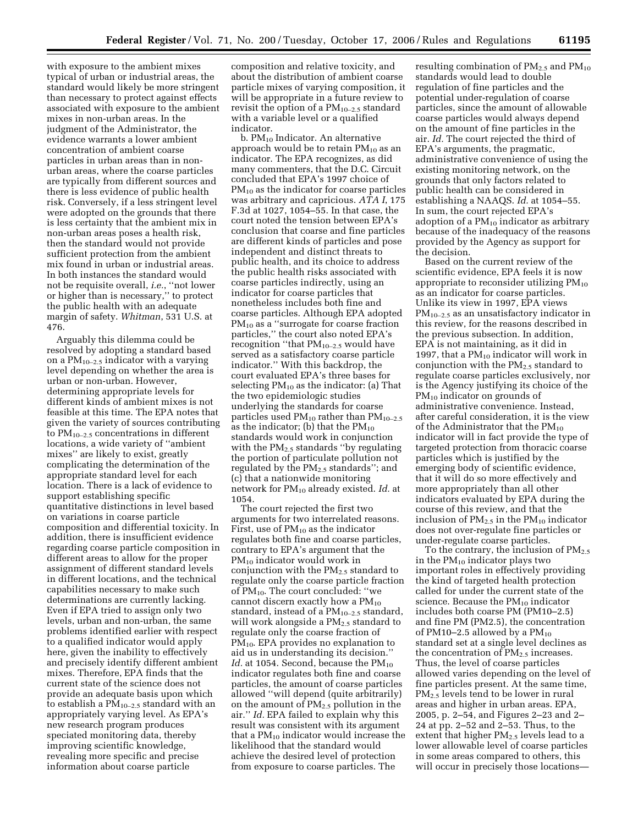with exposure to the ambient mixes typical of urban or industrial areas, the standard would likely be more stringent than necessary to protect against effects associated with exposure to the ambient mixes in non-urban areas. In the judgment of the Administrator, the evidence warrants a lower ambient concentration of ambient coarse particles in urban areas than in nonurban areas, where the coarse particles are typically from different sources and there is less evidence of public health risk. Conversely, if a less stringent level were adopted on the grounds that there is less certainty that the ambient mix in non-urban areas poses a health risk, then the standard would not provide sufficient protection from the ambient mix found in urban or industrial areas. In both instances the standard would not be requisite overall, *i.e.*, ''not lower or higher than is necessary,'' to protect the public health with an adequate margin of safety. *Whitman*, 531 U.S. at 476.

Arguably this dilemma could be resolved by adopting a standard based on a  $PM_{10-2.5}$  indicator with a varying level depending on whether the area is urban or non-urban. However, determining appropriate levels for different kinds of ambient mixes is not feasible at this time. The EPA notes that given the variety of sources contributing to  $PM_{10-2.5}$  concentrations in different locations, a wide variety of ''ambient mixes'' are likely to exist, greatly complicating the determination of the appropriate standard level for each location. There is a lack of evidence to support establishing specific quantitative distinctions in level based on variations in coarse particle composition and differential toxicity. In addition, there is insufficient evidence regarding coarse particle composition in different areas to allow for the proper assignment of different standard levels in different locations, and the technical capabilities necessary to make such determinations are currently lacking. Even if EPA tried to assign only two levels, urban and non-urban, the same problems identified earlier with respect to a qualified indicator would apply here, given the inability to effectively and precisely identify different ambient mixes. Therefore, EPA finds that the current state of the science does not provide an adequate basis upon which to establish a  $PM_{10-2.5}$  standard with an appropriately varying level. As EPA's new research program produces speciated monitoring data, thereby improving scientific knowledge, revealing more specific and precise information about coarse particle

composition and relative toxicity, and about the distribution of ambient coarse particle mixes of varying composition, it will be appropriate in a future review to revisit the option of a  $PM_{10-2.5}$  standard with a variable level or a qualified indicator.

b. PM10 Indicator. An alternative approach would be to retain  $PM_{10}$  as an indicator. The EPA recognizes, as did many commenters, that the D.C. Circuit concluded that EPA's 1997 choice of PM10 as the indicator for coarse particles was arbitrary and capricious. *ATA I*, 175 F.3d at 1027, 1054–55. In that case, the court noted the tension between EPA's conclusion that coarse and fine particles are different kinds of particles and pose independent and distinct threats to public health, and its choice to address the public health risks associated with coarse particles indirectly, using an indicator for coarse particles that nonetheless includes both fine and coarse particles. Although EPA adopted  $PM_{10}$  as a "surrogate for coarse fraction" particles,'' the court also noted EPA's recognition ''that PM10–2.5 would have served as a satisfactory coarse particle indicator.'' With this backdrop, the court evaluated EPA's three bases for selecting  $PM_{10}$  as the indicator: (a) That the two epidemiologic studies underlying the standards for coarse particles used  $PM_{10}$  rather than  $PM_{10-2.5}$ as the indicator; (b) that the  $PM_{10}$ standards would work in conjunction with the  $PM<sub>2.5</sub>$  standards "by regulating the portion of particulate pollution not regulated by the  $PM_{2.5}$  standards"; and (c) that a nationwide monitoring network for PM10 already existed. *Id.* at 1054.

The court rejected the first two arguments for two interrelated reasons. First, use of  $PM_{10}$  as the indicator regulates both fine and coarse particles, contrary to EPA's argument that the PM<sub>10</sub> indicator would work in conjunction with the PM2.5 standard to regulate only the coarse particle fraction of  $PM_{10}$ . The court concluded: "we cannot discern exactly how a  $PM_{10}$ standard, instead of a  $PM_{10-2.5}$  standard, will work alongside a PM<sub>2.5</sub> standard to regulate only the coarse fraction of  $PM_{10}$ . EPA provides no explanation to aid us in understanding its decision.'' Id. at 1054. Second, because the PM<sub>10</sub> indicator regulates both fine and coarse particles, the amount of coarse particles allowed ''will depend (quite arbitrarily) on the amount of  $PM_{2.5}$  pollution in the air.'' *Id.* EPA failed to explain why this result was consistent with its argument that a  $PM_{10}$  indicator would increase the likelihood that the standard would achieve the desired level of protection from exposure to coarse particles. The

resulting combination of  $PM_{2.5}$  and  $PM_{10}$ standards would lead to double regulation of fine particles and the potential under-regulation of coarse particles, since the amount of allowable coarse particles would always depend on the amount of fine particles in the air. *Id.* The court rejected the third of EPA's arguments, the pragmatic, administrative convenience of using the existing monitoring network, on the grounds that only factors related to public health can be considered in establishing a NAAQS. *Id.* at 1054–55. In sum, the court rejected EPA's adoption of a  $PM_{10}$  indicator as arbitrary because of the inadequacy of the reasons provided by the Agency as support for the decision.

Based on the current review of the scientific evidence, EPA feels it is now appropriate to reconsider utilizing  $PM_{10}$ as an indicator for coarse particles. Unlike its view in 1997, EPA views PM10–2.5 as an unsatisfactory indicator in this review, for the reasons described in the previous subsection. In addition, EPA is not maintaining, as it did in 1997, that a  $PM_{10}$  indicator will work in conjunction with the  $PM_{2.5}$  standard to regulate coarse particles exclusively, nor is the Agency justifying its choice of the PM<sub>10</sub> indicator on grounds of administrative convenience. Instead, after careful consideration, it is the view of the Administrator that the  $PM_{10}$ indicator will in fact provide the type of targeted protection from thoracic coarse particles which is justified by the emerging body of scientific evidence, that it will do so more effectively and more appropriately than all other indicators evaluated by EPA during the course of this review, and that the inclusion of  $PM_{2.5}$  in the  $PM_{10}$  indicator does not over-regulate fine particles or under-regulate coarse particles.

To the contrary, the inclusion of  $PM_{2.5}$ in the  $PM_{10}$  indicator plays two important roles in effectively providing the kind of targeted health protection called for under the current state of the science. Because the  $PM_{10}$  indicator includes both coarse PM (PM10–2.5) and fine PM (PM2.5), the concentration of PM10–2.5 allowed by a  $PM_{10}$ standard set at a single level declines as the concentration of  $PM_{2.5}$  increases. Thus, the level of coarse particles allowed varies depending on the level of fine particles present. At the same time, PM2.5 levels tend to be lower in rural areas and higher in urban areas. EPA, 2005, p. 2–54, and Figures 2–23 and 2– 24 at pp. 2–52 and 2–53. Thus, to the extent that higher  $PM_{2.5}$  levels lead to a lower allowable level of coarse particles in some areas compared to others, this will occur in precisely those locations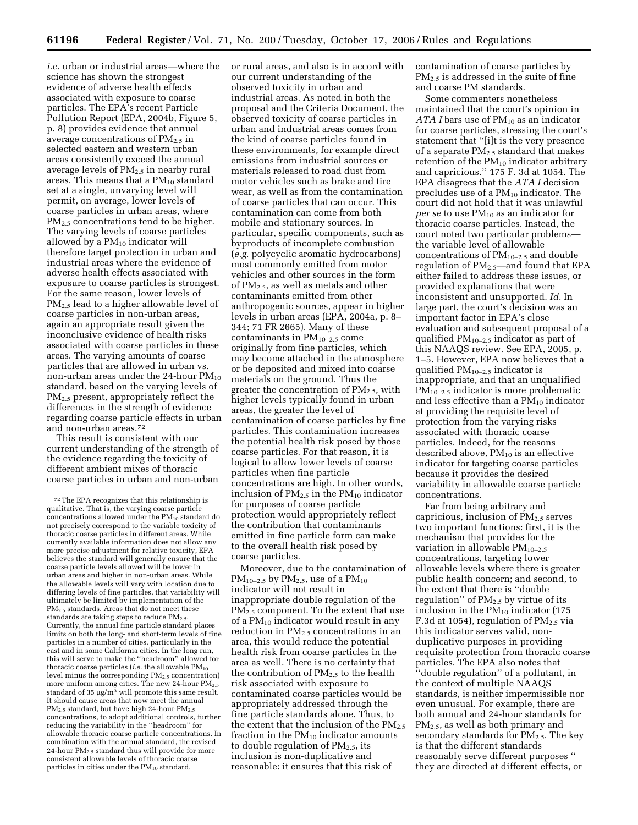*i.e.* urban or industrial areas—where the science has shown the strongest evidence of adverse health effects associated with exposure to coarse particles. The EPA's recent Particle Pollution Report (EPA, 2004b, Figure 5, p. 8) provides evidence that annual average concentrations of  $PM_{2.5}$  in selected eastern and western urban areas consistently exceed the annual average levels of PM2.5 in nearby rural areas. This means that a  $PM_{10}$  standard set at a single, unvarying level will permit, on average, lower levels of coarse particles in urban areas, where PM<sub>2.5</sub> concentrations tend to be higher. The varying levels of coarse particles allowed by a  $PM_{10}$  indicator will therefore target protection in urban and industrial areas where the evidence of adverse health effects associated with exposure to coarse particles is strongest. For the same reason, lower levels of PM2.5 lead to a higher allowable level of coarse particles in non-urban areas, again an appropriate result given the inconclusive evidence of health risks associated with coarse particles in these areas. The varying amounts of coarse particles that are allowed in urban vs. non-urban areas under the 24-hour  $PM_{10}$ standard, based on the varying levels of PM<sub>2.5</sub> present, appropriately reflect the differences in the strength of evidence regarding coarse particle effects in urban and non-urban areas.72

This result is consistent with our current understanding of the strength of the evidence regarding the toxicity of different ambient mixes of thoracic coarse particles in urban and non-urban or rural areas, and also is in accord with our current understanding of the observed toxicity in urban and industrial areas. As noted in both the proposal and the Criteria Document, the observed toxicity of coarse particles in urban and industrial areas comes from the kind of coarse particles found in these environments, for example direct emissions from industrial sources or materials released to road dust from motor vehicles such as brake and tire wear, as well as from the contamination of coarse particles that can occur. This contamination can come from both mobile and stationary sources. In particular, specific components, such as byproducts of incomplete combustion (*e.g.* polycyclic aromatic hydrocarbons) most commonly emitted from motor vehicles and other sources in the form of PM2.5, as well as metals and other contaminants emitted from other anthropogenic sources, appear in higher levels in urban areas (EPA, 2004a, p. 8– 344; 71 FR 2665). Many of these contaminants in  $PM_{10-2.5}$  come originally from fine particles, which may become attached in the atmosphere or be deposited and mixed into coarse materials on the ground. Thus the greater the concentration of  $PM_{2.5}$ , with higher levels typically found in urban areas, the greater the level of contamination of coarse particles by fine particles. This contamination increases the potential health risk posed by those coarse particles. For that reason, it is logical to allow lower levels of coarse particles when fine particle concentrations are high. In other words, inclusion of  $PM_{2.5}$  in the  $PM_{10}$  indicator for purposes of coarse particle protection would appropriately reflect the contribution that contaminants emitted in fine particle form can make to the overall health risk posed by coarse particles.

Moreover, due to the contamination of  $PM_{10-2.5}$  by  $PM_{2.5}$ , use of a  $PM_{10}$ indicator will not result in inappropriate double regulation of the PM2.5 component. To the extent that use of a  $PM_{10}$  indicator would result in any reduction in  $PM<sub>2.5</sub>$  concentrations in an area, this would reduce the potential health risk from coarse particles in the area as well. There is no certainty that the contribution of  $PM_{2.5}$  to the health risk associated with exposure to contaminated coarse particles would be appropriately addressed through the fine particle standards alone. Thus, to the extent that the inclusion of the  $PM_{2.5}$ fraction in the  $PM_{10}$  indicator amounts to double regulation of  $PM_{2.5}$ , its inclusion is non-duplicative and reasonable: it ensures that this risk of

contamination of coarse particles by  $PM<sub>2.5</sub>$  is addressed in the suite of fine and coarse PM standards.

Some commenters nonetheless maintained that the court's opinion in *ATA I* bars use of PM<sub>10</sub> as an indicator for coarse particles, stressing the court's statement that ''[i]t is the very presence of a separate  $PM_{2.5}$  standard that makes retention of the  $PM_{10}$  indicator arbitrary and capricious.'' 175 F. 3d at 1054. The EPA disagrees that the *ATA I* decision precludes use of a  $PM_{10}$  indicator. The court did not hold that it was unlawful *per se* to use PM10 as an indicator for thoracic coarse particles. Instead, the court noted two particular problems the variable level of allowable concentrations of  $PM_{10-2.5}$  and double regulation of  $PM_{2.5}$ —and found that EPA either failed to address these issues, or provided explanations that were inconsistent and unsupported. *Id.* In large part, the court's decision was an important factor in EPA's close evaluation and subsequent proposal of a qualified PM10–2.5 indicator as part of this NAAQS review. See EPA, 2005, p. 1–5. However, EPA now believes that a qualified  $\mathrm{PM}_{10-2.5}$  indicator is inappropriate, and that an unqualified  $PM_{10-2.5}$  indicator is more problematic and less effective than a PM10 indicator at providing the requisite level of protection from the varying risks associated with thoracic coarse particles. Indeed, for the reasons described above,  $PM_{10}$  is an effective indicator for targeting coarse particles because it provides the desired variability in allowable coarse particle concentrations.

Far from being arbitrary and capricious, inclusion of  $PM<sub>2.5</sub>$  serves two important functions: first, it is the mechanism that provides for the variation in allowable  $PM_{10-2.5}$ concentrations, targeting lower allowable levels where there is greater public health concern; and second, to the extent that there is ''double regulation" of  $PM<sub>2.5</sub>$  by virtue of its inclusion in the PM10 indicator (175 F.3d at 1054), regulation of  $PM_{2.5}$  via this indicator serves valid, nonduplicative purposes in providing requisite protection from thoracic coarse particles. The EPA also notes that ''double regulation'' of a pollutant, in the context of multiple NAAQS standards, is neither impermissible nor even unusual. For example, there are both annual and 24-hour standards for PM2.5, as well as both primary and secondary standards for  $PM_{2.5}$ . The key is that the different standards reasonably serve different purposes '' they are directed at different effects, or

<sup>72</sup>The EPA recognizes that this relationship is qualitative. That is, the varying coarse particle concentrations allowed under the  $PM_{10}$  standard do not precisely correspond to the variable toxicity of thoracic coarse particles in different areas. While currently available information does not allow any more precise adjustment for relative toxicity, EPA believes the standard will generally ensure that the coarse particle levels allowed will be lower in urban areas and higher in non-urban areas. While the allowable levels will vary with location due to differing levels of fine particles, that variability will ultimately be limited by implementation of the PM2.5 standards. Areas that do not meet these standards are taking steps to reduce  $PM_{2.5}$ , Currently, the annual fine particle standard places limits on both the long- and short-term levels of fine particles in a number of cities, particularly in the east and in some California cities. In the long run, this will serve to make the ''headroom'' allowed for thoracic coarse particles (*i.e.* the allowable PM<sub>10</sub> level minus the corresponding PM2.5 concentration) more uniform among cities. The new 24-hour  $\text{PM}_{2.5}$ standard of 35  $\mu$ g/m<sup>3</sup> will promote this same result. It should cause areas that now meet the annual PM<sub>2.5</sub> standard, but have high 24-hour PM<sub>2.5</sub> concentrations, to adopt additional controls, further reducing the variability in the ''headroom'' for allowable thoracic coarse particle concentrations. In combination with the annual standard, the revised 24-hour PM2.5 standard thus will provide for more consistent allowable levels of thoracic coarse particles in cities under the  $PM_{10}$  standard.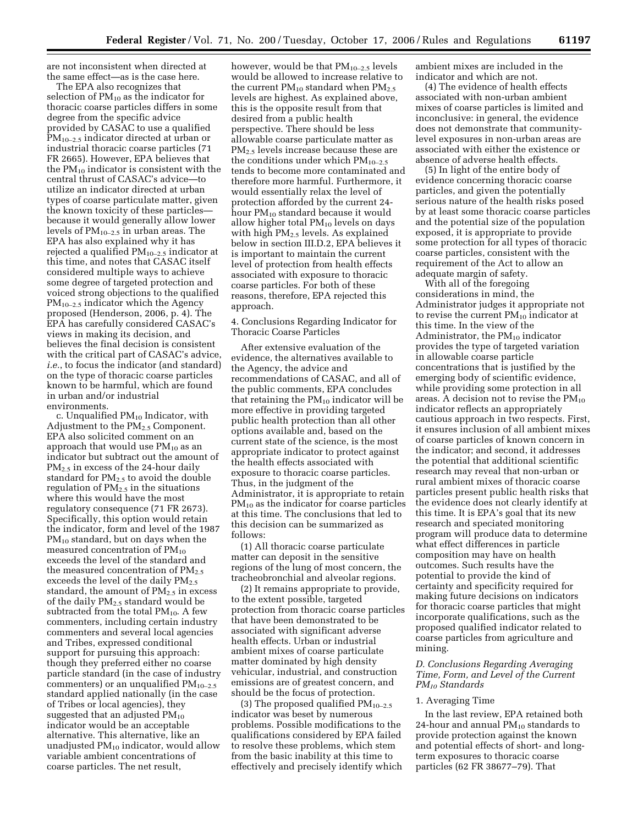are not inconsistent when directed at the same effect—as is the case here.

The EPA also recognizes that selection of  $PM_{10}$  as the indicator for thoracic coarse particles differs in some degree from the specific advice provided by CASAC to use a qualified PM10–2.5 indicator directed at urban or industrial thoracic coarse particles (71 FR 2665). However, EPA believes that the  $PM_{10}$  indicator is consistent with the central thrust of CASAC's advice—to utilize an indicator directed at urban types of coarse particulate matter, given the known toxicity of these particles because it would generally allow lower levels of  $PM_{10-2.5}$  in urban areas. The EPA has also explained why it has rejected a qualified  $PM_{10-2.5}$  indicator at this time, and notes that CASAC itself considered multiple ways to achieve some degree of targeted protection and voiced strong objections to the qualified  $PM_{10-2.5}$  indicator which the Agency proposed (Henderson, 2006, p. 4). The EPA has carefully considered CASAC's views in making its decision, and believes the final decision is consistent with the critical part of CASAC's advice, *i.e.*, to focus the indicator (and standard) on the type of thoracic coarse particles known to be harmful, which are found in urban and/or industrial environments.

c. Unqualified PM10 Indicator, with Adjustment to the  $PM<sub>2.5</sub>$  Component. EPA also solicited comment on an approach that would use  $PM_{10}$  as an indicator but subtract out the amount of PM2.5 in excess of the 24-hour daily standard for  $PM_{2.5}$  to avoid the double regulation of  $PM<sub>2.5</sub>$  in the situations where this would have the most regulatory consequence (71 FR 2673). Specifically, this option would retain the indicator, form and level of the 1987 PM<sub>10</sub> standard, but on days when the measured concentration of  $PM_{10}$ exceeds the level of the standard and the measured concentration of  $PM_{2.5}$ exceeds the level of the daily  $PM<sub>2.5</sub>$ standard, the amount of  $PM_{2.5}$  in excess of the daily PM<sub>2.5</sub> standard would be subtracted from the total  $PM_{10}$ . A few commenters, including certain industry commenters and several local agencies and Tribes, expressed conditional support for pursuing this approach: though they preferred either no coarse particle standard (in the case of industry commenters) or an unqualified  $PM_{10-2.5}$ standard applied nationally (in the case of Tribes or local agencies), they suggested that an adjusted  $PM_{10}$ indicator would be an acceptable alternative. This alternative, like an unadjusted  $PM_{10}$  indicator, would allow variable ambient concentrations of coarse particles. The net result,

however, would be that PM10–2.5 levels would be allowed to increase relative to the current  $PM_{10}$  standard when  $PM_{2.5}$ levels are highest. As explained above, this is the opposite result from that desired from a public health perspective. There should be less allowable coarse particulate matter as PM2.5 levels increase because these are the conditions under which  $PM_{10-2.5}$ tends to become more contaminated and therefore more harmful. Furthermore, it would essentially relax the level of protection afforded by the current 24 hour PM<sub>10</sub> standard because it would allow higher total PM10 levels on days with high  $PM_{2.5}$  levels. As explained below in section III.D.2, EPA believes it is important to maintain the current level of protection from health effects associated with exposure to thoracic coarse particles. For both of these reasons, therefore, EPA rejected this approach.

4. Conclusions Regarding Indicator for Thoracic Coarse Particles

After extensive evaluation of the evidence, the alternatives available to the Agency, the advice and recommendations of CASAC, and all of the public comments, EPA concludes that retaining the  $PM_{10}$  indicator will be more effective in providing targeted public health protection than all other options available and, based on the current state of the science, is the most appropriate indicator to protect against the health effects associated with exposure to thoracic coarse particles. Thus, in the judgment of the Administrator, it is appropriate to retain PM<sub>10</sub> as the indicator for coarse particles at this time. The conclusions that led to this decision can be summarized as follows:

(1) All thoracic coarse particulate matter can deposit in the sensitive regions of the lung of most concern, the tracheobronchial and alveolar regions.

(2) It remains appropriate to provide, to the extent possible, targeted protection from thoracic coarse particles that have been demonstrated to be associated with significant adverse health effects. Urban or industrial ambient mixes of coarse particulate matter dominated by high density vehicular, industrial, and construction emissions are of greatest concern, and should be the focus of protection.

(3) The proposed qualified  $PM_{10-2.5}$ indicator was beset by numerous problems. Possible modifications to the qualifications considered by EPA failed to resolve these problems, which stem from the basic inability at this time to effectively and precisely identify which ambient mixes are included in the indicator and which are not.

(4) The evidence of health effects associated with non-urban ambient mixes of coarse particles is limited and inconclusive: in general, the evidence does not demonstrate that communitylevel exposures in non-urban areas are associated with either the existence or absence of adverse health effects.

(5) In light of the entire body of evidence concerning thoracic coarse particles, and given the potentially serious nature of the health risks posed by at least some thoracic coarse particles and the potential size of the population exposed, it is appropriate to provide some protection for all types of thoracic coarse particles, consistent with the requirement of the Act to allow an adequate margin of safety.

With all of the foregoing considerations in mind, the Administrator judges it appropriate not to revise the current PM10 indicator at this time. In the view of the Administrator, the  $PM_{10}$  indicator provides the type of targeted variation in allowable coarse particle concentrations that is justified by the emerging body of scientific evidence, while providing some protection in all areas. A decision not to revise the  $PM_{10}$ indicator reflects an appropriately cautious approach in two respects. First, it ensures inclusion of all ambient mixes of coarse particles of known concern in the indicator; and second, it addresses the potential that additional scientific research may reveal that non-urban or rural ambient mixes of thoracic coarse particles present public health risks that the evidence does not clearly identify at this time. It is EPA's goal that its new research and speciated monitoring program will produce data to determine what effect differences in particle composition may have on health outcomes. Such results have the potential to provide the kind of certainty and specificity required for making future decisions on indicators for thoracic coarse particles that might incorporate qualifications, such as the proposed qualified indicator related to coarse particles from agriculture and mining.

# *D. Conclusions Regarding Averaging Time, Form, and Level of the Current PM10 Standards*

#### 1. Averaging Time

In the last review, EPA retained both 24-hour and annual  $PM_{10}$  standards to provide protection against the known and potential effects of short- and longterm exposures to thoracic coarse particles (62 FR 38677–79). That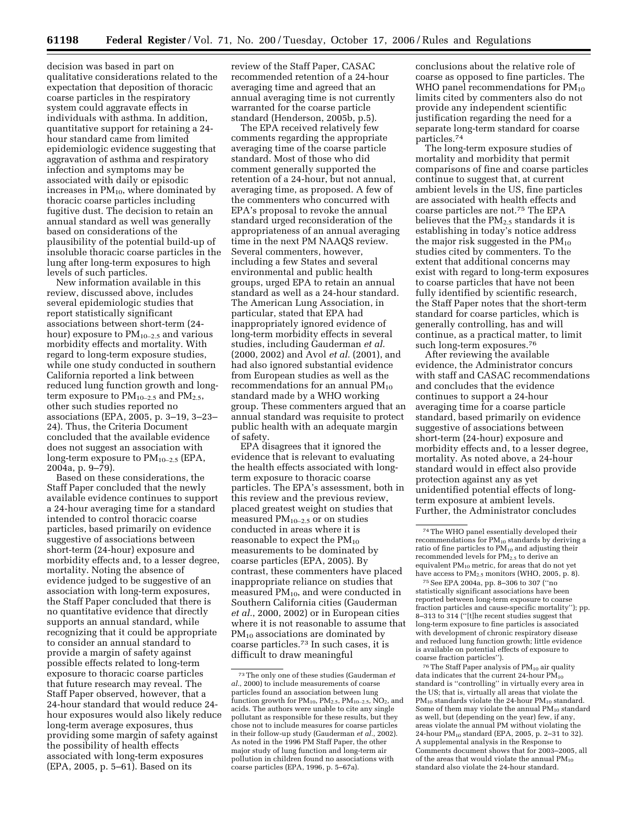decision was based in part on qualitative considerations related to the expectation that deposition of thoracic coarse particles in the respiratory system could aggravate effects in individuals with asthma. In addition, quantitative support for retaining a 24 hour standard came from limited epidemiologic evidence suggesting that aggravation of asthma and respiratory infection and symptoms may be associated with daily or episodic increases in  $PM_{10}$ , where dominated by thoracic coarse particles including fugitive dust. The decision to retain an annual standard as well was generally based on considerations of the plausibility of the potential build-up of insoluble thoracic coarse particles in the lung after long-term exposures to high levels of such particles.

New information available in this review, discussed above, includes several epidemiologic studies that report statistically significant associations between short-term (24 hour) exposure to  $PM_{10-2.5}$  and various morbidity effects and mortality. With regard to long-term exposure studies, while one study conducted in southern California reported a link between reduced lung function growth and longterm exposure to  $PM_{10-2.5}$  and  $PM_{2.5}$ , other such studies reported no associations (EPA, 2005, p. 3–19, 3–23– 24). Thus, the Criteria Document concluded that the available evidence does not suggest an association with long-term exposure to  $PM_{10-2.5}$  (EPA, 2004a, p. 9–79).

Based on these considerations, the Staff Paper concluded that the newly available evidence continues to support a 24-hour averaging time for a standard intended to control thoracic coarse particles, based primarily on evidence suggestive of associations between short-term (24-hour) exposure and morbidity effects and, to a lesser degree, mortality. Noting the absence of evidence judged to be suggestive of an association with long-term exposures, the Staff Paper concluded that there is no quantitative evidence that directly supports an annual standard, while recognizing that it could be appropriate to consider an annual standard to provide a margin of safety against possible effects related to long-term exposure to thoracic coarse particles that future research may reveal. The Staff Paper observed, however, that a 24-hour standard that would reduce 24 hour exposures would also likely reduce long-term average exposures, thus providing some margin of safety against the possibility of health effects associated with long-term exposures (EPA, 2005, p. 5–61). Based on its

review of the Staff Paper, CASAC recommended retention of a 24-hour averaging time and agreed that an annual averaging time is not currently warranted for the coarse particle standard (Henderson, 2005b, p.5).

The EPA received relatively few comments regarding the appropriate averaging time of the coarse particle standard. Most of those who did comment generally supported the retention of a 24-hour, but not annual, averaging time, as proposed. A few of the commenters who concurred with EPA's proposal to revoke the annual standard urged reconsideration of the appropriateness of an annual averaging time in the next PM NAAQS review. Several commenters, however, including a few States and several environmental and public health groups, urged EPA to retain an annual standard as well as a 24-hour standard. The American Lung Association, in particular, stated that EPA had inappropriately ignored evidence of long-term morbidity effects in several studies, including Gauderman *et al.*  (2000, 2002) and Avol *et al.* (2001), and had also ignored substantial evidence from European studies as well as the recommendations for an annual  $PM_{10}$ standard made by a WHO working group. These commenters argued that an annual standard was requisite to protect public health with an adequate margin of safety.

EPA disagrees that it ignored the evidence that is relevant to evaluating the health effects associated with longterm exposure to thoracic coarse particles. The EPA's assessment, both in this review and the previous review, placed greatest weight on studies that measured  $PM_{10-2.5}$  or on studies conducted in areas where it is reasonable to expect the  $PM_{10}$ measurements to be dominated by coarse particles (EPA, 2005). By contrast, these commenters have placed inappropriate reliance on studies that measured  $PM_{10}$ , and were conducted in Southern California cities (Gauderman *et al.*, 2000, 2002) or in European cities where it is not reasonable to assume that PM<sub>10</sub> associations are dominated by coarse particles.73 In such cases, it is difficult to draw meaningful

conclusions about the relative role of coarse as opposed to fine particles. The WHO panel recommendations for  $PM_{10}$ limits cited by commenters also do not provide any independent scientific justification regarding the need for a separate long-term standard for coarse particles.74

The long-term exposure studies of mortality and morbidity that permit comparisons of fine and coarse particles continue to suggest that, at current ambient levels in the US, fine particles are associated with health effects and coarse particles are not.75 The EPA believes that the  $PM_{2.5}$  standards it is establishing in today's notice address the major risk suggested in the  $PM_{10}$ studies cited by commenters. To the extent that additional concerns may exist with regard to long-term exposures to coarse particles that have not been fully identified by scientific research, the Staff Paper notes that the short-term standard for coarse particles, which is generally controlling, has and will continue, as a practical matter, to limit such long-term exposures.76

After reviewing the available evidence, the Administrator concurs with staff and CASAC recommendations and concludes that the evidence continues to support a 24-hour averaging time for a coarse particle standard, based primarily on evidence suggestive of associations between short-term (24-hour) exposure and morbidity effects and, to a lesser degree, mortality. As noted above, a 24-hour standard would in effect also provide protection against any as yet unidentified potential effects of longterm exposure at ambient levels. Further, the Administrator concludes

75See EPA 2004a, pp. 8–306 to 307 (''no statistically significant associations have been reported between long-term exposure to coarse fraction particles and cause-specific mortality''); pp. 8–313 to 314 (''[t]he recent studies suggest that long-term exposure to fine particles is associated with development of chronic respiratory disease and reduced lung function growth; little evidence is available on potential effects of exposure to coarse fraction particles'').

<sup>76</sup> The Staff Paper analysis of PM<sub>10</sub> air quality data indicates that the current 24-hour  $\bar{PM}_{10}$ standard is ''controlling'' in virtually every area in the US; that is, virtually all areas that violate the PM<sub>10</sub> standards violate the 24-hour PM<sub>10</sub> standard. Some of them may violate the annual  $PM_{10}$  standard as well, but (depending on the year) few, if any, areas violate the annual PM without violating the 24-hour PM10 standard (EPA, 2005, p. 2–31 to 32). A supplemental analysis in the Response to Comments document shows that for 2003–2005, all of the areas that would violate the annual  $PM_{10}$ standard also violate the 24-hour standard.

<sup>73</sup>The only one of these studies (Gauderman *et al.*, 2000) to include measurements of coarse particles found an association between lung function growth for  $PM_{10}$ ,  $PM_{2.5}$ ,  $PM_{10-2.5}$ ,  $NO_2$ , and acids. The authors were unable to cite any single pollutant as responsible for these results, but they chose not to include measures for coarse particles in their follow-up study (Gauderman *et al.*, 2002). As noted in the 1996 PM Staff Paper, the other major study of lung function and long-term air pollution in children found no associations with coarse particles (EPA, 1996, p. 5–67a).

<sup>74</sup>The WHO panel essentially developed their recommendations for PM10 standards by deriving a ratio of fine particles to  $PM_{10}$  and adjusting their recommended levels for PM2.5 to derive an equivalent PM<sub>10</sub> metric, for areas that do not yet have access to  $PM_{2.5}$  monitors (WHO, 2005, p. 8).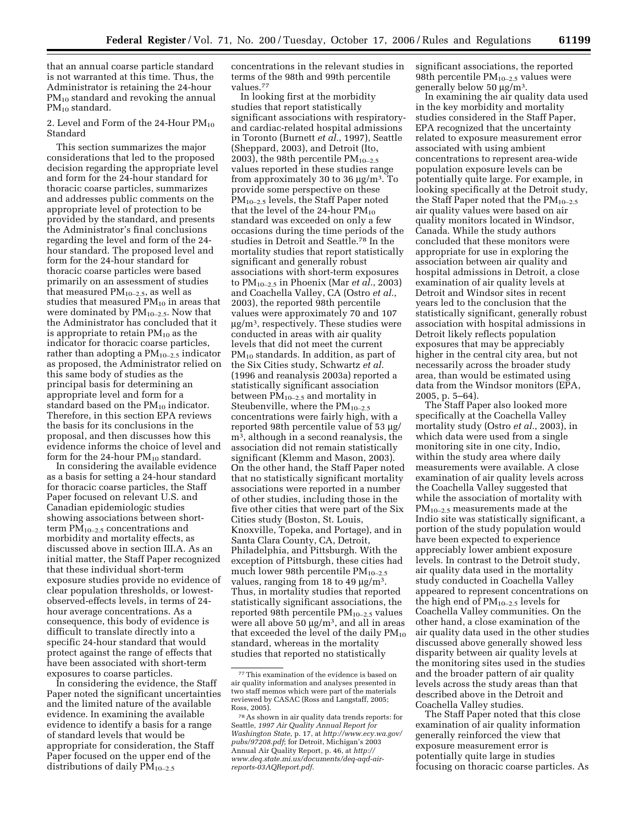that an annual coarse particle standard is not warranted at this time. Thus, the Administrator is retaining the 24-hour  $PM_{10}$  standard and revoking the annual  $PM_{10}$  standard.

2. Level and Form of the 24-Hour  $PM_{10}$ Standard

This section summarizes the major considerations that led to the proposed decision regarding the appropriate level and form for the 24-hour standard for thoracic coarse particles, summarizes and addresses public comments on the appropriate level of protection to be provided by the standard, and presents the Administrator's final conclusions regarding the level and form of the 24 hour standard. The proposed level and form for the 24-hour standard for thoracic coarse particles were based primarily on an assessment of studies that measured  $PM_{10-2.5}$ , as well as studies that measured  $PM_{10}$  in areas that were dominated by  $PM_{10-2.5}$ . Now that the Administrator has concluded that it is appropriate to retain  $PM_{10}$  as the indicator for thoracic coarse particles, rather than adopting a  $PM_{10-2.5}$  indicator as proposed, the Administrator relied on this same body of studies as the principal basis for determining an appropriate level and form for a standard based on the  $PM_{10}$  indicator. Therefore, in this section EPA reviews the basis for its conclusions in the proposal, and then discusses how this evidence informs the choice of level and form for the 24-hour  $PM_{10}$  standard.

In considering the available evidence as a basis for setting a 24-hour standard for thoracic coarse particles, the Staff Paper focused on relevant U.S. and Canadian epidemiologic studies showing associations between shortterm  $PM_{10-2.5}$  concentrations and morbidity and mortality effects, as discussed above in section III.A. As an initial matter, the Staff Paper recognized that these individual short-term exposure studies provide no evidence of clear population thresholds, or lowestobserved-effects levels, in terms of 24 hour average concentrations. As a consequence, this body of evidence is difficult to translate directly into a specific 24-hour standard that would protect against the range of effects that have been associated with short-term exposures to coarse particles.

In considering the evidence, the Staff Paper noted the significant uncertainties and the limited nature of the available evidence. In examining the available evidence to identify a basis for a range of standard levels that would be appropriate for consideration, the Staff Paper focused on the upper end of the distributions of daily PM<sub>10-2.5</sub>

concentrations in the relevant studies in terms of the 98th and 99th percentile values.77

In looking first at the morbidity studies that report statistically significant associations with respiratoryand cardiac-related hospital admissions in Toronto (Burnett *et al.*, 1997), Seattle (Sheppard, 2003), and Detroit (Ito, 2003), the 98th percentile  $PM_{10-2.5}$ values reported in these studies range from approximately 30 to 36  $\mu$ g/m<sup>3</sup>. To provide some perspective on these PM<sub>10–2.5</sub> levels, the Staff Paper noted that the level of the 24-hour  $PM_{10}$ standard was exceeded on only a few occasions during the time periods of the studies in Detroit and Seattle.78 In the mortality studies that report statistically significant and generally robust associations with short-term exposures to PM10–2.5 in Phoenix (Mar *et al.*, 2003) and Coachella Valley, CA (Ostro *et al.*, 2003), the reported 98th percentile values were approximately 70 and 107  $\mu$ g/m<sup>3</sup>, respectively. These studies were conducted in areas with air quality levels that did not meet the current PM<sub>10</sub> standards. In addition, as part of the Six Cities study, Schwartz *et al.*  (1996 and reanalysis 2003a) reported a statistically significant association between  $PM_{10-2.5}$  and mortality in Steubenville, where the  $PM_{10-2.5}$ concentrations were fairly high, with a reported 98th percentile value of 53 µg/ m3, although in a second reanalysis, the association did not remain statistically significant (Klemm and Mason, 2003). On the other hand, the Staff Paper noted that no statistically significant mortality associations were reported in a number of other studies, including those in the five other cities that were part of the Six Cities study (Boston, St. Louis, Knoxville, Topeka, and Portage), and in Santa Clara County, CA, Detroit, Philadelphia, and Pittsburgh. With the exception of Pittsburgh, these cities had much lower 98th percentile  $PM_{10-2.5}$ values, ranging from 18 to 49  $\mu$ g/m<sup>3</sup>. Thus, in mortality studies that reported statistically significant associations, the reported 98th percentile  $PM_{10-2.5}$  values were all above  $50 \mu g/m^3$ , and all in areas that exceeded the level of the daily  $PM_{10}$ standard, whereas in the mortality studies that reported no statistically

significant associations, the reported 98th percentile  $PM_{10-2.5}$  values were generally below 50  $\mu$ g/m<sup>3</sup>.

In examining the air quality data used in the key morbidity and mortality studies considered in the Staff Paper, EPA recognized that the uncertainty related to exposure measurement error associated with using ambient concentrations to represent area-wide population exposure levels can be potentially quite large. For example, in looking specifically at the Detroit study, the Staff Paper noted that the  $PM_{10-2.5}$ air quality values were based on air quality monitors located in Windsor, Canada. While the study authors concluded that these monitors were appropriate for use in exploring the association between air quality and hospital admissions in Detroit, a close examination of air quality levels at Detroit and Windsor sites in recent years led to the conclusion that the statistically significant, generally robust association with hospital admissions in Detroit likely reflects population exposures that may be appreciably higher in the central city area, but not necessarily across the broader study area, than would be estimated using data from the Windsor monitors (EPA, 2005, p. 5–64).

The Staff Paper also looked more specifically at the Coachella Valley mortality study (Ostro *et al.*, 2003), in which data were used from a single monitoring site in one city, Indio, within the study area where daily measurements were available. A close examination of air quality levels across the Coachella Valley suggested that while the association of mortality with PM<sub>10–2.5</sub> measurements made at the Indio site was statistically significant, a portion of the study population would have been expected to experience appreciably lower ambient exposure levels. In contrast to the Detroit study, air quality data used in the mortality study conducted in Coachella Valley appeared to represent concentrations on the high end of  $PM_{10-2.5}$  levels for Coachella Valley communities. On the other hand, a close examination of the air quality data used in the other studies discussed above generally showed less disparity between air quality levels at the monitoring sites used in the studies and the broader pattern of air quality levels across the study areas than that described above in the Detroit and Coachella Valley studies.

The Staff Paper noted that this close examination of air quality information generally reinforced the view that exposure measurement error is potentially quite large in studies focusing on thoracic coarse particles. As

<sup>77</sup>This examination of the evidence is based on air quality information and analyses presented in two staff memos which were part of the materials reviewed by CASAC (Ross and Langstaff, 2005; Ross, 2005).

<sup>78</sup>As shown in air quality data trends reports: for Seattle, *1997 Air Quality Annual Report for Washington State*, p. 17, at *http://www.ecy.wa.gov/ pubs/97208.pdf*; for Detroit, Michigan's 2003 Annual Air Quality Report, p. 46, at *http:// www.deq.state.mi.us/documents/deq-aqd-airreports-03AQReport.pdf*.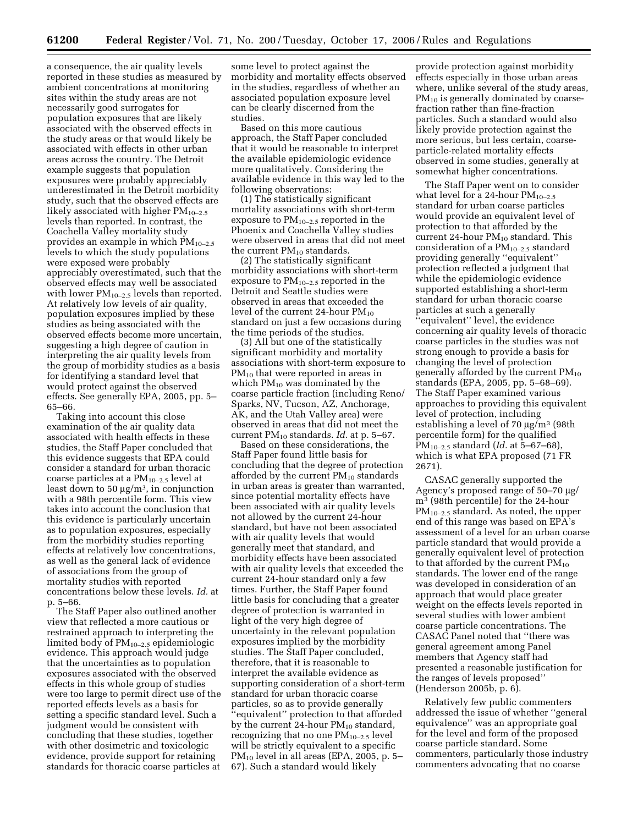a consequence, the air quality levels reported in these studies as measured by ambient concentrations at monitoring sites within the study areas are not necessarily good surrogates for population exposures that are likely associated with the observed effects in the study areas or that would likely be associated with effects in other urban areas across the country. The Detroit example suggests that population exposures were probably appreciably underestimated in the Detroit morbidity study, such that the observed effects are likely associated with higher  $PM_{10-2.5}$ levels than reported. In contrast, the Coachella Valley mortality study provides an example in which  $PM_{10-2.5}$ levels to which the study populations were exposed were probably appreciably overestimated, such that the observed effects may well be associated with lower  $PM_{10-2.5}$  levels than reported. At relatively low levels of air quality, population exposures implied by these studies as being associated with the observed effects become more uncertain, suggesting a high degree of caution in interpreting the air quality levels from the group of morbidity studies as a basis for identifying a standard level that would protect against the observed effects. See generally EPA, 2005, pp. 5– 65–66.

Taking into account this close examination of the air quality data associated with health effects in these studies, the Staff Paper concluded that this evidence suggests that EPA could consider a standard for urban thoracic coarse particles at a  $PM_{10-2.5}$  level at least down to 50  $\mu$ g/m<sup>3</sup>, in conjunction with a 98th percentile form. This view takes into account the conclusion that this evidence is particularly uncertain as to population exposures, especially from the morbidity studies reporting effects at relatively low concentrations, as well as the general lack of evidence of associations from the group of mortality studies with reported concentrations below these levels. *Id.* at p. 5–66.

The Staff Paper also outlined another view that reflected a more cautious or restrained approach to interpreting the limited body of  $PM_{10-2.5}$  epidemiologic evidence. This approach would judge that the uncertainties as to population exposures associated with the observed effects in this whole group of studies were too large to permit direct use of the reported effects levels as a basis for setting a specific standard level. Such a judgment would be consistent with concluding that these studies, together with other dosimetric and toxicologic evidence, provide support for retaining standards for thoracic coarse particles at

some level to protect against the morbidity and mortality effects observed in the studies, regardless of whether an associated population exposure level can be clearly discerned from the studies.

Based on this more cautious approach, the Staff Paper concluded that it would be reasonable to interpret the available epidemiologic evidence more qualitatively. Considering the available evidence in this way led to the following observations:

(1) The statistically significant mortality associations with short-term exposure to  $PM_{10-2.5}$  reported in the Phoenix and Coachella Valley studies were observed in areas that did not meet the current  $PM_{10}$  standards.

(2) The statistically significant morbidity associations with short-term exposure to  $PM_{10-2.5}$  reported in the Detroit and Seattle studies were observed in areas that exceeded the level of the current 24-hour  $PM_{10}$ standard on just a few occasions during the time periods of the studies.

(3) All but one of the statistically significant morbidity and mortality associations with short-term exposure to PM<sub>10</sub> that were reported in areas in which  $PM_{10}$  was dominated by the coarse particle fraction (including Reno/ Sparks, NV, Tucson, AZ, Anchorage, AK, and the Utah Valley area) were observed in areas that did not meet the current PM10 standards. *Id.* at p. 5–67.

Based on these considerations, the Staff Paper found little basis for concluding that the degree of protection afforded by the current  $PM_{10}$  standards in urban areas is greater than warranted, since potential mortality effects have been associated with air quality levels not allowed by the current 24-hour standard, but have not been associated with air quality levels that would generally meet that standard, and morbidity effects have been associated with air quality levels that exceeded the current 24-hour standard only a few times. Further, the Staff Paper found little basis for concluding that a greater degree of protection is warranted in light of the very high degree of uncertainty in the relevant population exposures implied by the morbidity studies. The Staff Paper concluded, therefore, that it is reasonable to interpret the available evidence as supporting consideration of a short-term standard for urban thoracic coarse particles, so as to provide generally ''equivalent'' protection to that afforded by the current 24-hour  $PM_{10}$  standard, recognizing that no one  $PM_{10-2.5}$  level will be strictly equivalent to a specific  $PM_{10}$  level in all areas (EPA, 2005, p. 5– 67). Such a standard would likely

provide protection against morbidity effects especially in those urban areas where, unlike several of the study areas, PM<sub>10</sub> is generally dominated by coarsefraction rather than fine-fraction particles. Such a standard would also likely provide protection against the more serious, but less certain, coarseparticle-related mortality effects observed in some studies, generally at somewhat higher concentrations.

The Staff Paper went on to consider what level for a 24-hour  $PM_{10-2.5}$ standard for urban coarse particles would provide an equivalent level of protection to that afforded by the current 24-hour  $PM_{10}$  standard. This consideration of a  $PM_{10-2.5}$  standard providing generally ''equivalent'' protection reflected a judgment that while the epidemiologic evidence supported establishing a short-term standard for urban thoracic coarse particles at such a generally ''equivalent'' level, the evidence concerning air quality levels of thoracic coarse particles in the studies was not strong enough to provide a basis for changing the level of protection generally afforded by the current PM10 standards (EPA, 2005, pp. 5–68–69). The Staff Paper examined various approaches to providing this equivalent level of protection, including establishing a level of 70 µg/m3 (98th percentile form) for the qualified PM10–2.5 standard (*Id.* at 5–67–68), which is what EPA proposed (71 FR 2671).

CASAC generally supported the Agency's proposed range of 50–70 µg/ m3 (98th percentile) for the 24-hour  $PM_{10-2.5}$  standard. As noted, the upper end of this range was based on EPA's assessment of a level for an urban coarse particle standard that would provide a generally equivalent level of protection to that afforded by the current  $PM_{10}$ standards. The lower end of the range was developed in consideration of an approach that would place greater weight on the effects levels reported in several studies with lower ambient coarse particle concentrations. The CASAC Panel noted that ''there was general agreement among Panel members that Agency staff had presented a reasonable justification for the ranges of levels proposed'' (Henderson 2005b, p. 6).

Relatively few public commenters addressed the issue of whether ''general equivalence'' was an appropriate goal for the level and form of the proposed coarse particle standard. Some commenters, particularly those industry commenters advocating that no coarse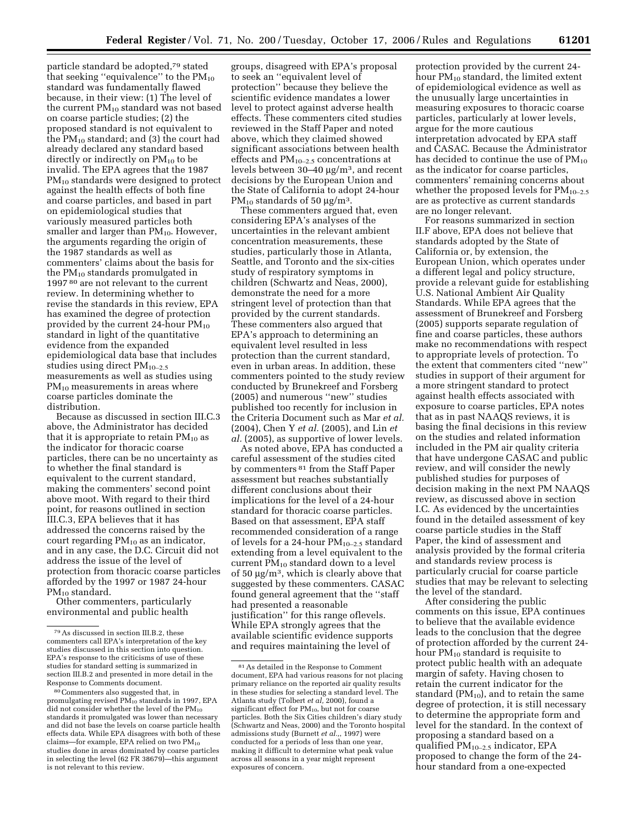particle standard be adopted,79 stated that seeking "equivalence" to the  $PM_{10}$ standard was fundamentally flawed because, in their view: (1) The level of the current PM<sub>10</sub> standard was not based on coarse particle studies; (2) the proposed standard is not equivalent to the  $PM_{10}$  standard; and (3) the court had already declared any standard based directly or indirectly on  $PM_{10}$  to be invalid. The EPA agrees that the 1987 PM<sub>10</sub> standards were designed to protect against the health effects of both fine and coarse particles, and based in part on epidemiological studies that variously measured particles both smaller and larger than  $PM_{10}$ . However, the arguments regarding the origin of the 1987 standards as well as commenters' claims about the basis for the PM10 standards promulgated in 1997 80 are not relevant to the current review. In determining whether to revise the standards in this review, EPA has examined the degree of protection provided by the current 24-hour  $PM_{10}$ standard in light of the quantitative evidence from the expanded epidemiological data base that includes studies using direct  $PM_{10-2.5}$ measurements as well as studies using  $PM_{10}$  measurements in areas where coarse particles dominate the distribution.

Because as discussed in section III.C.3 above, the Administrator has decided that it is appropriate to retain  $PM_{10}$  as the indicator for thoracic coarse particles, there can be no uncertainty as to whether the final standard is equivalent to the current standard, making the commenters' second point above moot. With regard to their third point, for reasons outlined in section III.C.3, EPA believes that it has addressed the concerns raised by the court regarding  $PM_{10}$  as an indicator, and in any case, the D.C. Circuit did not address the issue of the level of protection from thoracic coarse particles afforded by the 1997 or 1987 24-hour PM10 standard.

Other commenters, particularly environmental and public health

groups, disagreed with EPA's proposal to seek an ''equivalent level of protection'' because they believe the scientific evidence mandates a lower level to protect against adverse health effects. These commenters cited studies reviewed in the Staff Paper and noted above, which they claimed showed significant associations between health effects and  $PM_{10-2.5}$  concentrations at levels between 30–40 µg/m3, and recent decisions by the European Union and the State of California to adopt 24-hour  $PM_{10}$  standards of 50  $\mu$ g/m<sup>3</sup>.

These commenters argued that, even considering EPA's analyses of the uncertainties in the relevant ambient concentration measurements, these studies, particularly those in Atlanta, Seattle, and Toronto and the six-cities study of respiratory symptoms in children (Schwartz and Neas, 2000), demonstrate the need for a more stringent level of protection than that provided by the current standards. These commenters also argued that EPA's approach to determining an equivalent level resulted in less protection than the current standard, even in urban areas. In addition, these commenters pointed to the study review conducted by Brunekreef and Forsberg (2005) and numerous ''new'' studies published too recently for inclusion in the Criteria Document such as Mar *et al.*  (2004), Chen Y *et al.* (2005), and Lin *et al.* (2005), as supportive of lower levels.

As noted above, EPA has conducted a careful assessment of the studies cited by commenters 81 from the Staff Paper assessment but reaches substantially different conclusions about their implications for the level of a 24-hour standard for thoracic coarse particles. Based on that assessment, EPA staff recommended consideration of a range of levels for a 24-hour  $PM_{10-2.5}$  standard extending from a level equivalent to the current  $PM_{10}$  standard down to a level of 50 µg/m3, which is clearly above that suggested by these commenters. CASAC found general agreement that the ''staff had presented a reasonable justification'' for this range oflevels. While EPA strongly agrees that the available scientific evidence supports and requires maintaining the level of

protection provided by the current 24 hour  $PM_{10}$  standard, the limited extent of epidemiological evidence as well as the unusually large uncertainties in measuring exposures to thoracic coarse particles, particularly at lower levels, argue for the more cautious interpretation advocated by EPA staff and CASAC. Because the Administrator has decided to continue the use of  $PM_{10}$ as the indicator for coarse particles, commenters' remaining concerns about whether the proposed levels for  $PM_{10-2.5}$ are as protective as current standards are no longer relevant.

For reasons summarized in section II.F above, EPA does not believe that standards adopted by the State of California or, by extension, the European Union, which operates under a different legal and policy structure, provide a relevant guide for establishing U.S. National Ambient Air Quality Standards. While EPA agrees that the assessment of Brunekreef and Forsberg (2005) supports separate regulation of fine and coarse particles, these authors make no recommendations with respect to appropriate levels of protection. To the extent that commenters cited ''new'' studies in support of their argument for a more stringent standard to protect against health effects associated with exposure to coarse particles, EPA notes that as in past NAAQS reviews, it is basing the final decisions in this review on the studies and related information included in the PM air quality criteria that have undergone CASAC and public review, and will consider the newly published studies for purposes of decision making in the next PM NAAQS review, as discussed above in section I.C. As evidenced by the uncertainties found in the detailed assessment of key coarse particle studies in the Staff Paper, the kind of assessment and analysis provided by the formal criteria and standards review process is particularly crucial for coarse particle studies that may be relevant to selecting the level of the standard.

After considering the public comments on this issue, EPA continues to believe that the available evidence leads to the conclusion that the degree of protection afforded by the current 24 hour  $PM_{10}$  standard is requisite to protect public health with an adequate margin of safety. Having chosen to retain the current indicator for the standard  $(PM_{10})$ , and to retain the same degree of protection, it is still necessary to determine the appropriate form and level for the standard. In the context of proposing a standard based on a qualified  $PM_{10-2.5}$  indicator, EPA proposed to change the form of the 24 hour standard from a one-expected

<sup>79</sup>As discussed in section III.B.2, these commenters call EPA's interpretation of the key studies discussed in this section into question. EPA's response to the criticisms of use of these studies for standard setting is summarized in section III.B.2 and presented in more detail in the Response to Comments document.

<sup>80</sup>Commenters also suggested that, in promulgating revised PM<sub>10</sub> standards in 1997, EPA did not consider whether the level of the  $PM_{10}$ standards it promulgated was lower than necessary and did not base the levels on coarse particle health effects data. While EPA disagrees with both of these claims—for example, EPA relied on two  $PM_{10}$ studies done in areas dominated by coarse particles in selecting the level (62 FR 38679)—this argument is not relevant to this review.

<sup>81</sup>As detailed in the Response to Comment document, EPA had various reasons for not placing primary reliance on the reported air quality results in these studies for selecting a standard level. The Atlanta study (Tolbert *et al,* 2000), found a significant effect for PM<sub>10</sub>, but not for coarse particles. Both the Six Cities children's diary study (Schwartz and Neas, 2000) and the Toronto hospital admissions study (Burnett *et al.,*, 1997) were conducted for a periods of less than one year, making it difficult to determine what peak value across all seasons in a year might represent exposures of concern.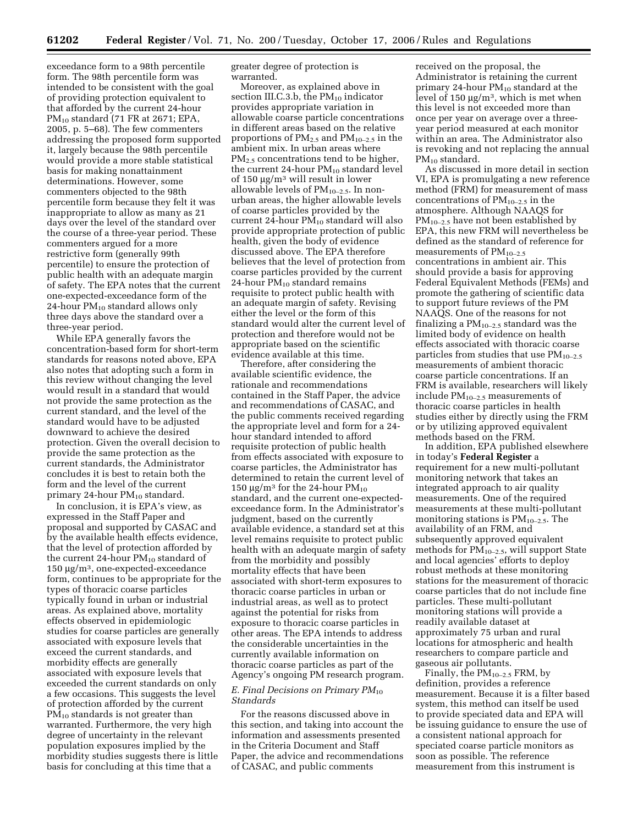exceedance form to a 98th percentile form. The 98th percentile form was intended to be consistent with the goal of providing protection equivalent to that afforded by the current 24-hour PM10 standard (71 FR at 2671; EPA, 2005, p. 5–68). The few commenters addressing the proposed form supported it, largely because the 98th percentile would provide a more stable statistical basis for making nonattainment determinations. However, some commenters objected to the 98th percentile form because they felt it was inappropriate to allow as many as 21 days over the level of the standard over the course of a three-year period. These commenters argued for a more restrictive form (generally 99th percentile) to ensure the protection of public health with an adequate margin of safety. The EPA notes that the current one-expected-exceedance form of the 24-hour  $PM_{10}$  standard allows only three days above the standard over a three-year period.

While EPA generally favors the concentration-based form for short-term standards for reasons noted above, EPA also notes that adopting such a form in this review without changing the level would result in a standard that would not provide the same protection as the current standard, and the level of the standard would have to be adjusted downward to achieve the desired protection. Given the overall decision to provide the same protection as the current standards, the Administrator concludes it is best to retain both the form and the level of the current primary 24-hour  $PM_{10}$  standard.

In conclusion, it is EPA's view, as expressed in the Staff Paper and proposal and supported by CASAC and by the available health effects evidence, that the level of protection afforded by the current 24-hour  $PM_{10}$  standard of 150 µg/m3, one-expected-exceedance form, continues to be appropriate for the types of thoracic coarse particles typically found in urban or industrial areas. As explained above, mortality effects observed in epidemiologic studies for coarse particles are generally associated with exposure levels that exceed the current standards, and morbidity effects are generally associated with exposure levels that exceeded the current standards on only a few occasions. This suggests the level of protection afforded by the current  $PM_{10}$  standards is not greater than warranted. Furthermore, the very high degree of uncertainty in the relevant population exposures implied by the morbidity studies suggests there is little basis for concluding at this time that a

greater degree of protection is warranted.

Moreover, as explained above in section III.C.3.b, the  $PM_{10}$  indicator provides appropriate variation in allowable coarse particle concentrations in different areas based on the relative proportions of PM2.5 and PM10–2.5 in the ambient mix. In urban areas where PM<sub>2.5</sub> concentrations tend to be higher, the current 24-hour  $PM_{10}$  standard level of 150  $\mu$ g/m<sup>3</sup> will result in lower allowable levels of  $PM_{10-2.5}$ . In nonurban areas, the higher allowable levels of coarse particles provided by the current 24-hour  $PM_{10}$  standard will also provide appropriate protection of public health, given the body of evidence discussed above. The EPA therefore believes that the level of protection from coarse particles provided by the current 24-hour  $PM_{10}$  standard remains requisite to protect public health with an adequate margin of safety. Revising either the level or the form of this standard would alter the current level of protection and therefore would not be appropriate based on the scientific evidence available at this time.

Therefore, after considering the available scientific evidence, the rationale and recommendations contained in the Staff Paper, the advice and recommendations of CASAC, and the public comments received regarding the appropriate level and form for a 24 hour standard intended to afford requisite protection of public health from effects associated with exposure to coarse particles, the Administrator has determined to retain the current level of 150  $\mu$ g/m<sup>3</sup> for the 24-hour PM<sub>10</sub> standard, and the current one-expectedexceedance form. In the Administrator's judgment, based on the currently available evidence, a standard set at this level remains requisite to protect public health with an adequate margin of safety from the morbidity and possibly mortality effects that have been associated with short-term exposures to thoracic coarse particles in urban or industrial areas, as well as to protect against the potential for risks from exposure to thoracic coarse particles in other areas. The EPA intends to address the considerable uncertainties in the currently available information on thoracic coarse particles as part of the Agency's ongoing PM research program.

### *E. Final Decisions on Primary PM*<sub>10</sub> *Standards*

For the reasons discussed above in this section, and taking into account the information and assessments presented in the Criteria Document and Staff Paper, the advice and recommendations of CASAC, and public comments

received on the proposal, the Administrator is retaining the current primary 24-hour  $PM_{10}$  standard at the level of 150 µg/m3, which is met when this level is not exceeded more than once per year on average over a threeyear period measured at each monitor within an area. The Administrator also is revoking and not replacing the annual PM<sub>10</sub> standard.

As discussed in more detail in section VI, EPA is promulgating a new reference method (FRM) for measurement of mass concentrations of  $PM_{10-2.5}$  in the atmosphere. Although NAAQS for  $PM_{10-2.5}$  have not been established by EPA, this new FRM will nevertheless be defined as the standard of reference for measurements of  $PM_{10-2.5}$ concentrations in ambient air. This should provide a basis for approving Federal Equivalent Methods (FEMs) and promote the gathering of scientific data to support future reviews of the PM NAAQS. One of the reasons for not finalizing a  $PM_{10-2.5}$  standard was the limited body of evidence on health effects associated with thoracic coarse particles from studies that use  $PM_{10-2.5}$ measurements of ambient thoracic coarse particle concentrations. If an FRM is available, researchers will likely include PM10–2.5 measurements of thoracic coarse particles in health studies either by directly using the FRM or by utilizing approved equivalent methods based on the FRM.

In addition, EPA published elsewhere in today's **Federal Register** a requirement for a new multi-pollutant monitoring network that takes an integrated approach to air quality measurements. One of the required measurements at these multi-pollutant monitoring stations is  $PM_{10-2.5}$ . The availability of an FRM, and subsequently approved equivalent methods for  $PM_{10-2.5}$ , will support State and local agencies' efforts to deploy robust methods at these monitoring stations for the measurement of thoracic coarse particles that do not include fine particles. These multi-pollutant monitoring stations will provide a readily available dataset at approximately 75 urban and rural locations for atmospheric and health researchers to compare particle and gaseous air pollutants.

Finally, the PM10–2.5 FRM, by definition, provides a reference measurement. Because it is a filter based system, this method can itself be used to provide speciated data and EPA will be issuing guidance to ensure the use of a consistent national approach for speciated coarse particle monitors as soon as possible. The reference measurement from this instrument is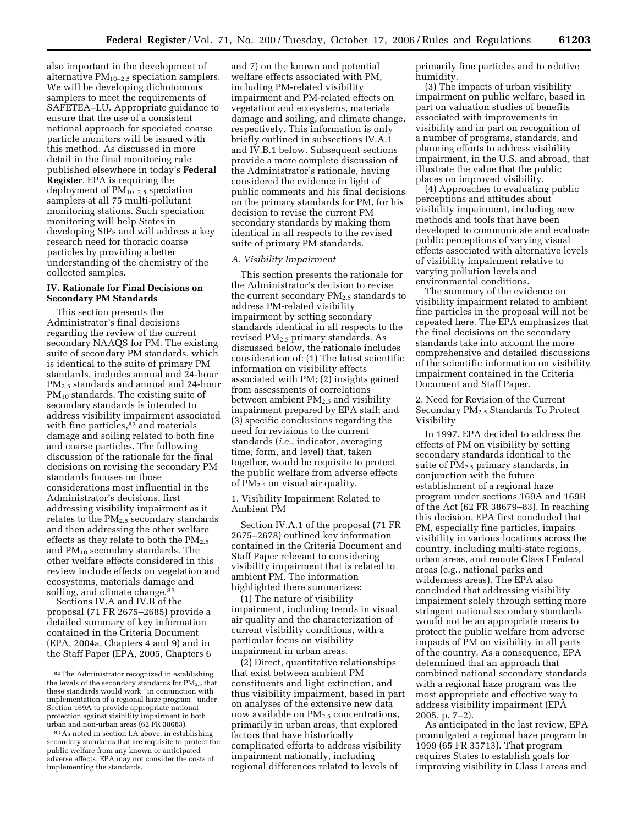also important in the development of alternative  $PM_{10-2.5}$  speciation samplers. We will be developing dichotomous samplers to meet the requirements of SAFETEA–LU. Appropriate guidance to ensure that the use of a consistent national approach for speciated coarse particle monitors will be issued with this method. As discussed in more detail in the final monitoring rule published elsewhere in today's **Federal Register**, EPA is requiring the deployment of  $PM_{10-2.5}$  speciation samplers at all 75 multi-pollutant monitoring stations. Such speciation monitoring will help States in developing SIPs and will address a key research need for thoracic coarse particles by providing a better understanding of the chemistry of the collected samples.

## **IV. Rationale for Final Decisions on Secondary PM Standards**

This section presents the Administrator's final decisions regarding the review of the current secondary NAAQS for PM. The existing suite of secondary PM standards, which is identical to the suite of primary PM standards, includes annual and 24-hour PM2.5 standards and annual and 24-hour PM<sub>10</sub> standards. The existing suite of secondary standards is intended to address visibility impairment associated with fine particles,<sup>82</sup> and materials damage and soiling related to both fine and coarse particles. The following discussion of the rationale for the final decisions on revising the secondary PM standards focuses on those considerations most influential in the Administrator's decisions, first addressing visibility impairment as it relates to the  $PM<sub>2.5</sub>$  secondary standards and then addressing the other welfare effects as they relate to both the  $PM_{2.5}$ and PM<sub>10</sub> secondary standards. The other welfare effects considered in this review include effects on vegetation and ecosystems, materials damage and soiling, and climate change.<sup>83</sup>

Sections IV.A and IV.B of the proposal (71 FR 2675–2685) provide a detailed summary of key information contained in the Criteria Document (EPA, 2004a, Chapters 4 and 9) and in the Staff Paper (EPA, 2005, Chapters 6

and 7) on the known and potential welfare effects associated with PM, including PM-related visibility impairment and PM-related effects on vegetation and ecosystems, materials damage and soiling, and climate change, respectively. This information is only briefly outlined in subsections IV.A.1 and IV.B.1 below. Subsequent sections provide a more complete discussion of the Administrator's rationale, having considered the evidence in light of public comments and his final decisions on the primary standards for PM, for his decision to revise the current PM secondary standards by making them identical in all respects to the revised suite of primary PM standards.

#### *A. Visibility Impairment*

This section presents the rationale for the Administrator's decision to revise the current secondary  $PM_{2.5}$  standards to address PM-related visibility impairment by setting secondary standards identical in all respects to the revised PM2.5 primary standards. As discussed below, the rationale includes consideration of: (1) The latest scientific information on visibility effects associated with PM; (2) insights gained from assessments of correlations between ambient  $PM_{2.5}$  and visibility impairment prepared by EPA staff; and (3) specific conclusions regarding the need for revisions to the current standards (*i.e.*, indicator, averaging time, form, and level) that, taken together, would be requisite to protect the public welfare from adverse effects of  $PM_{2.5}$  on visual air quality.

1. Visibility Impairment Related to Ambient PM

Section IV.A.1 of the proposal (71 FR 2675–2678) outlined key information contained in the Criteria Document and Staff Paper relevant to considering visibility impairment that is related to ambient PM. The information highlighted there summarizes:

(1) The nature of visibility impairment, including trends in visual air quality and the characterization of current visibility conditions, with a particular focus on visibility impairment in urban areas.

(2) Direct, quantitative relationships that exist between ambient PM constituents and light extinction, and thus visibility impairment, based in part on analyses of the extensive new data now available on  $PM_{2.5}$  concentrations, primarily in urban areas, that explored factors that have historically complicated efforts to address visibility impairment nationally, including regional differences related to levels of

primarily fine particles and to relative humidity.

(3) The impacts of urban visibility impairment on public welfare, based in part on valuation studies of benefits associated with improvements in visibility and in part on recognition of a number of programs, standards, and planning efforts to address visibility impairment, in the U.S. and abroad, that illustrate the value that the public places on improved visibility.

(4) Approaches to evaluating public perceptions and attitudes about visibility impairment, including new methods and tools that have been developed to communicate and evaluate public perceptions of varying visual effects associated with alternative levels of visibility impairment relative to varying pollution levels and environmental conditions.

The summary of the evidence on visibility impairment related to ambient fine particles in the proposal will not be repeated here. The EPA emphasizes that the final decisions on the secondary standards take into account the more comprehensive and detailed discussions of the scientific information on visibility impairment contained in the Criteria Document and Staff Paper.

2. Need for Revision of the Current Secondary PM2.5 Standards To Protect Visibility

In 1997, EPA decided to address the effects of PM on visibility by setting secondary standards identical to the suite of PM<sub>2.5</sub> primary standards, in conjunction with the future establishment of a regional haze program under sections 169A and 169B of the Act (62 FR 38679–83). In reaching this decision, EPA first concluded that PM, especially fine particles, impairs visibility in various locations across the country, including multi-state regions, urban areas, and remote Class I Federal areas (e.g., national parks and wilderness areas). The EPA also concluded that addressing visibility impairment solely through setting more stringent national secondary standards would not be an appropriate means to protect the public welfare from adverse impacts of PM on visibility in all parts of the country. As a consequence, EPA determined that an approach that combined national secondary standards with a regional haze program was the most appropriate and effective way to address visibility impairment (EPA 2005, p. 7–2).

As anticipated in the last review, EPA promulgated a regional haze program in 1999 (65 FR 35713). That program requires States to establish goals for improving visibility in Class I areas and

<sup>82</sup>The Administrator recognized in establishing the levels of the secondary standards for  $PM_2$ , that these standards would work ''in conjunction with implementation of a regional haze program'' under Section 169A to provide appropriate national protection against visibility impairment in both urban and non-urban areas (62 FR 38683).

<sup>83</sup>As noted in section I.A above, in establishing secondary standards that are requisite to protect the public welfare from any known or anticipated adverse effects, EPA may not consider the costs of implementing the standards.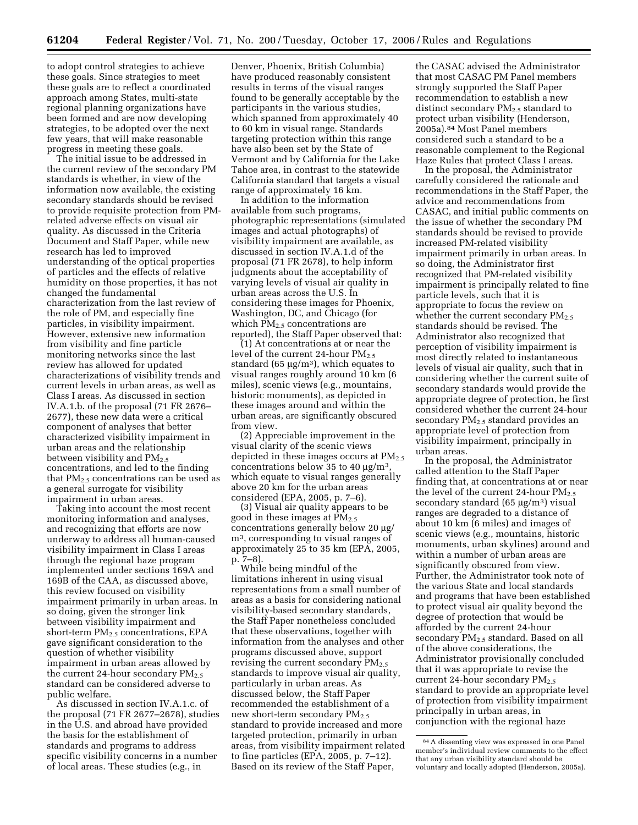to adopt control strategies to achieve these goals. Since strategies to meet these goals are to reflect a coordinated approach among States, multi-state regional planning organizations have been formed and are now developing strategies, to be adopted over the next few years, that will make reasonable progress in meeting these goals.

The initial issue to be addressed in the current review of the secondary PM standards is whether, in view of the information now available, the existing secondary standards should be revised to provide requisite protection from PMrelated adverse effects on visual air quality. As discussed in the Criteria Document and Staff Paper, while new research has led to improved understanding of the optical properties of particles and the effects of relative humidity on those properties, it has not changed the fundamental characterization from the last review of the role of PM, and especially fine particles, in visibility impairment. However, extensive new information from visibility and fine particle monitoring networks since the last review has allowed for updated characterizations of visibility trends and current levels in urban areas, as well as Class I areas. As discussed in section IV.A.1.b. of the proposal (71 FR 2676– 2677), these new data were a critical component of analyses that better characterized visibility impairment in urban areas and the relationship between visibility and  $PM_{2.5}$ concentrations, and led to the finding that  $PM<sub>2.5</sub>$  concentrations can be used as a general surrogate for visibility impairment in urban areas.

Taking into account the most recent monitoring information and analyses, and recognizing that efforts are now underway to address all human-caused visibility impairment in Class I areas through the regional haze program implemented under sections 169A and 169B of the CAA, as discussed above, this review focused on visibility impairment primarily in urban areas. In so doing, given the stronger link between visibility impairment and short-term  $PM<sub>2.5</sub>$  concentrations, EPA gave significant consideration to the question of whether visibility impairment in urban areas allowed by the current 24-hour secondary  $PM<sub>2.5</sub>$ standard can be considered adverse to public welfare.

As discussed in section IV.A.1.c. of the proposal (71 FR 2677–2678), studies in the U.S. and abroad have provided the basis for the establishment of standards and programs to address specific visibility concerns in a number of local areas. These studies (e.g., in

Denver, Phoenix, British Columbia) have produced reasonably consistent results in terms of the visual ranges found to be generally acceptable by the participants in the various studies, which spanned from approximately 40 to 60 km in visual range. Standards targeting protection within this range have also been set by the State of Vermont and by California for the Lake Tahoe area, in contrast to the statewide California standard that targets a visual range of approximately 16 km.

In addition to the information available from such programs, photographic representations (simulated images and actual photographs) of visibility impairment are available, as discussed in section IV.A.1.d of the proposal (71 FR 2678), to help inform judgments about the acceptability of varying levels of visual air quality in urban areas across the U.S. In considering these images for Phoenix, Washington, DC, and Chicago (for which  $PM<sub>2.5</sub>$  concentrations are reported), the Staff Paper observed that:

(1) At concentrations at or near the level of the current 24-hour  $PM_{2.5}$ standard (65  $\mu$ g/m<sup>3</sup>), which equates to visual ranges roughly around 10 km (6 miles), scenic views (e.g., mountains, historic monuments), as depicted in these images around and within the urban areas, are significantly obscured from view.

(2) Appreciable improvement in the visual clarity of the scenic views depicted in these images occurs at  $PM_{2.5}$ concentrations below 35 to 40  $\mu$ g/m<sup>3</sup>, which equate to visual ranges generally above 20 km for the urban areas considered (EPA, 2005, p. 7–6).

(3) Visual air quality appears to be good in these images at  $PM_{2.5}$ concentrations generally below 20 µg/ m3, corresponding to visual ranges of approximately 25 to 35 km (EPA, 2005, p. 7–8).

While being mindful of the limitations inherent in using visual representations from a small number of areas as a basis for considering national visibility-based secondary standards, the Staff Paper nonetheless concluded that these observations, together with information from the analyses and other programs discussed above, support revising the current secondary  $PM_{2.5}$ standards to improve visual air quality, particularly in urban areas. As discussed below, the Staff Paper recommended the establishment of a new short-term secondary  $PM_{2.5}$ standard to provide increased and more targeted protection, primarily in urban areas, from visibility impairment related to fine particles (EPA, 2005, p. 7–12). Based on its review of the Staff Paper,

the CASAC advised the Administrator that most CASAC PM Panel members strongly supported the Staff Paper recommendation to establish a new distinct secondary PM<sub>2.5</sub> standard to protect urban visibility (Henderson, 2005a).84 Most Panel members considered such a standard to be a reasonable complement to the Regional Haze Rules that protect Class I areas.

In the proposal, the Administrator carefully considered the rationale and recommendations in the Staff Paper, the advice and recommendations from CASAC, and initial public comments on the issue of whether the secondary PM standards should be revised to provide increased PM-related visibility impairment primarily in urban areas. In so doing, the Administrator first recognized that PM-related visibility impairment is principally related to fine particle levels, such that it is appropriate to focus the review on whether the current secondary PM<sub>2.5</sub> standards should be revised. The Administrator also recognized that perception of visibility impairment is most directly related to instantaneous levels of visual air quality, such that in considering whether the current suite of secondary standards would provide the appropriate degree of protection, he first considered whether the current 24-hour secondary  $PM_{2.5}$  standard provides an appropriate level of protection from visibility impairment, principally in urban areas.

In the proposal, the Administrator called attention to the Staff Paper finding that, at concentrations at or near the level of the current 24-hour  $PM_{2.5}$ secondary standard (65  $\mu$ g/m<sup>3</sup>) visual ranges are degraded to a distance of about 10 km (6 miles) and images of scenic views (e.g., mountains, historic monuments, urban skylines) around and within a number of urban areas are significantly obscured from view. Further, the Administrator took note of the various State and local standards and programs that have been established to protect visual air quality beyond the degree of protection that would be afforded by the current 24-hour secondary PM2.5 standard. Based on all of the above considerations, the Administrator provisionally concluded that it was appropriate to revise the current 24-hour secondary  $PM_{2.5}$ standard to provide an appropriate level of protection from visibility impairment principally in urban areas, in conjunction with the regional haze

<sup>84</sup>A dissenting view was expressed in one Panel member's individual review comments to the effect that any urban visibility standard should be voluntary and locally adopted (Henderson, 2005a).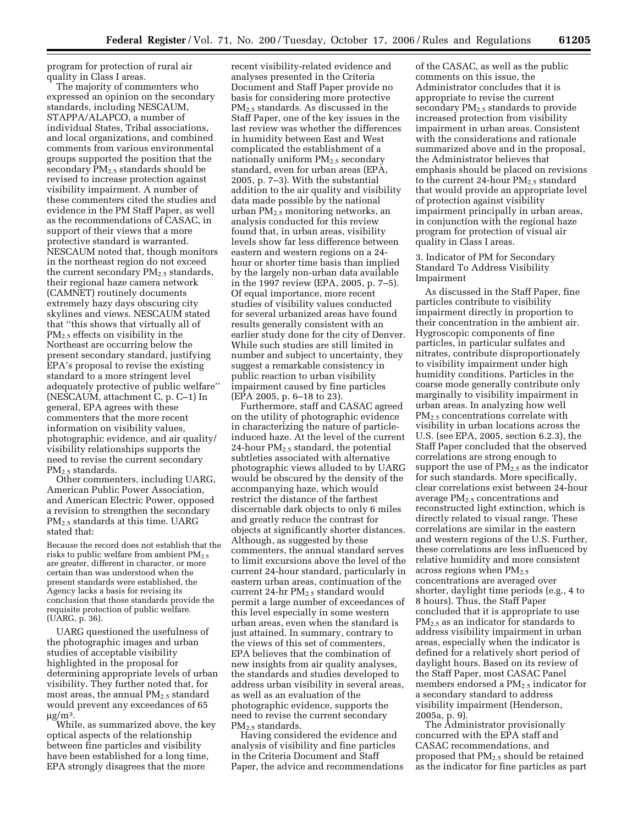program for protection of rural air quality in Class I areas.

The majority of commenters who expressed an opinion on the secondary standards, including NESCAUM, STAPPA/ALAPCO, a number of individual States, Tribal associations, and local organizations, and combined comments from various environmental groups supported the position that the secondary  $PM_{2.5}$  standards should be revised to increase protection against visibility impairment. A number of these commenters cited the studies and evidence in the PM Staff Paper, as well as the recommendations of CASAC, in support of their views that a more protective standard is warranted. NESCAUM noted that, though monitors in the northeast region do not exceed the current secondary  $PM<sub>2</sub>$  standards, their regional haze camera network (CAMNET) routinely documents extremely hazy days obscuring city skylines and views. NESCAUM stated that ''this shows that virtually all of PM2.5 effects on visibility in the Northeast are occurring below the present secondary standard, justifying EPA's proposal to revise the existing standard to a more stringent level adequately protective of public welfare'' (NESCAUM, attachment C, p. C–1) In general, EPA agrees with these commenters that the more recent information on visibility values, photographic evidence, and air quality/ visibility relationships supports the need to revise the current secondary PM2.5 standards.

Other commenters, including UARG, American Public Power Association, and American Electric Power, opposed a revision to strengthen the secondary PM2.5 standards at this time. UARG stated that:

Because the record does not establish that the risks to public welfare from ambient  $PM_{2.5}$ are greater, different in character, or more certain than was understood when the present standards were established, the Agency lacks a basis for revising its conclusion that those standards provide the requisite protection of public welfare. (UARG, p. 36).

UARG questioned the usefulness of the photographic images and urban studies of acceptable visibility highlighted in the proposal for determining appropriate levels of urban visibility. They further noted that, for most areas, the annual  $PM_{2.5}$  standard would prevent any exceedances of 65  $\mu g/m^3$ .

While, as summarized above, the key optical aspects of the relationship between fine particles and visibility have been established for a long time, EPA strongly disagrees that the more

recent visibility-related evidence and analyses presented in the Criteria Document and Staff Paper provide no basis for considering more protective PM2.5 standards. As discussed in the Staff Paper, one of the key issues in the last review was whether the differences in humidity between East and West complicated the establishment of a nationally uniform  $PM<sub>2.5</sub>$  secondary standard, even for urban areas (EPA, 2005, p. 7–3). With the substantial addition to the air quality and visibility data made possible by the national urban PM2.5 monitoring networks, an analysis conducted for this review found that, in urban areas, visibility levels show far less difference between eastern and western regions on a 24 hour or shorter time basis than implied by the largely non-urban data available in the 1997 review (EPA, 2005, p. 7–5). Of equal importance, more recent studies of visibility values conducted for several urbanized areas have found results generally consistent with an earlier study done for the city of Denver. While such studies are still limited in number and subject to uncertainty, they suggest a remarkable consistency in public reaction to urban visibility impairment caused by fine particles (EPA 2005, p. 6–18 to 23).

Furthermore, staff and CASAC agreed on the utility of photographic evidence in characterizing the nature of particleinduced haze. At the level of the current 24-hour  $PM<sub>2.5</sub>$  standard, the potential subtleties associated with alternative photographic views alluded to by UARG would be obscured by the density of the accompanying haze, which would restrict the distance of the farthest discernable dark objects to only 6 miles and greatly reduce the contrast for objects at significantly shorter distances. Although, as suggested by these commenters, the annual standard serves to limit excursions above the level of the current 24-hour standard, particularly in eastern urban areas, continuation of the current 24-hr  $PM_{2.5}$  standard would permit a large number of exceedances of this level especially in some western urban areas, even when the standard is just attained. In summary, contrary to the views of this set of commenters, EPA believes that the combination of new insights from air quality analyses, the standards and studies developed to address urban visibility in several areas, as well as an evaluation of the photographic evidence, supports the need to revise the current secondary PM<sub>2.5</sub> standards.

Having considered the evidence and analysis of visibility and fine particles in the Criteria Document and Staff Paper, the advice and recommendations

of the CASAC, as well as the public comments on this issue, the Administrator concludes that it is appropriate to revise the current secondary PM<sub>2.5</sub> standards to provide increased protection from visibility impairment in urban areas. Consistent with the considerations and rationale summarized above and in the proposal, the Administrator believes that emphasis should be placed on revisions to the current 24-hour  $PM_{2.5}$  standard that would provide an appropriate level of protection against visibility impairment principally in urban areas, in conjunction with the regional haze program for protection of visual air quality in Class I areas.

3. Indicator of PM for Secondary Standard To Address Visibility Impairment

As discussed in the Staff Paper, fine particles contribute to visibility impairment directly in proportion to their concentration in the ambient air. Hygroscopic components of fine particles, in particular sulfates and nitrates, contribute disproportionately to visibility impairment under high humidity conditions. Particles in the coarse mode generally contribute only marginally to visibility impairment in urban areas. In analyzing how well  $PM<sub>2</sub>$  concentrations correlate with visibility in urban locations across the U.S. (see EPA, 2005, section 6.2.3), the Staff Paper concluded that the observed correlations are strong enough to support the use of  $PM_{2.5}$  as the indicator for such standards. More specifically, clear correlations exist between 24-hour average  $PM_{2.5}$  concentrations and reconstructed light extinction, which is directly related to visual range. These correlations are similar in the eastern and western regions of the U.S. Further, these correlations are less influenced by relative humidity and more consistent across regions when  $PM_{2.5}$ concentrations are averaged over shorter, daylight time periods (e.g., 4 to 8 hours). Thus, the Staff Paper concluded that it is appropriate to use PM2.5 as an indicator for standards to address visibility impairment in urban areas, especially when the indicator is defined for a relatively short period of daylight hours. Based on its review of the Staff Paper, most CASAC Panel members endorsed a  $PM_{2.5}$  indicator for a secondary standard to address visibility impairment (Henderson, 2005a, p. 9).

The Administrator provisionally concurred with the EPA staff and CASAC recommendations, and proposed that PM2.5 should be retained as the indicator for fine particles as part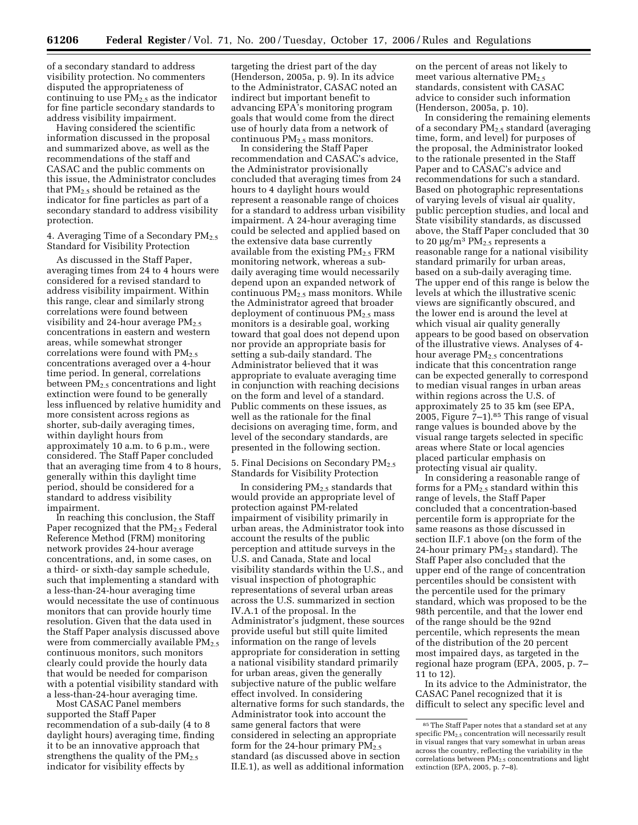of a secondary standard to address visibility protection. No commenters disputed the appropriateness of continuing to use  $PM<sub>2.5</sub>$  as the indicator for fine particle secondary standards to address visibility impairment.

Having considered the scientific information discussed in the proposal and summarized above, as well as the recommendations of the staff and CASAC and the public comments on this issue, the Administrator concludes that  $PM_{2.5}$  should be retained as the indicator for fine particles as part of a secondary standard to address visibility protection.

4. Averaging Time of a Secondary  $PM_{2.5}$ Standard for Visibility Protection

As discussed in the Staff Paper, averaging times from 24 to 4 hours were considered for a revised standard to address visibility impairment. Within this range, clear and similarly strong correlations were found between visibility and 24-hour average  $PM_{2.5}$ concentrations in eastern and western areas, while somewhat stronger correlations were found with  $PM_{2.5}$ concentrations averaged over a 4-hour time period. In general, correlations between PM2.5 concentrations and light extinction were found to be generally less influenced by relative humidity and more consistent across regions as shorter, sub-daily averaging times, within daylight hours from approximately 10 a.m. to 6 p.m., were considered. The Staff Paper concluded that an averaging time from 4 to 8 hours, generally within this daylight time period, should be considered for a standard to address visibility impairment.

In reaching this conclusion, the Staff Paper recognized that the  $PM_{2.5}$  Federal Reference Method (FRM) monitoring network provides 24-hour average concentrations, and, in some cases, on a third- or sixth-day sample schedule, such that implementing a standard with a less-than-24-hour averaging time would necessitate the use of continuous monitors that can provide hourly time resolution. Given that the data used in the Staff Paper analysis discussed above were from commercially available  $PM_{2.5}$ continuous monitors, such monitors clearly could provide the hourly data that would be needed for comparison with a potential visibility standard with a less-than-24-hour averaging time.

Most CASAC Panel members supported the Staff Paper recommendation of a sub-daily (4 to 8 daylight hours) averaging time, finding it to be an innovative approach that strengthens the quality of the  $PM_{2.5}$ indicator for visibility effects by

targeting the driest part of the day (Henderson, 2005a, p. 9). In its advice to the Administrator, CASAC noted an indirect but important benefit to advancing EPA's monitoring program goals that would come from the direct use of hourly data from a network of continuous  $PM_{2,5}$  mass monitors.

In considering the Staff Paper recommendation and CASAC's advice, the Administrator provisionally concluded that averaging times from 24 hours to 4 daylight hours would represent a reasonable range of choices for a standard to address urban visibility impairment. A 24-hour averaging time could be selected and applied based on the extensive data base currently available from the existing  $PM_{2.5}$  FRM monitoring network, whereas a subdaily averaging time would necessarily depend upon an expanded network of continuous PM2.5 mass monitors. While the Administrator agreed that broader deployment of continuous  $PM_{2.5}$  mass monitors is a desirable goal, working toward that goal does not depend upon nor provide an appropriate basis for setting a sub-daily standard. The Administrator believed that it was appropriate to evaluate averaging time in conjunction with reaching decisions on the form and level of a standard. Public comments on these issues, as well as the rationale for the final decisions on averaging time, form, and level of the secondary standards, are presented in the following section.

5. Final Decisions on Secondary PM<sub>2.5</sub> Standards for Visibility Protection

In considering PM2.5 standards that would provide an appropriate level of protection against PM-related impairment of visibility primarily in urban areas, the Administrator took into account the results of the public perception and attitude surveys in the U.S. and Canada, State and local visibility standards within the U.S., and visual inspection of photographic representations of several urban areas across the U.S. summarized in section IV.A.1 of the proposal. In the Administrator's judgment, these sources provide useful but still quite limited information on the range of levels appropriate for consideration in setting a national visibility standard primarily for urban areas, given the generally subjective nature of the public welfare effect involved. In considering alternative forms for such standards, the Administrator took into account the same general factors that were considered in selecting an appropriate form for the 24-hour primary  $PM_{2.5}$ standard (as discussed above in section II.E.1), as well as additional information

on the percent of areas not likely to meet various alternative  $PM<sub>2.5</sub>$ standards, consistent with CASAC advice to consider such information (Henderson, 2005a, p. 10).

In considering the remaining elements of a secondary  $PM_{2.5}$  standard (averaging time, form, and level) for purposes of the proposal, the Administrator looked to the rationale presented in the Staff Paper and to CASAC's advice and recommendations for such a standard. Based on photographic representations of varying levels of visual air quality, public perception studies, and local and State visibility standards, as discussed above, the Staff Paper concluded that 30 to 20  $\mu$ g/m<sup>3</sup> PM<sub>2.5</sub> represents a reasonable range for a national visibility standard primarily for urban areas, based on a sub-daily averaging time. The upper end of this range is below the levels at which the illustrative scenic views are significantly obscured, and the lower end is around the level at which visual air quality generally appears to be good based on observation of the illustrative views. Analyses of 4 hour average  $PM_{2.5}$  concentrations indicate that this concentration range can be expected generally to correspond to median visual ranges in urban areas within regions across the U.S. of approximately 25 to 35 km (see EPA, 2005, Figure  $7-1$ ).<sup>85</sup> This range of visual range values is bounded above by the visual range targets selected in specific areas where State or local agencies placed particular emphasis on protecting visual air quality.

In considering a reasonable range of forms for a  $PM_{2.5}$  standard within this range of levels, the Staff Paper concluded that a concentration-based percentile form is appropriate for the same reasons as those discussed in section II.F.1 above (on the form of the 24-hour primary  $PM<sub>2.5</sub>$  standard). The Staff Paper also concluded that the upper end of the range of concentration percentiles should be consistent with the percentile used for the primary standard, which was proposed to be the 98th percentile, and that the lower end of the range should be the 92nd percentile, which represents the mean of the distribution of the 20 percent most impaired days, as targeted in the regional haze program (EPA, 2005, p. 7– 11 to 12).

In its advice to the Administrator, the CASAC Panel recognized that it is difficult to select any specific level and

<sup>85</sup> The Staff Paper notes that a standard set at any specific PM<sub>2.5</sub> concentration will necessarily result in visual ranges that vary somewhat in urban areas across the country, reflecting the variability in the correlations between PM2.5 concentrations and light extinction (EPA, 2005, p. 7–8).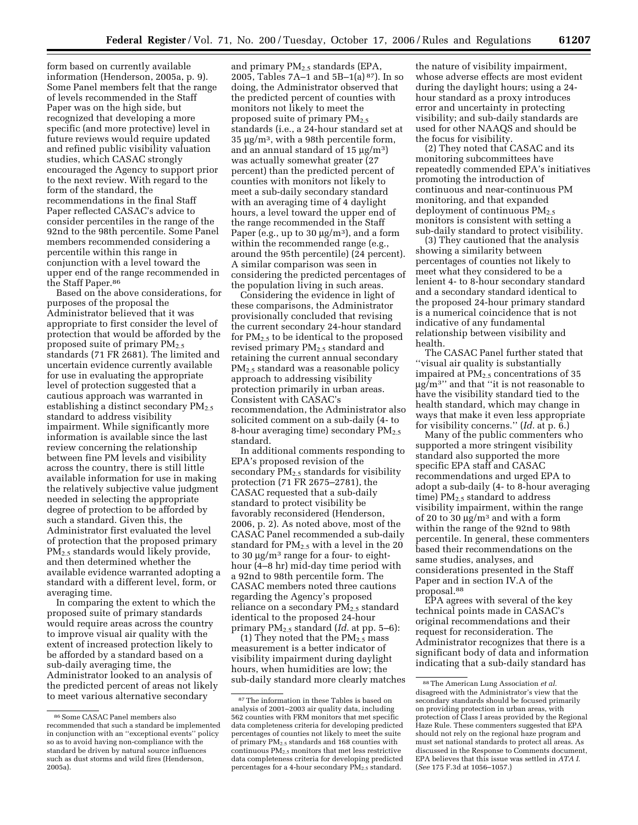form based on currently available information (Henderson, 2005a, p. 9). Some Panel members felt that the range of levels recommended in the Staff Paper was on the high side, but recognized that developing a more specific (and more protective) level in future reviews would require updated and refined public visibility valuation studies, which CASAC strongly encouraged the Agency to support prior to the next review. With regard to the form of the standard, the recommendations in the final Staff Paper reflected CASAC's advice to consider percentiles in the range of the 92nd to the 98th percentile. Some Panel members recommended considering a percentile within this range in conjunction with a level toward the upper end of the range recommended in the Staff Paper.<sup>86</sup>

Based on the above considerations, for purposes of the proposal the Administrator believed that it was appropriate to first consider the level of protection that would be afforded by the proposed suite of primary PM2.5 standards (71 FR 2681). The limited and uncertain evidence currently available for use in evaluating the appropriate level of protection suggested that a cautious approach was warranted in establishing a distinct secondary  $PM_{2.5}$ standard to address visibility impairment. While significantly more information is available since the last review concerning the relationship between fine PM levels and visibility across the country, there is still little available information for use in making the relatively subjective value judgment needed in selecting the appropriate degree of protection to be afforded by such a standard. Given this, the Administrator first evaluated the level of protection that the proposed primary PM2.5 standards would likely provide, and then determined whether the available evidence warranted adopting a standard with a different level, form, or averaging time.

In comparing the extent to which the proposed suite of primary standards would require areas across the country to improve visual air quality with the extent of increased protection likely to be afforded by a standard based on a sub-daily averaging time, the Administrator looked to an analysis of the predicted percent of areas not likely to meet various alternative secondary

and primary PM2.5 standards (EPA, 2005, Tables 7A–1 and 5B–1(a) 87). In so doing, the Administrator observed that the predicted percent of counties with monitors not likely to meet the proposed suite of primary PM2.5 standards (i.e., a 24-hour standard set at 35 µg/m3, with a 98th percentile form, and an annual standard of 15  $\mu$ g/m<sup>3</sup>) was actually somewhat greater (27 percent) than the predicted percent of counties with monitors not likely to meet a sub-daily secondary standard with an averaging time of 4 daylight hours, a level toward the upper end of the range recommended in the Staff Paper (e.g., up to 30  $\mu$ g/m<sup>3</sup>), and a form within the recommended range (e.g., around the 95th percentile) (24 percent). A similar comparison was seen in considering the predicted percentages of the population living in such areas.

Considering the evidence in light of these comparisons, the Administrator provisionally concluded that revising the current secondary 24-hour standard for PM2.5 to be identical to the proposed revised primary PM<sub>2.5</sub> standard and retaining the current annual secondary PM2.5 standard was a reasonable policy approach to addressing visibility protection primarily in urban areas. Consistent with CASAC's recommendation, the Administrator also solicited comment on a sub-daily (4- to 8-hour averaging time) secondary  $PM_{2.5}$ standard.

In additional comments responding to EPA's proposed revision of the secondary  $PM<sub>2.5</sub>$  standards for visibility protection (71 FR 2675–2781), the CASAC requested that a sub-daily standard to protect visibility be favorably reconsidered (Henderson, 2006, p. 2). As noted above, most of the CASAC Panel recommended a sub-daily standard for PM2.5 with a level in the 20 to 30  $\mu$ g/m<sup>3</sup> range for a four- to eighthour (4–8 hr) mid-day time period with a 92nd to 98th percentile form. The CASAC members noted three cautions regarding the Agency's proposed reliance on a secondary PM<sub>2.5</sub> standard identical to the proposed 24-hour primary PM2.5 standard (*Id.* at pp. 5–6):

(1) They noted that the  $PM_{2.5}$  mass measurement is a better indicator of visibility impairment during daylight hours, when humidities are low; the sub-daily standard more clearly matches

the nature of visibility impairment, whose adverse effects are most evident during the daylight hours; using a 24 hour standard as a proxy introduces error and uncertainty in protecting visibility; and sub-daily standards are used for other NAAQS and should be the focus for visibility.

(2) They noted that CASAC and its monitoring subcommittees have repeatedly commended EPA's initiatives promoting the introduction of continuous and near-continuous PM monitoring, and that expanded deployment of continuous  $PM_{2.5}$ monitors is consistent with setting a sub-daily standard to protect visibility.

(3) They cautioned that the analysis showing a similarity between percentages of counties not likely to meet what they considered to be a lenient 4- to 8-hour secondary standard and a secondary standard identical to the proposed 24-hour primary standard is a numerical coincidence that is not indicative of any fundamental relationship between visibility and health.

The CASAC Panel further stated that ''visual air quality is substantially impaired at  $PM<sub>2.5</sub>$  concentrations of 35 µg/m3'' and that ''it is not reasonable to have the visibility standard tied to the health standard, which may change in ways that make it even less appropriate for visibility concerns.'' (*Id.* at p. 6.)

Many of the public commenters who supported a more stringent visibility standard also supported the more specific EPA staff and CASAC recommendations and urged EPA to adopt a sub-daily (4- to 8-hour averaging time)  $PM<sub>2.5</sub>$  standard to address visibility impairment, within the range of 20 to 30  $\mu$ g/m<sup>3</sup> and with a form within the range of the 92nd to 98th percentile. In general, these commenters based their recommendations on the same studies, analyses, and considerations presented in the Staff Paper and in section IV.A of the proposal.88

EPA agrees with several of the key technical points made in CASAC's original recommendations and their request for reconsideration. The Administrator recognizes that there is a significant body of data and information indicating that a sub-daily standard has

<sup>86</sup>Some CASAC Panel members also recommended that such a standard be implemented in conjunction with an ''exceptional events'' policy so as to avoid having non-compliance with the standard be driven by natural source influences such as dust storms and wild fires (Henderson, 2005a).

<sup>87</sup>The information in these Tables is based on analysis of 2001–2003 air quality data, including 562 counties with FRM monitors that met specific data completeness criteria for developing predicted percentages of counties not likely to meet the suite of primary  $PM_{2.5}$  standards and 168 counties with continuous  $PM_{2.5}$  monitors that met less restrictive data completeness criteria for developing predicted percentages for a 4-hour secondary  $\overrightarrow{PM}_{2.5}$  standard.

<sup>88</sup>The American Lung Association *et al.*  disagreed with the Administrator's view that the secondary standards should be focused primarily on providing protection in urban areas, with protection of Class I areas provided by the Regional Haze Rule. These commenters suggested that EPA should not rely on the regional haze program and must set national standards to protect all areas. As discussed in the Response to Comments document, EPA believes that this issue was settled in *ATA I*. (*See* 175 F.3d at 1056–1057.)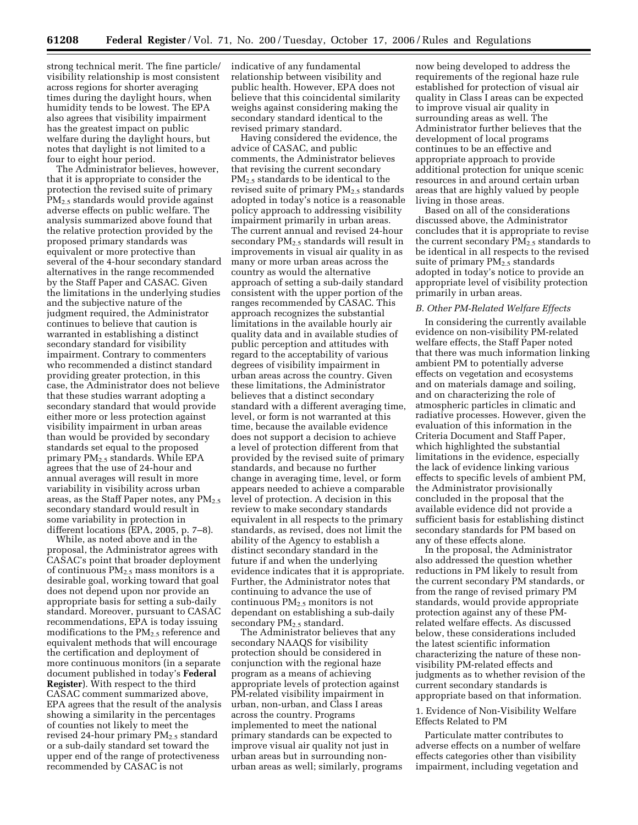strong technical merit. The fine particle/ visibility relationship is most consistent across regions for shorter averaging times during the daylight hours, when humidity tends to be lowest. The EPA also agrees that visibility impairment has the greatest impact on public welfare during the daylight hours, but notes that daylight is not limited to a four to eight hour period.

The Administrator believes, however, that it is appropriate to consider the protection the revised suite of primary PM2.5 standards would provide against adverse effects on public welfare. The analysis summarized above found that the relative protection provided by the proposed primary standards was equivalent or more protective than several of the 4-hour secondary standard alternatives in the range recommended by the Staff Paper and CASAC. Given the limitations in the underlying studies and the subjective nature of the judgment required, the Administrator continues to believe that caution is warranted in establishing a distinct secondary standard for visibility impairment. Contrary to commenters who recommended a distinct standard providing greater protection, in this case, the Administrator does not believe that these studies warrant adopting a secondary standard that would provide either more or less protection against visibility impairment in urban areas than would be provided by secondary standards set equal to the proposed primary PM2.5 standards. While EPA agrees that the use of 24-hour and annual averages will result in more variability in visibility across urban areas, as the Staff Paper notes, any PM<sub>2.5</sub> secondary standard would result in some variability in protection in different locations (EPA, 2005, p. 7–8).

While, as noted above and in the proposal, the Administrator agrees with CASAC's point that broader deployment of continuous  $PM_{2.5}$  mass monitors is a desirable goal, working toward that goal does not depend upon nor provide an appropriate basis for setting a sub-daily standard. Moreover, pursuant to CASAC recommendations, EPA is today issuing modifications to the  $PM_{2.5}$  reference and equivalent methods that will encourage the certification and deployment of more continuous monitors (in a separate document published in today's **Federal Register**). With respect to the third CASAC comment summarized above, EPA agrees that the result of the analysis showing a similarity in the percentages of counties not likely to meet the revised 24-hour primary  $PM_{2.5}$  standard or a sub-daily standard set toward the upper end of the range of protectiveness recommended by CASAC is not

indicative of any fundamental relationship between visibility and public health. However, EPA does not believe that this coincidental similarity weighs against considering making the secondary standard identical to the revised primary standard.

Having considered the evidence, the advice of CASAC, and public comments, the Administrator believes that revising the current secondary PM2.5 standards to be identical to the revised suite of primary PM<sub>2.5</sub> standards adopted in today's notice is a reasonable policy approach to addressing visibility impairment primarily in urban areas. The current annual and revised 24-hour secondary PM2.5 standards will result in improvements in visual air quality in as many or more urban areas across the country as would the alternative approach of setting a sub-daily standard consistent with the upper portion of the ranges recommended by CASAC. This approach recognizes the substantial limitations in the available hourly air quality data and in available studies of public perception and attitudes with regard to the acceptability of various degrees of visibility impairment in urban areas across the country. Given these limitations, the Administrator believes that a distinct secondary standard with a different averaging time, level, or form is not warranted at this time, because the available evidence does not support a decision to achieve a level of protection different from that provided by the revised suite of primary standards, and because no further change in averaging time, level, or form appears needed to achieve a comparable level of protection. A decision in this review to make secondary standards equivalent in all respects to the primary standards, as revised, does not limit the ability of the Agency to establish a distinct secondary standard in the future if and when the underlying evidence indicates that it is appropriate. Further, the Administrator notes that continuing to advance the use of continuous PM2.5 monitors is not dependant on establishing a sub-daily secondary  $PM_{2.5}$  standard.

The Administrator believes that any secondary NAAQS for visibility protection should be considered in conjunction with the regional haze program as a means of achieving appropriate levels of protection against PM-related visibility impairment in urban, non-urban, and Class I areas across the country. Programs implemented to meet the national primary standards can be expected to improve visual air quality not just in urban areas but in surrounding nonurban areas as well; similarly, programs

now being developed to address the requirements of the regional haze rule established for protection of visual air quality in Class I areas can be expected to improve visual air quality in surrounding areas as well. The Administrator further believes that the development of local programs continues to be an effective and appropriate approach to provide additional protection for unique scenic resources in and around certain urban areas that are highly valued by people living in those areas.

Based on all of the considerations discussed above, the Administrator concludes that it is appropriate to revise the current secondary PM2.5 standards to be identical in all respects to the revised suite of primary PM<sub>2.5</sub> standards adopted in today's notice to provide an appropriate level of visibility protection primarily in urban areas.

#### *B. Other PM-Related Welfare Effects*

In considering the currently available evidence on non-visibility PM-related welfare effects, the Staff Paper noted that there was much information linking ambient PM to potentially adverse effects on vegetation and ecosystems and on materials damage and soiling, and on characterizing the role of atmospheric particles in climatic and radiative processes. However, given the evaluation of this information in the Criteria Document and Staff Paper, which highlighted the substantial limitations in the evidence, especially the lack of evidence linking various effects to specific levels of ambient PM, the Administrator provisionally concluded in the proposal that the available evidence did not provide a sufficient basis for establishing distinct secondary standards for PM based on any of these effects alone.

In the proposal, the Administrator also addressed the question whether reductions in PM likely to result from the current secondary PM standards, or from the range of revised primary PM standards, would provide appropriate protection against any of these PMrelated welfare effects. As discussed below, these considerations included the latest scientific information characterizing the nature of these nonvisibility PM-related effects and judgments as to whether revision of the current secondary standards is appropriate based on that information.

1. Evidence of Non-Visibility Welfare Effects Related to PM

Particulate matter contributes to adverse effects on a number of welfare effects categories other than visibility impairment, including vegetation and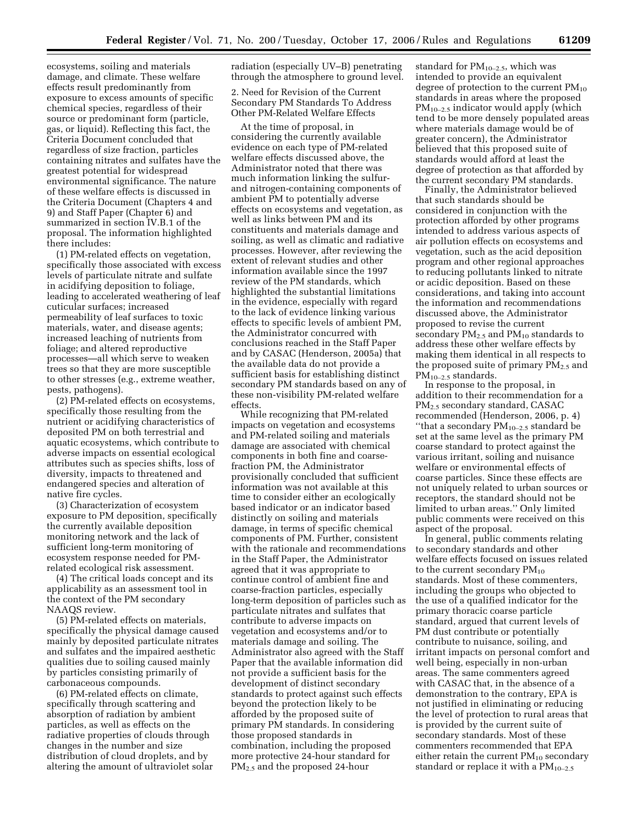ecosystems, soiling and materials damage, and climate. These welfare effects result predominantly from exposure to excess amounts of specific chemical species, regardless of their source or predominant form (particle, gas, or liquid). Reflecting this fact, the Criteria Document concluded that regardless of size fraction, particles containing nitrates and sulfates have the greatest potential for widespread environmental significance. The nature of these welfare effects is discussed in the Criteria Document (Chapters 4 and 9) and Staff Paper (Chapter 6) and summarized in section IV.B.1 of the proposal. The information highlighted there includes:

(1) PM-related effects on vegetation, specifically those associated with excess levels of particulate nitrate and sulfate in acidifying deposition to foliage, leading to accelerated weathering of leaf cuticular surfaces; increased permeability of leaf surfaces to toxic materials, water, and disease agents; increased leaching of nutrients from foliage; and altered reproductive processes—all which serve to weaken trees so that they are more susceptible to other stresses (e.g., extreme weather, pests, pathogens).

(2) PM-related effects on ecosystems, specifically those resulting from the nutrient or acidifying characteristics of deposited PM on both terrestrial and aquatic ecosystems, which contribute to adverse impacts on essential ecological attributes such as species shifts, loss of diversity, impacts to threatened and endangered species and alteration of native fire cycles.

(3) Characterization of ecosystem exposure to PM deposition, specifically the currently available deposition monitoring network and the lack of sufficient long-term monitoring of ecosystem response needed for PMrelated ecological risk assessment.

(4) The critical loads concept and its applicability as an assessment tool in the context of the PM secondary NAAQS review.

(5) PM-related effects on materials, specifically the physical damage caused mainly by deposited particulate nitrates and sulfates and the impaired aesthetic qualities due to soiling caused mainly by particles consisting primarily of carbonaceous compounds.

(6) PM-related effects on climate, specifically through scattering and absorption of radiation by ambient particles, as well as effects on the radiative properties of clouds through changes in the number and size distribution of cloud droplets, and by altering the amount of ultraviolet solar radiation (especially UV–B) penetrating through the atmosphere to ground level.

2. Need for Revision of the Current Secondary PM Standards To Address Other PM-Related Welfare Effects

At the time of proposal, in considering the currently available evidence on each type of PM-related welfare effects discussed above, the Administrator noted that there was much information linking the sulfurand nitrogen-containing components of ambient PM to potentially adverse effects on ecosystems and vegetation, as well as links between PM and its constituents and materials damage and soiling, as well as climatic and radiative processes. However, after reviewing the extent of relevant studies and other information available since the 1997 review of the PM standards, which highlighted the substantial limitations in the evidence, especially with regard to the lack of evidence linking various effects to specific levels of ambient PM, the Administrator concurred with conclusions reached in the Staff Paper and by CASAC (Henderson, 2005a) that the available data do not provide a sufficient basis for establishing distinct secondary PM standards based on any of these non-visibility PM-related welfare effects.

While recognizing that PM-related impacts on vegetation and ecosystems and PM-related soiling and materials damage are associated with chemical components in both fine and coarsefraction PM, the Administrator provisionally concluded that sufficient information was not available at this time to consider either an ecologically based indicator or an indicator based distinctly on soiling and materials damage, in terms of specific chemical components of PM. Further, consistent with the rationale and recommendations in the Staff Paper, the Administrator agreed that it was appropriate to continue control of ambient fine and coarse-fraction particles, especially long-term deposition of particles such as particulate nitrates and sulfates that contribute to adverse impacts on vegetation and ecosystems and/or to materials damage and soiling. The Administrator also agreed with the Staff Paper that the available information did not provide a sufficient basis for the development of distinct secondary standards to protect against such effects beyond the protection likely to be afforded by the proposed suite of primary PM standards. In considering those proposed standards in combination, including the proposed more protective 24-hour standard for PM2.5 and the proposed 24-hour

standard for PM10–2.5, which was intended to provide an equivalent degree of protection to the current  $PM_{10}$ standards in areas where the proposed PM<sub>10–2.5</sub> indicator would apply (which tend to be more densely populated areas where materials damage would be of greater concern), the Administrator believed that this proposed suite of standards would afford at least the degree of protection as that afforded by the current secondary PM standards.

Finally, the Administrator believed that such standards should be considered in conjunction with the protection afforded by other programs intended to address various aspects of air pollution effects on ecosystems and vegetation, such as the acid deposition program and other regional approaches to reducing pollutants linked to nitrate or acidic deposition. Based on these considerations, and taking into account the information and recommendations discussed above, the Administrator proposed to revise the current secondary  $PM_{2.5}$  and  $PM_{10}$  standards to address these other welfare effects by making them identical in all respects to the proposed suite of primary  $PM_{2.5}$  and PM10–2.5 standards.

In response to the proposal, in addition to their recommendation for a PM2.5 secondary standard, CASAC recommended (Henderson, 2006, p. 4) "that a secondary  $PM_{10-2.5}$  standard be set at the same level as the primary PM coarse standard to protect against the various irritant, soiling and nuisance welfare or environmental effects of coarse particles. Since these effects are not uniquely related to urban sources or receptors, the standard should not be limited to urban areas.'' Only limited public comments were received on this aspect of the proposal.

In general, public comments relating to secondary standards and other welfare effects focused on issues related to the current secondary  $PM_{10}$ standards. Most of these commenters, including the groups who objected to the use of a qualified indicator for the primary thoracic coarse particle standard, argued that current levels of PM dust contribute or potentially contribute to nuisance, soiling, and irritant impacts on personal comfort and well being, especially in non-urban areas. The same commenters agreed with CASAC that, in the absence of a demonstration to the contrary, EPA is not justified in eliminating or reducing the level of protection to rural areas that is provided by the current suite of secondary standards. Most of these commenters recommended that EPA either retain the current  $PM_{10}$  secondary standard or replace it with a  $PM_{10-2.5}$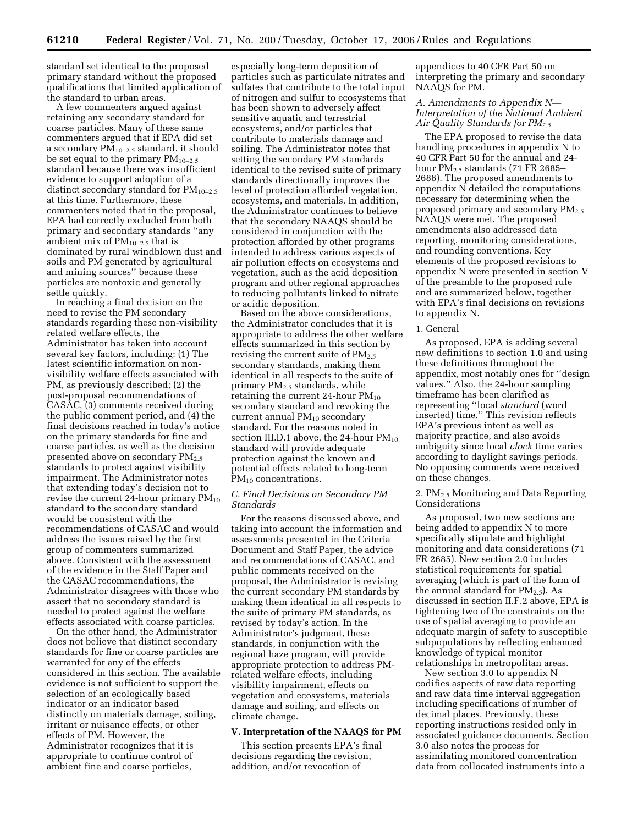standard set identical to the proposed primary standard without the proposed qualifications that limited application of the standard to urban areas.

A few commenters argued against retaining any secondary standard for coarse particles. Many of these same commenters argued that if EPA did set a secondary  $PM_{10-2.5}$  standard, it should be set equal to the primary  $PM_{10-2.5}$ standard because there was insufficient evidence to support adoption of a distinct secondary standard for PM<sub>10-2.5</sub> at this time. Furthermore, these commenters noted that in the proposal, EPA had correctly excluded from both primary and secondary standards ''any ambient mix of  $PM_{10-2.5}$  that is dominated by rural windblown dust and soils and PM generated by agricultural and mining sources'' because these particles are nontoxic and generally settle quickly.

In reaching a final decision on the need to revise the PM secondary standards regarding these non-visibility related welfare effects, the Administrator has taken into account several key factors, including: (1) The latest scientific information on nonvisibility welfare effects associated with PM, as previously described; (2) the post-proposal recommendations of CASAC, (3) comments received during the public comment period, and (4) the final decisions reached in today's notice on the primary standards for fine and coarse particles, as well as the decision presented above on secondary  $PM_{2.5}$ standards to protect against visibility impairment. The Administrator notes that extending today's decision not to revise the current 24-hour primary  $PM_{10}$ standard to the secondary standard would be consistent with the recommendations of CASAC and would address the issues raised by the first group of commenters summarized above. Consistent with the assessment of the evidence in the Staff Paper and the CASAC recommendations, the Administrator disagrees with those who assert that no secondary standard is needed to protect against the welfare effects associated with coarse particles.

On the other hand, the Administrator does not believe that distinct secondary standards for fine or coarse particles are warranted for any of the effects considered in this section. The available evidence is not sufficient to support the selection of an ecologically based indicator or an indicator based distinctly on materials damage, soiling, irritant or nuisance effects, or other effects of PM. However, the Administrator recognizes that it is appropriate to continue control of ambient fine and coarse particles,

especially long-term deposition of particles such as particulate nitrates and sulfates that contribute to the total input of nitrogen and sulfur to ecosystems that has been shown to adversely affect sensitive aquatic and terrestrial ecosystems, and/or particles that contribute to materials damage and soiling. The Administrator notes that setting the secondary PM standards identical to the revised suite of primary standards directionally improves the level of protection afforded vegetation, ecosystems, and materials. In addition, the Administrator continues to believe that the secondary NAAQS should be considered in conjunction with the protection afforded by other programs intended to address various aspects of air pollution effects on ecosystems and vegetation, such as the acid deposition program and other regional approaches to reducing pollutants linked to nitrate or acidic deposition.

Based on the above considerations, the Administrator concludes that it is appropriate to address the other welfare effects summarized in this section by revising the current suite of  $PM_{2.5}$ secondary standards, making them identical in all respects to the suite of primary  $PM_{2.5}$  standards, while retaining the current  $24$ -hour  $PM_{10}$ secondary standard and revoking the current annual PM<sub>10</sub> secondary standard. For the reasons noted in section III.D.1 above, the 24-hour  $PM_{10}$ standard will provide adequate protection against the known and potential effects related to long-term PM<sub>10</sub> concentrations.

## *C. Final Decisions on Secondary PM Standards*

For the reasons discussed above, and taking into account the information and assessments presented in the Criteria Document and Staff Paper, the advice and recommendations of CASAC, and public comments received on the proposal, the Administrator is revising the current secondary PM standards by making them identical in all respects to the suite of primary PM standards, as revised by today's action. In the Administrator's judgment, these standards, in conjunction with the regional haze program, will provide appropriate protection to address PMrelated welfare effects, including visibility impairment, effects on vegetation and ecosystems, materials damage and soiling, and effects on climate change.

# **V. Interpretation of the NAAQS for PM**

This section presents EPA's final decisions regarding the revision, addition, and/or revocation of

appendices to 40 CFR Part 50 on interpreting the primary and secondary NAAQS for PM.

# *A. Amendments to Appendix N— Interpretation of the National Ambient Air Quality Standards for PM2.5*

The EPA proposed to revise the data handling procedures in appendix N to 40 CFR Part 50 for the annual and 24 hour PM2.5 standards (71 FR 2685– 2686). The proposed amendments to appendix N detailed the computations necessary for determining when the proposed primary and secondary  $PM_{2.5}$ NAAQS were met. The proposed amendments also addressed data reporting, monitoring considerations, and rounding conventions. Key elements of the proposed revisions to appendix N were presented in section V of the preamble to the proposed rule and are summarized below, together with EPA's final decisions on revisions to appendix N.

#### 1. General

As proposed, EPA is adding several new definitions to section 1.0 and using these definitions throughout the appendix, most notably ones for ''design values.'' Also, the 24-hour sampling timeframe has been clarified as representing ''local *standard* (word inserted) time.'' This revision reflects EPA's previous intent as well as majority practice, and also avoids ambiguity since local *clock* time varies according to daylight savings periods. No opposing comments were received on these changes.

## 2. PM<sub>2.5</sub> Monitoring and Data Reporting Considerations

As proposed, two new sections are being added to appendix N to more specifically stipulate and highlight monitoring and data considerations (71 FR 2685). New section 2.0 includes statistical requirements for spatial averaging (which is part of the form of the annual standard for  $PM_{2.5}$ ). As discussed in section II.F.2 above, EPA is tightening two of the constraints on the use of spatial averaging to provide an adequate margin of safety to susceptible subpopulations by reflecting enhanced knowledge of typical monitor relationships in metropolitan areas.

New section 3.0 to appendix N codifies aspects of raw data reporting and raw data time interval aggregation including specifications of number of decimal places. Previously, these reporting instructions resided only in associated guidance documents. Section 3.0 also notes the process for assimilating monitored concentration data from collocated instruments into a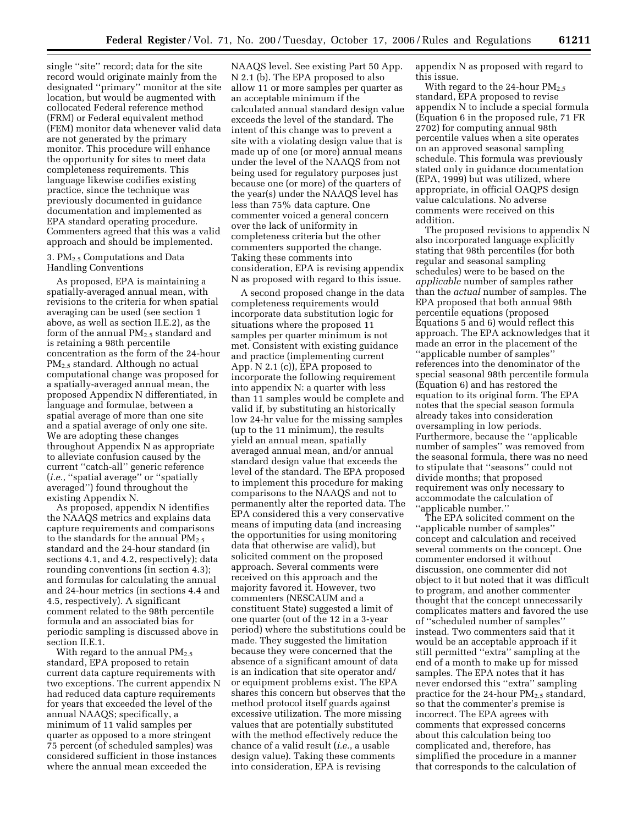single ''site'' record; data for the site record would originate mainly from the designated ''primary'' monitor at the site location, but would be augmented with collocated Federal reference method (FRM) or Federal equivalent method (FEM) monitor data whenever valid data are not generated by the primary monitor. This procedure will enhance the opportunity for sites to meet data completeness requirements. This language likewise codifies existing practice, since the technique was previously documented in guidance documentation and implemented as EPA standard operating procedure. Commenters agreed that this was a valid approach and should be implemented.

## 3.  $PM<sub>2.5</sub>$  Computations and Data Handling Conventions

As proposed, EPA is maintaining a spatially-averaged annual mean, with revisions to the criteria for when spatial averaging can be used (see section 1 above, as well as section II.E.2), as the form of the annual PM<sub>2.5</sub> standard and is retaining a 98th percentile concentration as the form of the 24-hour PM2.5 standard. Although no actual computational change was proposed for a spatially-averaged annual mean, the proposed Appendix N differentiated, in language and formulae, between a spatial average of more than one site and a spatial average of only one site. We are adopting these changes throughout Appendix N as appropriate to alleviate confusion caused by the current ''catch-all'' generic reference (*i.e.*, ''spatial average'' or ''spatially averaged'') found throughout the existing Appendix N.

As proposed, appendix N identifies the NAAQS metrics and explains data capture requirements and comparisons to the standards for the annual  $PM_{2.5}$ standard and the 24-hour standard (in sections 4.1, and 4.2, respectively); data rounding conventions (in section 4.3); and formulas for calculating the annual and 24-hour metrics (in sections 4.4 and 4.5, respectively). A significant comment related to the 98th percentile formula and an associated bias for periodic sampling is discussed above in section II.E.1.

With regard to the annual  $PM_{2.5}$ standard, EPA proposed to retain current data capture requirements with two exceptions. The current appendix N had reduced data capture requirements for years that exceeded the level of the annual NAAQS; specifically, a minimum of 11 valid samples per quarter as opposed to a more stringent 75 percent (of scheduled samples) was considered sufficient in those instances where the annual mean exceeded the

NAAQS level. See existing Part 50 App. N 2.1 (b). The EPA proposed to also allow 11 or more samples per quarter as an acceptable minimum if the calculated annual standard design value exceeds the level of the standard. The intent of this change was to prevent a site with a violating design value that is made up of one (or more) annual means under the level of the NAAQS from not being used for regulatory purposes just because one (or more) of the quarters of the year(s) under the NAAQS level has less than 75% data capture. One commenter voiced a general concern over the lack of uniformity in completeness criteria but the other commenters supported the change. Taking these comments into consideration, EPA is revising appendix N as proposed with regard to this issue.

A second proposed change in the data completeness requirements would incorporate data substitution logic for situations where the proposed 11 samples per quarter minimum is not met. Consistent with existing guidance and practice (implementing current App. N 2.1 (c)), EPA proposed to incorporate the following requirement into appendix N: a quarter with less than 11 samples would be complete and valid if, by substituting an historically low 24-hr value for the missing samples (up to the 11 minimum), the results yield an annual mean, spatially averaged annual mean, and/or annual standard design value that exceeds the level of the standard. The EPA proposed to implement this procedure for making comparisons to the NAAQS and not to permanently alter the reported data. The EPA considered this a very conservative means of imputing data (and increasing the opportunities for using monitoring data that otherwise are valid), but solicited comment on the proposed approach. Several comments were received on this approach and the majority favored it. However, two commenters (NESCAUM and a constituent State) suggested a limit of one quarter (out of the 12 in a 3-year period) where the substitutions could be made. They suggested the limitation because they were concerned that the absence of a significant amount of data is an indication that site operator and/ or equipment problems exist. The EPA shares this concern but observes that the method protocol itself guards against excessive utilization. The more missing values that are potentially substituted with the method effectively reduce the chance of a valid result (*i.e.*, a usable design value). Taking these comments into consideration, EPA is revising

appendix N as proposed with regard to this issue.

With regard to the 24-hour  $PM_{2.5}$ standard, EPA proposed to revise appendix N to include a special formula (Equation 6 in the proposed rule, 71 FR 2702) for computing annual 98th percentile values when a site operates on an approved seasonal sampling schedule. This formula was previously stated only in guidance documentation (EPA, 1999) but was utilized, where appropriate, in official OAQPS design value calculations. No adverse comments were received on this addition.

The proposed revisions to appendix N also incorporated language explicitly stating that 98th percentiles (for both regular and seasonal sampling schedules) were to be based on the *applicable* number of samples rather than the *actual* number of samples. The EPA proposed that both annual 98th percentile equations (proposed Equations 5 and 6) would reflect this approach. The EPA acknowledges that it made an error in the placement of the ''applicable number of samples'' references into the denominator of the special seasonal 98th percentile formula (Equation 6) and has restored the equation to its original form. The EPA notes that the special season formula already takes into consideration oversampling in low periods. Furthermore, because the ''applicable number of samples'' was removed from the seasonal formula, there was no need to stipulate that ''seasons'' could not divide months; that proposed requirement was only necessary to accommodate the calculation of ''applicable number.''

The EPA solicited comment on the ''applicable number of samples'' concept and calculation and received several comments on the concept. One commenter endorsed it without discussion, one commenter did not object to it but noted that it was difficult to program, and another commenter thought that the concept unnecessarily complicates matters and favored the use of ''scheduled number of samples'' instead. Two commenters said that it would be an acceptable approach if it still permitted ''extra'' sampling at the end of a month to make up for missed samples. The EPA notes that it has never endorsed this ''extra'' sampling practice for the 24-hour  $PM_{2.5}$  standard, so that the commenter's premise is incorrect. The EPA agrees with comments that expressed concerns about this calculation being too complicated and, therefore, has simplified the procedure in a manner that corresponds to the calculation of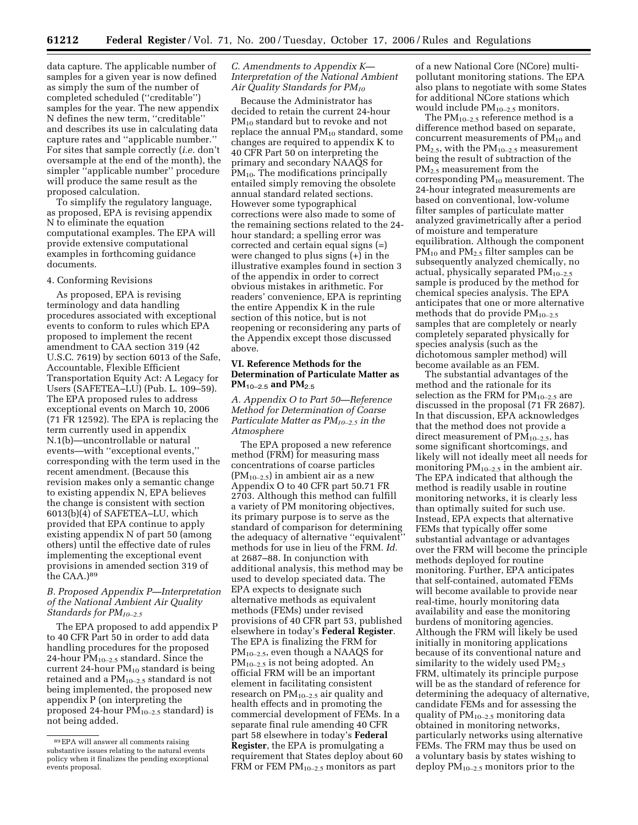data capture. The applicable number of samples for a given year is now defined as simply the sum of the number of completed scheduled (''creditable'') samples for the year. The new appendix N defines the new term, ''creditable'' and describes its use in calculating data capture rates and ''applicable number.'' For sites that sample correctly (*i.e.* don't oversample at the end of the month), the simpler ''applicable number'' procedure will produce the same result as the proposed calculation.

To simplify the regulatory language, as proposed, EPA is revising appendix N to eliminate the equation computational examples. The EPA will provide extensive computational examples in forthcoming guidance documents.

#### 4. Conforming Revisions

As proposed, EPA is revising terminology and data handling procedures associated with exceptional events to conform to rules which EPA proposed to implement the recent amendment to CAA section 319 (42 U.S.C. 7619) by section 6013 of the Safe, Accountable, Flexible Efficient Transportation Equity Act: A Legacy for Users (SAFETEA–LU) (Pub. L. 109–59). The EPA proposed rules to address exceptional events on March 10, 2006 (71 FR 12592). The EPA is replacing the term currently used in appendix N.1(b)—uncontrollable or natural events—with ''exceptional events,'' corresponding with the term used in the recent amendment. (Because this revision makes only a semantic change to existing appendix N, EPA believes the change is consistent with section 6013(b)(4) of SAFETEA–LU, which provided that EPA continue to apply existing appendix N of part 50 (among others) until the effective date of rules implementing the exceptional event provisions in amended section 319 of the CAA.)89

## *B. Proposed Appendix P—Interpretation of the National Ambient Air Quality Standards for PM10–2.5*

The EPA proposed to add appendix P to 40 CFR Part 50 in order to add data handling procedures for the proposed 24-hour  $PM_{10-2.5}$  standard. Since the current 24-hour  $PM_{10}$  standard is being retained and a  $PM_{10-2.5}$  standard is not being implemented, the proposed new appendix P (on interpreting the proposed 24-hour PM10–2.5 standard) is not being added.

# *C. Amendments to Appendix K— Interpretation of the National Ambient Air Quality Standards for PM10*

Because the Administrator has decided to retain the current 24-hour PM<sub>10</sub> standard but to revoke and not replace the annual  $PM_{10}$  standard, some changes are required to appendix K to 40 CFR Part 50 on interpreting the primary and secondary NAAQS for  $PM_{10}$ . The modifications principally entailed simply removing the obsolete annual standard related sections. However some typographical corrections were also made to some of the remaining sections related to the 24 hour standard; a spelling error was corrected and certain equal signs (=) were changed to plus signs (+) in the illustrative examples found in section 3 of the appendix in order to correct obvious mistakes in arithmetic. For readers' convenience, EPA is reprinting the entire Appendix K in the rule section of this notice, but is not reopening or reconsidering any parts of the Appendix except those discussed above.

### **VI. Reference Methods for the Determination of Particulate Matter as PM**10–2.5 **and PM**2.5

*A. Appendix O to Part 50—Reference Method for Determination of Coarse Particulate Matter as PM10–2.5 in the Atmosphere* 

The EPA proposed a new reference method (FRM) for measuring mass concentrations of coarse particles  $(PM_{10-2.5})$  in ambient air as a new Appendix O to 40 CFR part 50.71 FR 2703. Although this method can fulfill a variety of PM monitoring objectives, its primary purpose is to serve as the standard of comparison for determining the adequacy of alternative ''equivalent'' methods for use in lieu of the FRM. *Id.*  at 2687–88. In conjunction with additional analysis, this method may be used to develop speciated data. The EPA expects to designate such alternative methods as equivalent methods (FEMs) under revised provisions of 40 CFR part 53, published elsewhere in today's **Federal Register**. The EPA is finalizing the FRM for  $PM_{10-2.5}$ , even though a NAAQS for  $PM_{10-2.5}$  is not being adopted. An official FRM will be an important element in facilitating consistent research on  $PM_{10-2.5}$  air quality and health effects and in promoting the commercial development of FEMs. In a separate final rule amending 40 CFR part 58 elsewhere in today's **Federal Register**, the EPA is promulgating a requirement that States deploy about 60 FRM or FEM PM<sub>10-2.5</sub> monitors as part

of a new National Core (NCore) multipollutant monitoring stations. The EPA also plans to negotiate with some States for additional NCore stations which would include PM10–2.5 monitors.

The  $PM_{10-2.5}$  reference method is a difference method based on separate, concurrent measurements of PM<sub>10</sub> and  $PM_{2.5}$ , with the  $PM_{10-2.5}$  measurement being the result of subtraction of the PM2.5 measurement from the corresponding  $PM_{10}$  measurement. The 24-hour integrated measurements are based on conventional, low-volume filter samples of particulate matter analyzed gravimetrically after a period of moisture and temperature equilibration. Although the component  $PM_{10}$  and  $PM_{2.5}$  filter samples can be subsequently analyzed chemically, no actual, physically separated  $PM_{10-2.5}$ sample is produced by the method for chemical species analysis. The EPA anticipates that one or more alternative methods that do provide  $PM_{10-2.5}$ samples that are completely or nearly completely separated physically for species analysis (such as the dichotomous sampler method) will become available as an FEM.

The substantial advantages of the method and the rationale for its selection as the FRM for  $PM_{10-2.5}$  are discussed in the proposal (71 FR 2687). In that discussion, EPA acknowledges that the method does not provide a direct measurement of  $PM_{10-2.5}$ , has some significant shortcomings, and likely will not ideally meet all needs for monitoring  $PM_{10-2.5}$  in the ambient air. The EPA indicated that although the method is readily usable in routine monitoring networks, it is clearly less than optimally suited for such use. Instead, EPA expects that alternative FEMs that typically offer some substantial advantage or advantages over the FRM will become the principle methods deployed for routine monitoring. Further, EPA anticipates that self-contained, automated FEMs will become available to provide near real-time, hourly monitoring data availability and ease the monitoring burdens of monitoring agencies. Although the FRM will likely be used initially in monitoring applications because of its conventional nature and similarity to the widely used  $PM_{2.5}$ FRM, ultimately its principle purpose will be as the standard of reference for determining the adequacy of alternative, candidate FEMs and for assessing the quality of  $PM_{10-2.5}$  monitoring data obtained in monitoring networks, particularly networks using alternative FEMs. The FRM may thus be used on a voluntary basis by states wishing to deploy PM10–2.5 monitors prior to the

<sup>89</sup>EPA will answer all comments raising substantive issues relating to the natural events policy when it finalizes the pending exceptional events proposal.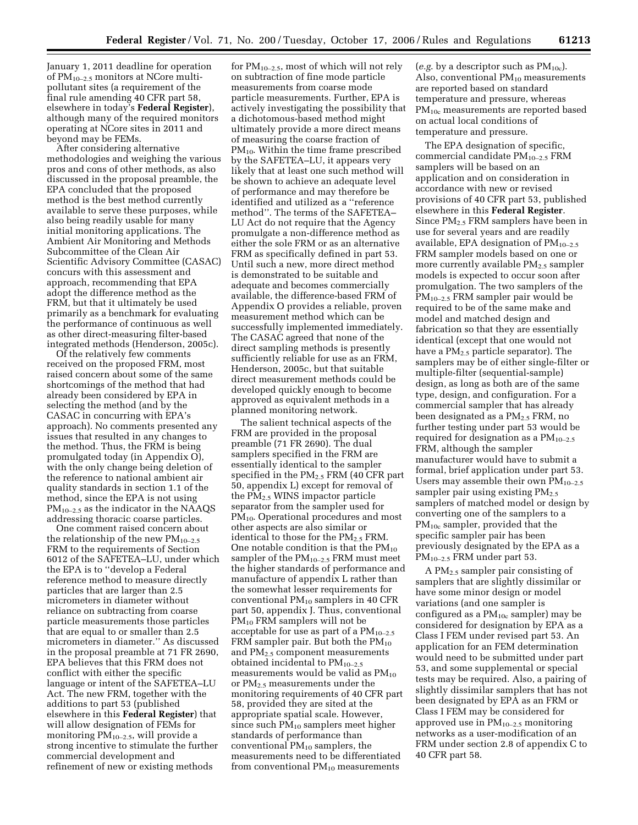January 1, 2011 deadline for operation of  $PM_{10-2.5}$  monitors at NCore multipollutant sites (a requirement of the final rule amending 40 CFR part 58, elsewhere in today's **Federal Register**), although many of the required monitors operating at NCore sites in 2011 and beyond may be FEMs.

After considering alternative methodologies and weighing the various pros and cons of other methods, as also discussed in the proposal preamble, the EPA concluded that the proposed method is the best method currently available to serve these purposes, while also being readily usable for many initial monitoring applications. The Ambient Air Monitoring and Methods Subcommittee of the Clean Air Scientific Advisory Committee (CASAC) concurs with this assessment and approach, recommending that EPA adopt the difference method as the FRM, but that it ultimately be used primarily as a benchmark for evaluating the performance of continuous as well as other direct-measuring filter-based integrated methods (Henderson, 2005c).

Of the relatively few comments received on the proposed FRM, most raised concern about some of the same shortcomings of the method that had already been considered by EPA in selecting the method (and by the CASAC in concurring with EPA's approach). No comments presented any issues that resulted in any changes to the method. Thus, the FRM is being promulgated today (in Appendix O), with the only change being deletion of the reference to national ambient air quality standards in section 1.1 of the method, since the EPA is not using  $PM_{10-2.5}$  as the indicator in the NAAQS addressing thoracic coarse particles.

One comment raised concern about the relationship of the new  $PM_{10-2.5}$ FRM to the requirements of Section 6012 of the SAFETEA–LU, under which the EPA is to ''develop a Federal reference method to measure directly particles that are larger than 2.5 micrometers in diameter without reliance on subtracting from coarse particle measurements those particles that are equal to or smaller than 2.5 micrometers in diameter.'' As discussed in the proposal preamble at 71 FR 2690, EPA believes that this FRM does not conflict with either the specific language or intent of the SAFETEA–LU Act. The new FRM, together with the additions to part 53 (published elsewhere in this **Federal Register**) that will allow designation of FEMs for monitoring PM10–2.5, will provide a strong incentive to stimulate the further commercial development and refinement of new or existing methods

for  $PM_{10-2.5}$ , most of which will not rely on subtraction of fine mode particle measurements from coarse mode particle measurements. Further, EPA is actively investigating the possibility that a dichotomous-based method might ultimately provide a more direct means of measuring the coarse fraction of  $PM_{10}$ . Within the time frame prescribed by the SAFETEA–LU, it appears very likely that at least one such method will be shown to achieve an adequate level of performance and may therefore be identified and utilized as a ''reference method''. The terms of the SAFETEA– LU Act do not require that the Agency promulgate a non-difference method as either the sole FRM or as an alternative FRM as specifically defined in part 53. Until such a new, more direct method is demonstrated to be suitable and adequate and becomes commercially available, the difference-based FRM of Appendix O provides a reliable, proven measurement method which can be successfully implemented immediately. The CASAC agreed that none of the direct sampling methods is presently sufficiently reliable for use as an FRM, Henderson, 2005c, but that suitable direct measurement methods could be developed quickly enough to become approved as equivalent methods in a planned monitoring network.

The salient technical aspects of the FRM are provided in the proposal preamble (71 FR 2690). The dual samplers specified in the FRM are essentially identical to the sampler specified in the  $PM<sub>2.5</sub>$  FRM (40 CFR part 50, appendix L) except for removal of the PM2.5 WINS impactor particle separator from the sampler used for PM<sub>10</sub>. Operational procedures and most other aspects are also similar or identical to those for the  $PM_{2.5}$  FRM. One notable condition is that the  $PM_{10}$ sampler of the  $PM_{10-2.5}$  FRM must meet the higher standards of performance and manufacture of appendix L rather than the somewhat lesser requirements for conventional  $PM_{10}$  samplers in 40 CFR part 50, appendix J. Thus, conventional PM<sub>10</sub> FRM samplers will not be acceptable for use as part of a  $PM_{10-2.5}$ FRM sampler pair. But both the  $PM_{10}$ and PM<sub>2.5</sub> component measurements obtained incidental to  $PM_{10-2.5}$ measurements would be valid as  $PM_{10}$ or PM2.5 measurements under the monitoring requirements of 40 CFR part 58, provided they are sited at the appropriate spatial scale. However, since such  $PM_{10}$  samplers meet higher standards of performance than conventional PM<sub>10</sub> samplers, the measurements need to be differentiated from conventional  $PM_{10}$  measurements

(*e.g.* by a descriptor such as  $PM_{10c}$ ). Also, conventional  $PM_{10}$  measurements are reported based on standard temperature and pressure, whereas PM<sub>10c</sub> measurements are reported based on actual local conditions of temperature and pressure.

The EPA designation of specific, commercial candidate  $PM_{10-2.5}$  FRM samplers will be based on an application and on consideration in accordance with new or revised provisions of 40 CFR part 53, published elsewhere in this **Federal Register**. Since PM2.5 FRM samplers have been in use for several years and are readily available, EPA designation of  $PM_{10-2.5}$ FRM sampler models based on one or more currently available  $PM_{2.5}$  sampler models is expected to occur soon after promulgation. The two samplers of the PM10–2.5 FRM sampler pair would be required to be of the same make and model and matched design and fabrication so that they are essentially identical (except that one would not have a  $PM_{2.5}$  particle separator). The samplers may be of either single-filter or multiple-filter (sequential-sample) design, as long as both are of the same type, design, and configuration. For a commercial sampler that has already been designated as a PM2.5 FRM, no further testing under part 53 would be required for designation as a  $PM_{10-2.5}$ FRM, although the sampler manufacturer would have to submit a formal, brief application under part 53. Users may assemble their own  $PM_{10-2.5}$ sampler pair using existing  $PM_{2.5}$ samplers of matched model or design by converting one of the samplers to a PM<sub>10c</sub> sampler, provided that the specific sampler pair has been previously designated by the EPA as a PM<sub>10–2.5</sub> FRM under part 53.

A PM2.5 sampler pair consisting of samplers that are slightly dissimilar or have some minor design or model variations (and one sampler is configured as a  $PM_{10c}$  sampler) may be considered for designation by EPA as a Class I FEM under revised part 53. An application for an FEM determination would need to be submitted under part 53, and some supplemental or special tests may be required. Also, a pairing of slightly dissimilar samplers that has not been designated by EPA as an FRM or Class I FEM may be considered for approved use in  $PM_{10-2.5}$  monitoring networks as a user-modification of an FRM under section 2.8 of appendix C to 40 CFR part 58.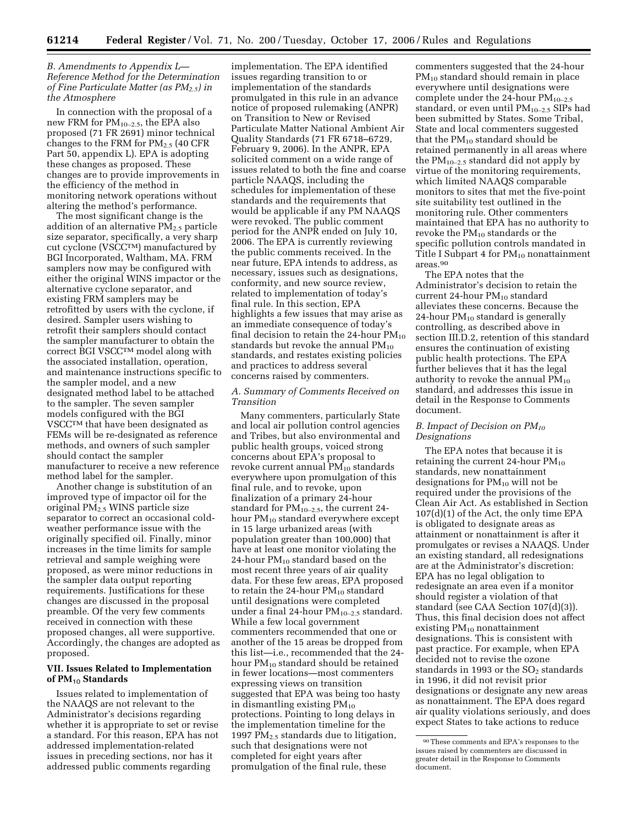## *B. Amendments to Appendix L— Reference Method for the Determination of Fine Particulate Matter (as PM2.5) in the Atmosphere*

In connection with the proposal of a new FRM for  $PM_{10-2.5}$ , the EPA also proposed (71 FR 2691) minor technical changes to the FRM for  $PM_{2.5}$  (40 CFR Part 50, appendix L). EPA is adopting these changes as proposed. These changes are to provide improvements in the efficiency of the method in monitoring network operations without altering the method's performance.

The most significant change is the addition of an alternative  $PM_{2.5}$  particle size separator, specifically, a very sharp cut cyclone (VSCCTM) manufactured by BGI Incorporated, Waltham, MA. FRM samplers now may be configured with either the original WINS impactor or the alternative cyclone separator, and existing FRM samplers may be retrofitted by users with the cyclone, if desired. Sampler users wishing to retrofit their samplers should contact the sampler manufacturer to obtain the correct BGI VSCCTM model along with the associated installation, operation, and maintenance instructions specific to the sampler model, and a new designated method label to be attached to the sampler. The seven sampler models configured with the BGI VSCCTM that have been designated as FEMs will be re-designated as reference methods, and owners of such sampler should contact the sampler manufacturer to receive a new reference method label for the sampler.

Another change is substitution of an improved type of impactor oil for the original PM2.5 WINS particle size separator to correct an occasional coldweather performance issue with the originally specified oil. Finally, minor increases in the time limits for sample retrieval and sample weighing were proposed, as were minor reductions in the sampler data output reporting requirements. Justifications for these changes are discussed in the proposal preamble. Of the very few comments received in connection with these proposed changes, all were supportive. Accordingly, the changes are adopted as proposed.

# **VII. Issues Related to Implementation of PM**10 **Standards**

Issues related to implementation of the NAAQS are not relevant to the Administrator's decisions regarding whether it is appropriate to set or revise a standard. For this reason, EPA has not addressed implementation-related issues in preceding sections, nor has it addressed public comments regarding

implementation. The EPA identified issues regarding transition to or implementation of the standards promulgated in this rule in an advance notice of proposed rulemaking (ANPR) on Transition to New or Revised Particulate Matter National Ambient Air Quality Standards (71 FR 6718–6729, February 9, 2006). In the ANPR, EPA solicited comment on a wide range of issues related to both the fine and coarse particle NAAQS, including the schedules for implementation of these standards and the requirements that would be applicable if any PM NAAQS were revoked. The public comment period for the ANPR ended on July 10, 2006. The EPA is currently reviewing the public comments received. In the near future, EPA intends to address, as necessary, issues such as designations, conformity, and new source review, related to implementation of today's final rule. In this section, EPA highlights a few issues that may arise as an immediate consequence of today's final decision to retain the 24-hour  $PM_{10}$ standards but revoke the annual  $PM_{10}$ standards, and restates existing policies and practices to address several concerns raised by commenters.

### *A. Summary of Comments Received on Transition*

Many commenters, particularly State and local air pollution control agencies and Tribes, but also environmental and public health groups, voiced strong concerns about EPA's proposal to revoke current annual  $PM_{10}$  standards everywhere upon promulgation of this final rule, and to revoke, upon finalization of a primary 24-hour standard for  $PM_{10-2.5}$ , the current 24hour PM<sub>10</sub> standard everywhere except in 15 large urbanized areas (with population greater than 100,000) that have at least one monitor violating the 24-hour  $PM_{10}$  standard based on the most recent three years of air quality data. For these few areas, EPA proposed to retain the 24-hour  $PM_{10}$  standard until designations were completed under a final 24-hour  $PM_{10-2.5}$  standard. While a few local government commenters recommended that one or another of the 15 areas be dropped from this list—i.e., recommended that the 24 hour PM<sub>10</sub> standard should be retained in fewer locations—most commenters expressing views on transition suggested that EPA was being too hasty in dismantling existing  $PM_{10}$ protections. Pointing to long delays in the implementation timeline for the 1997 PM2.5 standards due to litigation, such that designations were not completed for eight years after promulgation of the final rule, these

commenters suggested that the 24-hour PM<sub>10</sub> standard should remain in place everywhere until designations were complete under the 24-hour  $PM_{10-2.5}$ standard, or even until  $PM_{10-2.5}$  SIPs had been submitted by States. Some Tribal, State and local commenters suggested that the  $PM_{10}$  standard should be retained permanently in all areas where the  $PM_{10-2.5}$  standard did not apply by virtue of the monitoring requirements, which limited NAAQS comparable monitors to sites that met the five-point site suitability test outlined in the monitoring rule. Other commenters maintained that EPA has no authority to revoke the  $PM_{10}$  standards or the specific pollution controls mandated in Title I Subpart 4 for  $PM_{10}$  nonattainment areas.90

The EPA notes that the Administrator's decision to retain the current 24-hour  $PM_{10}$  standard alleviates these concerns. Because the 24-hour  $PM_{10}$  standard is generally controlling, as described above in section III.D.2, retention of this standard ensures the continuation of existing public health protections. The EPA further believes that it has the legal authority to revoke the annual  $PM_{10}$ standard, and addresses this issue in detail in the Response to Comments document.

#### *B. Impact of Decision on PM10 Designations*

The EPA notes that because it is retaining the current 24-hour  $PM_{10}$ standards, new nonattainment designations for PM10 will not be required under the provisions of the Clean Air Act. As established in Section 107(d)(1) of the Act, the only time EPA is obligated to designate areas as attainment or nonattainment is after it promulgates or revises a NAAQS. Under an existing standard, all redesignations are at the Administrator's discretion: EPA has no legal obligation to redesignate an area even if a monitor should register a violation of that standard (see CAA Section 107(d)(3)). Thus, this final decision does not affect existing  $PM_{10}$  nonattainment designations. This is consistent with past practice. For example, when EPA decided not to revise the ozone standards in 1993 or the SO<sub>2</sub> standards in 1996, it did not revisit prior designations or designate any new areas as nonattainment. The EPA does regard air quality violations seriously, and does expect States to take actions to reduce

<sup>90</sup>These comments and EPA's responses to the issues raised by commenters are discussed in greater detail in the Response to Comments document.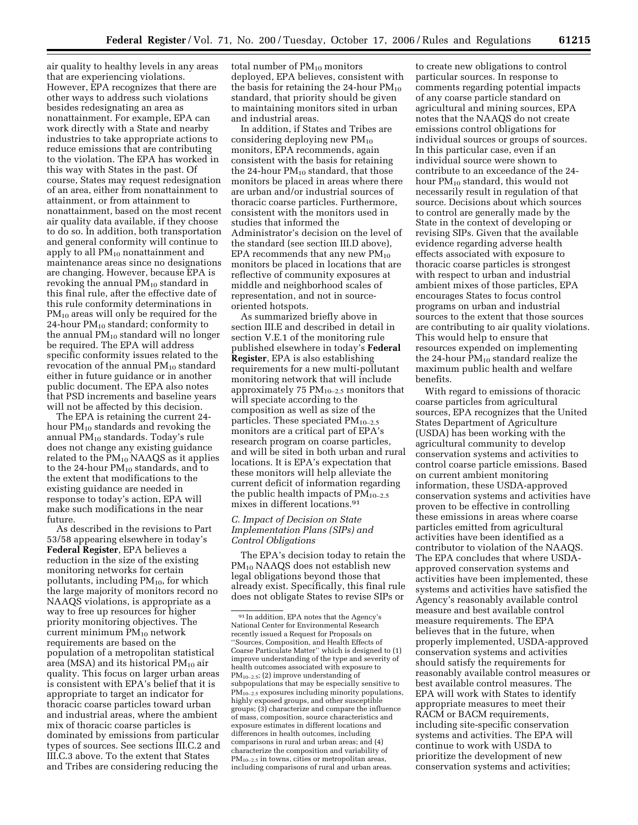air quality to healthy levels in any areas that are experiencing violations. However, EPA recognizes that there are other ways to address such violations besides redesignating an area as nonattainment. For example, EPA can work directly with a State and nearby industries to take appropriate actions to reduce emissions that are contributing to the violation. The EPA has worked in this way with States in the past. Of course, States may request redesignation of an area, either from nonattainment to attainment, or from attainment to nonattainment, based on the most recent air quality data available, if they choose to do so. In addition, both transportation and general conformity will continue to apply to all  $PM_{10}$  nonattainment and maintenance areas since no designations are changing. However, because EPA is revoking the annual  $PM_{10}$  standard in this final rule, after the effective date of this rule conformity determinations in  $PM_{10}$  areas will only be required for the 24-hour PM10 standard; conformity to the annual  $PM_{10}$  standard will no longer be required. The EPA will address specific conformity issues related to the revocation of the annual  $PM_{10}$  standard either in future guidance or in another public document. The EPA also notes that PSD increments and baseline years will not be affected by this decision.

The EPA is retaining the current 24 hour PM10 standards and revoking the annual  $PM_{10}$  standards. Today's rule does not change any existing guidance related to the  $PM_{10}$  NAAQS as it applies to the 24-hour  $PM_{10}$  standards, and to the extent that modifications to the existing guidance are needed in response to today's action, EPA will make such modifications in the near future.

As described in the revisions to Part 53/58 appearing elsewhere in today's **Federal Register**, EPA believes a reduction in the size of the existing monitoring networks for certain pollutants, including  $PM_{10}$ , for which the large majority of monitors record no NAAQS violations, is appropriate as a way to free up resources for higher priority monitoring objectives. The current minimum  $PM_{10}$  network requirements are based on the population of a metropolitan statistical area (MSA) and its historical  $PM_{10}$  air quality. This focus on larger urban areas is consistent with EPA's belief that it is appropriate to target an indicator for thoracic coarse particles toward urban and industrial areas, where the ambient mix of thoracic coarse particles is dominated by emissions from particular types of sources. See sections III.C.2 and III.C.3 above. To the extent that States and Tribes are considering reducing the

total number of  $PM_{10}$  monitors deployed, EPA believes, consistent with the basis for retaining the 24-hour  $PM_{10}$ standard, that priority should be given to maintaining monitors sited in urban and industrial areas.

In addition, if States and Tribes are considering deploying new  $PM_{10}$ monitors, EPA recommends, again consistent with the basis for retaining the 24-hour  $PM_{10}$  standard, that those monitors be placed in areas where there are urban and/or industrial sources of thoracic coarse particles. Furthermore, consistent with the monitors used in studies that informed the Administrator's decision on the level of the standard (see section III.D above), EPA recommends that any new  $PM_{10}$ monitors be placed in locations that are reflective of community exposures at middle and neighborhood scales of representation, and not in sourceoriented hotspots.

As summarized briefly above in section III.E and described in detail in section V.E.1 of the monitoring rule published elsewhere in today's **Federal Register**, EPA is also establishing requirements for a new multi-pollutant monitoring network that will include approximately 75  $PM_{10-2.5}$  monitors that will speciate according to the composition as well as size of the particles. These speciated  $PM_{10-2.5}$ monitors are a critical part of EPA's research program on coarse particles, and will be sited in both urban and rural locations. It is EPA's expectation that these monitors will help alleviate the current deficit of information regarding the public health impacts of  $PM_{10-2.5}$ mixes in different locations.91

## *C. Impact of Decision on State Implementation Plans (SIPs) and Control Obligations*

The EPA's decision today to retain the PM<sub>10</sub> NAAQS does not establish new legal obligations beyond those that already exist. Specifically, this final rule does not obligate States to revise SIPs or

to create new obligations to control particular sources. In response to comments regarding potential impacts of any coarse particle standard on agricultural and mining sources, EPA notes that the NAAQS do not create emissions control obligations for individual sources or groups of sources. In this particular case, even if an individual source were shown to contribute to an exceedance of the 24 hour PM<sub>10</sub> standard, this would not necessarily result in regulation of that source. Decisions about which sources to control are generally made by the State in the context of developing or revising SIPs. Given that the available evidence regarding adverse health effects associated with exposure to thoracic coarse particles is strongest with respect to urban and industrial ambient mixes of those particles, EPA encourages States to focus control programs on urban and industrial sources to the extent that those sources are contributing to air quality violations. This would help to ensure that resources expended on implementing the 24-hour  $PM_{10}$  standard realize the maximum public health and welfare benefits.

With regard to emissions of thoracic coarse particles from agricultural sources, EPA recognizes that the United States Department of Agriculture (USDA) has been working with the agricultural community to develop conservation systems and activities to control coarse particle emissions. Based on current ambient monitoring information, these USDA-approved conservation systems and activities have proven to be effective in controlling these emissions in areas where coarse particles emitted from agricultural activities have been identified as a contributor to violation of the NAAQS. The EPA concludes that where USDAapproved conservation systems and activities have been implemented, these systems and activities have satisfied the Agency's reasonably available control measure and best available control measure requirements. The EPA believes that in the future, when properly implemented, USDA-approved conservation systems and activities should satisfy the requirements for reasonably available control measures or best available control measures. The EPA will work with States to identify appropriate measures to meet their RACM or BACM requirements, including site-specific conservation systems and activities. The EPA will continue to work with USDA to prioritize the development of new conservation systems and activities;

<sup>91</sup> In addition, EPA notes that the Agency's National Center for Environmental Research recently issued a Request for Proposals on ''Sources, Composition, and Health Effects of Coarse Particulate Matter'' which is designed to (1) improve understanding of the type and severity of health outcomes associated with exposure to PM10–2.5; (2) improve understanding of subpopulations that may be especially sensitive to  $PM_{10-2.5}$  exposures including minority populations, highly exposed groups, and other susceptible groups; (3) characterize and compare the influence of mass, composition, source characteristics and exposure estimates in different locations and differences in health outcomes, including comparisons in rural and urban areas; and (4) characterize the composition and variability of PM<sub>10–2.5</sub> in towns, cities or metropolitan areas, including comparisons of rural and urban areas.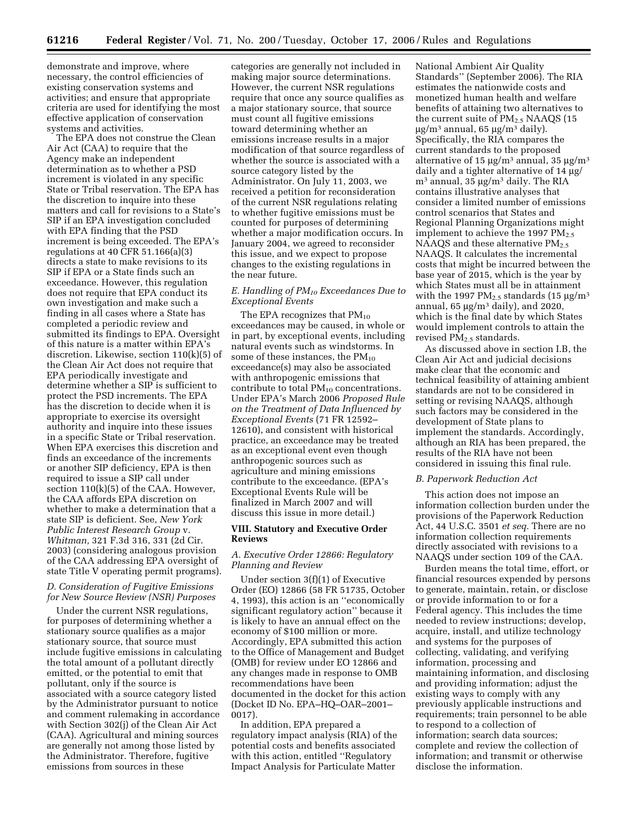demonstrate and improve, where necessary, the control efficiencies of existing conservation systems and activities; and ensure that appropriate criteria are used for identifying the most effective application of conservation systems and activities.

The EPA does not construe the Clean Air Act (CAA) to require that the Agency make an independent determination as to whether a PSD increment is violated in any specific State or Tribal reservation. The EPA has the discretion to inquire into these matters and call for revisions to a State's SIP if an EPA investigation concluded with EPA finding that the PSD increment is being exceeded. The EPA's regulations at 40 CFR 51.166(a)(3) directs a state to make revisions to its SIP if EPA or a State finds such an exceedance. However, this regulation does not require that EPA conduct its own investigation and make such a finding in all cases where a State has completed a periodic review and submitted its findings to EPA. Oversight of this nature is a matter within EPA's discretion. Likewise, section 110(k)(5) of the Clean Air Act does not require that EPA periodically investigate and determine whether a SIP is sufficient to protect the PSD increments. The EPA has the discretion to decide when it is appropriate to exercise its oversight authority and inquire into these issues in a specific State or Tribal reservation. When EPA exercises this discretion and finds an exceedance of the increments or another SIP deficiency, EPA is then required to issue a SIP call under section 110(k)(5) of the CAA. However, the CAA affords EPA discretion on whether to make a determination that a state SIP is deficient. See, *New York Public Interest Research Group* v. *Whitman,* 321 F.3d 316, 331 (2d Cir. 2003) (considering analogous provision of the CAA addressing EPA oversight of state Title V operating permit programs).

# *D. Consideration of Fugitive Emissions for New Source Review (NSR) Purposes*

Under the current NSR regulations, for purposes of determining whether a stationary source qualifies as a major stationary source, that source must include fugitive emissions in calculating the total amount of a pollutant directly emitted, or the potential to emit that pollutant, only if the source is associated with a source category listed by the Administrator pursuant to notice and comment rulemaking in accordance with Section 302(j) of the Clean Air Act (CAA). Agricultural and mining sources are generally not among those listed by the Administrator. Therefore, fugitive emissions from sources in these

categories are generally not included in making major source determinations. However, the current NSR regulations require that once any source qualifies as a major stationary source, that source must count all fugitive emissions toward determining whether an emissions increase results in a major modification of that source regardless of whether the source is associated with a source category listed by the Administrator. On July 11, 2003, we received a petition for reconsideration of the current NSR regulations relating to whether fugitive emissions must be counted for purposes of determining whether a major modification occurs. In January 2004, we agreed to reconsider this issue, and we expect to propose changes to the existing regulations in the near future.

# *E. Handling of PM10 Exceedances Due to Exceptional Events*

The EPA recognizes that  $PM_{10}$ exceedances may be caused, in whole or in part, by exceptional events, including natural events such as windstorms. In some of these instances, the  $PM_{10}$ exceedance(s) may also be associated with anthropogenic emissions that contribute to total  $PM_{10}$  concentrations. Under EPA's March 2006 *Proposed Rule on the Treatment of Data Influenced by Exceptional Events* (71 FR 12592– 12610), and consistent with historical practice, an exceedance may be treated as an exceptional event even though anthropogenic sources such as agriculture and mining emissions contribute to the exceedance. (EPA's Exceptional Events Rule will be finalized in March 2007 and will discuss this issue in more detail.)

### **VIII. Statutory and Executive Order Reviews**

# *A. Executive Order 12866: Regulatory Planning and Review*

Under section 3(f)(1) of Executive Order (EO) 12866 (58 FR 51735, October 4, 1993), this action is an ''economically significant regulatory action'' because it is likely to have an annual effect on the economy of \$100 million or more. Accordingly, EPA submitted this action to the Office of Management and Budget (OMB) for review under EO 12866 and any changes made in response to OMB recommendations have been documented in the docket for this action (Docket ID No. EPA–HQ–OAR–2001– 0017).

In addition, EPA prepared a regulatory impact analysis (RIA) of the potential costs and benefits associated with this action, entitled ''Regulatory Impact Analysis for Particulate Matter

National Ambient Air Quality Standards'' (September 2006). The RIA estimates the nationwide costs and monetized human health and welfare benefits of attaining two alternatives to the current suite of  $PM_{2.5}$  NAAQS (15 µg/m3 annual, 65 µg/m3 daily). Specifically, the RIA compares the current standards to the proposed alternative of 15  $\mu$ g/m<sup>3</sup> annual, 35  $\mu$ g/m<sup>3</sup> daily and a tighter alternative of 14 µg/  $m<sup>3</sup>$  annual, 35  $\mu$ g/m<sup>3</sup> daily. The RIA contains illustrative analyses that consider a limited number of emissions control scenarios that States and Regional Planning Organizations might implement to achieve the 1997  $PM_{2.5}$ NAAQS and these alternative  $PM_{2.5}$ NAAQS. It calculates the incremental costs that might be incurred between the base year of 2015, which is the year by which States must all be in attainment with the 1997 PM<sub>2.5</sub> standards (15  $\mu$ g/m<sup>3</sup> annual,  $65 \mu g/m^3$  daily), and 2020, which is the final date by which States would implement controls to attain the revised PM<sub>2.5</sub> standards.

As discussed above in section I.B, the Clean Air Act and judicial decisions make clear that the economic and technical feasibility of attaining ambient standards are not to be considered in setting or revising NAAQS, although such factors may be considered in the development of State plans to implement the standards. Accordingly, although an RIA has been prepared, the results of the RIA have not been considered in issuing this final rule.

### *B. Paperwork Reduction Act*

This action does not impose an information collection burden under the provisions of the Paperwork Reduction Act, 44 U.S.C. 3501 *et seq.* There are no information collection requirements directly associated with revisions to a NAAQS under section 109 of the CAA.

Burden means the total time, effort, or financial resources expended by persons to generate, maintain, retain, or disclose or provide information to or for a Federal agency. This includes the time needed to review instructions; develop, acquire, install, and utilize technology and systems for the purposes of collecting, validating, and verifying information, processing and maintaining information, and disclosing and providing information; adjust the existing ways to comply with any previously applicable instructions and requirements; train personnel to be able to respond to a collection of information; search data sources; complete and review the collection of information; and transmit or otherwise disclose the information.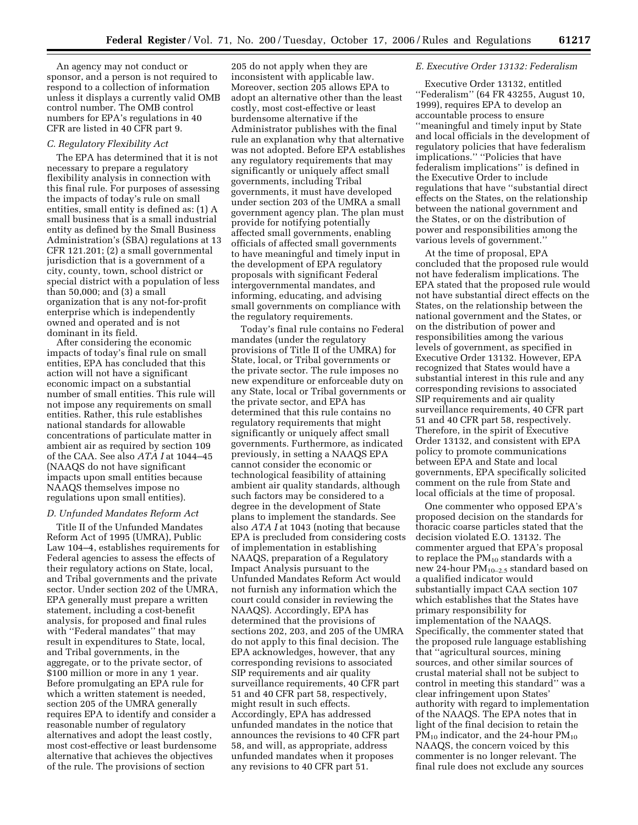An agency may not conduct or sponsor, and a person is not required to respond to a collection of information unless it displays a currently valid OMB control number. The OMB control numbers for EPA's regulations in 40 CFR are listed in 40 CFR part 9.

## *C. Regulatory Flexibility Act*

The EPA has determined that it is not necessary to prepare a regulatory flexibility analysis in connection with this final rule. For purposes of assessing the impacts of today's rule on small entities, small entity is defined as: (1) A small business that is a small industrial entity as defined by the Small Business Administration's (SBA) regulations at 13 CFR 121.201; (2) a small governmental jurisdiction that is a government of a city, county, town, school district or special district with a population of less than 50,000; and (3) a small organization that is any not-for-profit enterprise which is independently owned and operated and is not dominant in its field.

After considering the economic impacts of today's final rule on small entities, EPA has concluded that this action will not have a significant economic impact on a substantial number of small entities. This rule will not impose any requirements on small entities. Rather, this rule establishes national standards for allowable concentrations of particulate matter in ambient air as required by section 109 of the CAA. See also *ATA I* at 1044–45 (NAAQS do not have significant impacts upon small entities because NAAQS themselves impose no regulations upon small entities).

## *D. Unfunded Mandates Reform Act*

Title II of the Unfunded Mandates Reform Act of 1995 (UMRA), Public Law 104–4, establishes requirements for Federal agencies to assess the effects of their regulatory actions on State, local, and Tribal governments and the private sector. Under section 202 of the UMRA, EPA generally must prepare a written statement, including a cost-benefit analysis, for proposed and final rules with ''Federal mandates'' that may result in expenditures to State, local, and Tribal governments, in the aggregate, or to the private sector, of \$100 million or more in any 1 year. Before promulgating an EPA rule for which a written statement is needed, section 205 of the UMRA generally requires EPA to identify and consider a reasonable number of regulatory alternatives and adopt the least costly, most cost-effective or least burdensome alternative that achieves the objectives of the rule. The provisions of section

205 do not apply when they are inconsistent with applicable law. Moreover, section 205 allows EPA to adopt an alternative other than the least costly, most cost-effective or least burdensome alternative if the Administrator publishes with the final rule an explanation why that alternative was not adopted. Before EPA establishes any regulatory requirements that may significantly or uniquely affect small governments, including Tribal governments, it must have developed under section 203 of the UMRA a small government agency plan. The plan must provide for notifying potentially affected small governments, enabling officials of affected small governments to have meaningful and timely input in the development of EPA regulatory proposals with significant Federal intergovernmental mandates, and informing, educating, and advising small governments on compliance with the regulatory requirements.

Today's final rule contains no Federal mandates (under the regulatory provisions of Title II of the UMRA) for State, local, or Tribal governments or the private sector. The rule imposes no new expenditure or enforceable duty on any State, local or Tribal governments or the private sector, and EPA has determined that this rule contains no regulatory requirements that might significantly or uniquely affect small governments. Furthermore, as indicated previously, in setting a NAAQS EPA cannot consider the economic or technological feasibility of attaining ambient air quality standards, although such factors may be considered to a degree in the development of State plans to implement the standards. See also *ATA I* at 1043 (noting that because EPA is precluded from considering costs of implementation in establishing NAAQS, preparation of a Regulatory Impact Analysis pursuant to the Unfunded Mandates Reform Act would not furnish any information which the court could consider in reviewing the NAAQS). Accordingly, EPA has determined that the provisions of sections 202, 203, and 205 of the UMRA do not apply to this final decision. The EPA acknowledges, however, that any corresponding revisions to associated SIP requirements and air quality surveillance requirements, 40 CFR part 51 and 40 CFR part 58, respectively, might result in such effects. Accordingly, EPA has addressed unfunded mandates in the notice that announces the revisions to 40 CFR part 58, and will, as appropriate, address unfunded mandates when it proposes any revisions to 40 CFR part 51.

### *E. Executive Order 13132: Federalism*

Executive Order 13132, entitled ''Federalism'' (64 FR 43255, August 10, 1999), requires EPA to develop an accountable process to ensure ''meaningful and timely input by State and local officials in the development of regulatory policies that have federalism implications.'' ''Policies that have federalism implications'' is defined in the Executive Order to include regulations that have ''substantial direct effects on the States, on the relationship between the national government and the States, or on the distribution of power and responsibilities among the various levels of government.''

At the time of proposal, EPA concluded that the proposed rule would not have federalism implications. The EPA stated that the proposed rule would not have substantial direct effects on the States, on the relationship between the national government and the States, or on the distribution of power and responsibilities among the various levels of government, as specified in Executive Order 13132. However, EPA recognized that States would have a substantial interest in this rule and any corresponding revisions to associated SIP requirements and air quality surveillance requirements, 40 CFR part 51 and 40 CFR part 58, respectively. Therefore, in the spirit of Executive Order 13132, and consistent with EPA policy to promote communications between EPA and State and local governments, EPA specifically solicited comment on the rule from State and local officials at the time of proposal.

One commenter who opposed EPA's proposed decision on the standards for thoracic coarse particles stated that the decision violated E.O. 13132. The commenter argued that EPA's proposal to replace the  $PM_{10}$  standards with a new 24-hour  $PM_{10-2.5}$  standard based on a qualified indicator would substantially impact CAA section 107 which establishes that the States have primary responsibility for implementation of the NAAQS. Specifically, the commenter stated that the proposed rule language establishing that ''agricultural sources, mining sources, and other similar sources of crustal material shall not be subject to control in meeting this standard'' was a clear infringement upon States' authority with regard to implementation of the NAAQS. The EPA notes that in light of the final decision to retain the  $PM_{10}$  indicator, and the 24-hour  $PM_{10}$ NAAQS, the concern voiced by this commenter is no longer relevant. The final rule does not exclude any sources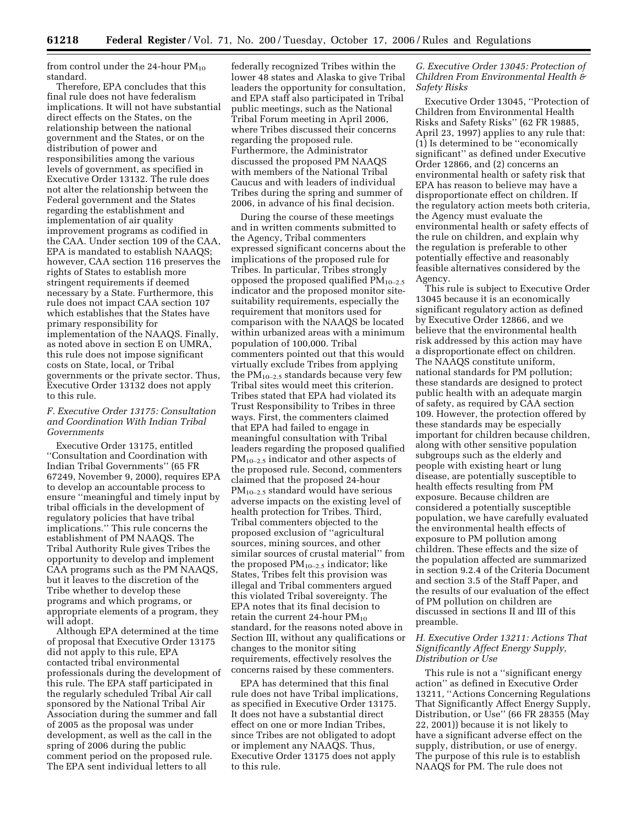from control under the 24-hour  $PM_{10}$ standard.

Therefore, EPA concludes that this final rule does not have federalism implications. It will not have substantial direct effects on the States, on the relationship between the national government and the States, or on the distribution of power and responsibilities among the various levels of government, as specified in Executive Order 13132. The rule does not alter the relationship between the Federal government and the States regarding the establishment and implementation of air quality improvement programs as codified in the CAA. Under section 109 of the CAA, EPA is mandated to establish NAAQS; however, CAA section 116 preserves the rights of States to establish more stringent requirements if deemed necessary by a State. Furthermore, this rule does not impact CAA section 107 which establishes that the States have primary responsibility for implementation of the NAAQS. Finally, as noted above in section E on UMRA, this rule does not impose significant costs on State, local, or Tribal governments or the private sector. Thus, Executive Order 13132 does not apply to this rule.

## *F. Executive Order 13175: Consultation and Coordination With Indian Tribal Governments*

Executive Order 13175, entitled ''Consultation and Coordination with Indian Tribal Governments'' (65 FR 67249, November 9, 2000), requires EPA to develop an accountable process to ensure ''meaningful and timely input by tribal officials in the development of regulatory policies that have tribal implications.'' This rule concerns the establishment of PM NAAQS. The Tribal Authority Rule gives Tribes the opportunity to develop and implement CAA programs such as the PM NAAQS, but it leaves to the discretion of the Tribe whether to develop these programs and which programs, or appropriate elements of a program, they will adopt.

Although EPA determined at the time of proposal that Executive Order 13175 did not apply to this rule, EPA contacted tribal environmental professionals during the development of this rule. The EPA staff participated in the regularly scheduled Tribal Air call sponsored by the National Tribal Air Association during the summer and fall of 2005 as the proposal was under development, as well as the call in the spring of 2006 during the public comment period on the proposed rule. The EPA sent individual letters to all

federally recognized Tribes within the lower 48 states and Alaska to give Tribal leaders the opportunity for consultation, and EPA staff also participated in Tribal public meetings, such as the National Tribal Forum meeting in April 2006, where Tribes discussed their concerns regarding the proposed rule. Furthermore, the Administrator discussed the proposed PM NAAQS with members of the National Tribal Caucus and with leaders of individual Tribes during the spring and summer of 2006, in advance of his final decision.

During the course of these meetings and in written comments submitted to the Agency, Tribal commenters expressed significant concerns about the implications of the proposed rule for Tribes. In particular, Tribes strongly opposed the proposed qualified  $PM_{10-2.5}$ indicator and the proposed monitor sitesuitability requirements, especially the requirement that monitors used for comparison with the NAAQS be located within urbanized areas with a minimum population of 100,000. Tribal commenters pointed out that this would virtually exclude Tribes from applying the  $PM_{10-2.5}$  standards because very few Tribal sites would meet this criterion. Tribes stated that EPA had violated its Trust Responsibility to Tribes in three ways. First, the commenters claimed that EPA had failed to engage in meaningful consultation with Tribal leaders regarding the proposed qualified  $PM_{10-2.5}$  indicator and other aspects of the proposed rule. Second, commenters claimed that the proposed 24-hour  $PM_{10-2.5}$  standard would have serious adverse impacts on the existing level of health protection for Tribes. Third, Tribal commenters objected to the proposed exclusion of ''agricultural sources, mining sources, and other similar sources of crustal material'' from the proposed  $PM_{10-2.5}$  indicator; like States, Tribes felt this provision was illegal and Tribal commenters argued this violated Tribal sovereignty. The EPA notes that its final decision to retain the current 24-hour  $PM_{10}$ standard, for the reasons noted above in Section III, without any qualifications or changes to the monitor siting requirements, effectively resolves the concerns raised by these commenters.

EPA has determined that this final rule does not have Tribal implications, as specified in Executive Order 13175. It does not have a substantial direct effect on one or more Indian Tribes, since Tribes are not obligated to adopt or implement any NAAQS. Thus, Executive Order 13175 does not apply to this rule.

# *G. Executive Order 13045: Protection of Children From Environmental Health & Safety Risks*

Executive Order 13045, ''Protection of Children from Environmental Health Risks and Safety Risks'' (62 FR 19885, April 23, 1997) applies to any rule that: (1) Is determined to be ''economically significant'' as defined under Executive Order 12866, and (2) concerns an environmental health or safety risk that EPA has reason to believe may have a disproportionate effect on children. If the regulatory action meets both criteria, the Agency must evaluate the environmental health or safety effects of the rule on children, and explain why the regulation is preferable to other potentially effective and reasonably feasible alternatives considered by the Agency.

This rule is subject to Executive Order 13045 because it is an economically significant regulatory action as defined by Executive Order 12866, and we believe that the environmental health risk addressed by this action may have a disproportionate effect on children. The NAAQS constitute uniform, national standards for PM pollution; these standards are designed to protect public health with an adequate margin of safety, as required by CAA section 109. However, the protection offered by these standards may be especially important for children because children, along with other sensitive population subgroups such as the elderly and people with existing heart or lung disease, are potentially susceptible to health effects resulting from PM exposure. Because children are considered a potentially susceptible population, we have carefully evaluated the environmental health effects of exposure to PM pollution among children. These effects and the size of the population affected are summarized in section 9.2.4 of the Criteria Document and section 3.5 of the Staff Paper, and the results of our evaluation of the effect of PM pollution on children are discussed in sections II and III of this preamble.

# *H. Executive Order 13211: Actions That Significantly Affect Energy Supply, Distribution or Use*

This rule is not a ''significant energy action'' as defined in Executive Order 13211, ''Actions Concerning Regulations That Significantly Affect Energy Supply, Distribution, or Use'' (66 FR 28355 (May 22, 2001)) because it is not likely to have a significant adverse effect on the supply, distribution, or use of energy. The purpose of this rule is to establish NAAQS for PM. The rule does not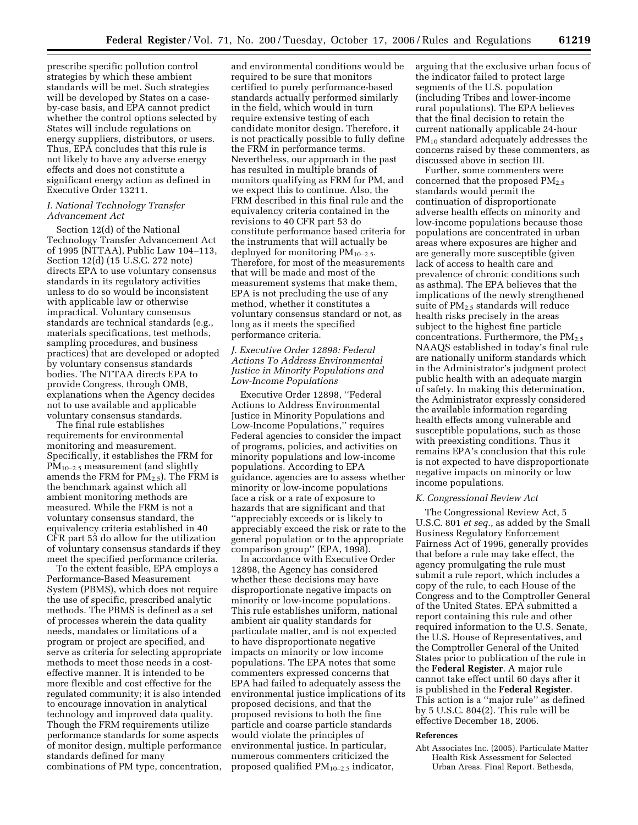prescribe specific pollution control strategies by which these ambient standards will be met. Such strategies will be developed by States on a caseby-case basis, and EPA cannot predict whether the control options selected by States will include regulations on energy suppliers, distributors, or users. Thus, EPA concludes that this rule is not likely to have any adverse energy effects and does not constitute a significant energy action as defined in Executive Order 13211.

# *I. National Technology Transfer Advancement Act*

Section 12(d) of the National Technology Transfer Advancement Act of 1995 (NTTAA), Public Law 104–113, Section 12(d) (15 U.S.C. 272 note) directs EPA to use voluntary consensus standards in its regulatory activities unless to do so would be inconsistent with applicable law or otherwise impractical. Voluntary consensus standards are technical standards (e.g., materials specifications, test methods, sampling procedures, and business practices) that are developed or adopted by voluntary consensus standards bodies. The NTTAA directs EPA to provide Congress, through OMB, explanations when the Agency decides not to use available and applicable voluntary consensus standards.

The final rule establishes requirements for environmental monitoring and measurement. Specifically, it establishes the FRM for PM10–2.5 measurement (and slightly amends the FRM for  $PM_{2.5}$ ). The FRM is the benchmark against which all ambient monitoring methods are measured. While the FRM is not a voluntary consensus standard, the equivalency criteria established in 40 CFR part 53 do allow for the utilization of voluntary consensus standards if they meet the specified performance criteria.

To the extent feasible, EPA employs a Performance-Based Measurement System (PBMS), which does not require the use of specific, prescribed analytic methods. The PBMS is defined as a set of processes wherein the data quality needs, mandates or limitations of a program or project are specified, and serve as criteria for selecting appropriate methods to meet those needs in a costeffective manner. It is intended to be more flexible and cost effective for the regulated community; it is also intended to encourage innovation in analytical technology and improved data quality. Though the FRM requirements utilize performance standards for some aspects of monitor design, multiple performance standards defined for many combinations of PM type, concentration,

and environmental conditions would be required to be sure that monitors certified to purely performance-based standards actually performed similarly in the field, which would in turn require extensive testing of each candidate monitor design. Therefore, it is not practically possible to fully define the FRM in performance terms. Nevertheless, our approach in the past has resulted in multiple brands of monitors qualifying as FRM for PM, and we expect this to continue. Also, the FRM described in this final rule and the equivalency criteria contained in the revisions to 40 CFR part 53 do constitute performance based criteria for the instruments that will actually be deployed for monitoring  $PM_{10-2.5}$ . Therefore, for most of the measurements that will be made and most of the measurement systems that make them, EPA is not precluding the use of any method, whether it constitutes a voluntary consensus standard or not, as long as it meets the specified performance criteria.

# *J. Executive Order 12898: Federal Actions To Address Environmental Justice in Minority Populations and Low-Income Populations*

Executive Order 12898, ''Federal Actions to Address Environmental Justice in Minority Populations and Low-Income Populations,'' requires Federal agencies to consider the impact of programs, policies, and activities on minority populations and low-income populations. According to EPA guidance, agencies are to assess whether minority or low-income populations face a risk or a rate of exposure to hazards that are significant and that ''appreciably exceeds or is likely to appreciably exceed the risk or rate to the general population or to the appropriate comparison group'' (EPA, 1998).

In accordance with Executive Order 12898, the Agency has considered whether these decisions may have disproportionate negative impacts on minority or low-income populations. This rule establishes uniform, national ambient air quality standards for particulate matter, and is not expected to have disproportionate negative impacts on minority or low income populations. The EPA notes that some commenters expressed concerns that EPA had failed to adequately assess the environmental justice implications of its proposed decisions, and that the proposed revisions to both the fine particle and coarse particle standards would violate the principles of environmental justice. In particular, numerous commenters criticized the proposed qualified PM10–2.5 indicator,

arguing that the exclusive urban focus of the indicator failed to protect large segments of the U.S. population (including Tribes and lower-income rural populations). The EPA believes that the final decision to retain the current nationally applicable 24-hour PM<sub>10</sub> standard adequately addresses the concerns raised by these commenters, as discussed above in section III.

Further, some commenters were concerned that the proposed PM2.5 standards would permit the continuation of disproportionate adverse health effects on minority and low-income populations because those populations are concentrated in urban areas where exposures are higher and are generally more susceptible (given lack of access to health care and prevalence of chronic conditions such as asthma). The EPA believes that the implications of the newly strengthened suite of PM2.5 standards will reduce health risks precisely in the areas subject to the highest fine particle concentrations. Furthermore, the  $PM_{2.5}$ NAAQS established in today's final rule are nationally uniform standards which in the Administrator's judgment protect public health with an adequate margin of safety. In making this determination, the Administrator expressly considered the available information regarding health effects among vulnerable and susceptible populations, such as those with preexisting conditions. Thus it remains EPA's conclusion that this rule is not expected to have disproportionate negative impacts on minority or low income populations.

### *K. Congressional Review Act*

The Congressional Review Act, 5 U.S.C. 801 *et seq.*, as added by the Small Business Regulatory Enforcement Fairness Act of 1996, generally provides that before a rule may take effect, the agency promulgating the rule must submit a rule report, which includes a copy of the rule, to each House of the Congress and to the Comptroller General of the United States. EPA submitted a report containing this rule and other required information to the U.S. Senate, the U.S. House of Representatives, and the Comptroller General of the United States prior to publication of the rule in the **Federal Register**. A major rule cannot take effect until 60 days after it is published in the **Federal Register**. This action is a ''major rule'' as defined by 5 U.S.C. 804(2). This rule will be effective December 18, 2006.

### **References**

Abt Associates Inc. (2005). Particulate Matter Health Risk Assessment for Selected Urban Areas. Final Report. Bethesda,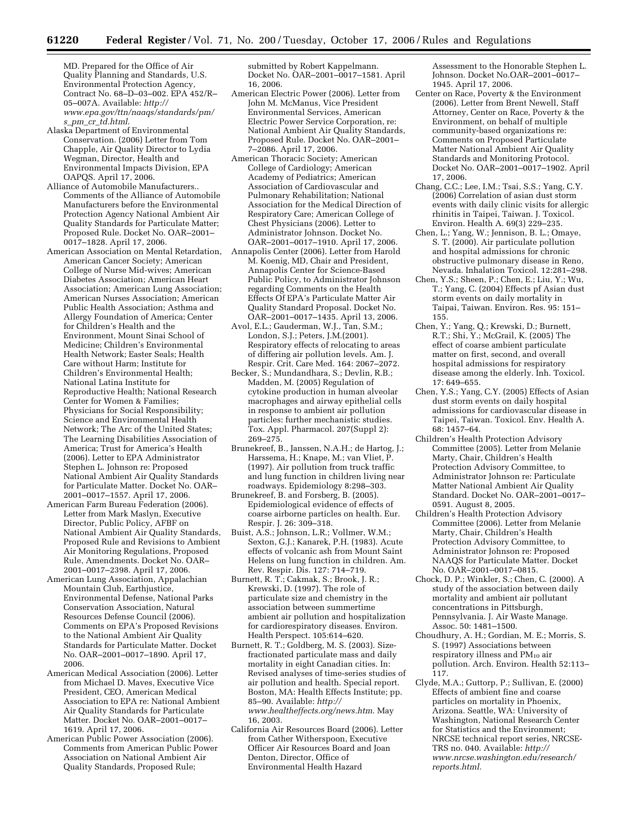MD. Prepared for the Office of Air Quality Planning and Standards, U.S. Environmental Protection Agency, Contract No. 68–D–03–002. EPA 452/R– 05–007A. Available: *http:// www.epa.gov/ttn/naaqs/standards/pm/ s*\_*pm*\_*cr*\_*td.html*.

- Alaska Department of Environmental Conservation. (2006) Letter from Tom Chapple, Air Quality Director to Lydia Wegman, Director, Health and Environmental Impacts Division, EPA OAPQS. April 17, 2006.
- Alliance of Automobile Manufacturers.. Comments of the Alliance of Automobile Manufacturers before the Environmental Protection Agency National Ambient Air Quality Standards for Particulate Matter; Proposed Rule. Docket No. OAR–2001– 0017–1828. April 17, 2006.
- American Association on Mental Retardation, American Cancer Society; American College of Nurse Mid-wives; American Diabetes Association; American Heart Association; American Lung Association; American Nurses Association; American Public Health Association; Asthma and Allergy Foundation of America; Center for Children's Health and the Environment, Mount Sinai School of Medicine; Children's Environmental Health Network; Easter Seals; Health Care without Harm; Institute for Children's Environmental Health; National Latina Institute for Reproductive Health; National Research Center for Women & Families; Physicians for Social Responsibility; Science and Environmental Health Network; The Arc of the United States; The Learning Disabilities Association of America; Trust for America's Health (2006). Letter to EPA Administrator Stephen L. Johnson re: Proposed National Ambient Air Quality Standards for Particulate Matter. Docket No. OAR– 2001–0017–1557. April 17, 2006.
- American Farm Bureau Federation (2006). Letter from Mark Maslyn, Executive Director, Public Policy, AFBF on National Ambient Air Quality Standards, Proposed Rule and Revisions to Ambient Air Monitoring Regulations, Proposed Rule, Amendments. Docket No. OAR– 2001–0017–2398. April 17, 2006.
- American Lung Association, Appalachian Mountain Club, Earthjustice, Environmental Defense, National Parks Conservation Association, Natural Resources Defense Council (2006). Comments on EPA's Proposed Revisions to the National Ambient Air Quality Standards for Particulate Matter. Docket No. OAR–2001–0017–1890. April 17, 2006.
- American Medical Association (2006). Letter from Michael D. Maves, Executive Vice President, CEO, American Medical Association to EPA re: National Ambient Air Quality Standards for Particulate Matter. Docket No. OAR–2001–0017– 1619. April 17, 2006.
- American Public Power Association (2006). Comments from American Public Power Association on National Ambient Air Quality Standards, Proposed Rule;

submitted by Robert Kappelmann. Docket No. OAR–2001–0017–1581. April 16, 2006.

- American Electric Power (2006). Letter from John M. McManus, Vice President Environmental Services, American Electric Power Service Corporation, re: National Ambient Air Quality Standards, Proposed Rule. Docket No. OAR–2001– 7–2086. April 17, 2006.
- American Thoracic Society; American College of Cardiology; American Academy of Pediatrics; American Association of Cardiovascular and Pulmonary Rehabilitation; National Association for the Medical Direction of Respiratory Care; American College of Chest Physicians (2006). Letter to Administrator Johnson. Docket No. OAR–2001–0017–1910. April 17, 2006.
- Annapolis Center (2006). Letter from Harold M. Koenig, MD, Chair and President, Annapolis Center for Science-Based Public Policy, to Administrator Johnson regarding Comments on the Health Effects Of EPA's Particulate Matter Air Quality Standard Proposal. Docket No. OAR–2001–0017–1435. April 13, 2006.
- Avol, E.L.; Gauderman, W.J., Tan, S.M.; London, S.J.; Peters, J.M.(2001). Respiratory effects of relocating to areas of differing air pollution levels. Am. J. Respir. Crit. Care Med. 164: 2067–2072.
- Becker, S.; Mundandhara, S.; Devlin, R.B.; Madden, M. (2005) Regulation of cytokine production in human alveolar macrophages and airway epithelial cells in response to ambient air pollution particles: further mechanistic studies. Tox. Appl. Pharmacol. 207(Suppl 2): 269–275.
- Brunekreef, B., Janssen, N.A.H.; de Hartog, J.; Harssema, H.; Knape, M.; van Vliet, P. (1997). Air pollution from truck traffic and lung function in children living near roadways. Epidemiology 8:298–303.
- Brunekreef, B. and Forsberg, B. (2005). Epidemiological evidence of effects of coarse airborne particles on health. Eur. Respir. J. 26: 309–318.
- Buist, A.S.; Johnson, L.R.; Vollmer, W.M.; Sexton, G.J.; Kanarek, P.H. (1983). Acute effects of volcanic ash from Mount Saint Helens on lung function in children. Am. Rev. Respir. Dis. 127: 714–719.
- Burnett, R. T.; Cakmak, S.; Brook, J. R.; Krewski, D. (1997). The role of particulate size and chemistry in the association between summertime ambient air pollution and hospitalization for cardiorespiratory diseases. Environ. Health Perspect. 105:614–620.
- Burnett, R. T.; Goldberg, M. S. (2003). Sizefractionated particulate mass and daily mortality in eight Canadian cities. In: Revised analyses of time-series studies of air pollution and health. Special report. Boston, MA: Health Effects Institute; pp. 85–90. Available: *http:// www.healtheffects.org/news.htm*. May 16, 2003.
- California Air Resources Board (2006). Letter from Cather Witherspoon, Executive Officer Air Resources Board and Joan Denton, Director, Office of Environmental Health Hazard

Assessment to the Honorable Stephen L. Johnson. Docket No.OAR–2001–0017– 1945. April 17, 2006.

- Center on Race, Poverty & the Environment (2006). Letter from Brent Newell, Staff Attorney, Center on Race, Poverty & the Environment, on behalf of multiple community-based organizations re: Comments on Proposed Particulate Matter National Ambient Air Quality Standards and Monitoring Protocol. Docket No. OAR–2001–0017–1902. April 17, 2006.
- Chang, C.C.; Lee, I.M.; Tsai, S.S.; Yang, C.Y. (2006) Correlation of asian dust storm events with daily clinic visits for allergic rhinitis in Taipei, Taiwan. J. Toxicol. Environ. Health A. 69(3) 229–235.
- Chen, L.; Yang, W.; Jennison, B. L.; Omaye, S. T. (2000). Air particulate pollution and hospital admissions for chronic obstructive pulmonary disease in Reno, Nevada. Inhalation Toxicol. 12:281–298.
- Chen, Y.S.; Sheen, P.; Chen, E.; Liu, Y.; Wu, T.; Yang, C. (2004) Effects pf Asian dust storm events on daily mortality in Taipai, Taiwan. Environ. Res. 95: 151– 155.
- Chen, Y.; Yang, Q.; Krewski, D.; Burnett, R.T.; Shi, Y.; McGrail, K. (2005) The effect of coarse ambient particulate matter on first, second, and overall hospital admissions for respiratory disease among the elderly. Inh. Toxicol. 17: 649–655.
- Chen, Y.S.; Yang, C.Y. (2005) Effects of Asian dust storm events on daily hospital admissions for cardiovascular disease in Taipei, Taiwan. Toxicol. Env. Health A. 68: 1457–64.
- Children's Health Protection Advisory Committee (2005). Letter from Melanie Marty, Chair, Children's Health Protection Advisory Committee, to Administrator Johnson re: Particulate Matter National Ambient Air Quality Standard. Docket No. OAR–2001–0017– 0591. August 8, 2005.
- Children's Health Protection Advisory Committee (2006). Letter from Melanie Marty, Chair, Children's Health Protection Advisory Committee, to Administrator Johnson re: Proposed NAAQS for Particulate Matter. Docket No. OAR–2001–0017–0815.
- Chock, D. P.; Winkler, S.; Chen, C. (2000). A study of the association between daily mortality and ambient air pollutant concentrations in Pittsburgh, Pennsylvania. J. Air Waste Manage. Assoc. 50: 1481–1500.
- Choudhury, A. H.; Gordian, M. E.; Morris, S. S. (1997) Associations between respiratory illness and PM<sub>10</sub> air pollution. Arch. Environ. Health 52:113– 117.
- Clyde, M.A.; Guttorp, P.; Sullivan, E. (2000) Effects of ambient fine and coarse particles on mortality in Phoenix, Arizona. Seattle, WA: University of Washington, National Research Center for Statistics and the Environment; NRCSE technical report series, NRCSE-TRS no. 040. Available: *http:// www.nrcse.washington.edu/research/ reports.html.*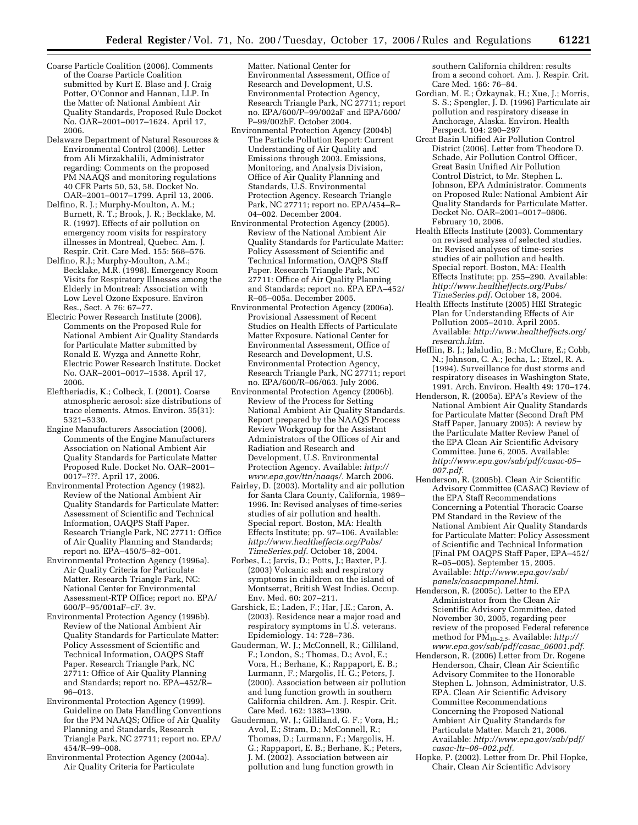- Coarse Particle Coalition (2006). Comments of the Coarse Particle Coalition submitted by Kurt E. Blase and J. Craig Potter, O'Connor and Hannan, LLP. In the Matter of: National Ambient Air Quality Standards, Proposed Rule Docket No. OAR–2001–0017–1624. April 17, 2006.
- Delaware Department of Natural Resources & Environmental Control (2006). Letter from Ali Mirzakhalili, Administrator regarding: Comments on the proposed PM NAAQS and monitoring regulations 40 CFR Parts 50, 53, 58. Docket No. OAR–2001–0017–1799. April 13, 2006.
- Delfino, R. J.; Murphy-Moulton, A. M.; Burnett, R. T.; Brook, J. R.; Becklake, M. R. (1997). Effects of air pollution on emergency room visits for respiratory illnesses in Montreal, Quebec. Am. J. Respir. Crit. Care Med. 155: 568–576.
- Delfino, R.J.; Murphy-Moulton, A.M.; Becklake, M.R. (1998). Emergency Room Visits for Respiratory Illnesses among the Elderly in Montreal: Association with Low Level Ozone Exposure. Environ Res., Sect. A 76: 67–77.
- Electric Power Research Institute (2006). Comments on the Proposed Rule for National Ambient Air Quality Standards for Particulate Matter submitted by Ronald E. Wyzga and Annette Rohr, Electric Power Research Institute. Docket No. OAR–2001–0017–1538. April 17, 2006.
- Eleftheriadis, K.; Colbeck, I. (2001). Coarse atmospheric aerosol: size distributions of trace elements. Atmos. Environ. 35(31): 5321–5330.
- Engine Manufacturers Association (2006). Comments of the Engine Manufacturers Association on National Ambient Air Quality Standards for Particulate Matter Proposed Rule. Docket No. OAR–2001– 0017–???. April 17, 2006.
- Environmental Protection Agency (1982). Review of the National Ambient Air Quality Standards for Particulate Matter: Assessment of Scientific and Technical Information, OAQPS Staff Paper. Research Triangle Park, NC 27711: Office of Air Quality Planning and Standards; report no. EPA–450/5–82–001.
- Environmental Protection Agency (1996a). Air Quality Criteria for Particulate Matter. Research Triangle Park, NC: National Center for Environmental Assessment-RTP Office; report no. EPA/ 600/P–95/001aF–cF. 3v.
- Environmental Protection Agency (1996b). Review of the National Ambient Air Quality Standards for Particulate Matter: Policy Assessment of Scientific and Technical Information, OAQPS Staff Paper. Research Triangle Park, NC 27711: Office of Air Quality Planning and Standards; report no. EPA–452/R– 96–013.
- Environmental Protection Agency (1999). Guideline on Data Handling Conventions for the PM NAAQS; Office of Air Quality Planning and Standards, Research Triangle Park, NC 27711; report no. EPA/ 454/R–99–008.
- Environmental Protection Agency (2004a). Air Quality Criteria for Particulate

Matter. National Center for Environmental Assessment, Office of Research and Development, U.S. Environmental Protection Agency, Research Triangle Park, NC 27711; report no. EPA/600/P–99/002aF and EPA/600/ P–99/002bF. October 2004.

- Environmental Protection Agency (2004b) The Particle Pollution Report: Current Understanding of Air Quality and Emissions through 2003. Emissions, Monitoring, and Analysis Division, Office of Air Quality Planning and Standards, U.S. Environmental Protection Agency. Research Triangle Park, NC 27711; report no. EPA/454–R– 04–002. December 2004.
- Environmental Protection Agency (2005). Review of the National Ambient Air Quality Standards for Particulate Matter: Policy Assessment of Scientific and Technical Information, OAQPS Staff Paper. Research Triangle Park, NC 27711: Office of Air Quality Planning and Standards; report no. EPA EPA–452/ R–05–005a. December 2005.
- Environmental Protection Agency (2006a). Provisional Assessment of Recent Studies on Health Effects of Particulate Matter Exposure. National Center for Environmental Assessment, Office of Research and Development, U.S. Environmental Protection Agency, Research Triangle Park, NC 27711; report no. EPA/600/R–06/063. July 2006.
- Environmental Protection Agency (2006b). Review of the Process for Setting National Ambient Air Quality Standards. Report prepared by the NAAQS Process Review Workgroup for the Assistant Administrators of the Offices of Air and Radiation and Research and Development, U.S. Environmental Protection Agency. Available: *http:// www.epa.gov/ttn/naaqs/.* March 2006.
- Fairley, D. (2003). Mortality and air pollution for Santa Clara County, California, 1989– 1996. In: Revised analyses of time-series studies of air pollution and health. Special report. Boston, MA: Health Effects Institute; pp. 97–106. Available: *http://www.healtheffects.org/Pubs/ TimeSeries.pdf*. October 18, 2004.
- Forbes, L.; Jarvis, D.; Potts, J.; Baxter, P.J. (2003) Volcanic ash and respiratory symptoms in children on the island of Montserrat, British West Indies. Occup. Env. Med. 60: 207–211.
- Garshick, E.; Laden, F.; Har, J.E.; Caron, A. (2003). Residence near a major road and respiratory symptoms in U.S. veterans. Epidemiology. 14: 728–736.
- Gauderman, W. J.; McConnell, R.; Gilliland, F.; London, S.; Thomas, D.; Avol, E.; Vora, H.; Berhane, K.; Rappaport, E. B.; Lurmann, F.; Margolis, H. G.; Peters, J. (2000). Association between air pollution and lung function growth in southern California children. Am. J. Respir. Crit. Care Med. 162: 1383–1390.
- Gauderman, W. J.; Gilliland, G. F.; Vora, H.; Avol, E.; Stram, D.; McConnell, R.; Thomas, D.; Lurmann, F.; Margolis, H. G.; Rappaport, E. B.; Berhane, K.; Peters, J. M. (2002). Association between air pollution and lung function growth in

southern California children: results from a second cohort. Am. J. Respir. Crit. Care Med. 166: 76–84.

- Gordian, M. E.; Özkaynak, H.; Xue, J.; Morris, S. S.; Spengler, J. D. (1996) Particulate air pollution and respiratory disease in Anchorage, Alaska. Environ. Health Perspect. 104: 290–297
- Great Basin Unified Air Pollution Control District (2006). Letter from Theodore D. Schade, Air Pollution Control Officer, Great Basin Unified Air Pollution Control District, to Mr. Stephen L. Johnson, EPA Administrator. Comments on Proposed Rule: National Ambient Air Quality Standards for Particulate Matter. Docket No. OAR–2001–0017–0806. February 10, 2006.
- Health Effects Institute (2003). Commentary on revised analyses of selected studies. In: Revised analyses of time-series studies of air pollution and health. Special report. Boston, MA: Health Effects Institute; pp. 255–290. Available: *http://www.healtheffects.org/Pubs/ TimeSeries.pdf.* October 18, 2004.
- Health Effects Institute (2005) HEI Strategic Plan for Understanding Effects of Air Pollution 2005–2010. April 2005. Available: *http://www.healtheffects.org/ research.htm.*
- Hefflin, B. J.; Jalaludin, B.; McClure, E.; Cobb, N.; Johnson, C. A.; Jecha, L.; Etzel, R. A. (1994). Surveillance for dust storms and respiratory diseases in Washington State, 1991. Arch. Environ. Health 49: 170–174.
- Henderson, R. (2005a). EPA's Review of the National Ambient Air Quality Standards for Particulate Matter (Second Draft PM Staff Paper, January 2005): A review by the Particulate Matter Review Panel of the EPA Clean Air Scientific Advisory Committee. June 6, 2005. Available: *http://www.epa.gov/sab/pdf/casac-05– 007.pdf.*
- Henderson, R. (2005b). Clean Air Scientific Advisory Committee (CASAC) Review of the EPA Staff Recommendations Concerning a Potential Thoracic Coarse PM Standard in the Review of the National Ambient Air Quality Standards for Particulate Matter: Policy Assessment of Scientific and Technical Information (Final PM OAQPS Staff Paper, EPA–452/ R–05–005). September 15, 2005. Available: *http://www.epa.gov/sab/ panels/casacpmpanel.html*.
- Henderson, R. (2005c). Letter to the EPA Administrator from the Clean Air Scientific Advisory Committee, dated November 30, 2005, regarding peer review of the proposed Federal reference method for PM10–2.5. Available: *http:// www.epa.gov/sab/pdf/casac*\_*06001.pdf.*
- Henderson, R. (2006) Letter from Dr. Rogene Henderson, Chair, Clean Air Scientific Advisory Commitee to the Honorable Stephen L. Johnson, Administrator, U.S. EPA. Clean Air Scientific Advisory Committee Recommendations Concerning the Proposed National Ambient Air Quality Standards for Particulate Matter. March 21, 2006. Available: *http://www.epa.gov/sab/pdf/ casac-ltr–06–002.pdf.*
- Hopke, P. (2002). Letter from Dr. Phil Hopke, Chair, Clean Air Scientific Advisory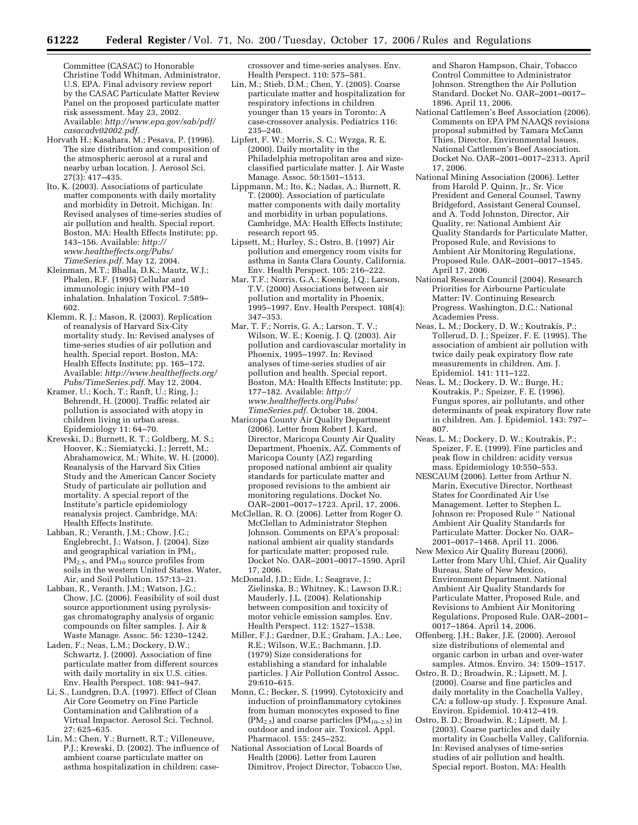Committee (CASAC) to Honorable Christine Todd Whitman, Administrator, U.S. EPA. Final advisory review report by the CASAC Particulate Matter Review Panel on the proposed particulate matter risk assessment. May 23, 2002. Available: *http://www.epa.gov/sab/pdf/ casacadv02002.pdf.* 

- Horvath H.; Kasahara, M.; Pesava, P. (1996). The size distribution and composition of the atmospheric aerosol at a rural and nearby urban location. J. Aerosol Sci. 27(3): 417–435.
- Ito, K. (2003). Associations of particulate matter components with daily mortality and morbidity in Detroit, Michigan. In: Revised analyses of time-series studies of air pollution and health. Special report. Boston, MA: Health Effects Institute; pp. 143–156. Available: *http:// www.healtheffects.org/Pubs/ TimeSeries.pdf.* May 12, 2004.
- Kleinman, M.T.; Bhalla, D.K.; Mautz, W.J.; Phalen, R.F. (1995) Cellular and immunologic injury with PM–10 inhalation. Inhalation Toxicol. 7:589– 602.
- Klemm, R. J.; Mason, R. (2003). Replication of reanalysis of Harvard Six-City mortality study. In: Revised analyses of time-series studies of air pollution and health. Special report. Boston, MA: Health Effects Institute; pp. 165–172. Available: *http://www.healtheffects.org/ Pubs/TimeSeries.pdf.* May 12, 2004.
- Kramer, U.; Koch, T.; Ranft, U.; Ring, J.; Behrendt, H. (2000). Traffic related air pollution is associated with atopy in children living in urban areas. Epidemiology 11: 64–70.
- Krewski, D.; Burnett, R. T.; Goldberg, M. S.; Hoover, K.; Siemiatycki, J.; Jerrett, M.; Abrahamowicz, M.; White, W. H. (2000). Reanalysis of the Harvard Six Cities Study and the American Cancer Society Study of particulate air pollution and mortality. A special report of the Institute's particle epidemiology reanalysis project. Cambridge, MA: Health Effects Institute.
- Labban, R.; Veranth, J.M.; Chow, J.C.; Englebrecht, J.; Watson, J. (2004). Size and geographical variation in PM1,  $PM_{2.5}$ , and  $PM_{10}$  source profiles from soils in the western United States. Water, Air, and Soil Pollution. 157:13–21.
- Labban, R., Veranth, J.M.; Watson, J.G.; Chow, J.C. (2006). Feasibility of soil dust source apportionment using pyrolysisgas chromatography analysis of organic compounds on filter samples. J. Air & Waste Manage. Assoc. 56: 1230–1242.
- Laden, F.; Neas, L.M.; Dockery, D.W.; Schwartz, J. (2000). Association of fine particulate matter from different sources with daily mortality in six U.S. cities. Env. Health Perspect. 108: 941–947.
- Li, S., Lundgren, D.A. (1997). Effect of Clean Air Core Geometry on Fine Particle Contamination and Calibration of a Virtual Impactor. Aerosol Sci. Technol. 27: 625–635.
- Lin, M.; Chen, Y.; Burnett, R.T.; Villeneuve, P.J.; Krewski, D. (2002). The influence of ambient coarse particulate matter on asthma hospitalization in children: case-

crossover and time-series analyses. Env. Health Perspect. 110: 575–581.

- Lin, M.; Stieb, D.M.; Chen, Y. (2005). Coarse particulate matter and hospitalization for respiratory infections in children younger than 15 years in Toronto: A case-crossover analysis. Pediatrics 116: 235–240.
- Lipfert, F. W.; Morris, S. C.; Wyzga, R. E. (2000). Daily mortality in the Philadelphia metropolitan area and sizeclassified particulate matter. J. Air Waste Manage. Assoc. 50:1501–1513.
- Lippmann, M.; Ito, K.; Nadas, A.; Burnett, R. T. (2000). Association of particulate matter components with daily mortality and morbidity in urban populations. Cambridge, MA: Health Effects Institute; research report 95.
- Lipsett, M.; Hurley, S.; Ostro, B. (1997) Air pollution and emergency room visits for asthma in Santa Clara County, California. Env. Health Perspect. 105: 216–222.
- Mar, T.F.; Norris, G.A.; Koenig, J.Q.; Larson, T.V. (2000) Associations between air pollution and mortality in Phoenix, 1995–1997. Env. Health Perspect. 108(4): 347–353.
- Mar, T. F.; Norris, G. A.; Larson, T. V.; Wilson, W. E.; Koenig, J. Q. (2003). Air pollution and cardiovascular mortality in Phoenix, 1995–1997. In: Revised analyses of time-series studies of air pollution and health. Special report. Boston, MA: Health Effects Institute; pp. 177–182. Available: *http:// www.healtheffects.org/Pubs/ TimeSeries.pdf.* October 18, 2004.
- Maricopa County Air Quality Department (2006). Letter from Robert J. Kard, Director, Maricopa County Air Quality Department, Phoenix, AZ. Comments of Maricopa County (AZ) regarding proposed national ambient air quality standards for particulate matter and proposed revisions to the ambient air monitoring regulations. Docket No. OAR–2001–0017–1723. April, 17, 2006.
- McClellan, R. O. (2006). Letter from Roger O. McClellan to Administrator Stephen Johnson. Comments on EPA's proposal: national ambient air quality standards for particulate matter: proposed rule. Docket No. OAR–2001–0017–1590. April 17, 2006.
- McDonald, J.D.; Eide, I.; Seagrave, J.; Zielinska, B.; Whitney, K.; Lawson D.R.; Mauderly, J.L. (2004). Relationship between composition and toxicity of motor vehicle emission samples. Env. Health Perspect. 112: 1527–1538.
- Miller, F.J.; Gardner, D.E.; Graham, J.A.; Lee, R.E.; Wilson, W.E.; Bachmann, J.D. (1979) Size considerations for establishing a standard for inhalable particles. J Air Pollution Control Assoc.  $29:610 - 615.$
- Monn, C.; Becker, S. (1999). Cytotoxicity and induction of proinflammatory cytokines from human monocytes exposed to fine  $(PM_{2.5})$  and coarse particles  $(PM_{10-2.5})$  in outdoor and indoor air. Toxicol. Appl. Pharmacol. 155: 245–252.
- National Association of Local Boards of Health (2006). Letter from Lauren Dimitrov, Project Director, Tobacco Use,

and Sharon Hampson, Chair, Tobacco Control Committee to Administrator Johnson. Strengthen the Air Pollution Standard. Docket No. OAR–2001–0017– 1896. April 11, 2006.

- National Cattlemen's Beef Association (2006). Comments on EPA PM NAAQS revisions proposal submitted by Tamara McCann Thies, Director, Environmental Issues, National Cattlemen's Beef Association. Docket No. OAR–2001–0017–2313. April 17, 2006.
- National Mining Association (2006). Letter from Harold P. Quinn, Jr., Sr. Vice President and General Counsel, Tawny Bridgeford, Assistant General Counsel, and A. Todd Johnston, Director, Air Quality, re: National Ambient Air Quality Standards for Particulate Matter, Proposed Rule, and Revisions to Ambient Air Monitoring Regulations, Proposed Rule. OAR–2001–0017–1545. April 17, 2006.
- National Research Council (2004). Research Priorities for Airbourne Particulate Matter: IV. Continuing Research Progress. Washington, D.C.: National Academies Press.
- Neas, L. M.; Dockery, D. W.; Koutrakis, P.; Tollerud, D. J.; Speizer, F. E. (1995). The association of ambient air pollution with twice daily peak expiratory flow rate measurements in children. Am. J. Epidemiol. 141: 111–122.
- Neas, L. M.; Dockery, D. W.; Burge, H.; Koutrakis, P.; Speizer, F. E. (1996). Fungus spores, air pollutants, and other determinants of peak expiratory flow rate in children. Am. J. Epidemiol. 143: 797– 807.
- Neas, L. M.; Dockery, D. W.; Koutrakis, P.; Speizer, F. E. (1999). Fine particles and peak flow in children: acidity versus mass. Epidemiology 10:550–553.
- NESCAUM (2006). Letter from Arthur N. Marin, Executive Director, Northeast States for Coordinated Air Use Management. Letter to Stephen L. Johnson re: Proposed Rule<sup>"</sup> National Ambient Air Quality Standards for Particulate Matter. Docker No. OAR– 2001–0017–1468. April 11. 2006.
- New Mexico Air Quality Bureau (2006). Letter from Mary Uhl, Chief, Air Quality Bureau, State of New Mexico, Environment Department. National Ambient Air Quality Standards for Particulate Matter, Proposed Rule, and Revisions to Ambient Air Monitoring Regulations, Proposed Rule. OAR–2001– 0017–1864. April 14, 2006.
- Offenberg, J.H.; Baker, J.E. (2000). Aerosol size distributions of elemental and organic carbon in urban and over-water samples. Atmos. Enviro. 34: 1509–1517.
- Ostro, B. D.; Broadwin, R.; Lipsett, M. J. (2000). Coarse and fine particles and daily mortality in the Coachella Valley, CA: a follow-up study. J. Exposure Anal. Environ. Epidemiol. 10:412–419.
- Ostro, B. D.; Broadwin, R.; Lipsett, M. J. (2003). Coarse particles and daily mortality in Coachella Valley, California. In: Revised analyses of time-series studies of air pollution and health. Special report. Boston, MA: Health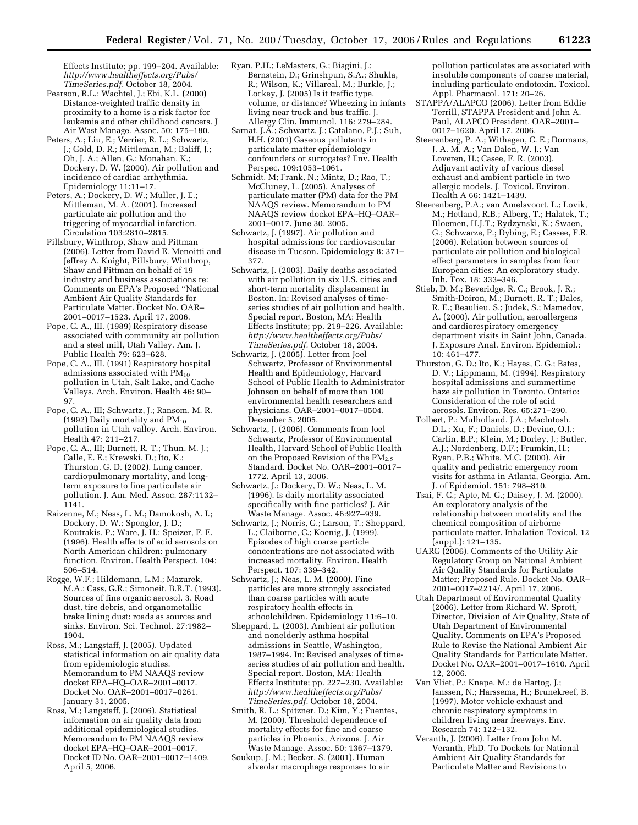Effects Institute; pp. 199–204. Available: *http://www.healtheffects.org/Pubs/ TimeSeries.pdf.* October 18, 2004.

- Pearson, R.L.; Wachtel, J.; Ebi, K.L. (2000) Distance-weighted traffic density in proximity to a home is a risk factor for leukemia and other childhood cancers. J Air Wast Manage. Assoc. 50: 175–180.
- Peters, A.; Liu, E.; Verrier, R. L.; Schwartz, J.; Gold, D. R.; Mittleman, M.; Baliff, J.; Oh, J. A.; Allen, G.; Monahan, K.; Dockery, D. W. (2000). Air pollution and incidence of cardiac arrhythmia. Epidemiology 11:11–17.
- Peters, A.; Dockery, D. W.; Muller, J. E.; Mittleman, M. A. (2001). Increased particulate air pollution and the triggering of myocardial infarction. Circulation 103:2810–2815.
- Pillsbury, Winthrop, Shaw and Pittman (2006). Letter from David E. Menoitti and Jeffrey A. Knight, Pillsbury, Winthrop, Shaw and Pittman on behalf of 19 industry and business associations re: Comments on EPA's Proposed ''National Ambient Air Quality Standards for Particulate Matter. Docket No. OAR– 2001–0017–1523. April 17, 2006.
- Pope, C. A., III. (1989) Respiratory disease associated with community air pollution and a steel mill, Utah Valley. Am. J. Public Health 79: 623–628.
- Pope, C. A., III. (1991) Respiratory hospital admissions associated with PM10 pollution in Utah, Salt Lake, and Cache Valleys. Arch. Environ. Health 46: 90– 97.
- Pope, C. A., III; Schwartz, J.; Ransom, M. R. (1992) Daily mortality and  $PM_{10}$ pollution in Utah valley. Arch. Environ. Health 47: 211–217.
- Pope, C. A., III; Burnett, R. T.; Thun, M. J.; Calle, E. E.; Krewski, D.; Ito, K.; Thurston, G. D. (2002). Lung cancer, cardiopulmonary mortality, and longterm exposure to fine particulate air pollution. J. Am. Med. Assoc. 287:1132– 1141.
- Raizenne, M.; Neas, L. M.; Damokosh, A. I.; Dockery, D. W.; Spengler, J. D.; Koutrakis, P.; Ware, J. H.; Speizer, F. E. (1996). Health effects of acid aerosols on North American children: pulmonary function. Environ. Health Perspect. 104: 506–514.
- Rogge, W.F.; Hildemann, L.M.; Mazurek, M.A.; Cass, G.R.; Simoneit, B.R.T. (1993). Sources of fine organic aerosol. 3. Road dust, tire debris, and organometallic brake lining dust: roads as sources and sinks. Environ. Sci. Technol. 27:1982– 1904.
- Ross, M.; Langstaff, J. (2005). Updated statistical information on air quality data from epidemiologic studies. Memorandum to PM NAAQS review docket EPA–HQ–OAR–2001–0017. Docket No. OAR–2001–0017–0261. January 31, 2005.
- Ross, M.; Langstaff, J. (2006). Statistical information on air quality data from additional epidemiological studies. Memorandum to PM NAAQS review docket EPA–HQ–OAR–2001–0017. Docket ID No. OAR–2001–0017–1409. April 5, 2006.
- Ryan, P.H.; LeMasters, G.; Biagini, J.; Bernstein, D.; Grinshpun, S.A.; Shukla, R.; Wilson, K.; Villareal, M.; Burkle, J.; Lockey, J. (2005) Is it traffic type, volume, or distance? Wheezing in infants living near truck and bus traffic. J. Allergy Clin. Immunol. 116: 279–284.
- Sarnat, J.A.; Schwartz, J.; Catalano, P.J.; Suh, H.H. (2001) Gaseous pollutants in particulate matter epidemiology confounders or surrogates? Env. Health Perspec. 109:1053–1061.
- Schmidt. M; Frank, N.; Mintz, D.; Rao, T.; McCluney, L. (2005). Analyses of particulate matter (PM) data for the PM NAAQS review. Memorandum to PM NAAQS review docket EPA–HQ–OAR– 2001–0017. June 30, 2005.
- Schwartz, J. (1997). Air pollution and hospital admissions for cardiovascular disease in Tucson. Epidemiology 8: 371– 377.
- Schwartz, J. (2003). Daily deaths associated with air pollution in six U.S. cities and short-term mortality displacement in Boston. In: Revised analyses of timeseries studies of air pollution and health. Special report. Boston, MA: Health Effects Institute; pp. 219–226. Available: *http://www.healtheffects.org/Pubs/ TimeSeries.pdf.* October 18, 2004.
- Schwartz, J. (2005). Letter from Joel Schwartz, Professor of Environmental Health and Epidemiology, Harvard School of Public Health to Administrator Johnson on behalf of more than 100 environmental health researchers and physicians. OAR–2001–0017–0504. December 5, 2005.
- Schwartz, J. (2006). Comments from Joel Schwartz, Professor of Environmental Health, Harvard School of Public Health on the Proposed Revision of the PM<sub>2.5</sub> Standard. Docket No. OAR–2001–0017– 1772. April 13, 2006.
- Schwartz, J.; Dockery, D. W.; Neas, L. M. (1996). Is daily mortality associated specifically with fine particles? J. Air Waste Manage. Assoc. 46:927–939.
- Schwartz, J.; Norris, G.; Larson, T.; Sheppard, L.; Claiborne, C.; Koenig, J. (1999). Episodes of high coarse particle concentrations are not associated with increased mortality. Environ. Health Perspect. 107: 339–342.
- Schwartz, J.; Neas, L. M. (2000). Fine particles are more strongly associated than coarse particles with acute respiratory health effects in schoolchildren. Epidemiology 11:6–10.
- Sheppard, L. (2003). Ambient air pollution and nonelderly asthma hospital admissions in Seattle, Washington, 1987–1994. In: Revised analyses of timeseries studies of air pollution and health. Special report. Boston, MA: Health Effects Institute; pp. 227–230. Available: *http://www.healtheffects.org/Pubs/ TimeSeries.pdf.* October 18, 2004.
- Smith, R. L.; Spitzner, D.; Kim, Y.; Fuentes, M. (2000). Threshold dependence of mortality effects for fine and coarse particles in Phoenix, Arizona. J. Air Waste Manage. Assoc. 50: 1367–1379.
- Soukup, J. M.; Becker, S. (2001). Human alveolar macrophage responses to air

pollution particulates are associated with insoluble components of coarse material, including particulate endotoxin. Toxicol. Appl. Pharmacol. 171: 20–26.

- STAPPA/ALAPCO (2006). Letter from Eddie Terrill, STAPPA President and John A. Paul, ALAPCO President. OAR–2001– 0017–1620. April 17, 2006.
- Steerenberg, P. A.; Withagen, C. E.; Dormans, J. A. M. A.; Van Dalen, W. J.; Van Loveren, H.; Casee, F. R. (2003). Adjuvant activity of various diesel exhaust and ambient particle in two allergic models. J. Toxicol. Environ. Health A 66: 1421–1439.
- Steerenberg, P.A.; van Amelsvoort, L.; Lovik, M.; Hetland, R.B.; Alberg, T.; Halatek, T.; Bloemen, H.J.T.; Rydzynski, K.; Swaen, G.; Schwarze, P.; Dybing, E.; Cassee, F.R. (2006). Relation between sources of particulate air pollution and biological effect parameters in samples from four European cities: An exploratory study. Inh. Tox. 18: 333–346.
- Stieb, D. M.; Beveridge, R. C.; Brook, J. R.; Smith-Doiron, M.; Burnett, R. T.; Dales, R. E.; Beaulieu, S.; Judek, S.; Mamedov, A. (2000). Air pollution, aeroallergens and cardiorespiratory emergency department visits in Saint John, Canada. J. Exposure Anal. Environ. Epidemiol.: 10: 461–477.
- Thurston, G. D.; Ito, K.; Hayes, C. G.; Bates, D. V.; Lippmann, M. (1994). Respiratory hospital admissions and summertime haze air pollution in Toronto, Ontario: Consideration of the role of acid aerosols. Environ. Res. 65:271–290.
- Tolbert, P.; Mulholland, J.A.; MacIntosh, D.L.; Xu, F.; Daniels, D.; Devine, O.J.; Carlin, B.P.; Klein, M.; Dorley, J.; Butler, A.J.; Nordenberg, D.F.; Frumkin, H.; Ryan, P.B.; White, M.C. (2000). Air quality and pediatric emergency room visits for asthma in Atlanta, Georgia. Am. J. of Epidemiol. 151: 798–810.
- Tsai, F. C.; Apte, M. G.; Daisey, J. M. (2000). An exploratory analysis of the relationship between mortality and the chemical composition of airborne particulate matter. Inhalation Toxicol. 12 (suppl.): 121–135.
- UARG (2006). Comments of the Utility Air Regulatory Group on National Ambient Air Quality Standards for Particulate Matter; Proposed Rule. Docket No. OAR– 2001–0017–2214/. April 17, 2006.
- Utah Department of Environmental Quality (2006). Letter from Richard W. Sprott, Director, Division of Air Quality, State of Utah Department of Environmental Quality. Comments on EPA's Proposed Rule to Revise the National Ambient Air Quality Standards for Particulate Matter. Docket No. OAR–2001–0017–1610. April 12, 2006.
- Van Vliet, P.; Knape, M.; de Hartog, J.; Janssen, N.; Harssema, H.; Brunekreef, B. (1997). Motor vehicle exhaust and chronic respiratory symptoms in children living near freeways. Env. Research 74: 122–132.
- Veranth, J. (2006). Letter from John M. Veranth, PhD. To Dockets for National Ambient Air Quality Standards for Particulate Matter and Revisions to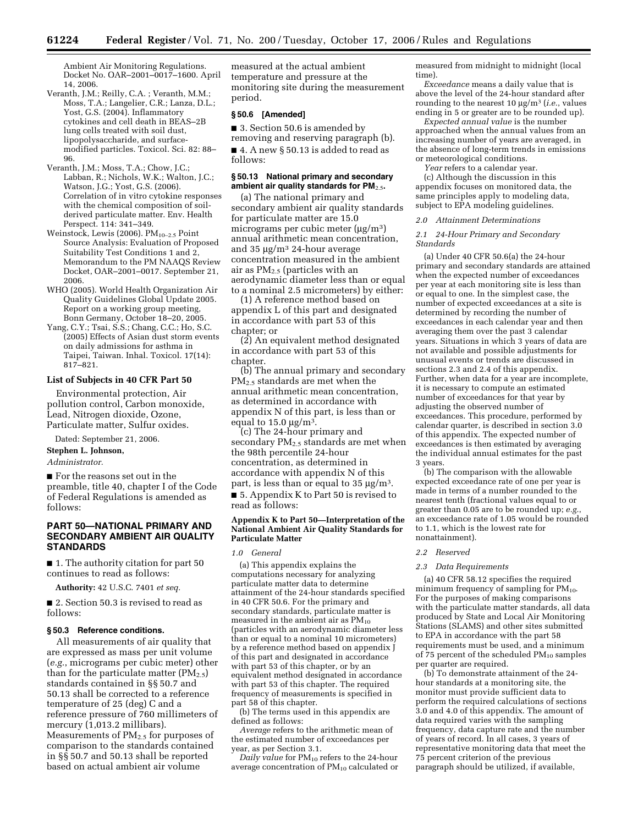Ambient Air Monitoring Regulations. Docket No. OAR–2001–0017–1600. April 14, 2006.

- Veranth, J.M.; Reilly, C.A. ; Veranth, M.M.; Moss, T.A.; Langelier, C.R.; Lanza, D.L.; Yost, G.S. (2004). Inflammatory cytokines and cell death in BEAS–2B lung cells treated with soil dust, lipopolysaccharide, and surfacemodified particles. Toxicol. Sci. 82: 88– 96.
- Veranth, J.M.; Moss, T.A.; Chow, J.C.; Labban, R.; Nichols, W.K.; Walton, J.C.; Watson, J.G.; Yost, G.S. (2006). Correlation of in vitro cytokine responses with the chemical composition of soilderived particulate matter. Env. Health Perspect. 114: 341–349.
- Weinstock, Lewis (2006).  $PM_{10-2.5}$  Point Source Analysis: Evaluation of Proposed Suitability Test Conditions 1 and 2, Memorandum to the PM NAAQS Review Docket, OAR–2001–0017. September 21, 2006.
- WHO (2005). World Health Organization Air Quality Guidelines Global Update 2005. Report on a working group meeting, Bonn Germany, October 18–20, 2005.
- Yang, C.Y.; Tsai, S.S.; Chang, C.C.; Ho, S.C. (2005) Effects of Asian dust storm events on daily admissions for asthma in Taipei, Taiwan. Inhal. Toxicol. 17(14): 817–821.

#### **List of Subjects in 40 CFR Part 50**

Environmental protection, Air pollution control, Carbon monoxide, Lead, Nitrogen dioxide, Ozone, Particulate matter, Sulfur oxides.

Dated: September 21, 2006.

## **Stephen L. Johnson,**

# *Administrator.*

■ For the reasons set out in the preamble, title 40, chapter I of the Code of Federal Regulations is amended as follows:

# **PART 50—NATIONAL PRIMARY AND SECONDARY AMBIENT AIR QUALITY STANDARDS**

■ 1. The authority citation for part 50 continues to read as follows:

**Authority:** 42 U.S.C. 7401 *et seq.* 

■ 2. Section 50.3 is revised to read as follows:

## **§ 50.3 Reference conditions.**

All measurements of air quality that are expressed as mass per unit volume (*e.g.*, micrograms per cubic meter) other than for the particulate matter  $(PM_{2.5})$ standards contained in §§ 50.7 and 50.13 shall be corrected to a reference temperature of 25 (deg) C and a reference pressure of 760 millimeters of mercury (1,013.2 millibars). Measurements of PM<sub>2.5</sub> for purposes of comparison to the standards contained in §§ 50.7 and 50.13 shall be reported based on actual ambient air volume

measured at the actual ambient temperature and pressure at the monitoring site during the measurement period.

### **§ 50.6 [Amended]**

■ 3. Section 50.6 is amended by

removing and reserving paragraph (b). ■ 4. A new § 50.13 is added to read as follows:

# **§ 50.13 National primary and secondary ambient air quality standards for PM**2.5**.**

(a) The national primary and secondary ambient air quality standards for particulate matter are 15.0 micrograms per cubic meter  $(\mu g/m^3)$ annual arithmetic mean concentration, and  $35 \mu g/m^3$  24-hour average concentration measured in the ambient air as PM2.5 (particles with an aerodynamic diameter less than or equal to a nominal 2.5 micrometers) by either:

(1) A reference method based on appendix L of this part and designated in accordance with part 53 of this chapter; or

(2) An equivalent method designated in accordance with part 53 of this chapter.

(b) The annual primary and secondary PM2.5 standards are met when the annual arithmetic mean concentration, as determined in accordance with appendix N of this part, is less than or equal to  $15.0 \text{ µg/m}^3$ .

(c) The 24-hour primary and secondary  $PM_{2.5}$  standards are met when the 98th percentile 24-hour concentration, as determined in accordance with appendix N of this part, is less than or equal to  $35 \mu g/m^3$ .

■ 5. Appendix K to Part 50 is revised to read as follows:

### **Appendix K to Part 50—Interpretation of the National Ambient Air Quality Standards for Particulate Matter**

#### *1.0 General*

(a) This appendix explains the computations necessary for analyzing particulate matter data to determine attainment of the 24-hour standards specified in 40 CFR 50.6. For the primary and secondary standards, particulate matter is measured in the ambient air as  $PM_{10}$ (particles with an aerodynamic diameter less than or equal to a nominal 10 micrometers) by a reference method based on appendix J of this part and designated in accordance with part 53 of this chapter, or by an equivalent method designated in accordance with part 53 of this chapter. The required frequency of measurements is specified in part 58 of this chapter.

(b) The terms used in this appendix are defined as follows:

*Average* refers to the arithmetic mean of the estimated number of exceedances per year, as per Section 3.1.

*Daily value* for  $PM_{10}$  refers to the 24-hour average concentration of PM<sub>10</sub> calculated or measured from midnight to midnight (local time).

*Exceedance* means a daily value that is above the level of the 24-hour standard after rounding to the nearest 10 µg/m3 (*i.e.*, values ending in 5 or greater are to be rounded up).

*Expected annual value* is the number approached when the annual values from an increasing number of years are averaged, in the absence of long-term trends in emissions or meteorological conditions.

*Year* refers to a calendar year.

(c) Although the discussion in this appendix focuses on monitored data, the same principles apply to modeling data, subject to EPA modeling guidelines.

#### *2.0 Attainment Determinations*

### *2.1 24-Hour Primary and Secondary Standards*

(a) Under 40 CFR 50.6(a) the 24-hour primary and secondary standards are attained when the expected number of exceedances per year at each monitoring site is less than or equal to one. In the simplest case, the number of expected exceedances at a site is determined by recording the number of exceedances in each calendar year and then averaging them over the past 3 calendar years. Situations in which 3 years of data are not available and possible adjustments for unusual events or trends are discussed in sections 2.3 and 2.4 of this appendix. Further, when data for a year are incomplete, it is necessary to compute an estimated number of exceedances for that year by adjusting the observed number of exceedances. This procedure, performed by calendar quarter, is described in section 3.0 of this appendix. The expected number of exceedances is then estimated by averaging the individual annual estimates for the past 3 years.

(b) The comparison with the allowable expected exceedance rate of one per year is made in terms of a number rounded to the nearest tenth (fractional values equal to or greater than 0.05 are to be rounded up; *e.g.*, an exceedance rate of 1.05 would be rounded to 1.1, which is the lowest rate for nonattainment).

#### *2.2 Reserved*

### *2.3 Data Requirements*

(a) 40 CFR 58.12 specifies the required minimum frequency of sampling for  $PM_{10}$ . For the purposes of making comparisons with the particulate matter standards, all data produced by State and Local Air Monitoring Stations (SLAMS) and other sites submitted to EPA in accordance with the part 58 requirements must be used, and a minimum of 75 percent of the scheduled  $PM_{10}$  samples per quarter are required.

(b) To demonstrate attainment of the 24 hour standards at a monitoring site, the monitor must provide sufficient data to perform the required calculations of sections 3.0 and 4.0 of this appendix. The amount of data required varies with the sampling frequency, data capture rate and the number of years of record. In all cases, 3 years of representative monitoring data that meet the 75 percent criterion of the previous paragraph should be utilized, if available,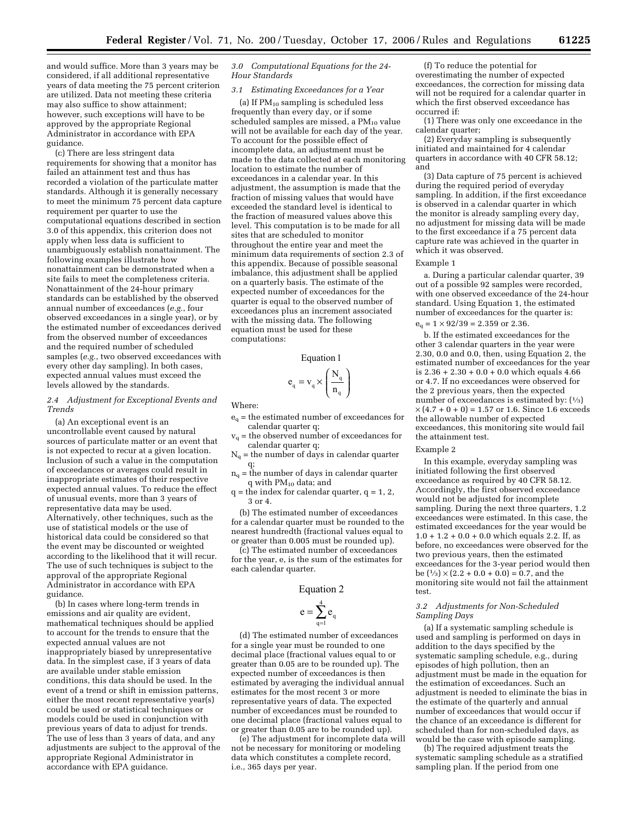and would suffice. More than 3 years may be considered, if all additional representative years of data meeting the 75 percent criterion are utilized. Data not meeting these criteria may also suffice to show attainment; however, such exceptions will have to be approved by the appropriate Regional Administrator in accordance with EPA guidance.

(c) There are less stringent data requirements for showing that a monitor has failed an attainment test and thus has recorded a violation of the particulate matter standards. Although it is generally necessary to meet the minimum 75 percent data capture requirement per quarter to use the computational equations described in section 3.0 of this appendix, this criterion does not apply when less data is sufficient to unambiguously establish nonattainment. The following examples illustrate how nonattainment can be demonstrated when a site fails to meet the completeness criteria. Nonattainment of the 24-hour primary standards can be established by the observed annual number of exceedances (*e.g.*, four observed exceedances in a single year), or by the estimated number of exceedances derived from the observed number of exceedances and the required number of scheduled samples (*e.g.*, two observed exceedances with every other day sampling). In both cases, expected annual values must exceed the levels allowed by the standards.

# *2.4 Adjustment for Exceptional Events and Trends*

(a) An exceptional event is an uncontrollable event caused by natural sources of particulate matter or an event that is not expected to recur at a given location. Inclusion of such a value in the computation of exceedances or averages could result in inappropriate estimates of their respective expected annual values. To reduce the effect of unusual events, more than 3 years of representative data may be used. Alternatively, other techniques, such as the use of statistical models or the use of historical data could be considered so that the event may be discounted or weighted according to the likelihood that it will recur. The use of such techniques is subject to the approval of the appropriate Regional Administrator in accordance with EPA guidance.

(b) In cases where long-term trends in emissions and air quality are evident, mathematical techniques should be applied to account for the trends to ensure that the expected annual values are not inappropriately biased by unrepresentative data. In the simplest case, if 3 years of data are available under stable emission conditions, this data should be used. In the event of a trend or shift in emission patterns, either the most recent representative year(s) could be used or statistical techniques or models could be used in conjunction with previous years of data to adjust for trends. The use of less than 3 years of data, and any adjustments are subject to the approval of the appropriate Regional Administrator in accordance with EPA guidance.

## *3.0 Computational Equations for the 24- Hour Standards*

*3.1 Estimating Exceedances for a Year* 

(a) If  $PM_{10}$  sampling is scheduled less frequently than every day, or if some scheduled samples are missed, a  $PM_{10}$  value will not be available for each day of the year. To account for the possible effect of incomplete data, an adjustment must be made to the data collected at each monitoring location to estimate the number of exceedances in a calendar year. In this adjustment, the assumption is made that the fraction of missing values that would have exceeded the standard level is identical to the fraction of measured values above this level. This computation is to be made for all sites that are scheduled to monitor throughout the entire year and meet the minimum data requirements of section 2.3 of this appendix. Because of possible seasonal imbalance, this adjustment shall be applied on a quarterly basis. The estimate of the expected number of exceedances for the quarter is equal to the observed number of exceedances plus an increment associated with the missing data. The following equation must be used for these computations:

### **Equation 1**

$$
e_q = v_q \times \left(\frac{N_q}{n_q}\right)
$$

Where:

- eq = the estimated number of exceedances for calendar quarter q;
- $v_q$  = the observed number of exceedances for calendar quarter q;
- $N_q$  = the number of days in calendar quarter q;
- $n_q$  = the number of days in calendar quarter q with PM10 data; and
- $q =$  the index for calendar quarter,  $q = 1, 2,$ 3 or 4.

(b) The estimated number of exceedances for a calendar quarter must be rounded to the nearest hundredth (fractional values equal to or greater than 0.005 must be rounded up).

(c) The estimated number of exceedances for the year, e, is the sum of the estimates for each calendar quarter.

## **Equation 2**

$$
\mathbf{e} = \sum_{\mathbf{q}=1}^{4} \mathbf{e}_{\mathbf{q}}
$$

(d) The estimated number of exceedances for a single year must be rounded to one decimal place (fractional values equal to or greater than 0.05 are to be rounded up). The expected number of exceedances is then estimated by averaging the individual annual estimates for the most recent 3 or more representative years of data. The expected number of exceedances must be rounded to one decimal place (fractional values equal to or greater than 0.05 are to be rounded up).

(e) The adjustment for incomplete data will not be necessary for monitoring or modeling data which constitutes a complete record, i.e., 365 days per year.

(f) To reduce the potential for overestimating the number of expected exceedances, the correction for missing data will not be required for a calendar quarter in which the first observed exceedance has occurred if:

(1) There was only one exceedance in the calendar quarter;

(2) Everyday sampling is subsequently initiated and maintained for 4 calendar quarters in accordance with 40 CFR 58.12; and

(3) Data capture of 75 percent is achieved during the required period of everyday sampling. In addition, if the first exceedance is observed in a calendar quarter in which the monitor is already sampling every day, no adjustment for missing data will be made to the first exceedance if a 75 percent data capture rate was achieved in the quarter in which it was observed.

#### Example 1

a. During a particular calendar quarter, 39 out of a possible 92 samples were recorded, with one observed exceedance of the 24-hour standard. Using Equation 1, the estimated number of exceedances for the quarter is:

 $e_q = 1 \times 92/39 = 2.359$  or 2.36.

b. If the estimated exceedances for the other 3 calendar quarters in the year were 2.30, 0.0 and 0.0, then, using Equation 2, the estimated number of exceedances for the year is  $2.36 + 2.30 + 0.0 + 0.0$  which equals  $4.66$ or 4.7. If no exceedances were observed for the 2 previous years, then the expected number of exceedances is estimated by:  $(1/3)$  $\times$  (4.7 + 0 + 0) = 1.57 or 1.6. Since 1.6 exceeds the allowable number of expected exceedances, this monitoring site would fail the attainment test.

Example 2

In this example, everyday sampling was initiated following the first observed exceedance as required by 40 CFR 58.12. Accordingly, the first observed exceedance would not be adjusted for incomplete sampling. During the next three quarters, 1.2 exceedances were estimated. In this case, the estimated exceedances for the year would be  $1.0 + 1.2 + 0.0 + 0.0$  which equals 2.2. If, as before, no exceedances were observed for the two previous years, then the estimated exceedances for the 3-year period would then be  $(1/3) \times (2.2 + 0.0 + 0.0) = 0.7$ , and the monitoring site would not fail the attainment test.

### *3.2 Adjustments for Non-Scheduled Sampling Days*

(a) If a systematic sampling schedule is used and sampling is performed on days in addition to the days specified by the systematic sampling schedule, e.g., during episodes of high pollution, then an adjustment must be made in the equation for the estimation of exceedances. Such an adjustment is needed to eliminate the bias in the estimate of the quarterly and annual number of exceedances that would occur if the chance of an exceedance is different for scheduled than for non-scheduled days, as would be the case with episode sampling.

(b) The required adjustment treats the systematic sampling schedule as a stratified sampling plan. If the period from one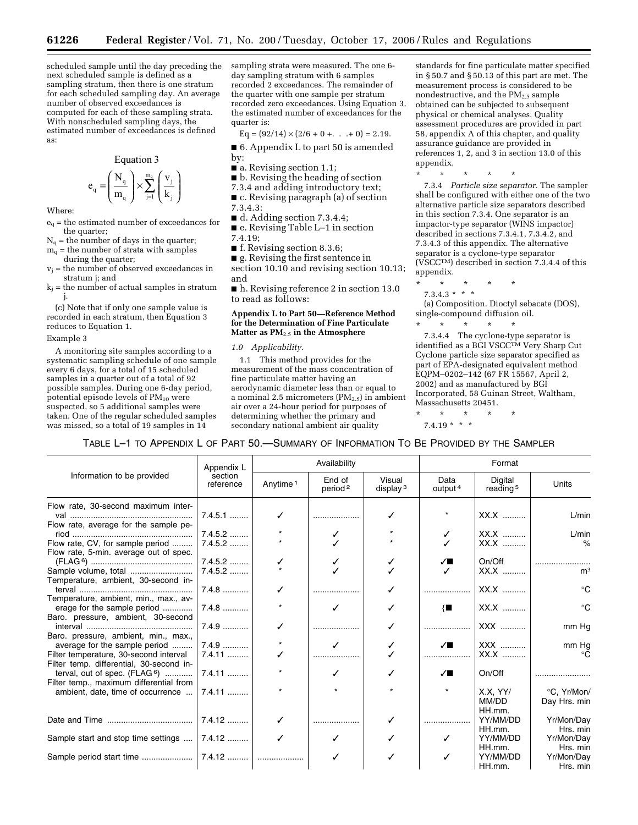scheduled sample until the day preceding the next scheduled sample is defined as a sampling stratum, then there is one stratum for each scheduled sampling day. An average number of observed exceedances is computed for each of these sampling strata. With nonscheduled sampling days, the estimated number of exceedances is defined as:

Equation 3

$$
e_{_q}=\!\!\left(\frac{N_{_q}}{m_{_q}}\right)\!\times\!\sum_{j=1}^{m_{_q}}\!\left(\frac{v_j}{k_{_j}}\right)
$$

Where:

- $e_q$  = the estimated number of exceedances for the quarter:
- $N_q$  = the number of days in the quarter;
- $m_q$  = the number of strata with samples during the quarter;
- $=$  the number of observed exceedances in stratum j; and
- $k_i$  = the number of actual samples in stratum j.

(c) Note that if only one sample value is recorded in each stratum, then Equation 3 reduces to Equation 1.

#### Example 3

A monitoring site samples according to a systematic sampling schedule of one sample every 6 days, for a total of 15 scheduled samples in a quarter out of a total of 92 possible samples. During one 6-day period, potential episode levels of  $PM_{10}$  were suspected, so 5 additional samples were taken. One of the regular scheduled samples was missed, so a total of 19 samples in 14

sampling strata were measured. The one 6 day sampling stratum with 6 samples recorded 2 exceedances. The remainder of the quarter with one sample per stratum recorded zero exceedances. Using Equation 3, the estimated number of exceedances for the quarter is:

 $Eq = (92/14) \times (2/6 + 0 + \ldots + 0) = 2.19.$ 

■ 6. Appendix L to part 50 is amended by:

- a. Revising section 1.1;
- b. Revising the heading of section
- 7.3.4 and adding introductory text;
- c. Revising paragraph (a) of section
- 7.3.4.3:
- d. Adding section 7.3.4.4;
- e. Revising Table L–1 in section 7.4.19;
- f. Revising section 8.3.6;
- g. Revising the first sentence in section 10.10 and revising section 10.13; and

■ h. Revising reference 2 in section 13.0 to read as follows:

### **Appendix L to Part 50—Reference Method for the Determination of Fine Particulate Matter as PM**2.5 **in the Atmosphere**

# *1.0 Applicability.*

1.1 This method provides for the measurement of the mass concentration of fine particulate matter having an aerodynamic diameter less than or equal to a nominal 2.5 micrometers  $(PM_{2.5})$  in ambient air over a 24-hour period for purposes of determining whether the primary and secondary national ambient air quality

standards for fine particulate matter specified in § 50.7 and § 50.13 of this part are met. The measurement process is considered to be nondestructive, and the  $PM_{2.5}$  sample obtained can be subjected to subsequent physical or chemical analyses. Quality assessment procedures are provided in part 58, appendix A of this chapter, and quality assurance guidance are provided in references 1, 2, and 3 in section 13.0 of this appendix.

\* \* \* \* \*

7.3.4 *Particle size separator.* The sampler shall be configured with either one of the two alternative particle size separators described in this section 7.3.4. One separator is an impactor-type separator (WINS impactor) described in sections 7.3.4.1, 7.3.4.2, and 7.3.4.3 of this appendix. The alternative separator is a cyclone-type separator (VSCCTM) described in section 7.3.4.4 of this appendix.

- \* \* \* \* \*
- $7.3.4.3$  \* \* \*

(a) Composition. Dioctyl sebacate (DOS), single-compound diffusion oil.

\* \* \* \* \* 7.3.4.4 The cyclone-type separator is identified as a BGI VSCCTM Very Sharp Cut Cyclone particle size separator specified as part of EPA-designated equivalent method EQPM–0202–142 (67 FR 15567, April 2, 2002) and as manufactured by BGI Incorporated, 58 Guinan Street, Waltham, Massachusetts 20451.

### \* \* \* \* \*

 $7.4.19$  \* \* \*

# TABLE L–1 TO APPENDIX L OF PART 50.—SUMMARY OF INFORMATION TO BE PROVIDED BY THE SAMPLER

| Information to be provided               | Appendix L<br>section<br>reference | Availability         |                               |                       | Format                   |                                 |                |
|------------------------------------------|------------------------------------|----------------------|-------------------------------|-----------------------|--------------------------|---------------------------------|----------------|
|                                          |                                    | Anytime <sup>1</sup> | End of<br>period <sup>2</sup> | Visual<br>display $3$ | Data<br>output $4$       | Digital<br>reading <sup>5</sup> | Units          |
| Flow rate, 30-second maximum inter-      |                                    |                      |                               |                       |                          |                                 |                |
|                                          | $7.4.5.1$                          |                      |                               |                       |                          | $XX.X$                          | L/min          |
| Flow rate, average for the sample pe-    |                                    |                      |                               |                       |                          |                                 |                |
|                                          | $7.4.5.2$                          |                      | ✓                             |                       |                          | XX.X                            | L/min          |
| Flow rate, CV, for sample period         | $7.4.5.2$                          |                      |                               |                       |                          | $XX.X$                          | $\%$           |
| Flow rate, 5-min. average out of spec.   |                                    |                      |                               |                       |                          |                                 |                |
|                                          | $7.4.5.2$                          |                      |                               |                       | ✓∎                       | On/Off                          |                |
|                                          | $7.4.5.2$                          |                      |                               |                       | $\overline{\mathcal{L}}$ | $XX.X$                          | m <sup>3</sup> |
| Temperature, ambient, 30-second in-      |                                    |                      |                               |                       |                          |                                 |                |
|                                          | $7.4.8$                            | ✓                    |                               |                       |                          | XX.X                            | $^{\circ}C$    |
| Temperature, ambient, min., max., av-    |                                    |                      |                               |                       |                          |                                 |                |
| erage for the sample period              | $7.4.8$                            |                      | ✓                             |                       | $\{ \blacksquare$        | $XX.X$                          | $^{\circ}C$    |
| Baro. pressure, ambient, 30-second       |                                    |                      |                               |                       |                          |                                 |                |
|                                          | $7.4.9$                            |                      |                               |                       |                          | XXX                             | mm Hg          |
| Baro. pressure, ambient, min., max.,     |                                    |                      |                               |                       |                          |                                 |                |
| average for the sample period            | $7.4.9$                            |                      |                               |                       | $\sqrt{ }$               | XXX                             | mm Hg          |
| Filter temperature, 30-second interval   | $7.4.11$                           |                      |                               |                       | .                        | $XX.X$                          | ം              |
| Filter temp. differential, 30-second in- |                                    |                      |                               |                       |                          |                                 |                |
| terval, out of spec. $(FLAG^6)$          | $7.4.11$                           |                      | ✓                             |                       | $\sqrt{ }$               | On/Off                          |                |
| Filter temp., maximum differential from  |                                    |                      |                               |                       |                          |                                 |                |
| ambient, date, time of occurrence        | $7.4.11$                           |                      |                               |                       |                          | X.X. YY/                        | °C, Yr/Mon/    |
|                                          |                                    |                      |                               |                       |                          | MM/DD                           | Day Hrs. min   |
|                                          |                                    |                      |                               |                       |                          | HH.mm.                          |                |
|                                          | 7.4.12                             |                      |                               |                       |                          | YY/MM/DD                        | Yr/Mon/Day     |
|                                          |                                    |                      |                               |                       |                          | HH.mm.                          | Hrs. min       |
| Sample start and stop time settings      | 7.4.12                             |                      |                               |                       |                          | YY/MM/DD                        | Yr/Mon/Day     |
|                                          |                                    |                      |                               |                       |                          | HH.mm.                          | Hrs. min       |
|                                          |                                    |                      |                               |                       |                          | YY/MM/DD                        | Yr/Mon/Day     |
|                                          |                                    |                      |                               |                       |                          | HH.mm.                          | Hrs. min       |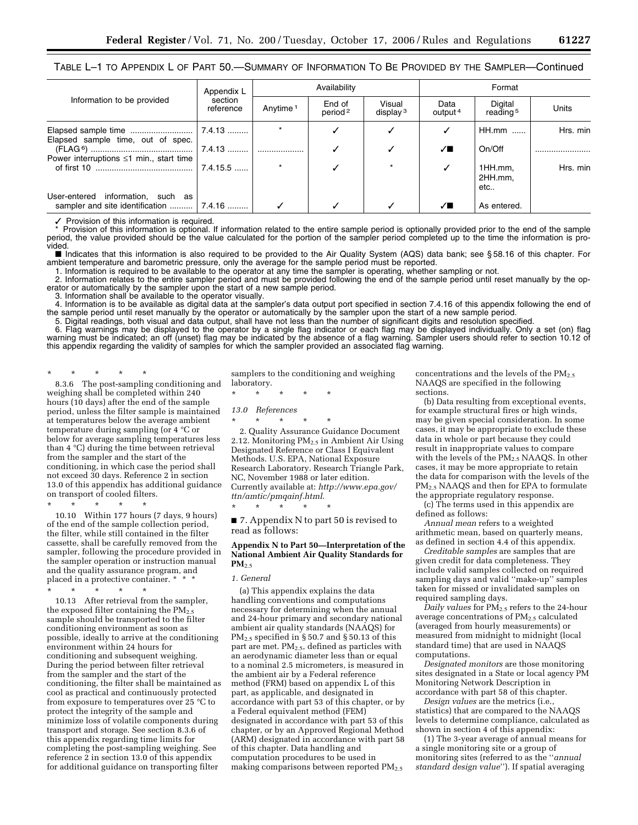# TABLE L–1 TO APPENDIX L OF PART 50.—SUMMARY OF INFORMATION TO BE PROVIDED BY THE SAMPLER—Continued

| Information to be provided                                                        | Appendix L<br>section<br>reference | Availability         |                               |                       | Format                      |                                 |          |
|-----------------------------------------------------------------------------------|------------------------------------|----------------------|-------------------------------|-----------------------|-----------------------------|---------------------------------|----------|
|                                                                                   |                                    | Anytime <sup>1</sup> | End of<br>period <sup>2</sup> | Visual<br>display $3$ | Data<br>output <sup>4</sup> | Digital<br>reading <sup>5</sup> | Units    |
| Elapsed sample time, out of spec.                                                 |                                    |                      |                               |                       |                             | $HH.mm$                         | Hrs. min |
| Power interruptions $\leq 1$ min., start time                                     | ∣ 7.4.13                           |                      |                               |                       | ✓◼                          | On/Off                          |          |
|                                                                                   | $17.4.15.5$                        |                      |                               | $\star$               | ✓                           | 1HH.mm.<br>2HH.mm,<br>etc       | Hrs. min |
| information, such as<br>User-entered<br>sampler and site identification    7.4.16 |                                    |                      |                               |                       | ╱Г                          | As entered.                     |          |

✓ Provision of this information is required.

\* Provision of this information is optional. If information related to the entire sample period is optionally provided prior to the end of the sample period, the value provided should be the value calculated for the portion of the sampler period completed up to the time the information is provided.

■ Indicates that this information is also required to be provided to the Air Quality System (AQS) data bank; see § 58.16 of this chapter. For ambient temperature and barometric pressure, only the average for the sample period must be reported.

1. Information is required to be available to the operator at any time the sampler is operating, whether sampling or not.

2. Information relates to the entire sampler period and must be provided following the end of the sample period until reset manually by the operator or automatically by the sampler upon the start of a new sample period.

3. Information shall be available to the operator visually.

4. Information is to be available as digital data at the sampler's data output port specified in section 7.4.16 of this appendix following the end of the sample period until reset manually by the operator or automatically by the sampler upon the start of a new sample period.

5. Digital readings, both visual and data output, shall have not less than the number of significant digits and resolution specified.

6. Flag warnings may be displayed to the operator by a single flag indicator or each flag may be displayed individually. Only a set (on) flag warning must be indicated; an off (unset) flag may be indicated by the absence of a flag warning. Sampler users should refer to section 10.12 of this appendix regarding the validity of samples for which the sampler provided an associated flag warning.

\* \* \* \* \*

8.3.6 The post-sampling conditioning and weighing shall be completed within 240 hours (10 days) after the end of the sample period, unless the filter sample is maintained at temperatures below the average ambient temperature during sampling (or 4 °C or below for average sampling temperatures less than 4 °C) during the time between retrieval from the sampler and the start of the conditioning, in which case the period shall not exceed 30 days. Reference 2 in section 13.0 of this appendix has additional guidance on transport of cooled filters.

\* \* \* \* \*

10.10 Within 177 hours (7 days, 9 hours) of the end of the sample collection period, the filter, while still contained in the filter cassette, shall be carefully removed from the sampler, following the procedure provided in the sampler operation or instruction manual and the quality assurance program, and placed in a protective container. \*

\* \* \* \* \*

10.13 After retrieval from the sampler, the exposed filter containing the  $PM_{2.5}$ sample should be transported to the filter conditioning environment as soon as possible, ideally to arrive at the conditioning environment within 24 hours for conditioning and subsequent weighing. During the period between filter retrieval from the sampler and the start of the conditioning, the filter shall be maintained as cool as practical and continuously protected from exposure to temperatures over 25 °C to protect the integrity of the sample and minimize loss of volatile components during transport and storage. See section 8.3.6 of this appendix regarding time limits for completing the post-sampling weighing. See reference 2 in section 13.0 of this appendix for additional guidance on transporting filter

samplers to the conditioning and weighing laboratory.

\* \* \* \* \*

*13.0 References* 

\* \* \* \* \*

\* \* \* \* \* 2. Quality Assurance Guidance Document 2.12. Monitoring  $PM_{2.5}$  in Ambient Air Using Designated Reference or Class I Equivalent Methods. U.S. EPA, National Exposure Research Laboratory. Research Triangle Park, NC, November 1988 or later edition. Currently available at: *http://www.epa.gov/ ttn/amtic/pmqainf.html*.

■ 7. Appendix N to part 50 is revised to read as follows:

### **Appendix N to Part 50—Interpretation of the National Ambient Air Quality Standards for PM**2.5

#### *1. General*

(a) This appendix explains the data handling conventions and computations necessary for determining when the annual and 24-hour primary and secondary national ambient air quality standards (NAAQS) for  $PM_{2.5}$  specified in § 50.7 and § 50.13 of this part are met.  $PM<sub>2.5</sub>$ , defined as particles with an aerodynamic diameter less than or equal to a nominal 2.5 micrometers, is measured in the ambient air by a Federal reference method (FRM) based on appendix L of this part, as applicable, and designated in accordance with part 53 of this chapter, or by a Federal equivalent method (FEM) designated in accordance with part 53 of this chapter, or by an Approved Regional Method (ARM) designated in accordance with part 58 of this chapter. Data handling and computation procedures to be used in making comparisons between reported  $PM_{2.5}$ 

concentrations and the levels of the  $PM_{2.5}$ NAAQS are specified in the following sections.

(b) Data resulting from exceptional events, for example structural fires or high winds, may be given special consideration. In some cases, it may be appropriate to exclude these data in whole or part because they could result in inappropriate values to compare with the levels of the PM<sub>2.5</sub> NAAQS. In other cases, it may be more appropriate to retain the data for comparison with the levels of the PM2.5 NAAQS and then for EPA to formulate the appropriate regulatory response.

(c) The terms used in this appendix are defined as follows:

*Annual mean* refers to a weighted arithmetic mean, based on quarterly means, as defined in section 4.4 of this appendix.

*Creditable samples* are samples that are given credit for data completeness. They include valid samples collected on required sampling days and valid ''make-up'' samples taken for missed or invalidated samples on required sampling days.

*Daily values* for PM2.5 refers to the 24-hour average concentrations of PM2.5 calculated (averaged from hourly measurements) or measured from midnight to midnight (local standard time) that are used in NAAQS computations.

*Designated monitors* are those monitoring sites designated in a State or local agency PM Monitoring Network Description in accordance with part 58 of this chapter.

*Design values* are the metrics (i.e., statistics) that are compared to the NAAQS levels to determine compliance, calculated as shown in section 4 of this appendix:

(1) The 3-year average of annual means for a single monitoring site or a group of monitoring sites (referred to as the ''*annual standard design value*''). If spatial averaging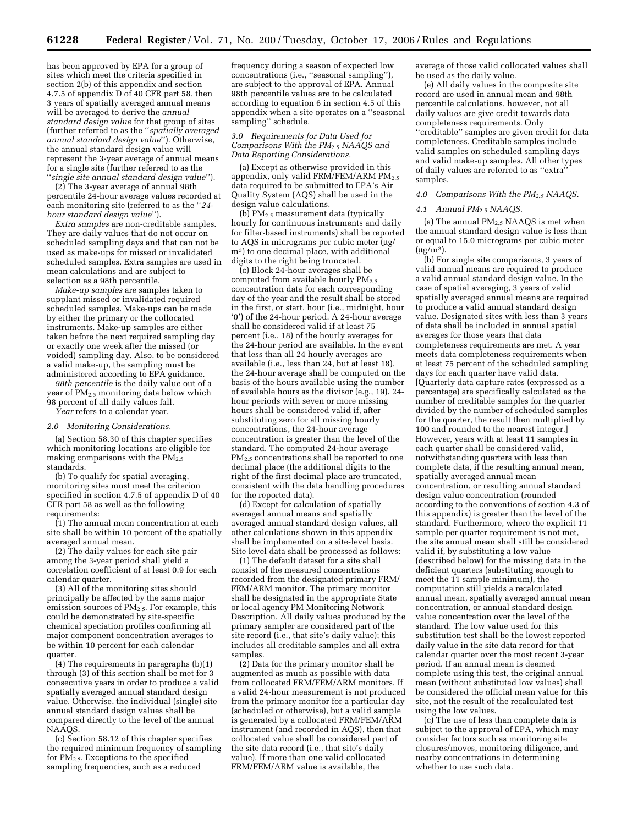has been approved by EPA for a group of sites which meet the criteria specified in section 2(b) of this appendix and section 4.7.5 of appendix  $D$  of 40 CFR part 58, then 3 years of spatially averaged annual means will be averaged to derive the *annual standard design value* for that group of sites (further referred to as the ''*spatially averaged annual standard design value*''). Otherwise, the annual standard design value will represent the 3-year average of annual means for a single site (further referred to as the ''*single site annual standard design value*'').

(2) The 3-year average of annual 98th percentile 24-hour average values recorded at each monitoring site (referred to as the ''*24 hour standard design value*'').

*Extra samples* are non-creditable samples. They are daily values that do not occur on scheduled sampling days and that can not be used as make-ups for missed or invalidated scheduled samples. Extra samples are used in mean calculations and are subject to selection as a 98th percentile.

*Make-up samples* are samples taken to supplant missed or invalidated required scheduled samples. Make-ups can be made by either the primary or the collocated instruments. Make-up samples are either taken before the next required sampling day or exactly one week after the missed (or voided) sampling day. Also, to be considered a valid make-up, the sampling must be administered according to EPA guidance.

*98th percentile* is the daily value out of a year of PM<sub>2.5</sub> monitoring data below which 98 percent of all daily values fall. *Year* refers to a calendar year.

#### *2.0 Monitoring Considerations.*

(a) Section 58.30 of this chapter specifies which monitoring locations are eligible for making comparisons with the PM<sub>2.5</sub> standards.

(b) To qualify for spatial averaging, monitoring sites must meet the criterion specified in section 4.7.5 of appendix D of 40 CFR part 58 as well as the following requirements:

(1) The annual mean concentration at each site shall be within 10 percent of the spatially averaged annual mean.

(2) The daily values for each site pair among the 3-year period shall yield a correlation coefficient of at least 0.9 for each calendar quarter.

(3) All of the monitoring sites should principally be affected by the same major emission sources of  $PM_{2.5}$ . For example, this could be demonstrated by site-specific chemical speciation profiles confirming all major component concentration averages to be within 10 percent for each calendar quarter.

(4) The requirements in paragraphs (b)(1) through (3) of this section shall be met for 3 consecutive years in order to produce a valid spatially averaged annual standard design value. Otherwise, the individual (single) site annual standard design values shall be compared directly to the level of the annual NAAOS.

(c) Section 58.12 of this chapter specifies the required minimum frequency of sampling for  $PM_{2.5}$ . Exceptions to the specified sampling frequencies, such as a reduced

frequency during a season of expected low concentrations (i.e., ''seasonal sampling''), are subject to the approval of EPA. Annual 98th percentile values are to be calculated according to equation 6 in section 4.5 of this appendix when a site operates on a ''seasonal sampling'' schedule.

*3.0 Requirements for Data Used for Comparisons With the PM*2.5 *NAAQS and Data Reporting Considerations.* 

(a) Except as otherwise provided in this appendix, only valid FRM/FEM/ARM PM<sub>2.5</sub> data required to be submitted to EPA's Air Quality System (AQS) shall be used in the design value calculations.

(b)  $PM_{2.5}$  measurement data (typically hourly for continuous instruments and daily for filter-based instruments) shall be reported to AQS in micrograms per cubic meter (µg/ m<sup>3</sup>) to one decimal place, with additional digits to the right being truncated.

(c) Block 24-hour averages shall be computed from available hourly PM<sub>2.5</sub> concentration data for each corresponding day of the year and the result shall be stored in the first, or start, hour (i.e., midnight, hour '0') of the 24-hour period. A 24-hour average shall be considered valid if at least 75 percent (i.e., 18) of the hourly averages for the 24-hour period are available. In the event that less than all 24 hourly averages are available (i.e., less than 24, but at least 18), the 24-hour average shall be computed on the basis of the hours available using the number of available hours as the divisor (e.g., 19). 24 hour periods with seven or more missing hours shall be considered valid if, after substituting zero for all missing hourly concentrations, the 24-hour average concentration is greater than the level of the standard. The computed 24-hour average PM<sub>2.5</sub> concentrations shall be reported to one decimal place (the additional digits to the right of the first decimal place are truncated, consistent with the data handling procedures for the reported data).

(d) Except for calculation of spatially averaged annual means and spatially averaged annual standard design values, all other calculations shown in this appendix shall be implemented on a site-level basis. Site level data shall be processed as follows:

(1) The default dataset for a site shall consist of the measured concentrations recorded from the designated primary FRM/ FEM/ARM monitor. The primary monitor shall be designated in the appropriate State or local agency PM Monitoring Network Description. All daily values produced by the primary sampler are considered part of the site record (i.e., that site's daily value); this includes all creditable samples and all extra samples.

(2) Data for the primary monitor shall be augmented as much as possible with data from collocated FRM/FEM/ARM monitors. If a valid 24-hour measurement is not produced from the primary monitor for a particular day (scheduled or otherwise), but a valid sample is generated by a collocated FRM/FEM/ARM instrument (and recorded in AQS), then that collocated value shall be considered part of the site data record (i.e., that site's daily value). If more than one valid collocated FRM/FEM/ARM value is available, the

average of those valid collocated values shall be used as the daily value.

(e) All daily values in the composite site record are used in annual mean and 98th percentile calculations, however, not all daily values are give credit towards data completeness requirements. Only ''creditable'' samples are given credit for data completeness. Creditable samples include valid samples on scheduled sampling days and valid make-up samples. All other types of daily values are referred to as ''extra'' samples.

## *4.0 Comparisons With the PM2.5 NAAQS.*

#### *4.1 Annual PM*2.5 *NAAQS.*

(a) The annual PM2.5 NAAQS is met when the annual standard design value is less than or equal to 15.0 micrograms per cubic meter  $(\mu g/m^3)$ .

(b) For single site comparisons, 3 years of valid annual means are required to produce a valid annual standard design value. In the case of spatial averaging, 3 years of valid spatially averaged annual means are required to produce a valid annual standard design value. Designated sites with less than 3 years of data shall be included in annual spatial averages for those years that data completeness requirements are met. A year meets data completeness requirements when at least 75 percent of the scheduled sampling days for each quarter have valid data. [Quarterly data capture rates (expressed as a percentage) are specifically calculated as the number of creditable samples for the quarter divided by the number of scheduled samples for the quarter, the result then multiplied by 100 and rounded to the nearest integer.] However, years with at least 11 samples in each quarter shall be considered valid, notwithstanding quarters with less than complete data, if the resulting annual mean, spatially averaged annual mean concentration, or resulting annual standard design value concentration (rounded according to the conventions of section 4.3 of this appendix) is greater than the level of the standard. Furthermore, where the explicit 11 sample per quarter requirement is not met, the site annual mean shall still be considered valid if, by substituting a low value (described below) for the missing data in the deficient quarters (substituting enough to meet the 11 sample minimum), the computation still yields a recalculated annual mean, spatially averaged annual mean concentration, or annual standard design value concentration over the level of the standard. The low value used for this substitution test shall be the lowest reported daily value in the site data record for that calendar quarter over the most recent 3-year period. If an annual mean is deemed complete using this test, the original annual mean (without substituted low values) shall be considered the official mean value for this site, not the result of the recalculated test using the low values.

(c) The use of less than complete data is subject to the approval of EPA, which may consider factors such as monitoring site closures/moves, monitoring diligence, and nearby concentrations in determining whether to use such data.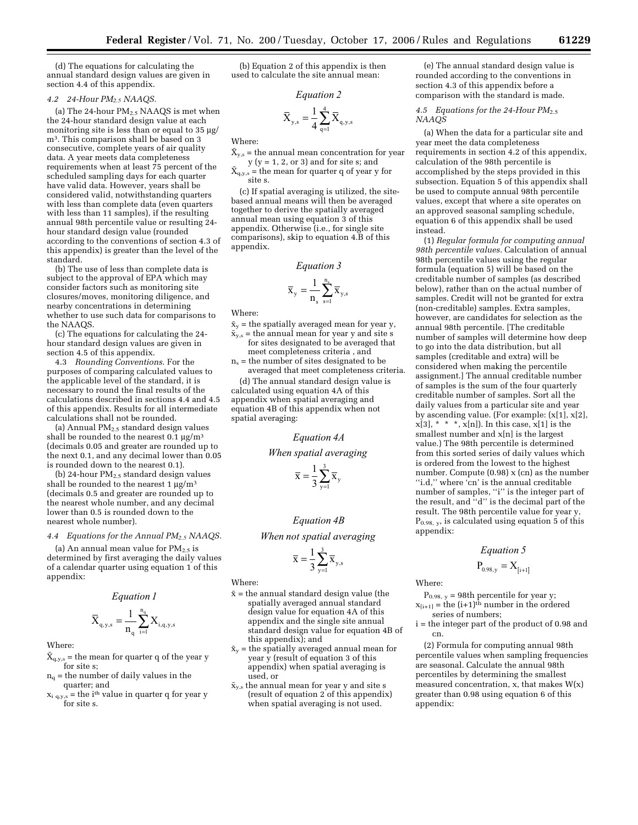(d) The equations for calculating the annual standard design values are given in section 4.4 of this appendix.

### *4.2 24-Hour PM2.5 NAAQS.*

(a) The 24-hour  $PM<sub>2.5</sub> NAAQS$  is met when the 24-hour standard design value at each monitoring site is less than or equal to 35 µg/ m3. This comparison shall be based on 3 consecutive, complete years of air quality data. A year meets data completeness requirements when at least 75 percent of the scheduled sampling days for each quarter have valid data. However, years shall be considered valid, notwithstanding quarters with less than complete data (even quarters with less than 11 samples), if the resulting annual 98th percentile value or resulting 24 hour standard design value (rounded according to the conventions of section 4.3 of this appendix) is greater than the level of the standard.

(b) The use of less than complete data is subject to the approval of EPA which may consider factors such as monitoring site closures/moves, monitoring diligence, and nearby concentrations in determining whether to use such data for comparisons to the NAAQS.

(c) The equations for calculating the 24 hour standard design values are given in section 4.5 of this appendix.

4.3 *Rounding Conventions*. For the purposes of comparing calculated values to the applicable level of the standard, it is necessary to round the final results of the calculations described in sections 4.4 and 4.5 of this appendix. Results for all intermediate calculations shall not be rounded.

(a) Annual  $PM<sub>2.5</sub>$  standard design values shall be rounded to the nearest  $0.1 \mu g/m^3$ (decimals 0.05 and greater are rounded up to the next 0.1, and any decimal lower than 0.05 is rounded down to the nearest 0.1).

(b) 24-hour  $PM<sub>2.5</sub>$  standard design values shall be rounded to the nearest 1  $\mu$ g/m<sup>3</sup> (decimals 0.5 and greater are rounded up to the nearest whole number, and any decimal lower than 0.5 is rounded down to the nearest whole number).

#### *4.4 Equations for the Annual PM2.5 NAAQS.*

(a) An annual mean value for  $PM_{2.5}$  is determined by first averaging the daily values of a calendar quarter using equation 1 of this appendix:

*Equation 1*

$$
\bar{X}_{q,y,s} = \frac{1}{n_q} \sum_{i=1}^{n_q} X_{i,q,y,s}
$$

Where:

 $\bar{X}_{q,y,s}$  = the mean for quarter q of the year y for site s;

 $n_q$  = the number of daily values in the quarter; and

 $x_i$   $_{q,y,s}$  = the i<sup>th</sup> value in quarter q for year y for site s.

(b) Equation 2 of this appendix is then used to calculate the site annual mean:

*Equation 2*

$$
\overline{X}_{y,s} = \frac{1}{4} \sum_{q=1}^{4} \overline{X}_{q,y,s}
$$

Where:

 $\bar{X}_{v,s}$  = the annual mean concentration for year  $y (y = 1, 2, or 3)$  and for site s; and

 $\bar{X}_{q,y,s}$  = the mean for quarter q of year y for site s.

(c) If spatial averaging is utilized, the sitebased annual means will then be averaged together to derive the spatially averaged annual mean using equation 3 of this appendix. Otherwise (i.e., for single site comparisons), skip to equation 4.B of this appendix.

### *Equation 3*

$$
\overline{\mathbf{x}}_{\mathbf{y}} = \frac{1}{n_{\mathbf{s}}} \sum_{\mathbf{s} = 1}^{n_{\mathbf{s}}} \overline{\mathbf{x}}_{\mathbf{y},\mathbf{s}}
$$

Where:

 $\bar{x}_{v}$  = the spatially averaged mean for year y,

- $\bar{x}_{y,s}$  = the annual mean for year y and site s for sites designated to be averaged that meet completeness criteria , and
- $n_s$  = the number of sites designated to be averaged that meet completeness criteria.

(d) The annual standard design value is calculated using equation 4A of this appendix when spatial averaging and equation 4B of this appendix when not spatial averaging:

*Equation 4A*

*When spatial averaging*

$$
\overline{\mathbf{x}} = \frac{1}{3} \sum_{y=1}^{3} \overline{\mathbf{x}}_{y}
$$

# *Equation 4B*

*When not spatial averaging*

$$
\overline{x}=\frac{1}{3}\sum_{y=1}^3\overline{x}_{y,s}
$$

Where:

- $\bar{x}$  = the annual standard design value (the spatially averaged annual standard design value for equation 4A of this appendix and the single site annual standard design value for equation 4B of this appendix); and
- $\bar{x}_y$  = the spatially averaged annual mean for year y (result of equation 3 of this appendix) when spatial averaging is used, or
- $\bar{x}_{y,s}$  the annual mean for year y and site s (result of equation 2 of this appendix) when spatial averaging is not used.

(e) The annual standard design value is rounded according to the conventions in section 4.3 of this appendix before a comparison with the standard is made.

### *4.5 Equations for the 24-Hour PM*2.5 *NAAQS*

(a) When the data for a particular site and year meet the data completeness requirements in section 4.2 of this appendix, calculation of the 98th percentile is accomplished by the steps provided in this subsection. Equation 5 of this appendix shall be used to compute annual 98th percentile values, except that where a site operates on an approved seasonal sampling schedule, equation 6 of this appendix shall be used instead.

(1) *Regular formula for computing annual 98th percentile values.* Calculation of annual 98th percentile values using the regular formula (equation 5) will be based on the creditable number of samples (as described below), rather than on the actual number of samples. Credit will not be granted for extra (non-creditable) samples. Extra samples, however, are candidates for selection as the annual 98th percentile. [The creditable number of samples will determine how deep to go into the data distribution, but all samples (creditable and extra) will be considered when making the percentile assignment.] The annual creditable number of samples is the sum of the four quarterly creditable number of samples. Sort all the daily values from a particular site and year by ascending value. (For example: (x[1], x[2],  $x[3],$  \* \* \*,  $x[n]$ ). In this case,  $x[1]$  is the smallest number and x[n] is the largest value.) The 98th percentile is determined from this sorted series of daily values which is ordered from the lowest to the highest number. Compute (0.98) x (cn) as the number "i.d," where 'cn' is the annual creditable number of samples, ''i'' is the integer part of the result, and ''d'' is the decimal part of the result. The 98th percentile value for year y, P0.98, y, is calculated using equation 5 of this appendix:

# *Equation 5*

$$
P_{0.98,\,y}=X_{[i+1]}
$$

Where:

 $P<sub>0.98, y</sub> = 98th percentile for year y;$  $x_{[i+1]}$  = the  $(i+1)$ <sup>th</sup> number in the ordered series of numbers;

i = the integer part of the product of 0.98 and cn.

(2) Formula for computing annual 98th percentile values when sampling frequencies are seasonal. Calculate the annual 98th percentiles by determining the smallest measured concentration, x, that makes W(x) greater than 0.98 using equation 6 of this appendix: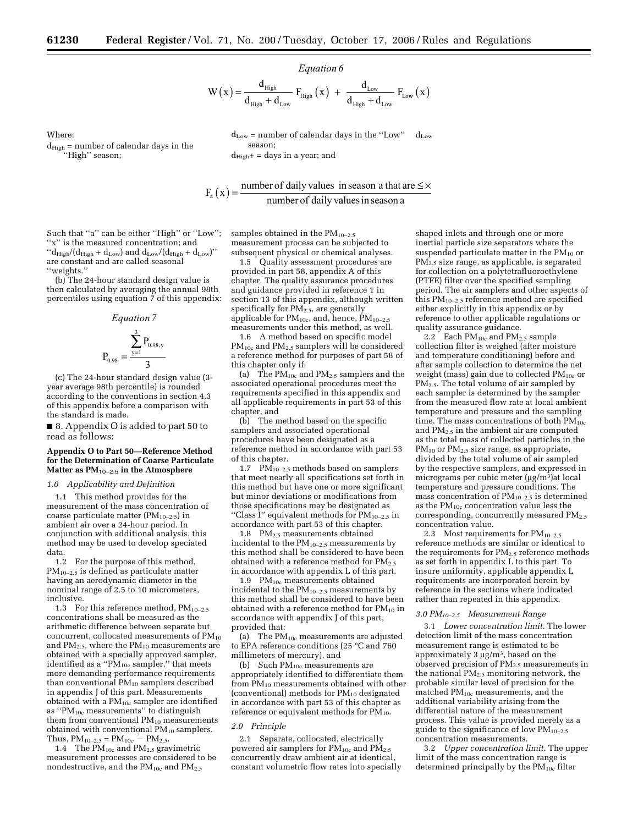season;

 $d_{High}$ + = days in a year; and

 *Equation 6*

$$
W\left(x\right)=\frac{d_{\text{High}}}{d_{\text{High}}+d_{\text{Low}}}\ F_{\text{High}}\left(x\right)\ +\ \frac{d_{\text{Low}}}{d_{\text{High}}+d_{\text{Low}}}\ F_{\text{Low}}\left(x\right)
$$

 $d_{Low}$  = number of calendar days in the "Low"  $d_{\text{Low}}$ 

 $\rm{d}_{High}$  = number of calendar days in the ''High'' season;

Where:

 $F_a(x) = \frac{\text{number of daily values in season a that are } \leq x}{\text{number of daily values in season a}}$ 

Such that ''a'' can be either ''High'' or ''Low''; ''x'' is the measured concentration; and  $\lq \mathrm{d}_{\mathrm{High}} / \big( \mathrm{d}_{\mathrm{High}} + \mathrm{d}_{\mathrm{Low}} \big)$  and  $\mathrm{d}_{\mathrm{Low}} / \big( \mathrm{d}_{\mathrm{High}} + \mathrm{d}_{\mathrm{Low}} \big)$ are constant and are called seasonal ''weights.''

(b) The 24-hour standard design value is then calculated by averaging the annual 98th percentiles using equation 7 of this appendix:

Equation 7  

$$
P_{0.98} = \frac{\sum_{y=1}^{3} P_{0.98,y}}{3}
$$

(c) The 24-hour standard design value (3 year average 98th percentile) is rounded according to the conventions in section 4.3 of this appendix before a comparison with the standard is made.

■ 8. Appendix O is added to part 50 to read as follows:

## **Appendix O to Part 50—Reference Method for the Determination of Coarse Particulate Matter as PM**10–2.5 **in the Atmosphere**

## *1.0 Applicability and Definition*

1.1 This method provides for the measurement of the mass concentration of coarse particulate matter (PM10–2.5) in ambient air over a 24-hour period. In conjunction with additional analysis, this method may be used to develop speciated data.

1.2 For the purpose of this method, PM10–2.5 is defined as particulate matter having an aerodynamic diameter in the nominal range of 2.5 to 10 micrometers, inclusive.

1.3 For this reference method,  $PM_{10-2.5}$ concentrations shall be measured as the arithmetic difference between separate but concurrent, collocated measurements of  $PM_{10}$ and PM<sub>2.5</sub>, where the PM<sub>10</sub> measurements are obtained with a specially approved sampler, identified as a " $\overrightarrow{PM}_{10c}$  sampler," that meets more demanding performance requirements than conventional PM<sub>10</sub> samplers described in appendix J of this part. Measurements obtained with a PM10c sampler are identified as ''PM10c measurements'' to distinguish them from conventional  $PM_{10}$  measurements obtained with conventional  $PM_{10}$  samplers. Thus,  $PM_{10-2.5} = PM_{10c} - PM_{2.5}$ .

1.4 The  $PM_{10c}$  and  $PM_{2.5}$  gravimetric measurement processes are considered to be nondestructive, and the  $PM_{10c}$  and  $PM_{2.5}$ 

samples obtained in the  $PM_{10-2.5}$ measurement process can be subjected to subsequent physical or chemical analyses.

1.5 Quality assessment procedures are provided in part 58, appendix A of this chapter. The quality assurance procedures and guidance provided in reference 1 in section 13 of this appendix, although written specifically for  $PM_{2.5}$ , are generally applicable for  $PM_{10c}$ , and, hence,  $PM_{10-2.5}$ measurements under this method, as well.

1.6 A method based on specific model  $PM_{10c}$  and  $PM_{2.5}$  samplers will be considered a reference method for purposes of part 58 of this chapter only if:

(a) The  $\text{PM}_{10c}$  and  $\text{PM}_{2.5}$  samplers and the associated operational procedures meet the requirements specified in this appendix and all applicable requirements in part 53 of this chapter, and

(b) The method based on the specific samplers and associated operational procedures have been designated as a reference method in accordance with part 53 of this chapter.

1.7  $PM_{10-2.5}$  methods based on samplers that meet nearly all specifications set forth in this method but have one or more significant but minor deviations or modifications from those specifications may be designated as "Class I" equivalent methods for  $PM_{10-2.5}$  in accordance with part 53 of this chapter.

1.8 PM<sub>2.5</sub> measurements obtained incidental to the  $PM_{10-2.5}$  measurements by this method shall be considered to have been obtained with a reference method for  $PM_{2.5}$ in accordance with appendix L of this part.

1.9  $PM_{10c}$  measurements obtained incidental to the  $PM_{10-2.5}$  measurements by this method shall be considered to have been obtained with a reference method for  $PM_{10}$  in accordance with appendix J of this part, provided that:

(a) The  $PM_{10c}$  measurements are adjusted to EPA reference conditions (25 °C and 760 millimeters of mercury), and

(b) Such  $PM_{10c}$  measurements are appropriately identified to differentiate them from  $PM_{10}$  measurements obtained with other (conventional) methods for  $PM_{10}$  designated in accordance with part 53 of this chapter as reference or equivalent methods for  $PM_{10}$ .

# *2.0 Principle*

2.1 Separate, collocated, electrically powered air samplers for PM<sub>10c</sub> and PM<sub>2.5</sub> concurrently draw ambient air at identical, constant volumetric flow rates into specially

shaped inlets and through one or more inertial particle size separators where the suspended particulate matter in the  $PM_{10}$  or PM2.5 size range, as applicable, is separated for collection on a polytetrafluoroethylene (PTFE) filter over the specified sampling period. The air samplers and other aspects of this  $PM_{10-2.5}$  reference method are specified either explicitly in this appendix or by reference to other applicable regulations or quality assurance guidance.

2.2 Each  $PM_{10c}$  and  $PM_{2.5}$  sample collection filter is weighed (after moisture and temperature conditioning) before and after sample collection to determine the net weight (mass) gain due to collected  $PM_{10c}$  or PM2.5. The total volume of air sampled by each sampler is determined by the sampler from the measured flow rate at local ambient temperature and pressure and the sampling time. The mass concentrations of both  $PM_{10c}$ and  $PM<sub>2.5</sub>$  in the ambient air are computed as the total mass of collected particles in the  $PM_{10}$  or  $PM_{2.5}$  size range, as appropriate, divided by the total volume of air sampled by the respective samplers, and expressed in micrograms per cubic meter ( $\mu$ g/m<sup>3</sup>)at local temperature and pressure conditions. The mass concentration of  $PM_{10-2.5}$  is determined as the  $PM_{10c}$  concentration value less the corresponding, concurrently measured PM<sub>2.5</sub> concentration value.

2.3 Most requirements for  $PM_{10-2.5}$ reference methods are similar or identical to the requirements for  $PM_{2.5}$  reference methods as set forth in appendix L to this part. To insure uniformity, applicable appendix L requirements are incorporated herein by reference in the sections where indicated rather than repeated in this appendix.

### *3.0 PM10–2.5 Measurement Range*

3.1 *Lower concentration limit.* The lower detection limit of the mass concentration measurement range is estimated to be approximately 3  $\mu$ g/m<sup>3</sup>, based on the observed precision of PM2.5 measurements in the national PM2.5 monitoring network, the probable similar level of precision for the matched PM10c measurements, and the additional variability arising from the differential nature of the measurement process. This value is provided merely as a guide to the significance of low  $PM_{10-2.5}$ concentration measurements.

3.2 *Upper concentration limit.* The upper limit of the mass concentration range is determined principally by the  $PM_{10c}$  filter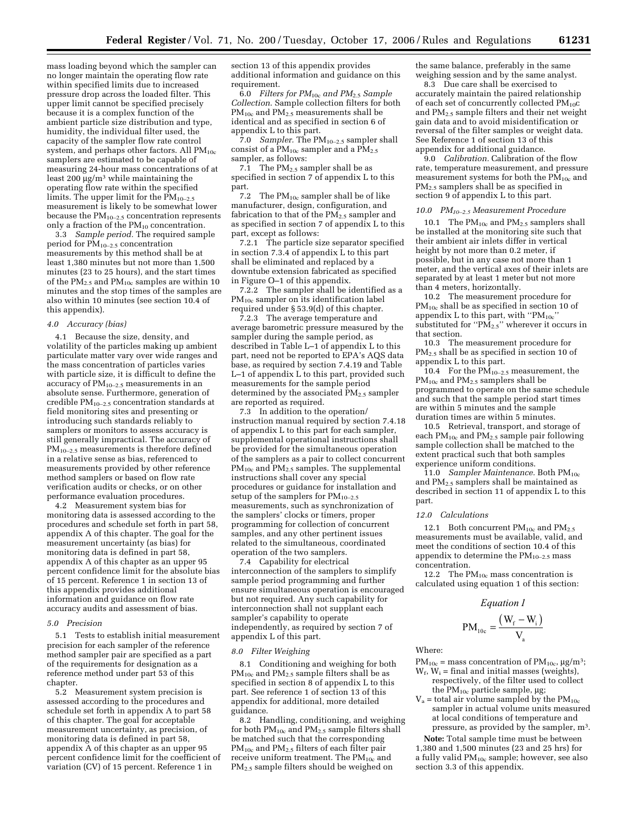mass loading beyond which the sampler can no longer maintain the operating flow rate within specified limits due to increased pressure drop across the loaded filter. This upper limit cannot be specified precisely because it is a complex function of the ambient particle size distribution and type, humidity, the individual filter used, the capacity of the sampler flow rate control system, and perhaps other factors. All  $PM_{10c}$ samplers are estimated to be capable of measuring 24-hour mass concentrations of at least 200  $\mu$ g/m<sup>3</sup> while maintaining the operating flow rate within the specified limits. The upper limit for the  $PM_{10-2.5}$ measurement is likely to be somewhat lower because the  $PM_{10-2.5}$  concentration represents only a fraction of the  $PM_{10}$  concentration.

3.3 *Sample period.* The required sample period for PM10–2.5 concentration measurements by this method shall be at least 1,380 minutes but not more than 1,500 minutes (23 to 25 hours), and the start times of the  $PM_{2.5}$  and  $PM_{10c}$  samples are within 10 minutes and the stop times of the samples are also within 10 minutes (see section 10.4 of this appendix).

### *4.0 Accuracy (bias)*

4.1 Because the size, density, and volatility of the particles making up ambient particulate matter vary over wide ranges and the mass concentration of particles varies with particle size, it is difficult to define the accuracy of  $PM_{10-2.5}$  measurements in an absolute sense. Furthermore, generation of credible  $PM_{10-2.5}$  concentration standards at field monitoring sites and presenting or introducing such standards reliably to samplers or monitors to assess accuracy is still generally impractical. The accuracy of PM10–2.5 measurements is therefore defined in a relative sense as bias, referenced to measurements provided by other reference method samplers or based on flow rate verification audits or checks, or on other performance evaluation procedures.

4.2 Measurement system bias for monitoring data is assessed according to the procedures and schedule set forth in part 58, appendix A of this chapter. The goal for the measurement uncertainty (as bias) for monitoring data is defined in part 58, appendix A of this chapter as an upper 95 percent confidence limit for the absolute bias of 15 percent. Reference 1 in section 13 of this appendix provides additional information and guidance on flow rate accuracy audits and assessment of bias.

#### *5.0 Precision*

5.1 Tests to establish initial measurement precision for each sampler of the reference method sampler pair are specified as a part of the requirements for designation as a reference method under part 53 of this chapter.

5.2 Measurement system precision is assessed according to the procedures and schedule set forth in appendix A to part 58 of this chapter. The goal for acceptable measurement uncertainty, as precision, of monitoring data is defined in part 58, appendix A of this chapter as an upper 95 percent confidence limit for the coefficient of variation (CV) of 15 percent. Reference 1 in

section 13 of this appendix provides additional information and guidance on this requirement.

6.0 *Filters for PM*10c *and PM*2.5 *Sample Collection*. Sample collection filters for both PM<sub>10c</sub> and PM<sub>2.5</sub> measurements shall be identical and as specified in section 6 of appendix L to this part.

7.0 *Sampler.* The PM10–2.5 sampler shall consist of a PM<sub>10c</sub> sampler and a PM<sub>2.5</sub> sampler, as follows:

7.1 The  $PM<sub>2.5</sub>$  sampler shall be as specified in section 7 of appendix L to this part.

7.2 The  $PM_{10c}$  sampler shall be of like manufacturer, design, configuration, and fabrication to that of the  $\widetilde{\mathrm{PM_{2.5}}}$  sampler and as specified in section 7 of appendix L to this part, except as follows:

7.2.1 The particle size separator specified in section 7.3.4 of appendix L to this part shall be eliminated and replaced by a downtube extension fabricated as specified in Figure O–1 of this appendix.

7.2.2 The sampler shall be identified as a PM<sub>10c</sub> sampler on its identification label required under § 53.9(d) of this chapter.

7.2.3 The average temperature and average barometric pressure measured by the sampler during the sample period, as described in Table L–1 of appendix L to this part, need not be reported to EPA's AQS data base, as required by section 7.4.19 and Table L–1 of appendix L to this part, provided such measurements for the sample period determined by the associated  $PM_{2.5}$  sampler are reported as required.

7.3 In addition to the operation/ instruction manual required by section 7.4.18 of appendix L to this part for each sampler, supplemental operational instructions shall be provided for the simultaneous operation of the samplers as a pair to collect concurrent PM<sub>10c</sub> and PM<sub>2.5</sub> samples. The supplemental instructions shall cover any special procedures or guidance for installation and setup of the samplers for  $PM_{10-2.5}$ measurements, such as synchronization of the samplers' clocks or timers, proper programming for collection of concurrent samples, and any other pertinent issues related to the simultaneous, coordinated operation of the two samplers.

7.4 Capability for electrical interconnection of the samplers to simplify sample period programming and further ensure simultaneous operation is encouraged but not required. Any such capability for interconnection shall not supplant each sampler's capability to operate independently, as required by section 7 of appendix L of this part.

### *8.0 Filter Weighing*

8.1 Conditioning and weighing for both PM<sub>10c</sub> and PM<sub>2.5</sub> sample filters shall be as specified in section  $\vec{8}$  of appendix L to this part. See reference 1 of section 13 of this appendix for additional, more detailed guidance.

8.2 Handling, conditioning, and weighing for both PM<sub>10c</sub> and PM<sub>2.5</sub> sample filters shall be matched such that the corresponding  $PM_{10c}$  and  $PM_{2.5}$  filters of each filter pair receive uniform treatment. The PM<sub>10c</sub> and PM2.5 sample filters should be weighed on

the same balance, preferably in the same weighing session and by the same analyst.

8.3 Due care shall be exercised to accurately maintain the paired relationship of each set of concurrently collected PM<sub>10</sub>c and PM2.5 sample filters and their net weight gain data and to avoid misidentification or reversal of the filter samples or weight data. See Reference 1 of section 13 of this appendix for additional guidance.

9.0 *Calibration.* Calibration of the flow rate, temperature measurement, and pressure measurement systems for both the  $\bar{PM}_{10c}$  and PM2.5 samplers shall be as specified in section 9 of appendix L to this part.

#### *10.0 PM10–2.5 Measurement Procedure*

10.1 The  $PM_{10c}$  and  $PM_{2.5}$  samplers shall be installed at the monitoring site such that their ambient air inlets differ in vertical height by not more than 0.2 meter, if possible, but in any case not more than 1 meter, and the vertical axes of their inlets are separated by at least 1 meter but not more than 4 meters, horizontally.

10.2 The measurement procedure for PM<sub>10c</sub> shall be as specified in section 10 of appendix L to this part, with " $PM_{10c}$ " substituted for " $\widehat{PM}_{2.5}$ " wherever it occurs in that section.

10.3 The measurement procedure for PM<sub>2.5</sub> shall be as specified in section 10 of appendix L to this part.

10.4 For the  $\tilde{\text{PM}}_{10-2.5}$  measurement, the  $\mathrm{PM_{10c}}$  and  $\mathrm{PM_{2.5}}$  samplers shall be programmed to operate on the same schedule and such that the sample period start times are within 5 minutes and the sample duration times are within 5 minutes.

10.5 Retrieval, transport, and storage of each PM<sub>10c</sub> and PM<sub>2.5</sub> sample pair following sample collection shall be matched to the extent practical such that both samples experience uniform conditions.

11.0 *Sampler Maintenance.* Both PM10c and PM2.5 samplers shall be maintained as described in section 11 of appendix L to this part.

### *12.0 Calculations*

12.1 Both concurrent  $PM_{10c}$  and  $PM_{2.5}$ measurements must be available, valid, and meet the conditions of section 10.4 of this appendix to determine the  $PM_{10-2.5}$  mass concentration.

12.2 The  $PM_{10c}$  mass concentration is calculated using equation 1 of this section:

*Equation 1*

$$
PM_{10c} = \frac{(W_f - W_i)}{V_a}
$$

Where:

- $PM_{10c}$  = mass concentration of  $PM_{10c}$ ,  $\mu g/m^3$ ;  $W_f$ ,  $W_i$  = final and initial masses (weights),
- respectively, of the filter used to collect the  $PM_{10c}$  particle sample,  $\mu$ g;
- $V_a$  = total air volume sampled by the PM<sub>10c</sub> sampler in actual volume units measured at local conditions of temperature and pressure, as provided by the sampler, m3.

**Note:** Total sample time must be between 1,380 and 1,500 minutes (23 and 25 hrs) for a fully valid PM10c sample; however, see also section 3.3 of this appendix.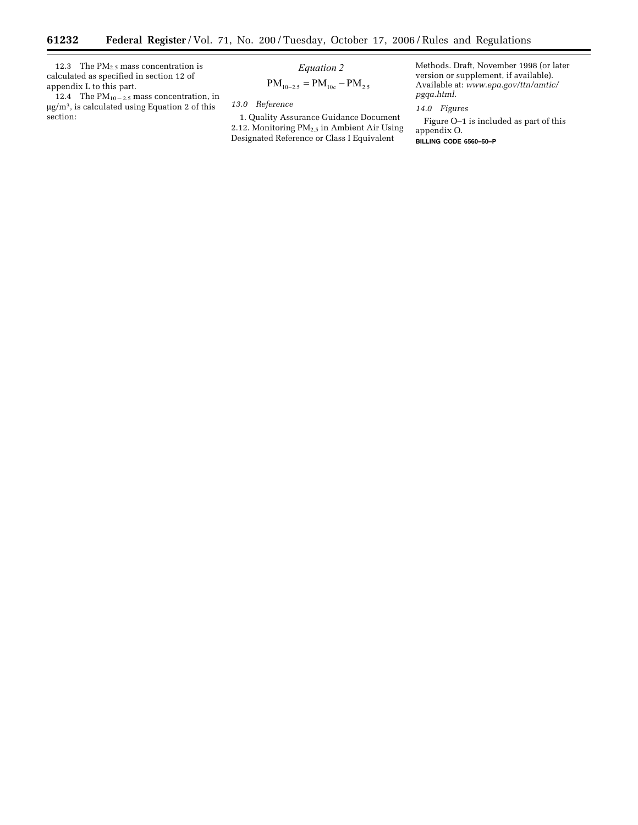12.3 The  $PM<sub>2.5</sub>$  mass concentration is calculated as specified in section 12 of appendix L to this part.

۳

12.4 The  $PM_{10-2.5}$  mass concentration, in µg/m3, is calculated using Equation 2 of this section:

 *Equation 2*

$$
PM_{10-2.5} = PM_{10c} - PM_{2.5}
$$

*13.0 Reference* 

1. Quality Assurance Guidance Document 2.12. Monitoring PM<sub>2.5</sub> in Ambient Air Using Designated Reference or Class I Equivalent

Methods. Draft, November 1998 (or later version or supplement, if available). Available at: *www.epa.gov/ttn/amtic/ pgqa.html.* 

*14.0 Figures* 

Figure O–1 is included as part of this appendix O. **BILLING CODE 6560–50–P**